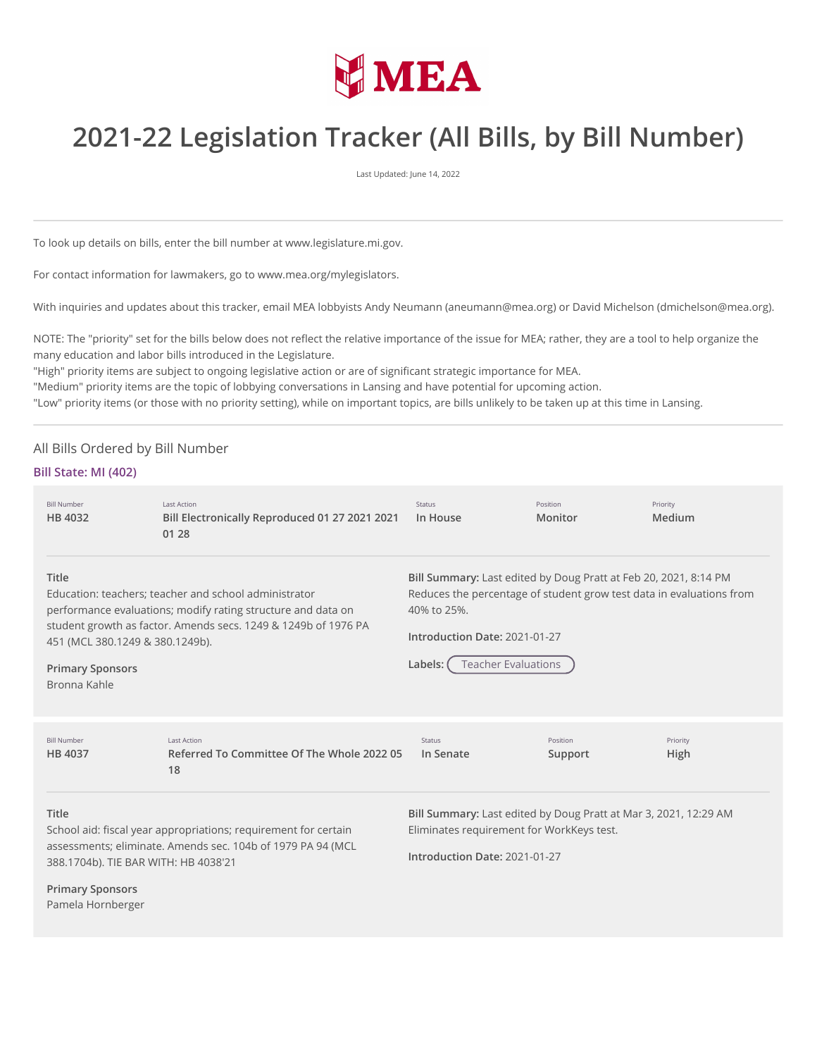

# **2021-22 Legislation Tracker (All Bills, by Bill Number)**

Last Updated: June 14, 2022

To look up details on bills, enter the bill number at www.legislature.mi.gov.

For contact information for lawmakers, go to www.mea.org/mylegislators.

With inquiries and updates about this tracker, email MEA lobbyists Andy Neumann (aneumann@mea.org) or David Michelson (dmichelson@mea.org).

NOTE: The "priority" set for the bills below does not reflect the relative importance of the issue for MEA; rather, they are a tool to help organize the many education and labor bills introduced in the Legislature.

"High" priority items are subject to ongoing legislative action or are of significant strategic importance for MEA.

"Medium" priority items are the topic of lobbying conversations in Lansing and have potential for upcoming action.

"Low" priority items (or those with no priority setting), while on important topics, are bills unlikely to be taken up at this time in Lansing.

# All Bills Ordered by Bill Number

## **Bill State: MI (402)**

| <b>Bill Number</b><br>HB 4032                                                                                                                                                                                                                                                  | <b>Last Action</b><br>Bill Electronically Reproduced 01 27 2021 2021<br>01 28 | Status<br>In House                                                                                                                                                                                                                | Position<br>Monitor                       | Priority<br>Medium                                               |
|--------------------------------------------------------------------------------------------------------------------------------------------------------------------------------------------------------------------------------------------------------------------------------|-------------------------------------------------------------------------------|-----------------------------------------------------------------------------------------------------------------------------------------------------------------------------------------------------------------------------------|-------------------------------------------|------------------------------------------------------------------|
| Title<br>Education: teachers; teacher and school administrator<br>performance evaluations; modify rating structure and data on<br>student growth as factor. Amends secs. 1249 & 1249b of 1976 PA<br>451 (MCL 380.1249 & 380.1249b).<br><b>Primary Sponsors</b><br>Bronna Kahle |                                                                               | Bill Summary: Last edited by Doug Pratt at Feb 20, 2021, 8:14 PM<br>Reduces the percentage of student grow test data in evaluations from<br>40% to 25%.<br>Introduction Date: 2021-01-27<br><b>Teacher Evaluations</b><br>Labels: |                                           |                                                                  |
| <b>Bill Number</b><br>HB 4037                                                                                                                                                                                                                                                  | <b>Last Action</b><br>Referred To Committee Of The Whole 2022 05<br>18        | <b>Status</b><br>In Senate                                                                                                                                                                                                        | Position<br>Support                       | Priority<br><b>High</b>                                          |
| Title<br>School aid: fiscal year appropriations; requirement for certain<br>assessments; eliminate. Amends sec. 104b of 1979 PA 94 (MCL<br>388.1704b). TIE BAR WITH: HB 4038'21                                                                                                |                                                                               | Introduction Date: 2021-01-27                                                                                                                                                                                                     | Eliminates requirement for WorkKeys test. | Bill Summary: Last edited by Doug Pratt at Mar 3, 2021, 12:29 AM |
| <b>Primary Sponsors</b><br>Pamela Hornberger                                                                                                                                                                                                                                   |                                                                               |                                                                                                                                                                                                                                   |                                           |                                                                  |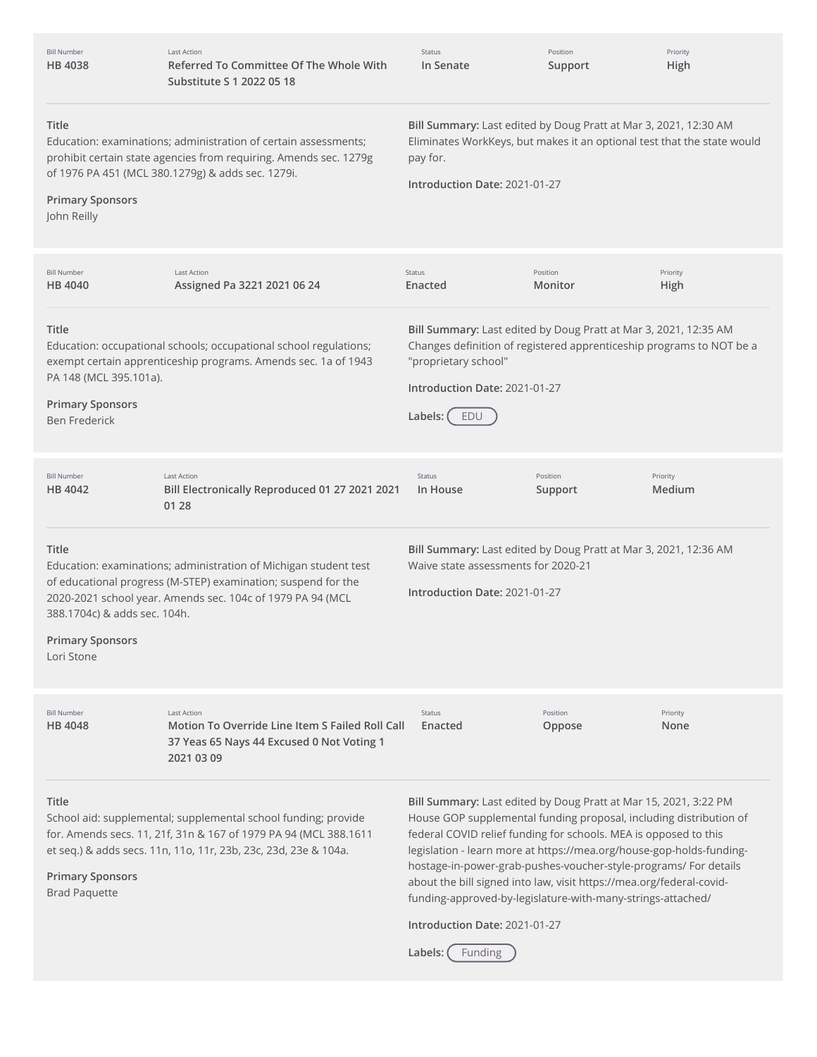| <b>Bill Number</b><br><b>HB 4038</b>                                                                                                                                                                                                                                              | <b>Last Action</b><br>Referred To Committee Of The Whole With<br>Substitute S 1 2022 05 18                                                                                                            | Status<br>In Senate                                                                                                                                                                      | Position<br>Support                                                                                                                                                                                                                                                         | Priority<br>High                                                                                                                                                                                               |  |
|-----------------------------------------------------------------------------------------------------------------------------------------------------------------------------------------------------------------------------------------------------------------------------------|-------------------------------------------------------------------------------------------------------------------------------------------------------------------------------------------------------|------------------------------------------------------------------------------------------------------------------------------------------------------------------------------------------|-----------------------------------------------------------------------------------------------------------------------------------------------------------------------------------------------------------------------------------------------------------------------------|----------------------------------------------------------------------------------------------------------------------------------------------------------------------------------------------------------------|--|
| Title<br>Education: examinations; administration of certain assessments;<br>prohibit certain state agencies from requiring. Amends sec. 1279g<br>of 1976 PA 451 (MCL 380.1279g) & adds sec. 1279i.<br><b>Primary Sponsors</b><br>John Reilly                                      |                                                                                                                                                                                                       | Bill Summary: Last edited by Doug Pratt at Mar 3, 2021, 12:30 AM<br>Eliminates WorkKeys, but makes it an optional test that the state would<br>pay for.<br>Introduction Date: 2021-01-27 |                                                                                                                                                                                                                                                                             |                                                                                                                                                                                                                |  |
| <b>Bill Number</b><br><b>HB 4040</b>                                                                                                                                                                                                                                              | <b>Last Action</b><br>Assigned Pa 3221 2021 06 24                                                                                                                                                     | <b>Status</b><br>Enacted                                                                                                                                                                 | Position<br>Monitor                                                                                                                                                                                                                                                         | Priority<br>High                                                                                                                                                                                               |  |
| <b>Title</b><br>PA 148 (MCL 395.101a).<br><b>Primary Sponsors</b><br><b>Ben Frederick</b>                                                                                                                                                                                         | Education: occupational schools; occupational school regulations;<br>exempt certain apprenticeship programs. Amends sec. 1a of 1943                                                                   | "proprietary school"<br>Introduction Date: 2021-01-27<br>Labels:<br>EDU                                                                                                                  | Bill Summary: Last edited by Doug Pratt at Mar 3, 2021, 12:35 AM                                                                                                                                                                                                            | Changes definition of registered apprenticeship programs to NOT be a                                                                                                                                           |  |
| <b>Bill Number</b><br>HB 4042                                                                                                                                                                                                                                                     | <b>Last Action</b><br>Bill Electronically Reproduced 01 27 2021 2021<br>01 28                                                                                                                         | Status<br>In House                                                                                                                                                                       | Position<br>Support                                                                                                                                                                                                                                                         | Priority<br>Medium                                                                                                                                                                                             |  |
| Title<br>Education: examinations; administration of Michigan student test<br>of educational progress (M-STEP) examination; suspend for the<br>2020-2021 school year. Amends sec. 104c of 1979 PA 94 (MCL<br>388.1704c) & adds sec. 104h.<br><b>Primary Sponsors</b><br>Lori Stone |                                                                                                                                                                                                       | Bill Summary: Last edited by Doug Pratt at Mar 3, 2021, 12:36 AM<br>Waive state assessments for 2020-21<br>Introduction Date: 2021-01-27                                                 |                                                                                                                                                                                                                                                                             |                                                                                                                                                                                                                |  |
| <b>Bill Number</b><br><b>HB 4048</b>                                                                                                                                                                                                                                              | <b>Last Action</b><br>Motion To Override Line Item S Failed Roll Call<br>37 Yeas 65 Nays 44 Excused 0 Not Voting 1<br>2021 03 09                                                                      | Status<br>Enacted                                                                                                                                                                        | Position<br>Oppose                                                                                                                                                                                                                                                          | Priority<br>None                                                                                                                                                                                               |  |
| <b>Title</b><br><b>Primary Sponsors</b><br><b>Brad Paquette</b>                                                                                                                                                                                                                   | School aid: supplemental; supplemental school funding; provide<br>for. Amends secs. 11, 21f, 31n & 167 of 1979 PA 94 (MCL 388.1611<br>et seq.) & adds secs. 11n, 11o, 11r, 23b, 23c, 23d, 23e & 104a. | Introduction Date: 2021-01-27                                                                                                                                                            | Bill Summary: Last edited by Doug Pratt at Mar 15, 2021, 3:22 PM<br>federal COVID relief funding for schools. MEA is opposed to this<br>about the bill signed into law, visit https://mea.org/federal-covid-<br>funding-approved-by-legislature-with-many-strings-attached/ | House GOP supplemental funding proposal, including distribution of<br>legislation - learn more at https://mea.org/house-gop-holds-funding-<br>hostage-in-power-grab-pushes-voucher-style-programs/ For details |  |

Labels: **Funding**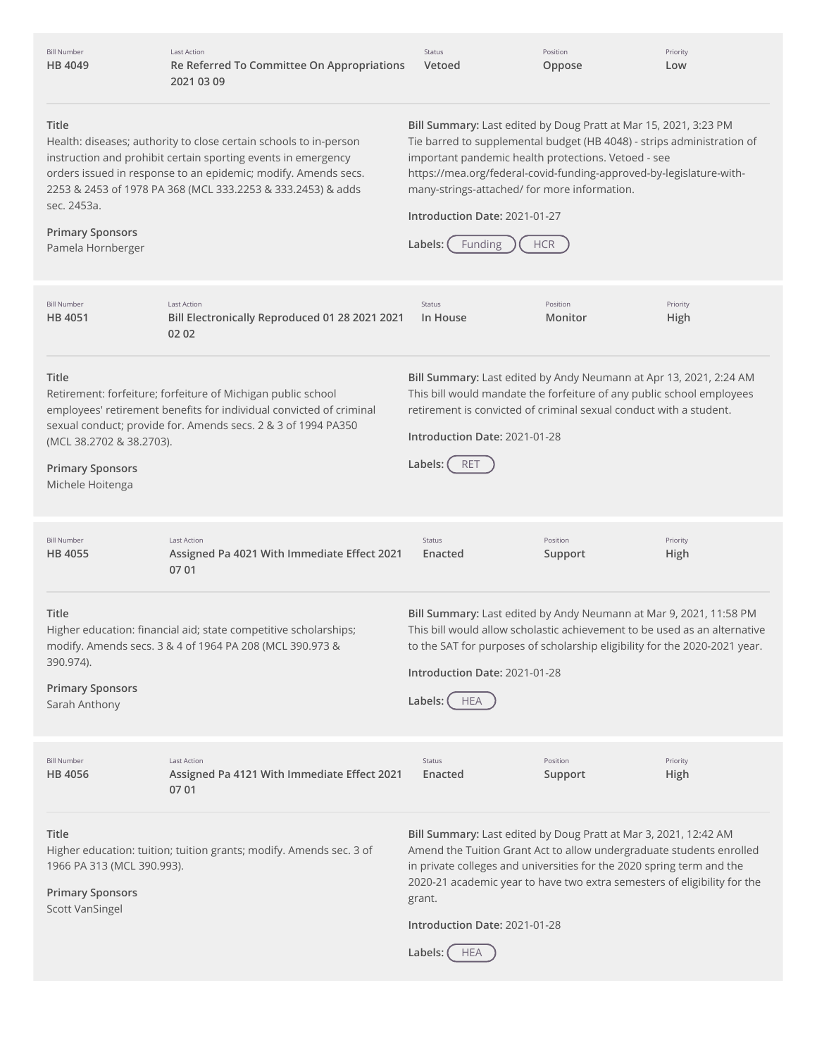| <b>Bill Number</b><br>HB 4049                                                                                                                                                                                                                                                                                                               | Last Action<br>Re Referred To Committee On Appropriations<br>2021 03 09                                                                                                                              | Status<br>Vetoed                                                                                                                                                                                                                                                                                                                                                                              | Position<br>Oppose  | Priority<br>Low  |
|---------------------------------------------------------------------------------------------------------------------------------------------------------------------------------------------------------------------------------------------------------------------------------------------------------------------------------------------|------------------------------------------------------------------------------------------------------------------------------------------------------------------------------------------------------|-----------------------------------------------------------------------------------------------------------------------------------------------------------------------------------------------------------------------------------------------------------------------------------------------------------------------------------------------------------------------------------------------|---------------------|------------------|
| Title<br>Health: diseases; authority to close certain schools to in-person<br>instruction and prohibit certain sporting events in emergency<br>orders issued in response to an epidemic; modify. Amends secs.<br>2253 & 2453 of 1978 PA 368 (MCL 333.2253 & 333.2453) & adds<br>sec. 2453a.<br><b>Primary Sponsors</b><br>Pamela Hornberger |                                                                                                                                                                                                      | Bill Summary: Last edited by Doug Pratt at Mar 15, 2021, 3:23 PM<br>Tie barred to supplemental budget (HB 4048) - strips administration of<br>important pandemic health protections. Vetoed - see<br>https://mea.org/federal-covid-funding-approved-by-legislature-with-<br>many-strings-attached/ for more information.<br>Introduction Date: 2021-01-27<br>Labels:<br>Funding<br><b>HCR</b> |                     |                  |
| <b>Bill Number</b><br>HB 4051                                                                                                                                                                                                                                                                                                               | <b>Last Action</b><br>Bill Electronically Reproduced 01 28 2021 2021<br>02 02                                                                                                                        | Status<br>In House                                                                                                                                                                                                                                                                                                                                                                            | Position<br>Monitor | Priority<br>High |
| Title<br>(MCL 38.2702 & 38.2703).<br><b>Primary Sponsors</b><br>Michele Hoitenga                                                                                                                                                                                                                                                            | Retirement: forfeiture; forfeiture of Michigan public school<br>employees' retirement benefits for individual convicted of criminal<br>sexual conduct; provide for. Amends secs. 2 & 3 of 1994 PA350 | Bill Summary: Last edited by Andy Neumann at Apr 13, 2021, 2:24 AM<br>This bill would mandate the forfeiture of any public school employees<br>retirement is convicted of criminal sexual conduct with a student.<br>Introduction Date: 2021-01-28<br>Labels:<br><b>RET</b>                                                                                                                   |                     |                  |
| <b>Bill Number</b><br>HB 4055                                                                                                                                                                                                                                                                                                               | <b>Last Action</b><br>Assigned Pa 4021 With Immediate Effect 2021<br>07 01                                                                                                                           | <b>Status</b><br>Enacted                                                                                                                                                                                                                                                                                                                                                                      | Position<br>Support | Priority<br>High |
| Title<br>390.974).<br><b>Primary Sponsors</b><br>Sarah Anthony                                                                                                                                                                                                                                                                              | Higher education: financial aid; state competitive scholarships;<br>modify. Amends secs. 3 & 4 of 1964 PA 208 (MCL 390.973 &                                                                         | Bill Summary: Last edited by Andy Neumann at Mar 9, 2021, 11:58 PM<br>This bill would allow scholastic achievement to be used as an alternative<br>to the SAT for purposes of scholarship eligibility for the 2020-2021 year.<br>Introduction Date: 2021-01-28<br>Labels: (<br><b>HEA</b>                                                                                                     |                     |                  |
| <b>Bill Number</b><br>HB 4056                                                                                                                                                                                                                                                                                                               | <b>Last Action</b><br>Assigned Pa 4121 With Immediate Effect 2021<br>07 01                                                                                                                           | <b>Status</b><br>Enacted                                                                                                                                                                                                                                                                                                                                                                      | Position<br>Support | Priority<br>High |
| Title<br>1966 PA 313 (MCL 390.993).<br><b>Primary Sponsors</b><br><b>Scott VanSingel</b>                                                                                                                                                                                                                                                    | Higher education: tuition; tuition grants; modify. Amends sec. 3 of                                                                                                                                  | Bill Summary: Last edited by Doug Pratt at Mar 3, 2021, 12:42 AM<br>Amend the Tuition Grant Act to allow undergraduate students enrolled<br>in private colleges and universities for the 2020 spring term and the<br>2020-21 academic year to have two extra semesters of eligibility for the<br>grant.<br>Introduction Date: 2021-01-28<br>Labels:<br><b>HEA</b>                             |                     |                  |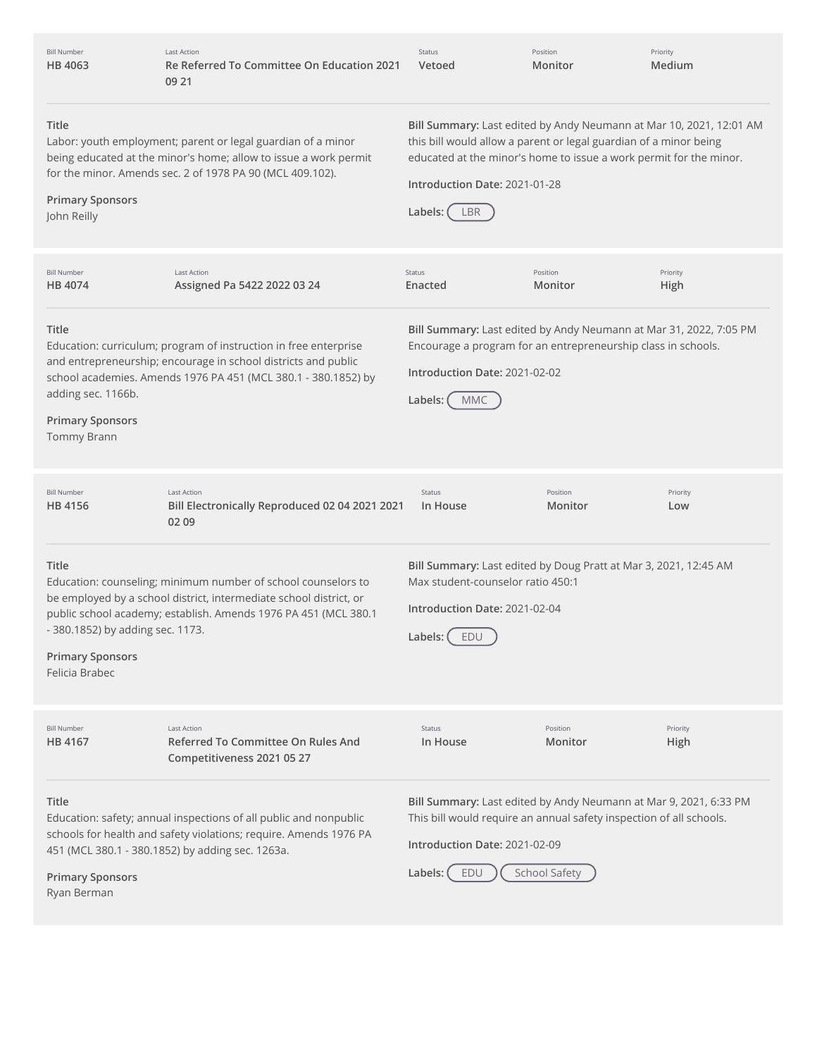| <b>Bill Number</b><br>HB 4063                                                          | <b>Last Action</b><br>Re Referred To Committee On Education 2021<br>09 21                                                                                                                              | Status<br>Vetoed                                                                      | Position<br>Monitor                                                                                                                                                                                            | Priority<br>Medium |
|----------------------------------------------------------------------------------------|--------------------------------------------------------------------------------------------------------------------------------------------------------------------------------------------------------|---------------------------------------------------------------------------------------|----------------------------------------------------------------------------------------------------------------------------------------------------------------------------------------------------------------|--------------------|
| Title<br><b>Primary Sponsors</b><br>John Reilly                                        | Labor: youth employment; parent or legal guardian of a minor<br>being educated at the minor's home; allow to issue a work permit<br>for the minor. Amends sec. 2 of 1978 PA 90 (MCL 409.102).          | Introduction Date: 2021-01-28<br>Labels:<br><b>LBR</b>                                | Bill Summary: Last edited by Andy Neumann at Mar 10, 2021, 12:01 AM<br>this bill would allow a parent or legal guardian of a minor being<br>educated at the minor's home to issue a work permit for the minor. |                    |
| <b>Bill Number</b><br>HB 4074                                                          | Last Action<br>Assigned Pa 5422 2022 03 24                                                                                                                                                             | Status<br>Enacted                                                                     | Position<br>Monitor                                                                                                                                                                                            | Priority<br>High   |
| Title<br>adding sec. 1166b.<br><b>Primary Sponsors</b><br>Tommy Brann                  | Education: curriculum; program of instruction in free enterprise<br>and entrepreneurship; encourage in school districts and public<br>school academies. Amends 1976 PA 451 (MCL 380.1 - 380.1852) by   | Introduction Date: 2021-02-02<br>Labels: (<br><b>MMC</b>                              | Bill Summary: Last edited by Andy Neumann at Mar 31, 2022, 7:05 PM<br>Encourage a program for an entrepreneurship class in schools.                                                                            |                    |
| <b>Bill Number</b><br>HB 4156                                                          | <b>Last Action</b><br>Bill Electronically Reproduced 02 04 2021 2021<br>02 09                                                                                                                          | Status<br>In House                                                                    | Position<br>Monitor                                                                                                                                                                                            | Priority<br>Low    |
| Title<br>- 380.1852) by adding sec. 1173.<br><b>Primary Sponsors</b><br>Felicia Brabec | Education: counseling; minimum number of school counselors to<br>be employed by a school district, intermediate school district, or<br>public school academy; establish. Amends 1976 PA 451 (MCL 380.1 | Max student-counselor ratio 450:1<br>Introduction Date: 2021-02-04<br>Labels: $($ EDU | Bill Summary: Last edited by Doug Pratt at Mar 3, 2021, 12:45 AM                                                                                                                                               |                    |
| <b>Bill Number</b><br>HB 4167                                                          | <b>Last Action</b><br>Referred To Committee On Rules And<br>Competitiveness 2021 05 27                                                                                                                 | Status<br>In House                                                                    | Position<br>Monitor                                                                                                                                                                                            | Priority<br>High   |
| Title<br><b>Primary Sponsors</b><br>Ryan Berman                                        | Education: safety; annual inspections of all public and nonpublic<br>schools for health and safety violations; require. Amends 1976 PA<br>451 (MCL 380.1 - 380.1852) by adding sec. 1263a.             | Introduction Date: 2021-02-09<br>EDU<br>Labels: (                                     | Bill Summary: Last edited by Andy Neumann at Mar 9, 2021, 6:33 PM<br>This bill would require an annual safety inspection of all schools.<br><b>School Safety</b>                                               |                    |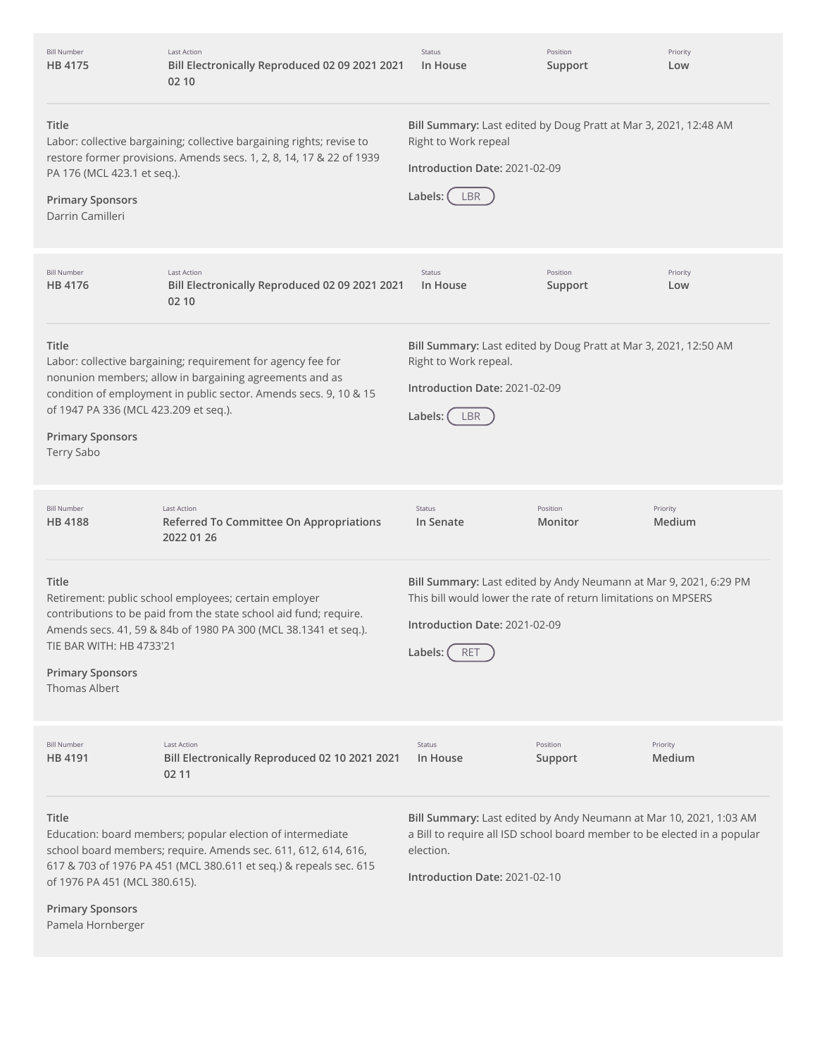| <b>Bill Number</b><br>HB 4175                                                           | <b>Last Action</b><br>Bill Electronically Reproduced 02 09 2021 2021<br>02 10                                                                                                                     | Status<br>In House                                                                                                                                                                              | Position<br>Support | Priority<br>Low    |
|-----------------------------------------------------------------------------------------|---------------------------------------------------------------------------------------------------------------------------------------------------------------------------------------------------|-------------------------------------------------------------------------------------------------------------------------------------------------------------------------------------------------|---------------------|--------------------|
| Title<br>PA 176 (MCL 423.1 et seq.).<br><b>Primary Sponsors</b><br>Darrin Camilleri     | Labor: collective bargaining; collective bargaining rights; revise to<br>restore former provisions. Amends secs. 1, 2, 8, 14, 17 & 22 of 1939                                                     | Bill Summary: Last edited by Doug Pratt at Mar 3, 2021, 12:48 AM<br>Right to Work repeal<br>Introduction Date: 2021-02-09<br>Labels: (<br>LBR                                                   |                     |                    |
| <b>Bill Number</b><br>HB 4176                                                           | <b>Last Action</b><br>Bill Electronically Reproduced 02 09 2021 2021<br>02 10                                                                                                                     | Status<br>In House                                                                                                                                                                              | Position<br>Support | Priority<br>Low    |
| Title<br>of 1947 PA 336 (MCL 423.209 et seq.).<br><b>Primary Sponsors</b><br>Terry Sabo | Labor: collective bargaining; requirement for agency fee for<br>nonunion members; allow in bargaining agreements and as<br>condition of employment in public sector. Amends secs. 9, 10 & 15      | Bill Summary: Last edited by Doug Pratt at Mar 3, 2021, 12:50 AM<br>Right to Work repeal.<br>Introduction Date: 2021-02-09<br>Labels: (<br>LBR                                                  |                     |                    |
| <b>Bill Number</b><br>HB 4188                                                           | <b>Last Action</b><br>Referred To Committee On Appropriations<br>2022 01 26                                                                                                                       | Status<br>In Senate                                                                                                                                                                             | Position<br>Monitor | Priority<br>Medium |
| Title<br>TIE BAR WITH: HB 4733'21<br><b>Primary Sponsors</b><br><b>Thomas Albert</b>    | Retirement: public school employees; certain employer<br>contributions to be paid from the state school aid fund; require.<br>Amends secs. 41, 59 & 84b of 1980 PA 300 (MCL 38.1341 et seq.).     | Bill Summary: Last edited by Andy Neumann at Mar 9, 2021, 6:29 PM<br>This bill would lower the rate of return limitations on MPSERS<br>Introduction Date: 2021-02-09<br>Labels: (<br><b>RET</b> |                     |                    |
| <b>Bill Number</b><br>HB 4191                                                           | Last Action<br>Bill Electronically Reproduced 02 10 2021 2021<br>02 11                                                                                                                            | Status<br>In House                                                                                                                                                                              | Position<br>Support | Priority<br>Medium |
| Title<br>of 1976 PA 451 (MCL 380.615).<br><b>Primary Sponsors</b><br>Pamela Hornberger  | Education: board members; popular election of intermediate<br>school board members; require. Amends sec. 611, 612, 614, 616,<br>617 & 703 of 1976 PA 451 (MCL 380.611 et seq.) & repeals sec. 615 | Bill Summary: Last edited by Andy Neumann at Mar 10, 2021, 1:03 AM<br>a Bill to require all ISD school board member to be elected in a popular<br>election.<br>Introduction Date: 2021-02-10    |                     |                    |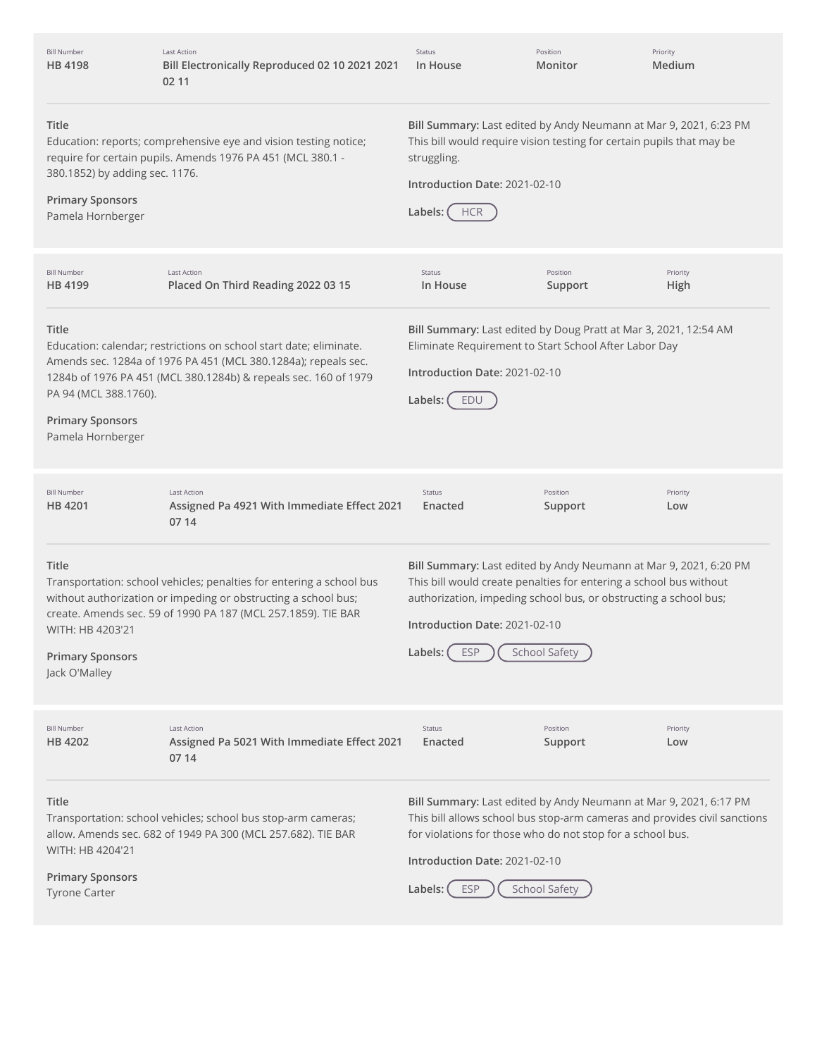| <b>Bill Number</b><br>HB 4198                                                                                                                                                                                                                                                             | <b>Last Action</b><br>Bill Electronically Reproduced 02 10 2021 2021<br>02 11                                                                                                                           | Status<br>In House                                                                                                                                                                                                                                                    | Position<br>Monitor  | Priority<br>Medium |
|-------------------------------------------------------------------------------------------------------------------------------------------------------------------------------------------------------------------------------------------------------------------------------------------|---------------------------------------------------------------------------------------------------------------------------------------------------------------------------------------------------------|-----------------------------------------------------------------------------------------------------------------------------------------------------------------------------------------------------------------------------------------------------------------------|----------------------|--------------------|
| Title<br>380.1852) by adding sec. 1176.<br><b>Primary Sponsors</b><br>Pamela Hornberger                                                                                                                                                                                                   | Education: reports; comprehensive eye and vision testing notice;<br>require for certain pupils. Amends 1976 PA 451 (MCL 380.1 -                                                                         | Bill Summary: Last edited by Andy Neumann at Mar 9, 2021, 6:23 PM<br>This bill would require vision testing for certain pupils that may be<br>struggling.<br>Introduction Date: 2021-02-10<br>Labels: (<br><b>HCR</b>                                                 |                      |                    |
| <b>Bill Number</b><br>HB 4199                                                                                                                                                                                                                                                             | <b>Last Action</b><br>Placed On Third Reading 2022 03 15                                                                                                                                                | Status<br>In House                                                                                                                                                                                                                                                    | Position<br>Support  | Priority<br>High   |
| Title<br>Education: calendar; restrictions on school start date; eliminate.<br>Amends sec. 1284a of 1976 PA 451 (MCL 380.1284a); repeals sec.<br>1284b of 1976 PA 451 (MCL 380.1284b) & repeals sec. 160 of 1979<br>PA 94 (MCL 388.1760).<br><b>Primary Sponsors</b><br>Pamela Hornberger |                                                                                                                                                                                                         | Bill Summary: Last edited by Doug Pratt at Mar 3, 2021, 12:54 AM<br>Eliminate Requirement to Start School After Labor Day<br>Introduction Date: 2021-02-10<br>Labels:<br>EDU                                                                                          |                      |                    |
| <b>Bill Number</b><br>HB 4201                                                                                                                                                                                                                                                             | <b>Last Action</b><br>Assigned Pa 4921 With Immediate Effect 2021<br>07 14                                                                                                                              | Status<br>Enacted                                                                                                                                                                                                                                                     | Position<br>Support  | Priority<br>Low    |
| Title<br>WITH: HB 4203'21<br><b>Primary Sponsors</b><br>Jack O'Malley                                                                                                                                                                                                                     | Transportation: school vehicles; penalties for entering a school bus<br>without authorization or impeding or obstructing a school bus;<br>create. Amends sec. 59 of 1990 PA 187 (MCL 257.1859). TIE BAR | Bill Summary: Last edited by Andy Neumann at Mar 9, 2021, 6:20 PM<br>This bill would create penalties for entering a school bus without<br>authorization, impeding school bus, or obstructing a school bus;<br>Introduction Date: 2021-02-10<br>Labels:<br><b>ESP</b> | School Safety        |                    |
| <b>Bill Number</b><br>HB 4202                                                                                                                                                                                                                                                             | <b>Last Action</b><br>Assigned Pa 5021 With Immediate Effect 2021<br>07 14                                                                                                                              | Status<br>Enacted                                                                                                                                                                                                                                                     | Position<br>Support  | Priority<br>Low    |
| Title<br>WITH: HB 4204'21<br><b>Primary Sponsors</b>                                                                                                                                                                                                                                      | Transportation: school vehicles; school bus stop-arm cameras;<br>allow. Amends sec. 682 of 1949 PA 300 (MCL 257.682). TIE BAR                                                                           | Bill Summary: Last edited by Andy Neumann at Mar 9, 2021, 6:17 PM<br>This bill allows school bus stop-arm cameras and provides civil sanctions<br>for violations for those who do not stop for a school bus.<br>Introduction Date: 2021-02-10                         |                      |                    |
| <b>Tyrone Carter</b>                                                                                                                                                                                                                                                                      |                                                                                                                                                                                                         | <b>ESP</b><br>Labels: (                                                                                                                                                                                                                                               | <b>School Safety</b> |                    |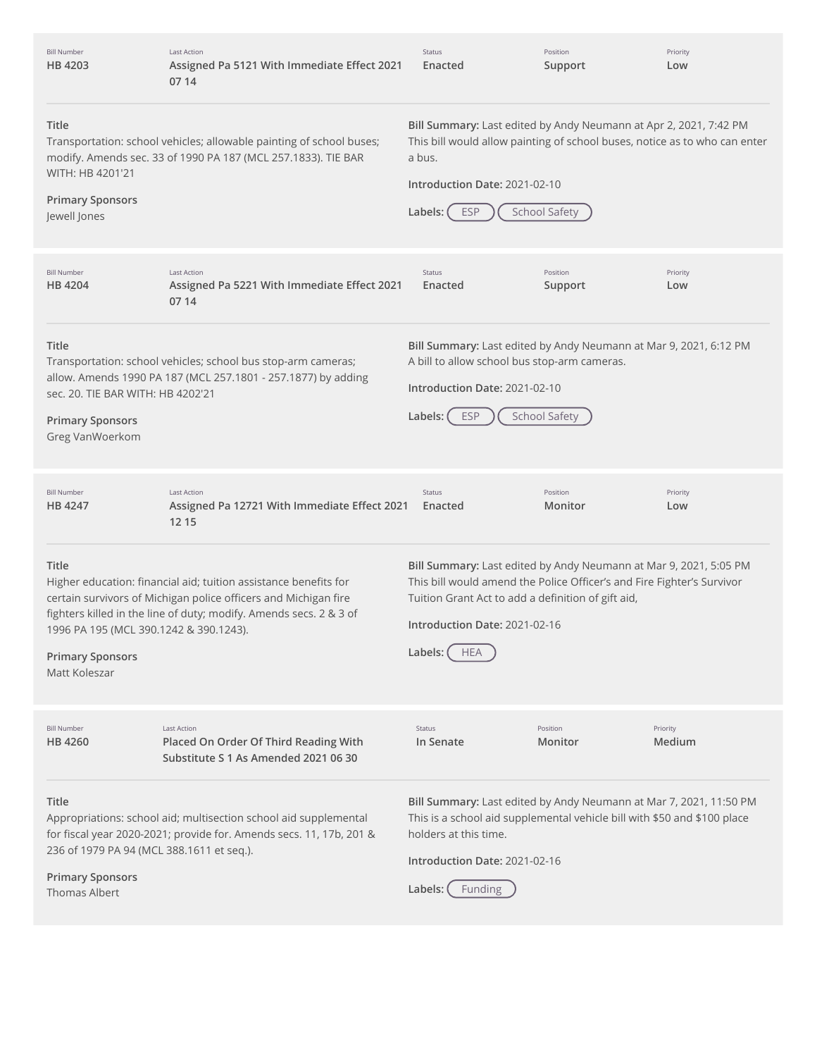| <b>Bill Number</b><br>HB 4203                                                               | <b>Last Action</b><br>Assigned Pa 5121 With Immediate Effect 2021<br>07 14                                                                                                                                | <b>Status</b><br>Enacted                                                                                                                                                                                                                                      | Position<br>Support  | Priority<br>Low    |
|---------------------------------------------------------------------------------------------|-----------------------------------------------------------------------------------------------------------------------------------------------------------------------------------------------------------|---------------------------------------------------------------------------------------------------------------------------------------------------------------------------------------------------------------------------------------------------------------|----------------------|--------------------|
| Title<br>WITH: HB 4201'21<br><b>Primary Sponsors</b><br>Jewell Jones                        | Transportation: school vehicles; allowable painting of school buses;<br>modify. Amends sec. 33 of 1990 PA 187 (MCL 257.1833). TIE BAR                                                                     | Bill Summary: Last edited by Andy Neumann at Apr 2, 2021, 7:42 PM<br>This bill would allow painting of school buses, notice as to who can enter<br>a bus.<br>Introduction Date: 2021-02-10<br><b>ESP</b><br>Labels:                                           | <b>School Safety</b> |                    |
| <b>Bill Number</b><br>HB 4204                                                               | <b>Last Action</b><br>Assigned Pa 5221 With Immediate Effect 2021<br>07 14                                                                                                                                | <b>Status</b><br>Enacted                                                                                                                                                                                                                                      | Position<br>Support  | Priority<br>Low    |
| Title<br>sec. 20. TIE BAR WITH: HB 4202'21<br><b>Primary Sponsors</b><br>Greg VanWoerkom    | Transportation: school vehicles; school bus stop-arm cameras;<br>allow. Amends 1990 PA 187 (MCL 257.1801 - 257.1877) by adding                                                                            | Bill Summary: Last edited by Andy Neumann at Mar 9, 2021, 6:12 PM<br>A bill to allow school bus stop-arm cameras.<br>Introduction Date: 2021-02-10<br><b>ESP</b><br>Labels:                                                                                   | <b>School Safety</b> |                    |
| <b>Bill Number</b><br>HB 4247                                                               | <b>Last Action</b><br>Assigned Pa 12721 With Immediate Effect 2021<br>12 15                                                                                                                               | <b>Status</b><br>Enacted                                                                                                                                                                                                                                      | Position<br>Monitor  | Priority<br>Low    |
| Title<br>1996 PA 195 (MCL 390.1242 & 390.1243).<br><b>Primary Sponsors</b><br>Matt Koleszar | Higher education: financial aid; tuition assistance benefits for<br>certain survivors of Michigan police officers and Michigan fire<br>fighters killed in the line of duty; modify. Amends secs. 2 & 3 of | Bill Summary: Last edited by Andy Neumann at Mar 9, 2021, 5:05 PM<br>This bill would amend the Police Officer's and Fire Fighter's Survivor<br>Tuition Grant Act to add a definition of gift aid,<br>Introduction Date: 2021-02-16<br>Labels: (<br><b>HEA</b> |                      |                    |
|                                                                                             |                                                                                                                                                                                                           |                                                                                                                                                                                                                                                               |                      |                    |
| <b>Bill Number</b><br>HB 4260                                                               | <b>Last Action</b><br>Placed On Order Of Third Reading With<br>Substitute S 1 As Amended 2021 06 30                                                                                                       | Status<br>In Senate                                                                                                                                                                                                                                           | Position<br>Monitor  | Priority<br>Medium |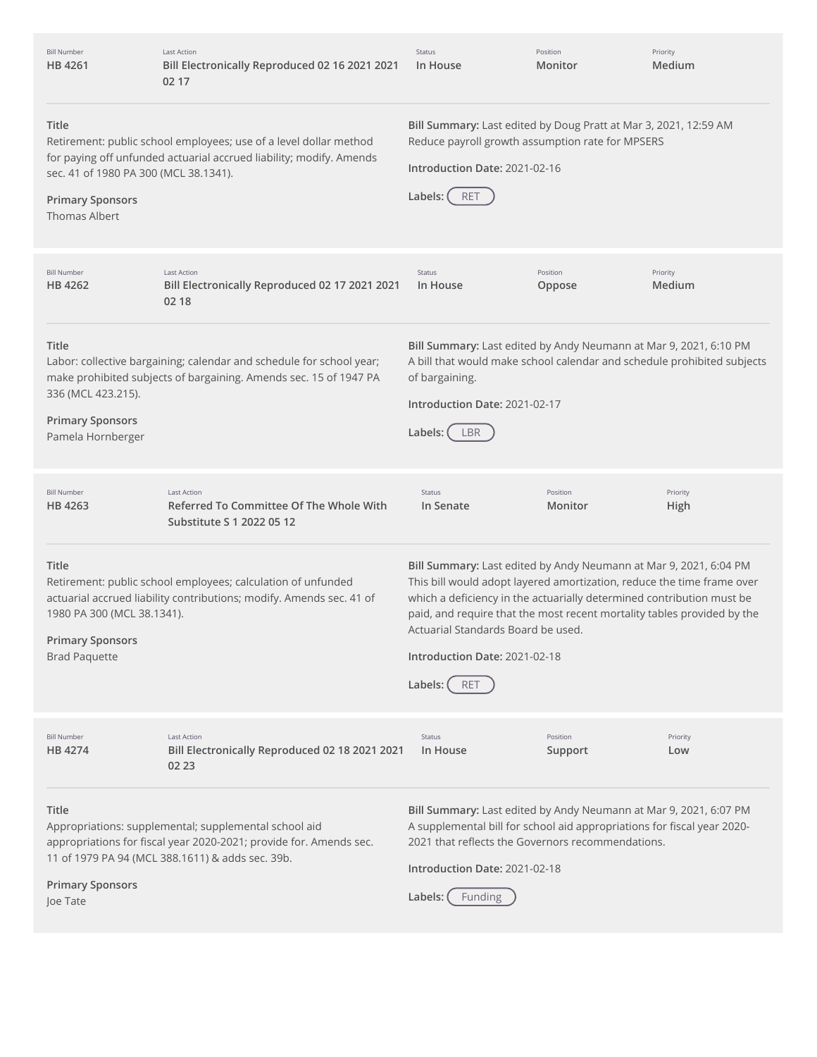| <b>Bill Number</b><br>HB 4261                                                                     | <b>Last Action</b><br>Bill Electronically Reproduced 02 16 2021 2021<br>02 17                                                                                                   | Status<br>In House                                                                                                                                                                                                                                                                                                                                                                              | Position<br>Monitor | Priority<br>Medium |
|---------------------------------------------------------------------------------------------------|---------------------------------------------------------------------------------------------------------------------------------------------------------------------------------|-------------------------------------------------------------------------------------------------------------------------------------------------------------------------------------------------------------------------------------------------------------------------------------------------------------------------------------------------------------------------------------------------|---------------------|--------------------|
| Title<br>sec. 41 of 1980 PA 300 (MCL 38.1341).<br><b>Primary Sponsors</b><br><b>Thomas Albert</b> | Retirement: public school employees; use of a level dollar method<br>for paying off unfunded actuarial accrued liability; modify. Amends                                        | Bill Summary: Last edited by Doug Pratt at Mar 3, 2021, 12:59 AM<br>Reduce payroll growth assumption rate for MPSERS<br>Introduction Date: 2021-02-16<br>Labels:<br><b>RET</b>                                                                                                                                                                                                                  |                     |                    |
| <b>Bill Number</b><br>HB 4262                                                                     | <b>Last Action</b><br>Bill Electronically Reproduced 02 17 2021 2021<br>02 18                                                                                                   | Status<br>In House                                                                                                                                                                                                                                                                                                                                                                              | Position<br>Oppose  | Priority<br>Medium |
| <b>Title</b><br>336 (MCL 423.215).<br><b>Primary Sponsors</b><br>Pamela Hornberger                | Labor: collective bargaining; calendar and schedule for school year;<br>make prohibited subjects of bargaining. Amends sec. 15 of 1947 PA                                       | Bill Summary: Last edited by Andy Neumann at Mar 9, 2021, 6:10 PM<br>A bill that would make school calendar and schedule prohibited subjects<br>of bargaining.<br>Introduction Date: 2021-02-17<br>Labels: (<br>LBR                                                                                                                                                                             |                     |                    |
| <b>Bill Number</b><br>HB 4263                                                                     | <b>Last Action</b><br>Referred To Committee Of The Whole With<br>Substitute S 1 2022 05 12                                                                                      | Status<br>In Senate                                                                                                                                                                                                                                                                                                                                                                             | Position<br>Monitor | Priority<br>High   |
| Title<br>1980 PA 300 (MCL 38.1341).<br><b>Primary Sponsors</b><br><b>Brad Paquette</b>            | Retirement: public school employees; calculation of unfunded<br>actuarial accrued liability contributions; modify. Amends sec. 41 of                                            | Bill Summary: Last edited by Andy Neumann at Mar 9, 2021, 6:04 PM<br>This bill would adopt layered amortization, reduce the time frame over<br>which a deficiency in the actuarially determined contribution must be<br>paid, and require that the most recent mortality tables provided by the<br>Actuarial Standards Board be used.<br>Introduction Date: 2021-02-18<br>Labels:<br><b>RET</b> |                     |                    |
| <b>Bill Number</b><br>HB 4274                                                                     | <b>Last Action</b><br>Bill Electronically Reproduced 02 18 2021 2021<br>02 23                                                                                                   | Status<br>In House                                                                                                                                                                                                                                                                                                                                                                              | Position<br>Support | Priority<br>Low    |
| Title<br><b>Primary Sponsors</b><br>Joe Tate                                                      | Appropriations: supplemental; supplemental school aid<br>appropriations for fiscal year 2020-2021; provide for. Amends sec.<br>11 of 1979 PA 94 (MCL 388.1611) & adds sec. 39b. | Bill Summary: Last edited by Andy Neumann at Mar 9, 2021, 6:07 PM<br>A supplemental bill for school aid appropriations for fiscal year 2020-<br>2021 that reflects the Governors recommendations.<br>Introduction Date: 2021-02-18<br>Labels:<br>Funding                                                                                                                                        |                     |                    |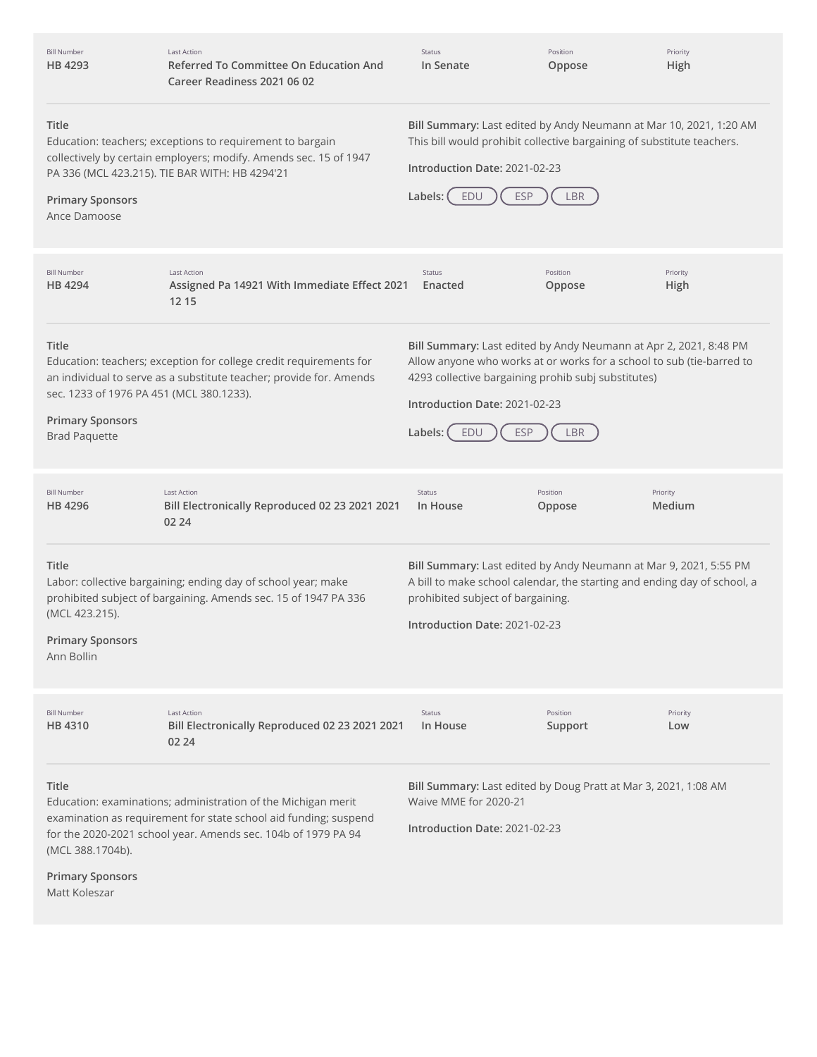| <b>Bill Number</b><br>HB 4293                                                                               | <b>Last Action</b><br><b>Referred To Committee On Education And</b><br>Career Readiness 2021 06 02                                                                                                 | Status<br>In Senate                                                                                                                                                                                                                                                | Position<br>Oppose  | Priority<br>High   |
|-------------------------------------------------------------------------------------------------------------|----------------------------------------------------------------------------------------------------------------------------------------------------------------------------------------------------|--------------------------------------------------------------------------------------------------------------------------------------------------------------------------------------------------------------------------------------------------------------------|---------------------|--------------------|
| <b>Title</b><br><b>Primary Sponsors</b><br>Ance Damoose                                                     | Education: teachers; exceptions to requirement to bargain<br>collectively by certain employers; modify. Amends sec. 15 of 1947<br>PA 336 (MCL 423.215). TIE BAR WITH: HB 4294'21                   | Bill Summary: Last edited by Andy Neumann at Mar 10, 2021, 1:20 AM<br>This bill would prohibit collective bargaining of substitute teachers.<br>Introduction Date: 2021-02-23<br><b>ESP</b><br>Labels: (<br>EDU                                                    | LBR                 |                    |
| <b>Bill Number</b><br>HB 4294                                                                               | <b>Last Action</b><br>Assigned Pa 14921 With Immediate Effect 2021<br>12 15                                                                                                                        | <b>Status</b><br>Enacted                                                                                                                                                                                                                                           | Position<br>Oppose  | Priority<br>High   |
| <b>Title</b><br>sec. 1233 of 1976 PA 451 (MCL 380.1233).<br><b>Primary Sponsors</b><br><b>Brad Paquette</b> | Education: teachers; exception for college credit requirements for<br>an individual to serve as a substitute teacher; provide for. Amends                                                          | Bill Summary: Last edited by Andy Neumann at Apr 2, 2021, 8:48 PM<br>Allow anyone who works at or works for a school to sub (tie-barred to<br>4293 collective bargaining prohib subj substitutes)<br>Introduction Date: 2021-02-23<br><b>ESP</b><br>Labels:<br>EDU | <b>LBR</b>          |                    |
| <b>Bill Number</b><br>HB 4296                                                                               | <b>Last Action</b><br>Bill Electronically Reproduced 02 23 2021 2021<br>02 24                                                                                                                      | Status<br>In House                                                                                                                                                                                                                                                 | Position<br>Oppose  | Priority<br>Medium |
| Title<br>(MCL 423.215).<br><b>Primary Sponsors</b><br>Ann Bollin                                            | Labor: collective bargaining; ending day of school year; make<br>prohibited subject of bargaining. Amends sec. 15 of 1947 PA 336                                                                   | Bill Summary: Last edited by Andy Neumann at Mar 9, 2021, 5:55 PM<br>A bill to make school calendar, the starting and ending day of school, a<br>prohibited subject of bargaining.<br>Introduction Date: 2021-02-23                                                |                     |                    |
| <b>Bill Number</b><br>HB 4310                                                                               | <b>Last Action</b><br>Bill Electronically Reproduced 02 23 2021 2021<br>02 24                                                                                                                      | Status<br>In House                                                                                                                                                                                                                                                 | Position<br>Support | Priority<br>Low    |
| Title<br>(MCL 388.1704b).<br><b>Primary Sponsors</b><br>Matt Koleszar                                       | Education: examinations; administration of the Michigan merit<br>examination as requirement for state school aid funding; suspend<br>for the 2020-2021 school year. Amends sec. 104b of 1979 PA 94 | Bill Summary: Last edited by Doug Pratt at Mar 3, 2021, 1:08 AM<br>Waive MME for 2020-21<br>Introduction Date: 2021-02-23                                                                                                                                          |                     |                    |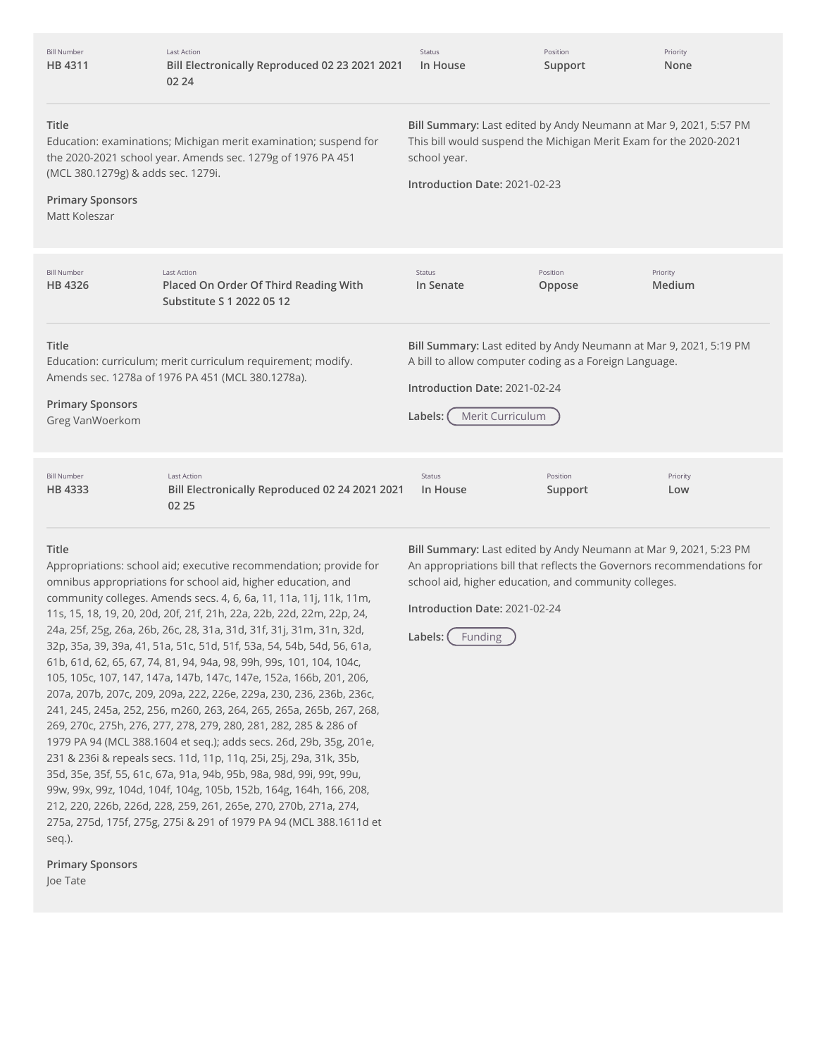| <b>Bill Number</b><br>HB 4311                                                                                                                                            | <b>Last Action</b><br>Bill Electronically Reproduced 02 23 2021 2021<br>02 24                                                   | <b>Status</b><br>In House                                                                                                                                                                   | Position<br>Support | Priority<br>None   |
|--------------------------------------------------------------------------------------------------------------------------------------------------------------------------|---------------------------------------------------------------------------------------------------------------------------------|---------------------------------------------------------------------------------------------------------------------------------------------------------------------------------------------|---------------------|--------------------|
| Title<br>(MCL 380.1279g) & adds sec. 1279i.<br><b>Primary Sponsors</b><br>Matt Koleszar                                                                                  | Education: examinations; Michigan merit examination; suspend for<br>the 2020-2021 school year. Amends sec. 1279g of 1976 PA 451 | Bill Summary: Last edited by Andy Neumann at Mar 9, 2021, 5:57 PM<br>This bill would suspend the Michigan Merit Exam for the 2020-2021<br>school year.<br>Introduction Date: 2021-02-23     |                     |                    |
| <b>Bill Number</b><br>HB 4326                                                                                                                                            | <b>Last Action</b><br>Placed On Order Of Third Reading With<br>Substitute S 1 2022 05 12                                        | <b>Status</b><br>In Senate                                                                                                                                                                  | Position<br>Oppose  | Priority<br>Medium |
| Title<br>Education: curriculum; merit curriculum requirement; modify.<br>Amends sec. 1278a of 1976 PA 451 (MCL 380.1278a).<br><b>Primary Sponsors</b><br>Greg VanWoerkom |                                                                                                                                 | Bill Summary: Last edited by Andy Neumann at Mar 9, 2021, 5:19 PM<br>A bill to allow computer coding as a Foreign Language.<br>Introduction Date: 2021-02-24<br>Merit Curriculum<br>Labels: |                     |                    |
| <b>Bill Number</b><br>HB 4333                                                                                                                                            | Last Action<br>Bill Electronically Reproduced 02 24 2021 2021<br>02 25                                                          | <b>Status</b><br>In House                                                                                                                                                                   | Position<br>Support | Priority<br>Low    |

## **Title**

Appropriations: school aid; executive recommendation; provide for omnibus appropriations for school aid, higher education, and community colleges. Amends secs. 4, 6, 6a, 11, 11a, 11j, 11k, 11m, 11s, 15, 18, 19, 20, 20d, 20f, 21f, 21h, 22a, 22b, 22d, 22m, 22p, 24, 24a, 25f, 25g, 26a, 26b, 26c, 28, 31a, 31d, 31f, 31j, 31m, 31n, 32d, 32p, 35a, 39, 39a, 41, 51a, 51c, 51d, 51f, 53a, 54, 54b, 54d, 56, 61a, 61b, 61d, 62, 65, 67, 74, 81, 94, 94a, 98, 99h, 99s, 101, 104, 104c, 105, 105c, 107, 147, 147a, 147b, 147c, 147e, 152a, 166b, 201, 206, 207a, 207b, 207c, 209, 209a, 222, 226e, 229a, 230, 236, 236b, 236c, 241, 245, 245a, 252, 256, m260, 263, 264, 265, 265a, 265b, 267, 268, 269, 270c, 275h, 276, 277, 278, 279, 280, 281, 282, 285 & 286 of 1979 PA 94 (MCL 388.1604 et seq.); adds secs. 26d, 29b, 35g, 201e, 231 & 236i & repeals secs. 11d, 11p, 11q, 25i, 25j, 29a, 31k, 35b, 35d, 35e, 35f, 55, 61c, 67a, 91a, 94b, 95b, 98a, 98d, 99i, 99t, 99u, 99w, 99x, 99z, 104d, 104f, 104g, 105b, 152b, 164g, 164h, 166, 208, 212, 220, 226b, 226d, 228, 259, 261, 265e, 270, 270b, 271a, 274, 275a, 275d, 175f, 275g, 275i & 291 of 1979 PA 94 (MCL 388.1611d et seq.).

**Primary Sponsors** Joe Tate

**Bill Summary:** Last edited by Andy Neumann at Mar 9, 2021, 5:23 PM An appropriations bill that reflects the Governors recommendations for school aid, higher education, and community colleges.

**Introduction Date:** 2021-02-24

**Labels:** Funding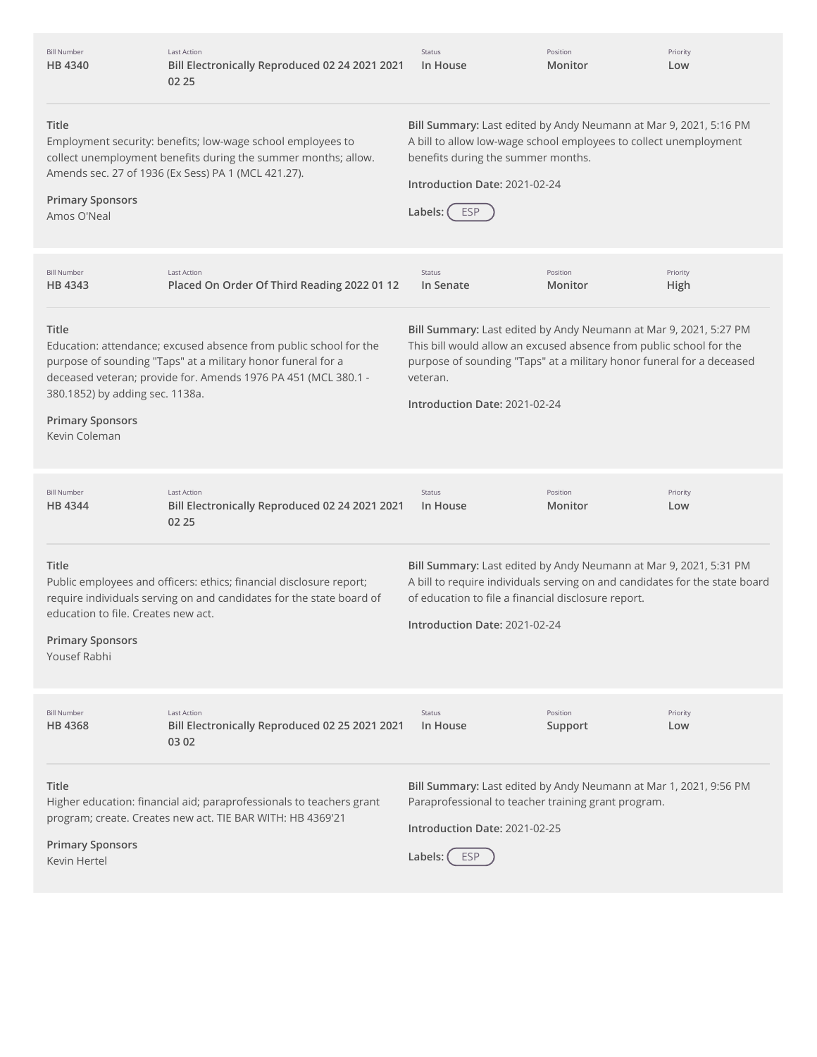| <b>Bill Number</b><br>HB 4340                                                           | <b>Last Action</b><br>Bill Electronically Reproduced 02 24 2021 2021<br>02 25                                                                                                                       | Status<br>In House                                                                                                                                                                                                                                             | Position<br>Monitor | Priority<br>Low  |
|-----------------------------------------------------------------------------------------|-----------------------------------------------------------------------------------------------------------------------------------------------------------------------------------------------------|----------------------------------------------------------------------------------------------------------------------------------------------------------------------------------------------------------------------------------------------------------------|---------------------|------------------|
| Title<br><b>Primary Sponsors</b><br>Amos O'Neal                                         | Employment security: benefits; low-wage school employees to<br>collect unemployment benefits during the summer months; allow.<br>Amends sec. 27 of 1936 (Ex Sess) PA 1 (MCL 421.27).                | Bill Summary: Last edited by Andy Neumann at Mar 9, 2021, 5:16 PM<br>A bill to allow low-wage school employees to collect unemployment<br>benefits during the summer months.<br>Introduction Date: 2021-02-24<br><b>ESP</b><br>Labels:                         |                     |                  |
| <b>Bill Number</b><br>HB 4343                                                           | <b>Last Action</b><br>Placed On Order Of Third Reading 2022 01 12                                                                                                                                   | Status<br>In Senate                                                                                                                                                                                                                                            | Position<br>Monitor | Priority<br>High |
| Title<br>380.1852) by adding sec. 1138a.<br><b>Primary Sponsors</b><br>Kevin Coleman    | Education: attendance; excused absence from public school for the<br>purpose of sounding "Taps" at a military honor funeral for a<br>deceased veteran; provide for. Amends 1976 PA 451 (MCL 380.1 - | Bill Summary: Last edited by Andy Neumann at Mar 9, 2021, 5:27 PM<br>This bill would allow an excused absence from public school for the<br>purpose of sounding "Taps" at a military honor funeral for a deceased<br>veteran.<br>Introduction Date: 2021-02-24 |                     |                  |
| <b>Bill Number</b><br>HB 4344                                                           | <b>Last Action</b><br>Bill Electronically Reproduced 02 24 2021 2021<br>02 25                                                                                                                       | Status<br>In House                                                                                                                                                                                                                                             | Position<br>Monitor | Priority<br>Low  |
| Title<br>education to file. Creates new act.<br><b>Primary Sponsors</b><br>Yousef Rabhi | Public employees and officers: ethics; financial disclosure report;<br>require individuals serving on and candidates for the state board of                                                         | Bill Summary: Last edited by Andy Neumann at Mar 9, 2021, 5:31 PM<br>A bill to require individuals serving on and candidates for the state board<br>of education to file a financial disclosure report.<br>Introduction Date: 2021-02-24                       |                     |                  |
| <b>Bill Number</b><br>HB 4368                                                           | <b>Last Action</b><br>Bill Electronically Reproduced 02 25 2021 2021<br>03 02                                                                                                                       | Status<br>In House                                                                                                                                                                                                                                             | Position<br>Support | Priority<br>Low  |
| Title<br><b>Primary Sponsors</b><br>Kevin Hertel                                        | Higher education: financial aid; paraprofessionals to teachers grant<br>program; create. Creates new act. TIE BAR WITH: HB 4369'21                                                                  | Bill Summary: Last edited by Andy Neumann at Mar 1, 2021, 9:56 PM<br>Paraprofessional to teacher training grant program.<br>Introduction Date: 2021-02-25<br>Labels:<br><b>ESP</b>                                                                             |                     |                  |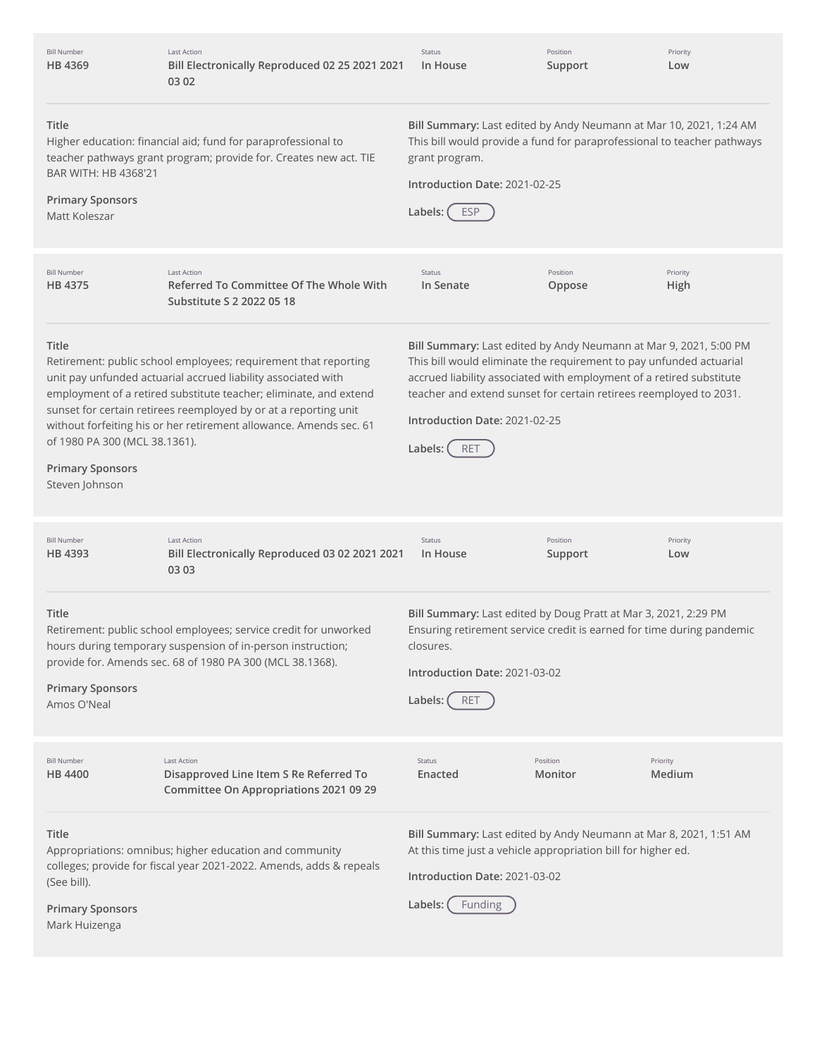| <b>Bill Number</b><br>HB 4369                                                       | <b>Last Action</b><br>Bill Electronically Reproduced 02 25 2021 2021<br>03 02                                                                                                                                                                                                                                                                   | Status<br>In House                                                                                                                                                                                                                                                                                                                        | Position<br>Support             | Priority<br>Low  |
|-------------------------------------------------------------------------------------|-------------------------------------------------------------------------------------------------------------------------------------------------------------------------------------------------------------------------------------------------------------------------------------------------------------------------------------------------|-------------------------------------------------------------------------------------------------------------------------------------------------------------------------------------------------------------------------------------------------------------------------------------------------------------------------------------------|---------------------------------|------------------|
| Title<br>BAR WITH: HB 4368'21<br><b>Primary Sponsors</b><br>Matt Koleszar           | Higher education: financial aid; fund for paraprofessional to<br>teacher pathways grant program; provide for. Creates new act. TIE                                                                                                                                                                                                              | Bill Summary: Last edited by Andy Neumann at Mar 10, 2021, 1:24 AM<br>This bill would provide a fund for paraprofessional to teacher pathways<br>grant program.<br>Introduction Date: 2021-02-25<br>Labels: (<br><b>ESP</b>                                                                                                               |                                 |                  |
| <b>Bill Number</b><br>HB 4375                                                       | <b>Last Action</b><br>Referred To Committee Of The Whole With<br>Substitute S 2 2022 05 18                                                                                                                                                                                                                                                      | Status<br>In Senate                                                                                                                                                                                                                                                                                                                       | Position<br>Oppose              | Priority<br>High |
| Title<br>of 1980 PA 300 (MCL 38.1361).<br><b>Primary Sponsors</b><br>Steven Johnson | Retirement: public school employees; requirement that reporting<br>unit pay unfunded actuarial accrued liability associated with<br>employment of a retired substitute teacher; eliminate, and extend<br>sunset for certain retirees reemployed by or at a reporting unit<br>without forfeiting his or her retirement allowance. Amends sec. 61 | Bill Summary: Last edited by Andy Neumann at Mar 9, 2021, 5:00 PM<br>This bill would eliminate the requirement to pay unfunded actuarial<br>accrued liability associated with employment of a retired substitute<br>teacher and extend sunset for certain retirees reemployed to 2031.<br>Introduction Date: 2021-02-25<br>Labels:<br>RET |                                 |                  |
| <b>Bill Number</b><br>HB 4393                                                       | <b>Last Action</b><br>Bill Electronically Reproduced 03 02 2021 2021<br>03 03                                                                                                                                                                                                                                                                   | Status<br>In House                                                                                                                                                                                                                                                                                                                        | Position<br>Support             | Priority<br>Low  |
| Title<br><b>Primary Sponsors</b><br>Amos O'Neal                                     | Retirement: public school employees; service credit for unworked<br>hours during temporary suspension of in-person instruction;<br>provide for. Amends sec. 68 of 1980 PA 300 (MCL 38.1368).                                                                                                                                                    | Bill Summary: Last edited by Doug Pratt at Mar 3, 2021, 2:29 PM<br>Ensuring retirement service credit is earned for time during pandemic<br>closures.<br>Introduction Date: 2021-03-02<br>Labels: (<br><b>RET</b>                                                                                                                         |                                 |                  |
| <b>Bill Number</b><br>HB 4400                                                       | <b>Last Action</b><br>Disapproved Line Item S Re Referred To<br>Committee On Appropriations 2021 09 29                                                                                                                                                                                                                                          | Status<br>Enacted                                                                                                                                                                                                                                                                                                                         | Position<br>Priority<br>Monitor | Medium           |
| Title<br>(See bill).<br><b>Primary Sponsors</b><br>Mark Huizenga                    | Appropriations: omnibus; higher education and community<br>colleges; provide for fiscal year 2021-2022. Amends, adds & repeals                                                                                                                                                                                                                  | Bill Summary: Last edited by Andy Neumann at Mar 8, 2021, 1:51 AM<br>At this time just a vehicle appropriation bill for higher ed.<br>Introduction Date: 2021-03-02<br>Labels:<br><b>Funding</b>                                                                                                                                          |                                 |                  |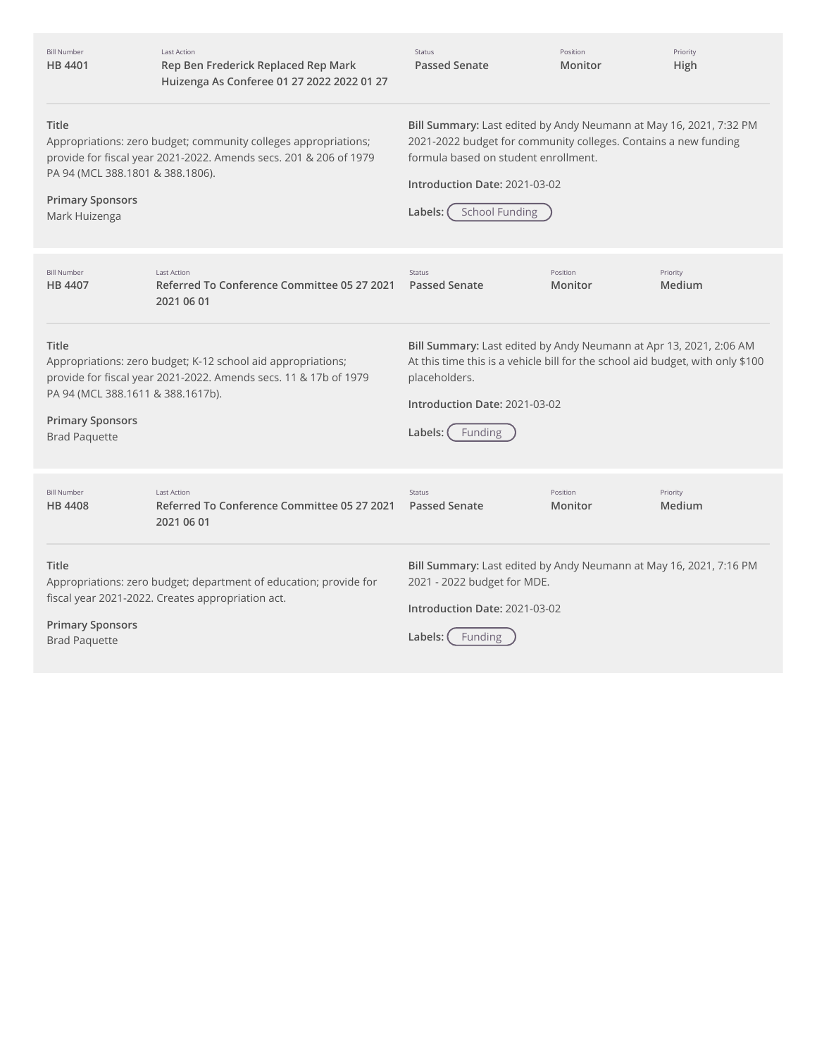| <b>Bill Number</b><br>HB 4401                                                                                                                                                                                                        | <b>Last Action</b><br>Rep Ben Frederick Replaced Rep Mark<br>Huizenga As Conferee 01 27 2022 2022 01 27                | <b>Status</b><br><b>Passed Senate</b>                                                                                                                                                                                                              | Position<br>Monitor | Priority<br>High   |
|--------------------------------------------------------------------------------------------------------------------------------------------------------------------------------------------------------------------------------------|------------------------------------------------------------------------------------------------------------------------|----------------------------------------------------------------------------------------------------------------------------------------------------------------------------------------------------------------------------------------------------|---------------------|--------------------|
| <b>Title</b><br>Appropriations: zero budget; community colleges appropriations;<br>provide for fiscal year 2021-2022. Amends secs. 201 & 206 of 1979<br>PA 94 (MCL 388.1801 & 388.1806).<br><b>Primary Sponsors</b><br>Mark Huizenga |                                                                                                                        | Bill Summary: Last edited by Andy Neumann at May 16, 2021, 7:32 PM<br>2021-2022 budget for community colleges. Contains a new funding<br>formula based on student enrollment.<br>Introduction Date: 2021-03-02<br><b>School Funding</b><br>Labels: |                     |                    |
| <b>Bill Number</b><br><b>HB 4407</b>                                                                                                                                                                                                 | <b>Last Action</b><br>Referred To Conference Committee 05 27 2021<br>2021 06 01                                        | Status<br><b>Passed Senate</b>                                                                                                                                                                                                                     | Position<br>Monitor | Priority<br>Medium |
| Title<br>Appropriations: zero budget; K-12 school aid appropriations;<br>provide for fiscal year 2021-2022. Amends secs. 11 & 17b of 1979<br>PA 94 (MCL 388.1611 & 388.1617b).<br><b>Primary Sponsors</b><br><b>Brad Paquette</b>    |                                                                                                                        | Bill Summary: Last edited by Andy Neumann at Apr 13, 2021, 2:06 AM<br>At this time this is a vehicle bill for the school aid budget, with only \$100<br>placeholders.<br>Introduction Date: 2021-03-02<br>Labels:<br>Funding                       |                     |                    |
| <b>Bill Number</b><br><b>HB4408</b>                                                                                                                                                                                                  | <b>Last Action</b><br>Referred To Conference Committee 05 27 2021<br>2021 06 01                                        | <b>Status</b><br><b>Passed Senate</b>                                                                                                                                                                                                              | Position<br>Monitor | Priority<br>Medium |
| Title<br><b>Primary Sponsors</b><br><b>Brad Paquette</b>                                                                                                                                                                             | Appropriations: zero budget; department of education; provide for<br>fiscal year 2021-2022. Creates appropriation act. | Bill Summary: Last edited by Andy Neumann at May 16, 2021, 7:16 PM<br>2021 - 2022 budget for MDE.<br>Introduction Date: 2021-03-02<br>Labels:<br>Funding                                                                                           |                     |                    |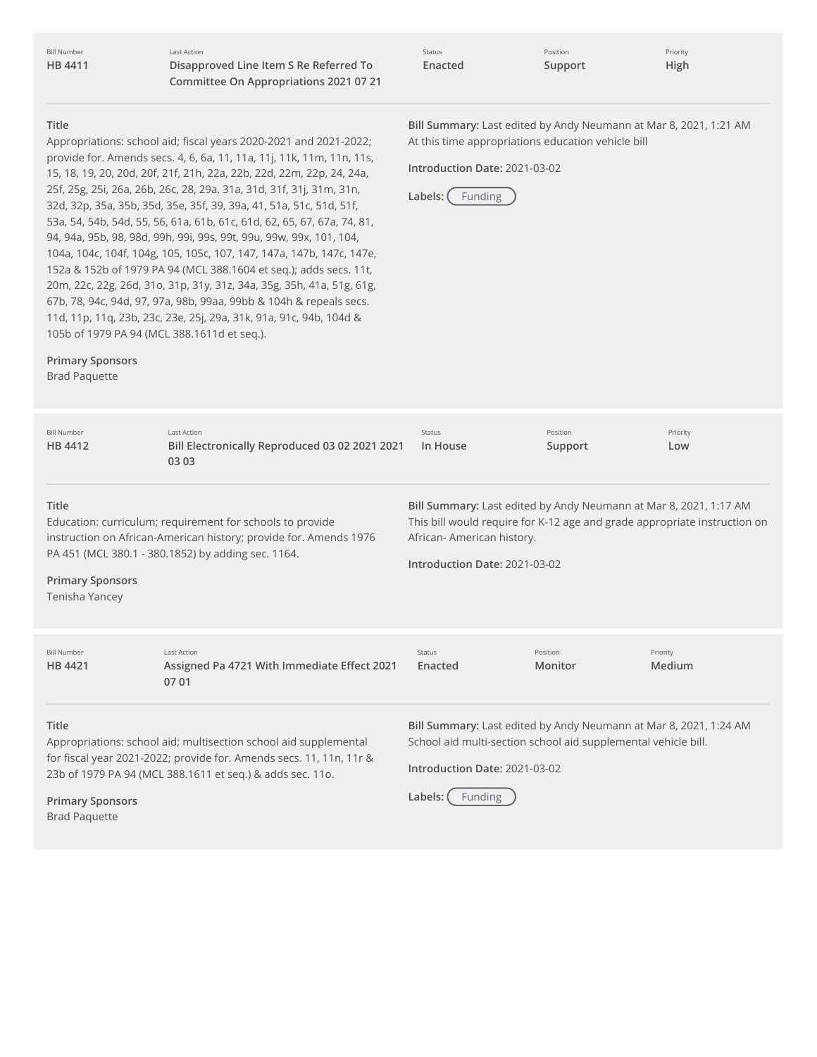Last Action **Disapproved Line Item S Re Referred To Committee On Appropriations 2021 07 21**

| <b>Status</b> | Position | Priority |
|---------------|----------|----------|
| Enacted       | Support  | High     |

At this time appropriations education vehicle bill

**Introduction Date:** 2021-03-02

**Labels:** Funding

**Bill Summary:** Last edited by Andy Neumann at Mar 8, 2021, 1:21 AM

#### **Title**

Appropriations: school aid; fiscal years 2020-2021 and 2021-2022; provide for. Amends secs. 4, 6, 6a, 11, 11a, 11j, 11k, 11m, 11n, 11s, 15, 18, 19, 20, 20d, 20f, 21f, 21h, 22a, 22b, 22d, 22m, 22p, 24, 24a, 25f, 25g, 25i, 26a, 26b, 26c, 28, 29a, 31a, 31d, 31f, 31j, 31m, 31n, 32d, 32p, 35a, 35b, 35d, 35e, 35f, 39, 39a, 41, 51a, 51c, 51d, 51f, 53a, 54, 54b, 54d, 55, 56, 61a, 61b, 61c, 61d, 62, 65, 67, 67a, 74, 81, 94, 94a, 95b, 98, 98d, 99h, 99i, 99s, 99t, 99u, 99w, 99x, 101, 104, 104a, 104c, 104f, 104g, 105, 105c, 107, 147, 147a, 147b, 147c, 147e, 152a & 152b of 1979 PA 94 (MCL 388.1604 et seq.); adds secs. 11t, 20m, 22c, 22g, 26d, 31o, 31p, 31y, 31z, 34a, 35g, 35h, 41a, 51g, 61g, 67b, 78, 94c, 94d, 97, 97a, 98b, 99aa, 99bb & 104h & repeals secs. 11d, 11p, 11q, 23b, 23c, 23e, 25j, 29a, 31k, 91a, 91c, 94b, 104d & 105b of 1979 PA 94 (MCL 388.1611d et seq.).

#### **Primary Sponsors**

Brad Paquette

**Title**

**Title**

Education: curriculum; requirement for schools to provide instruction on African-American history; provide for. Amends 1976 PA 451 (MCL 380.1 - 380.1852) by adding sec. 1164. **Primary Sponsors** Tenisha Yancey **Bill Summary:** Last edited by Andy Neumann at Mar 8, 2021, 1:17 AM This bill would require for K-12 age and grade appropriate instruction on African- American history. **Introduction Date:** 2021-03-02 Appropriations: school aid; multisection school aid supplemental **Bill Summary:** Last edited by Andy Neumann at Mar 8, 2021, 1:24 AM School aid multi-section school aid supplemental vehicle bill. Bill Number **HB [4412](http://app.fiscalnote.com/share/bill?url=e18d6f5caee910f1514db8ee3d038de8)** Last Action **Bill Electronically Reproduced 03 02 2021 2021 03 03** Status **In House** Position **Support** Priority **Low** Bill Number **HB [4421](http://app.fiscalnote.com/share/bill?url=693f5c00501819580fbca61d83646d68)** Last Action **Assigned Pa 4721 With Immediate Effect 2021 07 01** Status **Enacted** Position **Monitor** Priority **Medium**

for fiscal year 2021-2022; provide for. Amends secs. 11, 11n, 11r & 23b of 1979 PA 94 (MCL 388.1611 et seq.) & adds sec. 11o.

**Introduction Date:** 2021-03-02

**Labels:** Funding

**Primary Sponsors**

Brad Paquette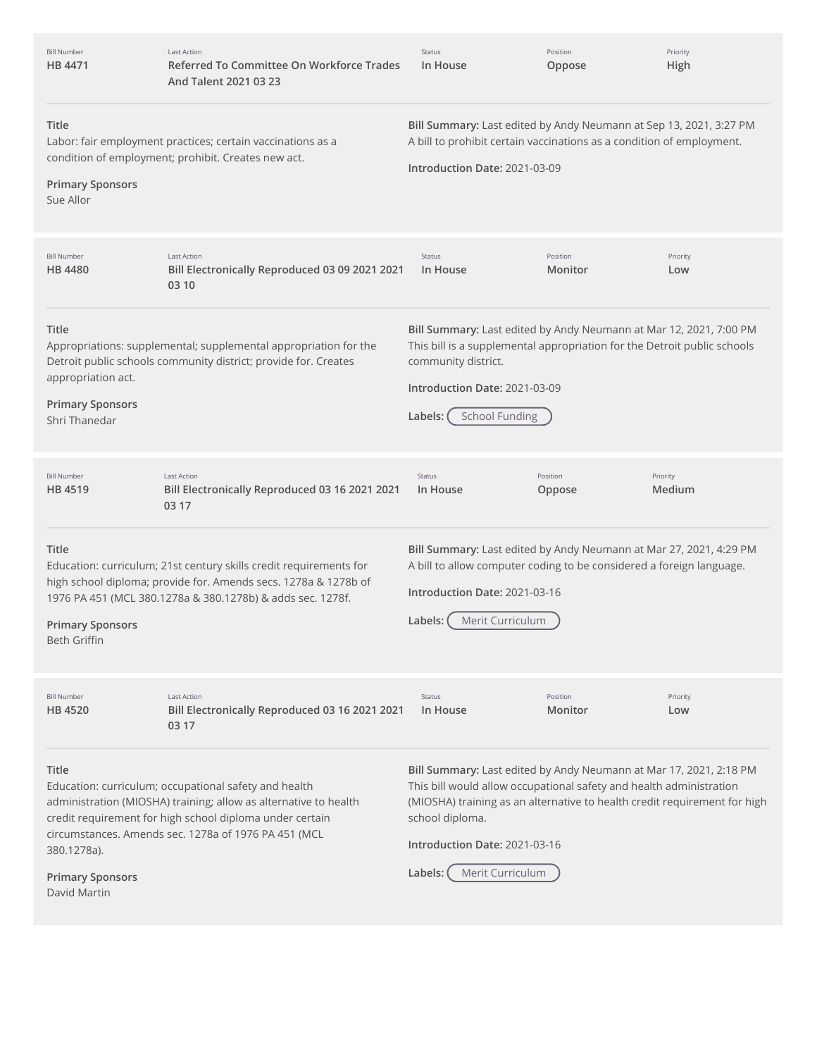| <b>Bill Number</b><br>HB 4471                                           | <b>Last Action</b><br>Referred To Committee On Workforce Trades<br>And Talent 2021 03 23                                                                                                                                                      | Status<br>In House                                                                                                                                                                                                                                                         | Position<br>Oppose  | Priority<br>High   |
|-------------------------------------------------------------------------|-----------------------------------------------------------------------------------------------------------------------------------------------------------------------------------------------------------------------------------------------|----------------------------------------------------------------------------------------------------------------------------------------------------------------------------------------------------------------------------------------------------------------------------|---------------------|--------------------|
| Title<br><b>Primary Sponsors</b><br>Sue Allor                           | Labor: fair employment practices; certain vaccinations as a<br>condition of employment; prohibit. Creates new act.                                                                                                                            | Bill Summary: Last edited by Andy Neumann at Sep 13, 2021, 3:27 PM<br>A bill to prohibit certain vaccinations as a condition of employment.<br>Introduction Date: 2021-03-09                                                                                               |                     |                    |
| <b>Bill Number</b><br><b>HB 4480</b>                                    | <b>Last Action</b><br>Bill Electronically Reproduced 03 09 2021 2021<br>03 10                                                                                                                                                                 | Status<br>In House                                                                                                                                                                                                                                                         | Position<br>Monitor | Priority<br>Low    |
| Title<br>appropriation act.<br><b>Primary Sponsors</b><br>Shri Thanedar | Appropriations: supplemental; supplemental appropriation for the<br>Detroit public schools community district; provide for. Creates                                                                                                           | Bill Summary: Last edited by Andy Neumann at Mar 12, 2021, 7:00 PM<br>This bill is a supplemental appropriation for the Detroit public schools<br>community district.<br>Introduction Date: 2021-03-09<br><b>School Funding</b><br>Labels:                                 |                     |                    |
| <b>Bill Number</b><br>HB 4519                                           | <b>Last Action</b><br>Bill Electronically Reproduced 03 16 2021 2021<br>03 17                                                                                                                                                                 | Status<br>In House                                                                                                                                                                                                                                                         | Position<br>Oppose  | Priority<br>Medium |
| Title<br><b>Primary Sponsors</b><br>Beth Griffin                        | Education: curriculum; 21st century skills credit requirements for<br>high school diploma; provide for. Amends secs. 1278a & 1278b of<br>1976 PA 451 (MCL 380.1278a & 380.1278b) & adds sec. 1278f.                                           | Bill Summary: Last edited by Andy Neumann at Mar 27, 2021, 4:29 PM<br>A bill to allow computer coding to be considered a foreign language.<br>Introduction Date: 2021-03-16<br>Merit Curriculum<br>Labels:                                                                 |                     |                    |
| <b>Bill Number</b><br>HB 4520                                           | <b>Last Action</b><br>Bill Electronically Reproduced 03 16 2021 2021<br>03 17                                                                                                                                                                 | Status<br>In House                                                                                                                                                                                                                                                         | Position<br>Monitor | Priority<br>Low    |
| Title<br>380.1278a).                                                    | Education: curriculum; occupational safety and health<br>administration (MIOSHA) training; allow as alternative to health<br>credit requirement for high school diploma under certain<br>circumstances. Amends sec. 1278a of 1976 PA 451 (MCL | Bill Summary: Last edited by Andy Neumann at Mar 17, 2021, 2:18 PM<br>This bill would allow occupational safety and health administration<br>(MIOSHA) training as an alternative to health credit requirement for high<br>school diploma.<br>Introduction Date: 2021-03-16 |                     |                    |
| <b>Primary Sponsors</b><br>David Martin                                 |                                                                                                                                                                                                                                               | Merit Curriculum<br>Labels: (                                                                                                                                                                                                                                              |                     |                    |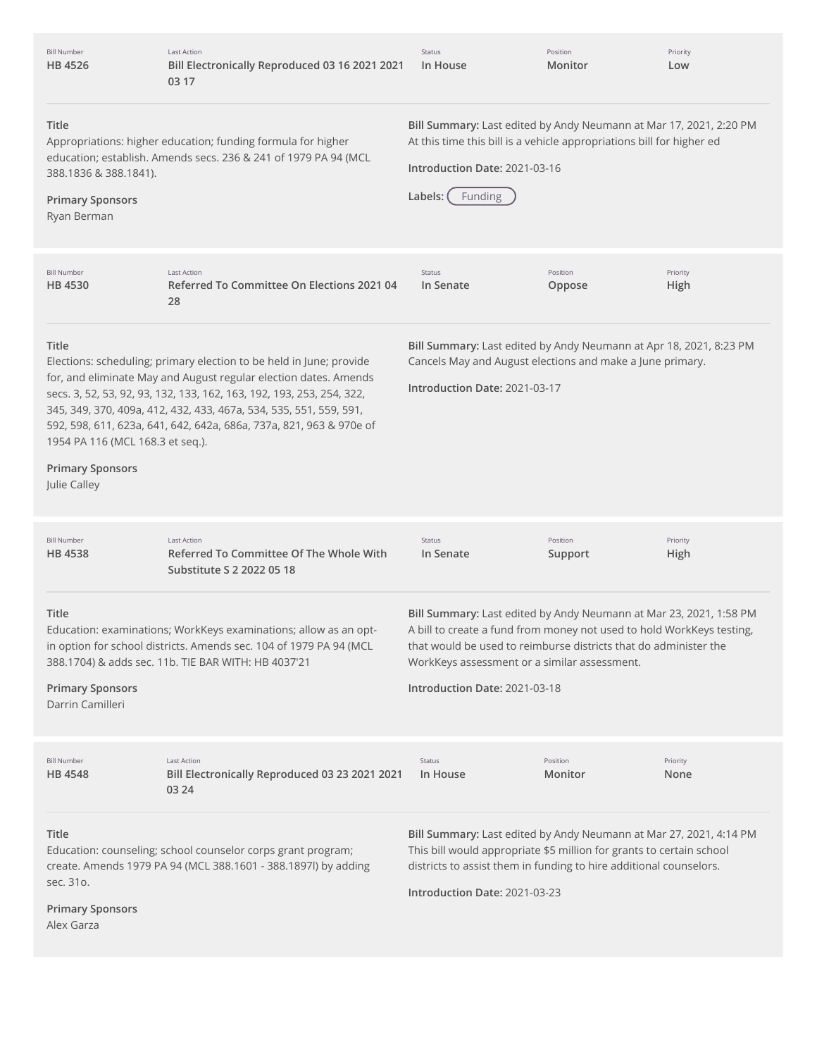| <b>Bill Number</b><br>HB 4526                                                        | Last Action<br>Bill Electronically Reproduced 03 16 2021 2021<br>03 17                                                                                                                                                                                                                                                                                        | Status<br>In House                                                                                                                                                                                                                                                                               | Position<br>Monitor | Priority<br>Low  |
|--------------------------------------------------------------------------------------|---------------------------------------------------------------------------------------------------------------------------------------------------------------------------------------------------------------------------------------------------------------------------------------------------------------------------------------------------------------|--------------------------------------------------------------------------------------------------------------------------------------------------------------------------------------------------------------------------------------------------------------------------------------------------|---------------------|------------------|
| Title<br>388.1836 & 388.1841).<br><b>Primary Sponsors</b><br>Ryan Berman             | Bill Summary: Last edited by Andy Neumann at Mar 17, 2021, 2:20 PM<br>At this time this bill is a vehicle appropriations bill for higher ed<br>Appropriations: higher education; funding formula for higher<br>education; establish. Amends secs. 236 & 241 of 1979 PA 94 (MCL<br>Introduction Date: 2021-03-16<br>Funding<br>Labels:                         |                                                                                                                                                                                                                                                                                                  |                     |                  |
| <b>Bill Number</b><br><b>HB 4530</b>                                                 | <b>Last Action</b><br>Referred To Committee On Elections 2021 04<br>28                                                                                                                                                                                                                                                                                        | Status<br>In Senate                                                                                                                                                                                                                                                                              | Position<br>Oppose  | Priority<br>High |
| Title<br>1954 PA 116 (MCL 168.3 et seq.).<br><b>Primary Sponsors</b><br>Julie Calley | Elections: scheduling; primary election to be held in June; provide<br>for, and eliminate May and August regular election dates. Amends<br>secs. 3, 52, 53, 92, 93, 132, 133, 162, 163, 192, 193, 253, 254, 322,<br>345, 349, 370, 409a, 412, 432, 433, 467a, 534, 535, 551, 559, 591,<br>592, 598, 611, 623a, 641, 642, 642a, 686a, 737a, 821, 963 & 970e of | Bill Summary: Last edited by Andy Neumann at Apr 18, 2021, 8:23 PM<br>Cancels May and August elections and make a June primary.<br>Introduction Date: 2021-03-17                                                                                                                                 |                     |                  |
| <b>Bill Number</b><br>HB 4538                                                        | <b>Last Action</b><br>Referred To Committee Of The Whole With<br>Substitute S 2 2022 05 18                                                                                                                                                                                                                                                                    | Status<br>In Senate                                                                                                                                                                                                                                                                              | Position<br>Support | Priority<br>High |
| Title<br><b>Primary Sponsors</b><br>Darrin Camilleri                                 | Education: examinations; WorkKeys examinations; allow as an opt-<br>in option for school districts. Amends sec. 104 of 1979 PA 94 (MCL<br>388.1704) & adds sec. 11b. TIE BAR WITH: HB 4037'21                                                                                                                                                                 | Bill Summary: Last edited by Andy Neumann at Mar 23, 2021, 1:58 PM<br>A bill to create a fund from money not used to hold WorkKeys testing,<br>that would be used to reimburse districts that do administer the<br>WorkKeys assessment or a similar assessment.<br>Introduction Date: 2021-03-18 |                     |                  |
| <b>Bill Number</b><br>HB 4548                                                        | <b>Last Action</b><br>Bill Electronically Reproduced 03 23 2021 2021<br>03 24                                                                                                                                                                                                                                                                                 | Status<br>In House                                                                                                                                                                                                                                                                               | Position<br>Monitor | Priority<br>None |
| Title<br>sec. 310.<br><b>Primary Sponsors</b><br>Alex Garza                          | Education: counseling; school counselor corps grant program;<br>create. Amends 1979 PA 94 (MCL 388.1601 - 388.1897l) by adding                                                                                                                                                                                                                                | Bill Summary: Last edited by Andy Neumann at Mar 27, 2021, 4:14 PM<br>This bill would appropriate \$5 million for grants to certain school<br>districts to assist them in funding to hire additional counselors.<br>Introduction Date: 2021-03-23                                                |                     |                  |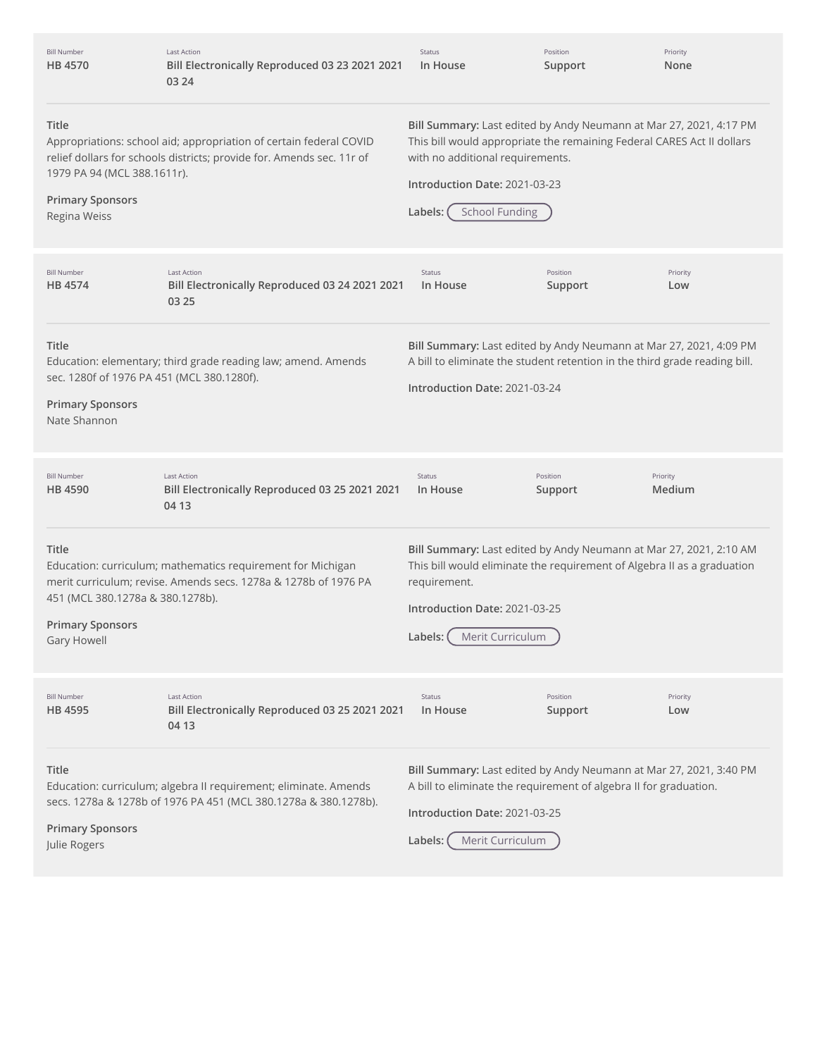| <b>Bill Number</b><br>HB 4570                                                                         | <b>Last Action</b><br>Bill Electronically Reproduced 03 23 2021 2021<br>03 24                                                               | Status<br>In House                                                                                                                                                                                                                                    | Position<br>Support | Priority<br>None   |
|-------------------------------------------------------------------------------------------------------|---------------------------------------------------------------------------------------------------------------------------------------------|-------------------------------------------------------------------------------------------------------------------------------------------------------------------------------------------------------------------------------------------------------|---------------------|--------------------|
| Title<br>1979 PA 94 (MCL 388.1611r).<br><b>Primary Sponsors</b><br>Regina Weiss                       | Appropriations: school aid; appropriation of certain federal COVID<br>relief dollars for schools districts; provide for. Amends sec. 11r of | Bill Summary: Last edited by Andy Neumann at Mar 27, 2021, 4:17 PM<br>This bill would appropriate the remaining Federal CARES Act II dollars<br>with no additional requirements.<br>Introduction Date: 2021-03-23<br><b>School Funding</b><br>Labels: |                     |                    |
| <b>Bill Number</b><br>HB 4574                                                                         | <b>Last Action</b><br>Bill Electronically Reproduced 03 24 2021 2021<br>03 25                                                               | <b>Status</b><br>In House                                                                                                                                                                                                                             | Position<br>Support | Priority<br>Low    |
| <b>Title</b><br>sec. 1280f of 1976 PA 451 (MCL 380.1280f).<br><b>Primary Sponsors</b><br>Nate Shannon | Education: elementary; third grade reading law; amend. Amends                                                                               | Bill Summary: Last edited by Andy Neumann at Mar 27, 2021, 4:09 PM<br>A bill to eliminate the student retention in the third grade reading bill.<br>Introduction Date: 2021-03-24                                                                     |                     |                    |
| <b>Bill Number</b><br>HB 4590                                                                         | <b>Last Action</b><br>Bill Electronically Reproduced 03 25 2021 2021<br>04 13                                                               | Status<br>In House                                                                                                                                                                                                                                    | Position<br>Support | Priority<br>Medium |
| <b>Title</b><br>451 (MCL 380.1278a & 380.1278b).<br><b>Primary Sponsors</b><br>Gary Howell            | Education: curriculum; mathematics requirement for Michigan<br>merit curriculum; revise. Amends secs. 1278a & 1278b of 1976 PA              | Bill Summary: Last edited by Andy Neumann at Mar 27, 2021, 2:10 AM<br>This bill would eliminate the requirement of Algebra II as a graduation<br>requirement.<br>Introduction Date: 2021-03-25<br>Labels: (Merit Curriculum                           |                     |                    |
| <b>Bill Number</b><br>HB 4595                                                                         | <b>Last Action</b><br>Bill Electronically Reproduced 03 25 2021 2021<br>04 13                                                               | <b>Status</b><br>In House                                                                                                                                                                                                                             | Position<br>Support | Priority<br>Low    |
| Title<br><b>Primary Sponsors</b><br>Julie Rogers                                                      | Education: curriculum; algebra II requirement; eliminate. Amends<br>secs. 1278a & 1278b of 1976 PA 451 (MCL 380.1278a & 380.1278b).         | Bill Summary: Last edited by Andy Neumann at Mar 27, 2021, 3:40 PM<br>A bill to eliminate the requirement of algebra II for graduation.<br>Introduction Date: 2021-03-25<br>Labels:<br>Merit Curriculum                                               |                     |                    |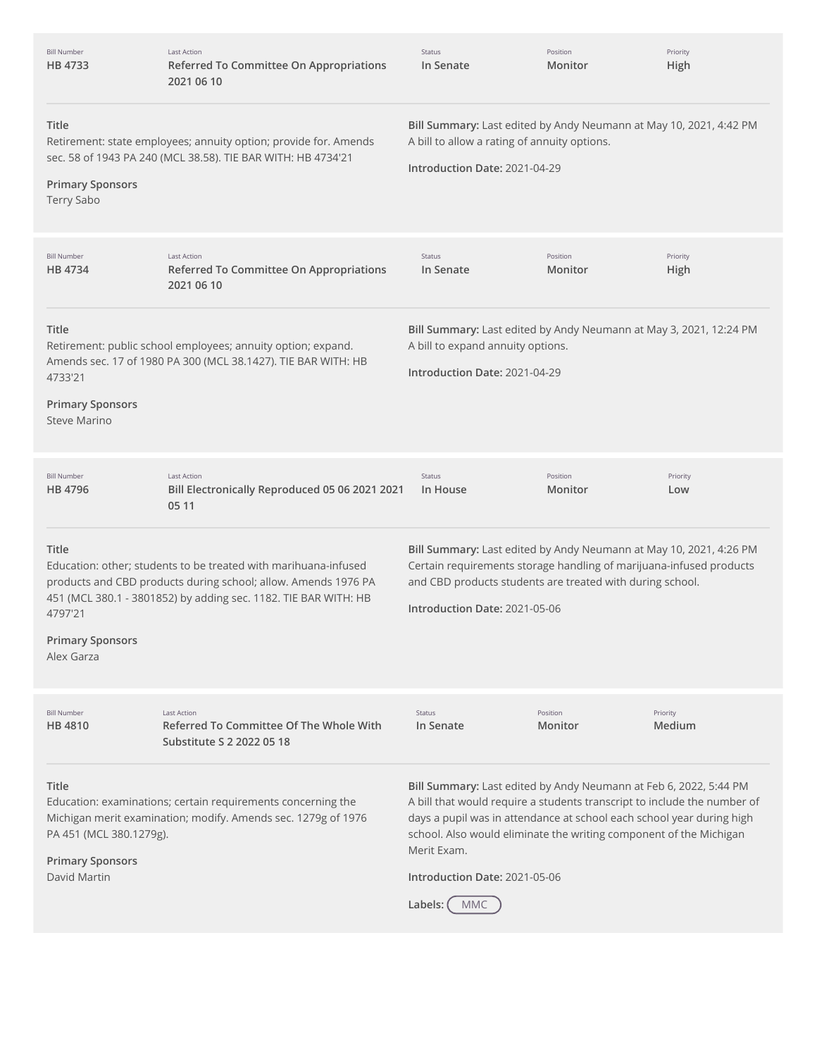| <b>Bill Number</b><br>HB 4733                                                                                                                                                                                                                                                                                                                                                                                                                                                                                                                                                           | <b>Last Action</b><br>Referred To Committee On Appropriations<br>2021 06 10                                                                                                                          | <b>Status</b><br>In Senate                                                                                                                                                                                                              | Position<br>Monitor | Priority<br>High   |
|-----------------------------------------------------------------------------------------------------------------------------------------------------------------------------------------------------------------------------------------------------------------------------------------------------------------------------------------------------------------------------------------------------------------------------------------------------------------------------------------------------------------------------------------------------------------------------------------|------------------------------------------------------------------------------------------------------------------------------------------------------------------------------------------------------|-----------------------------------------------------------------------------------------------------------------------------------------------------------------------------------------------------------------------------------------|---------------------|--------------------|
| Title<br>Bill Summary: Last edited by Andy Neumann at May 10, 2021, 4:42 PM<br>A bill to allow a rating of annuity options.<br>Retirement: state employees; annuity option; provide for. Amends<br>sec. 58 of 1943 PA 240 (MCL 38.58). TIE BAR WITH: HB 4734'21<br>Introduction Date: 2021-04-29<br><b>Primary Sponsors</b><br><b>Terry Sabo</b>                                                                                                                                                                                                                                        |                                                                                                                                                                                                      |                                                                                                                                                                                                                                         |                     |                    |
| <b>Bill Number</b><br>HB 4734                                                                                                                                                                                                                                                                                                                                                                                                                                                                                                                                                           | <b>Last Action</b><br><b>Referred To Committee On Appropriations</b><br>2021 06 10                                                                                                                   | Status<br>In Senate                                                                                                                                                                                                                     | Position<br>Monitor | Priority<br>High   |
| Title<br>4733'21<br><b>Primary Sponsors</b><br>Steve Marino                                                                                                                                                                                                                                                                                                                                                                                                                                                                                                                             | Retirement: public school employees; annuity option; expand.<br>Amends sec. 17 of 1980 PA 300 (MCL 38.1427). TIE BAR WITH: HB                                                                        | Bill Summary: Last edited by Andy Neumann at May 3, 2021, 12:24 PM<br>A bill to expand annuity options.<br>Introduction Date: 2021-04-29                                                                                                |                     |                    |
| <b>Bill Number</b><br>HB 4796                                                                                                                                                                                                                                                                                                                                                                                                                                                                                                                                                           | Last Action<br>Bill Electronically Reproduced 05 06 2021 2021<br>05 11                                                                                                                               | Status<br>In House                                                                                                                                                                                                                      | Position<br>Monitor | Priority<br>Low    |
| <b>Title</b><br>4797'21<br><b>Primary Sponsors</b><br>Alex Garza                                                                                                                                                                                                                                                                                                                                                                                                                                                                                                                        | Education: other; students to be treated with marihuana-infused<br>products and CBD products during school; allow. Amends 1976 PA<br>451 (MCL 380.1 - 3801852) by adding sec. 1182. TIE BAR WITH: HB | Bill Summary: Last edited by Andy Neumann at May 10, 2021, 4:26 PM<br>Certain requirements storage handling of marijuana-infused products<br>and CBD products students are treated with during school.<br>Introduction Date: 2021-05-06 |                     |                    |
| <b>Bill Number</b><br>HB 4810                                                                                                                                                                                                                                                                                                                                                                                                                                                                                                                                                           | <b>Last Action</b><br>Referred To Committee Of The Whole With<br>Substitute S 2 2022 05 18                                                                                                           | Status<br>In Senate                                                                                                                                                                                                                     | Position<br>Monitor | Priority<br>Medium |
| Title<br>Bill Summary: Last edited by Andy Neumann at Feb 6, 2022, 5:44 PM<br>A bill that would require a students transcript to include the number of<br>Education: examinations; certain requirements concerning the<br>days a pupil was in attendance at school each school year during high<br>Michigan merit examination; modify. Amends sec. 1279g of 1976<br>school. Also would eliminate the writing component of the Michigan<br>PA 451 (MCL 380.1279g).<br>Merit Exam.<br><b>Primary Sponsors</b><br>David Martin<br>Introduction Date: 2021-05-06<br>Labels: (<br><b>MMC</b> |                                                                                                                                                                                                      |                                                                                                                                                                                                                                         |                     |                    |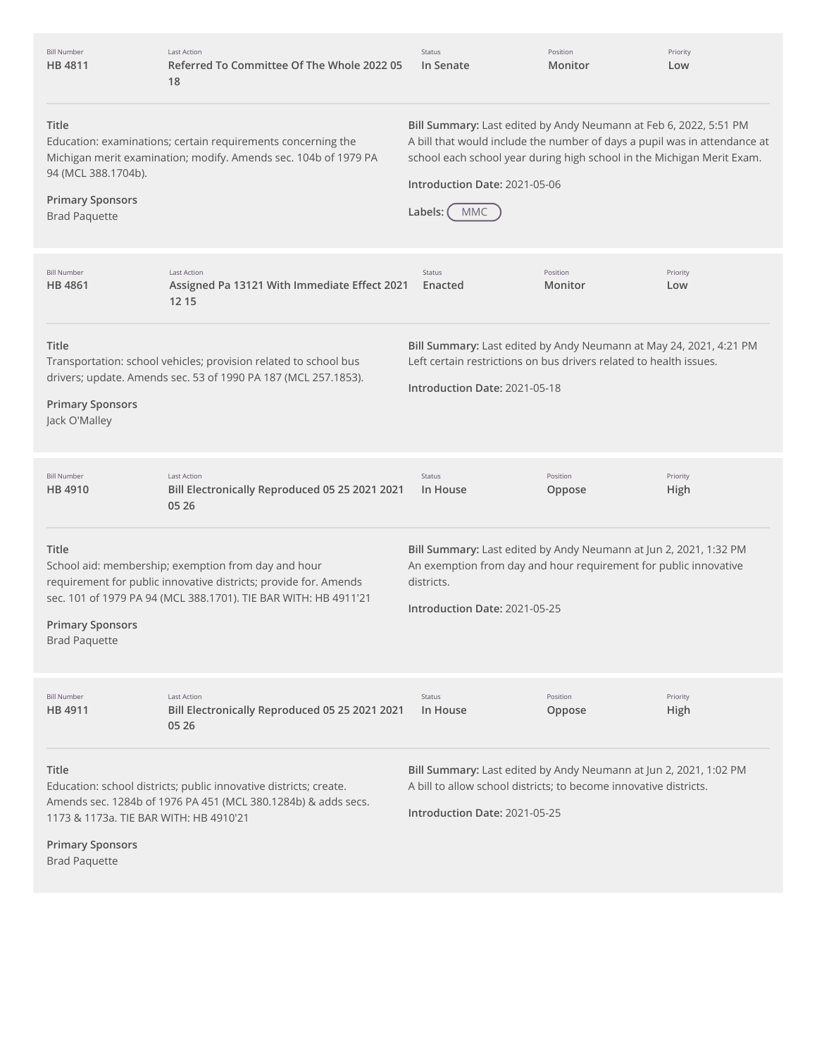| <b>Bill Number</b><br>HB 4811                                                                                                                                                                                      | <b>Last Action</b><br>Referred To Committee Of The Whole 2022 05<br>18                                                                                                                     | Status<br>In Senate                                                                                                                                                                                                                                                                | Position<br>Monitor | Priority<br>Low  |
|--------------------------------------------------------------------------------------------------------------------------------------------------------------------------------------------------------------------|--------------------------------------------------------------------------------------------------------------------------------------------------------------------------------------------|------------------------------------------------------------------------------------------------------------------------------------------------------------------------------------------------------------------------------------------------------------------------------------|---------------------|------------------|
| Title<br>Education: examinations; certain requirements concerning the<br>Michigan merit examination; modify. Amends sec. 104b of 1979 PA<br>94 (MCL 388.1704b).<br><b>Primary Sponsors</b><br><b>Brad Paquette</b> |                                                                                                                                                                                            | Bill Summary: Last edited by Andy Neumann at Feb 6, 2022, 5:51 PM<br>A bill that would include the number of days a pupil was in attendance at<br>school each school year during high school in the Michigan Merit Exam.<br>Introduction Date: 2021-05-06<br>Labels:<br><b>MMC</b> |                     |                  |
| <b>Bill Number</b><br>HB 4861                                                                                                                                                                                      | <b>Last Action</b><br>Assigned Pa 13121 With Immediate Effect 2021<br>12 15                                                                                                                | Status<br>Enacted                                                                                                                                                                                                                                                                  | Position<br>Monitor | Priority<br>Low  |
| Title<br><b>Primary Sponsors</b><br>Jack O'Malley                                                                                                                                                                  | Transportation: school vehicles; provision related to school bus<br>drivers; update. Amends sec. 53 of 1990 PA 187 (MCL 257.1853).                                                         | Bill Summary: Last edited by Andy Neumann at May 24, 2021, 4:21 PM<br>Left certain restrictions on bus drivers related to health issues.<br>Introduction Date: 2021-05-18                                                                                                          |                     |                  |
| <b>Bill Number</b><br><b>HB 4910</b>                                                                                                                                                                               | <b>Last Action</b><br>Bill Electronically Reproduced 05 25 2021 2021<br>05 26                                                                                                              | Status<br>In House                                                                                                                                                                                                                                                                 | Position<br>Oppose  | Priority<br>High |
| Title<br><b>Primary Sponsors</b><br><b>Brad Paquette</b>                                                                                                                                                           | School aid: membership; exemption from day and hour<br>requirement for public innovative districts; provide for. Amends<br>sec. 101 of 1979 PA 94 (MCL 388.1701). TIE BAR WITH: HB 4911'21 | Bill Summary: Last edited by Andy Neumann at Jun 2, 2021, 1:32 PM<br>An exemption from day and hour requirement for public innovative<br>districts.<br>Introduction Date: 2021-05-25                                                                                               |                     |                  |
| <b>Bill Number</b><br>HB 4911                                                                                                                                                                                      | Last Action<br>Bill Electronically Reproduced 05 25 2021 2021<br>05 26                                                                                                                     | Status<br>In House                                                                                                                                                                                                                                                                 | Position<br>Oppose  | Priority<br>High |
| Title<br>1173 & 1173a. TIE BAR WITH: HB 4910'21<br><b>Primary Sponsors</b><br><b>Brad Paquette</b>                                                                                                                 | Education: school districts; public innovative districts; create.<br>Amends sec. 1284b of 1976 PA 451 (MCL 380.1284b) & adds secs.                                                         | Bill Summary: Last edited by Andy Neumann at Jun 2, 2021, 1:02 PM<br>A bill to allow school districts; to become innovative districts.<br>Introduction Date: 2021-05-25                                                                                                            |                     |                  |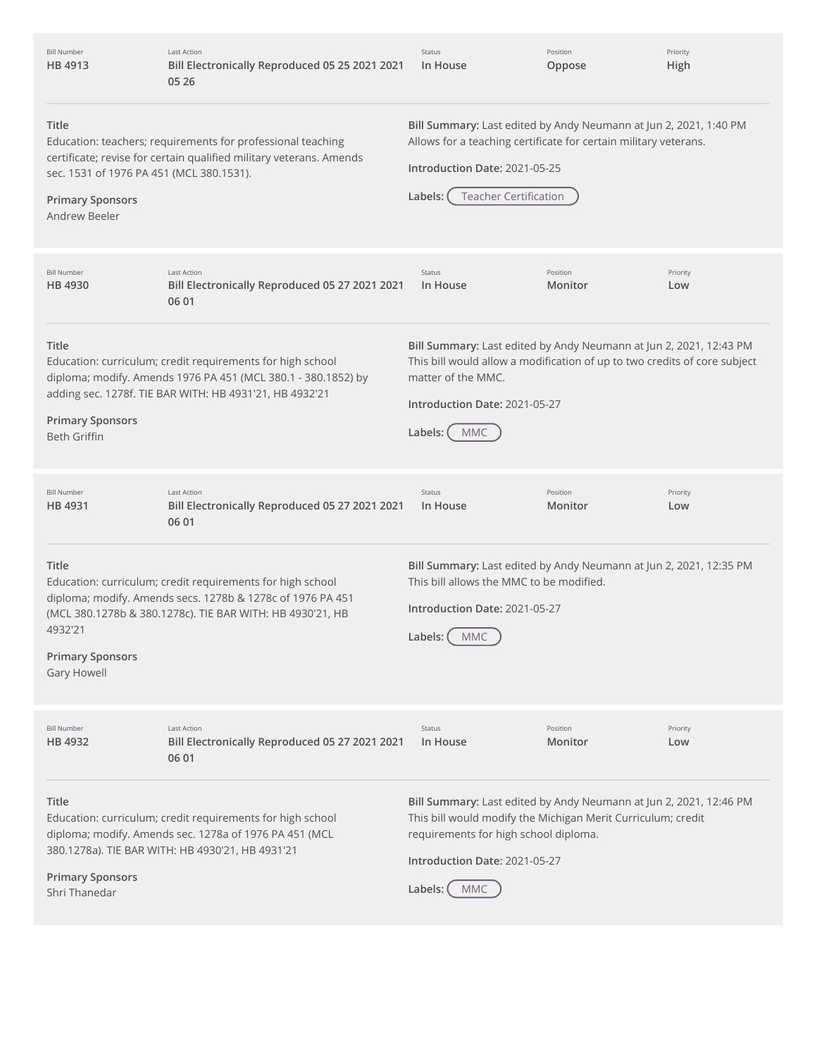| <b>Bill Number</b><br>HB 4913                                                                                                                                                                                                       | <b>Last Action</b><br>Bill Electronically Reproduced 05 25 2021 2021<br>05 26                                                                                                          | Status<br>In House                                                                                                                                                                                                                    | Position<br>Oppose  | Priority<br>High |
|-------------------------------------------------------------------------------------------------------------------------------------------------------------------------------------------------------------------------------------|----------------------------------------------------------------------------------------------------------------------------------------------------------------------------------------|---------------------------------------------------------------------------------------------------------------------------------------------------------------------------------------------------------------------------------------|---------------------|------------------|
| Title<br>Education: teachers; requirements for professional teaching<br>certificate; revise for certain qualified military veterans. Amends<br>sec. 1531 of 1976 PA 451 (MCL 380.1531).<br><b>Primary Sponsors</b><br>Andrew Beeler |                                                                                                                                                                                        | Bill Summary: Last edited by Andy Neumann at Jun 2, 2021, 1:40 PM<br>Allows for a teaching certificate for certain military veterans.<br>Introduction Date: 2021-05-25<br><b>Teacher Certification</b><br>Labels:                     |                     |                  |
| <b>Bill Number</b><br>HB 4930                                                                                                                                                                                                       | <b>Last Action</b><br>Bill Electronically Reproduced 05 27 2021 2021<br>06 01                                                                                                          | Status<br>In House                                                                                                                                                                                                                    | Position<br>Monitor | Priority<br>Low  |
| Title<br><b>Primary Sponsors</b><br><b>Beth Griffin</b>                                                                                                                                                                             | Education: curriculum; credit requirements for high school<br>diploma; modify. Amends 1976 PA 451 (MCL 380.1 - 380.1852) by<br>adding sec. 1278f. TIE BAR WITH: HB 4931'21, HB 4932'21 | Bill Summary: Last edited by Andy Neumann at Jun 2, 2021, 12:43 PM<br>This bill would allow a modification of up to two credits of core subject<br>matter of the MMC.<br>Introduction Date: 2021-05-27<br>Labels:<br><b>MMC</b>       |                     |                  |
| <b>Bill Number</b><br>HB 4931                                                                                                                                                                                                       | <b>Last Action</b><br>Bill Electronically Reproduced 05 27 2021 2021<br>06 01                                                                                                          | Status<br>In House                                                                                                                                                                                                                    | Position<br>Monitor | Priority<br>Low  |
| Title<br>4932'21<br><b>Primary Sponsors</b><br>Gary Howell                                                                                                                                                                          | Education: curriculum; credit requirements for high school<br>diploma; modify. Amends secs. 1278b & 1278c of 1976 PA 451<br>(MCL 380.1278b & 380.1278c). TIE BAR WITH: HB 4930'21, HB  | Bill Summary: Last edited by Andy Neumann at Jun 2, 2021, 12:35 PM<br>This bill allows the MMC to be modified.<br>Introduction Date: 2021-05-27<br>Labels: (MMC                                                                       |                     |                  |
| <b>Bill Number</b><br>HB 4932                                                                                                                                                                                                       | <b>Last Action</b><br>Bill Electronically Reproduced 05 27 2021 2021<br>06 01                                                                                                          | Status<br>In House                                                                                                                                                                                                                    | Position<br>Monitor | Priority<br>Low  |
| Title<br><b>Primary Sponsors</b><br>Shri Thanedar                                                                                                                                                                                   | Education: curriculum; credit requirements for high school<br>diploma; modify. Amends sec. 1278a of 1976 PA 451 (MCL<br>380.1278a). TIE BAR WITH: HB 4930'21, HB 4931'21               | Bill Summary: Last edited by Andy Neumann at Jun 2, 2021, 12:46 PM<br>This bill would modify the Michigan Merit Curriculum; credit<br>requirements for high school diploma.<br>Introduction Date: 2021-05-27<br>Labels:<br><b>MMC</b> |                     |                  |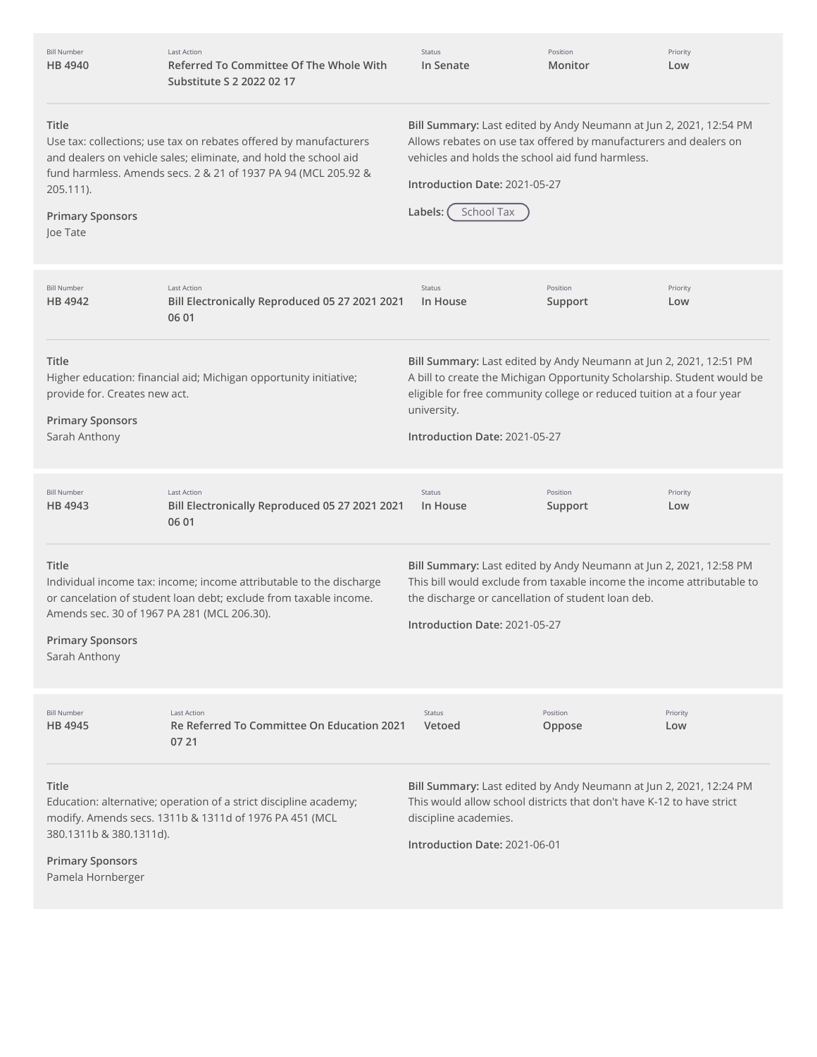| <b>Bill Number</b><br><b>HB4940</b>                                                                                                                                                                                                                                  | <b>Last Action</b><br>Referred To Committee Of The Whole With<br>Substitute S 2 2022 02 17                                               | Status<br>In Senate                                                                                                                                                                                                                                                    | Position<br>Monitor | Priority<br>Low |  |
|----------------------------------------------------------------------------------------------------------------------------------------------------------------------------------------------------------------------------------------------------------------------|------------------------------------------------------------------------------------------------------------------------------------------|------------------------------------------------------------------------------------------------------------------------------------------------------------------------------------------------------------------------------------------------------------------------|---------------------|-----------------|--|
| Title<br>Use tax: collections; use tax on rebates offered by manufacturers<br>and dealers on vehicle sales; eliminate, and hold the school aid<br>fund harmless. Amends secs. 2 & 21 of 1937 PA 94 (MCL 205.92 &<br>205.111).<br><b>Primary Sponsors</b><br>Joe Tate |                                                                                                                                          | Bill Summary: Last edited by Andy Neumann at Jun 2, 2021, 12:54 PM<br>Allows rebates on use tax offered by manufacturers and dealers on<br>vehicles and holds the school aid fund harmless.<br>Introduction Date: 2021-05-27<br>School Tax<br>Labels: (                |                     |                 |  |
| <b>Bill Number</b><br>HB 4942                                                                                                                                                                                                                                        | <b>Last Action</b><br>Bill Electronically Reproduced 05 27 2021 2021<br>06 01                                                            | Status<br>In House                                                                                                                                                                                                                                                     | Position<br>Support | Priority<br>Low |  |
| Title<br>provide for. Creates new act.<br><b>Primary Sponsors</b><br>Sarah Anthony                                                                                                                                                                                   | Higher education: financial aid; Michigan opportunity initiative;                                                                        | Bill Summary: Last edited by Andy Neumann at Jun 2, 2021, 12:51 PM<br>A bill to create the Michigan Opportunity Scholarship. Student would be<br>eligible for free community college or reduced tuition at a four year<br>university.<br>Introduction Date: 2021-05-27 |                     |                 |  |
| <b>Bill Number</b><br>HB 4943                                                                                                                                                                                                                                        | Last Action<br>Bill Electronically Reproduced 05 27 2021 2021<br>06 01                                                                   | <b>Status</b><br>In House                                                                                                                                                                                                                                              | Position<br>Support | Priority<br>Low |  |
| Title<br>Amends sec. 30 of 1967 PA 281 (MCL 206.30).<br><b>Primary Sponsors</b><br>Sarah Anthony                                                                                                                                                                     | Individual income tax: income; income attributable to the discharge<br>or cancelation of student loan debt; exclude from taxable income. | Bill Summary: Last edited by Andy Neumann at Jun 2, 2021, 12:58 PM<br>This bill would exclude from taxable income the income attributable to<br>the discharge or cancellation of student loan deb.<br>Introduction Date: 2021-05-27                                    |                     |                 |  |
| <b>Bill Number</b><br><b>HB 4945</b>                                                                                                                                                                                                                                 | <b>Last Action</b><br>Re Referred To Committee On Education 2021<br>07 21                                                                | Status<br>Vetoed                                                                                                                                                                                                                                                       | Position<br>Oppose  | Priority<br>Low |  |
| Title<br>380.1311b & 380.1311d).<br><b>Primary Sponsors</b><br>Pamela Hornberger                                                                                                                                                                                     | Education: alternative; operation of a strict discipline academy;<br>modify. Amends secs. 1311b & 1311d of 1976 PA 451 (MCL              | Bill Summary: Last edited by Andy Neumann at Jun 2, 2021, 12:24 PM<br>This would allow school districts that don't have K-12 to have strict<br>discipline academies.<br>Introduction Date: 2021-06-01                                                                  |                     |                 |  |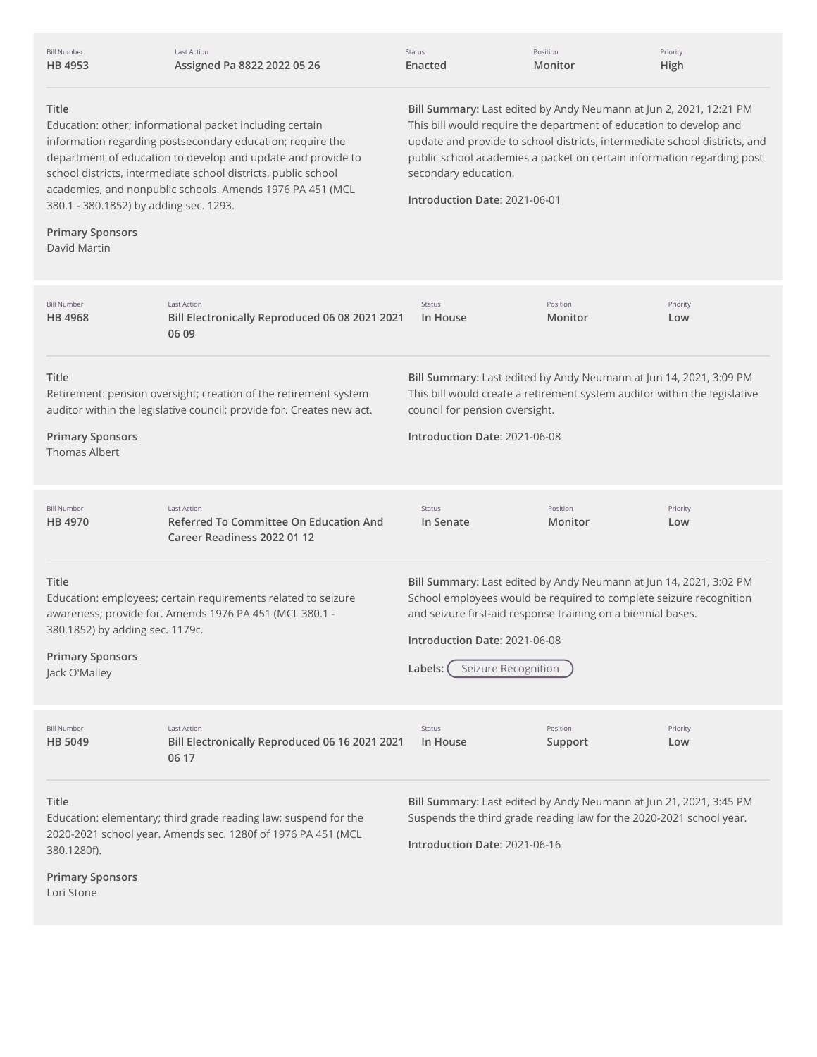| <b>Bill Number</b><br>HB 4953                                                                                                                                                                                                                                                                                                                                                                                                                                                                                                                                                                                                                                                                                                                                                    | <b>Last Action</b><br>Assigned Pa 8822 2022 05 26                                                                                         | Status<br>Enacted                                                                                                                                                                                                  | Position<br>Monitor                                                                                                                                                                                      | Priority<br>High |
|----------------------------------------------------------------------------------------------------------------------------------------------------------------------------------------------------------------------------------------------------------------------------------------------------------------------------------------------------------------------------------------------------------------------------------------------------------------------------------------------------------------------------------------------------------------------------------------------------------------------------------------------------------------------------------------------------------------------------------------------------------------------------------|-------------------------------------------------------------------------------------------------------------------------------------------|--------------------------------------------------------------------------------------------------------------------------------------------------------------------------------------------------------------------|----------------------------------------------------------------------------------------------------------------------------------------------------------------------------------------------------------|------------------|
| Title<br>Bill Summary: Last edited by Andy Neumann at Jun 2, 2021, 12:21 PM<br>This bill would require the department of education to develop and<br>Education: other; informational packet including certain<br>information regarding postsecondary education; require the<br>update and provide to school districts, intermediate school districts, and<br>department of education to develop and update and provide to<br>public school academies a packet on certain information regarding post<br>school districts, intermediate school districts, public school<br>secondary education.<br>academies, and nonpublic schools. Amends 1976 PA 451 (MCL<br>Introduction Date: 2021-06-01<br>380.1 - 380.1852) by adding sec. 1293.<br><b>Primary Sponsors</b><br>David Martin |                                                                                                                                           |                                                                                                                                                                                                                    |                                                                                                                                                                                                          |                  |
| <b>Bill Number</b><br>HB 4968                                                                                                                                                                                                                                                                                                                                                                                                                                                                                                                                                                                                                                                                                                                                                    | <b>Last Action</b><br>Bill Electronically Reproduced 06 08 2021 2021<br>06 09                                                             | Status<br>In House                                                                                                                                                                                                 | Position<br>Monitor                                                                                                                                                                                      | Priority<br>Low  |
| Title<br><b>Primary Sponsors</b><br><b>Thomas Albert</b>                                                                                                                                                                                                                                                                                                                                                                                                                                                                                                                                                                                                                                                                                                                         | Retirement: pension oversight; creation of the retirement system<br>auditor within the legislative council; provide for. Creates new act. | Bill Summary: Last edited by Andy Neumann at Jun 14, 2021, 3:09 PM<br>This bill would create a retirement system auditor within the legislative<br>council for pension oversight.<br>Introduction Date: 2021-06-08 |                                                                                                                                                                                                          |                  |
| <b>Bill Number</b><br>HB 4970                                                                                                                                                                                                                                                                                                                                                                                                                                                                                                                                                                                                                                                                                                                                                    | <b>Last Action</b><br>Referred To Committee On Education And<br>Career Readiness 2022 01 12                                               | Status<br>In Senate                                                                                                                                                                                                | Position<br>Monitor                                                                                                                                                                                      | Priority<br>Low  |
| Title<br>380.1852) by adding sec. 1179c.<br><b>Primary Sponsors</b><br>Jack O'Malley                                                                                                                                                                                                                                                                                                                                                                                                                                                                                                                                                                                                                                                                                             | Education: employees; certain requirements related to seizure<br>awareness; provide for. Amends 1976 PA 451 (MCL 380.1 -                  | Introduction Date: 2021-06-08<br>Seizure Recognition<br>Labels:                                                                                                                                                    | Bill Summary: Last edited by Andy Neumann at Jun 14, 2021, 3:02 PM<br>School employees would be required to complete seizure recognition<br>and seizure first-aid response training on a biennial bases. |                  |
| <b>Bill Number</b><br>HB 5049                                                                                                                                                                                                                                                                                                                                                                                                                                                                                                                                                                                                                                                                                                                                                    | <b>Last Action</b><br>Bill Electronically Reproduced 06 16 2021 2021<br>06 17                                                             | Status<br>In House                                                                                                                                                                                                 | Position<br>Support                                                                                                                                                                                      | Priority<br>Low  |
| Title<br>380.1280f).<br><b>Primary Sponsors</b><br>Lori Stone                                                                                                                                                                                                                                                                                                                                                                                                                                                                                                                                                                                                                                                                                                                    | Education: elementary; third grade reading law; suspend for the<br>2020-2021 school year. Amends sec. 1280f of 1976 PA 451 (MCL           | Introduction Date: 2021-06-16                                                                                                                                                                                      | Bill Summary: Last edited by Andy Neumann at Jun 21, 2021, 3:45 PM<br>Suspends the third grade reading law for the 2020-2021 school year.                                                                |                  |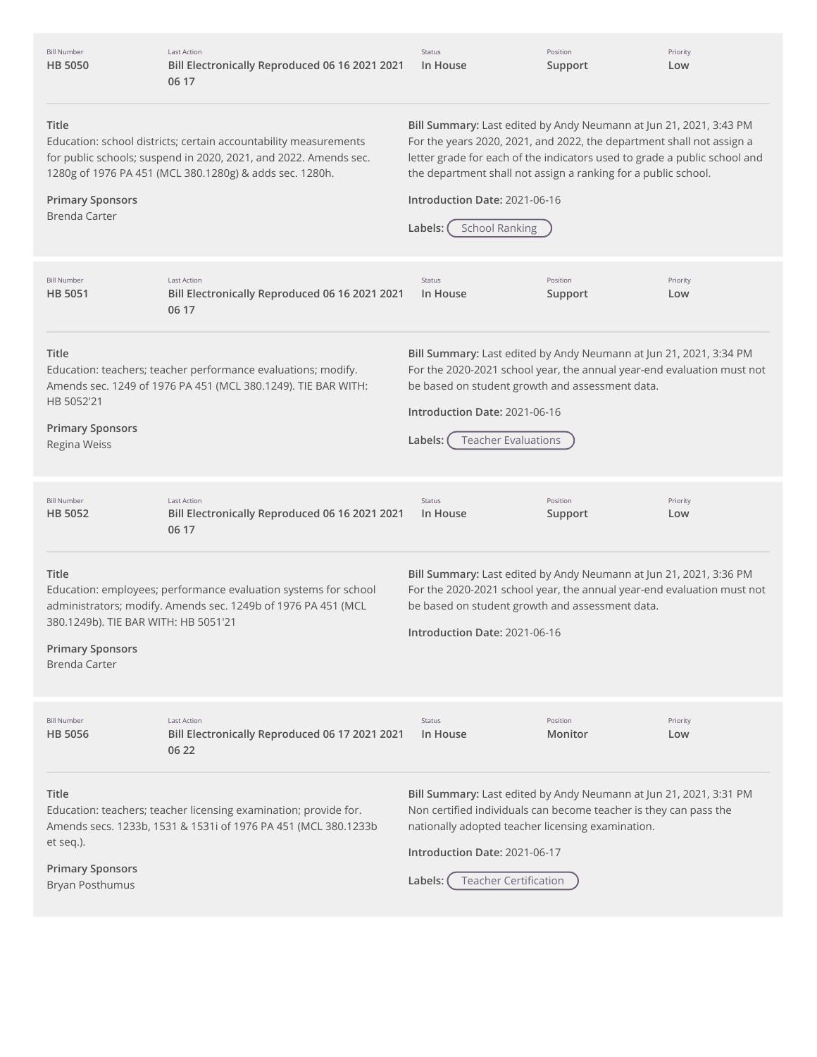| <b>Bill Number</b><br><b>HB 5050</b>                                                                                                                                                                                                                        | <b>Last Action</b><br>Bill Electronically Reproduced 06 16 2021 2021<br>06 17                                                      | Status<br>In House                                                                                                                                                                                                                                                                                                                                              | Position<br>Support | Priority<br>Low |
|-------------------------------------------------------------------------------------------------------------------------------------------------------------------------------------------------------------------------------------------------------------|------------------------------------------------------------------------------------------------------------------------------------|-----------------------------------------------------------------------------------------------------------------------------------------------------------------------------------------------------------------------------------------------------------------------------------------------------------------------------------------------------------------|---------------------|-----------------|
| Title<br>Education: school districts; certain accountability measurements<br>for public schools; suspend in 2020, 2021, and 2022. Amends sec.<br>1280g of 1976 PA 451 (MCL 380.1280g) & adds sec. 1280h.<br><b>Primary Sponsors</b><br><b>Brenda Carter</b> |                                                                                                                                    | Bill Summary: Last edited by Andy Neumann at Jun 21, 2021, 3:43 PM<br>For the years 2020, 2021, and 2022, the department shall not assign a<br>letter grade for each of the indicators used to grade a public school and<br>the department shall not assign a ranking for a public school.<br>Introduction Date: 2021-06-16<br><b>School Ranking</b><br>Labels: |                     |                 |
| <b>Bill Number</b><br><b>HB 5051</b>                                                                                                                                                                                                                        | <b>Last Action</b><br>Bill Electronically Reproduced 06 16 2021 2021<br>06 17                                                      | Status<br>In House                                                                                                                                                                                                                                                                                                                                              | Position<br>Support | Priority<br>Low |
| Title<br>HB 5052'21<br><b>Primary Sponsors</b><br>Regina Weiss                                                                                                                                                                                              | Education: teachers; teacher performance evaluations; modify.<br>Amends sec. 1249 of 1976 PA 451 (MCL 380.1249). TIE BAR WITH:     | Bill Summary: Last edited by Andy Neumann at Jun 21, 2021, 3:34 PM<br>For the 2020-2021 school year, the annual year-end evaluation must not<br>be based on student growth and assessment data.<br>Introduction Date: 2021-06-16<br><b>Teacher Evaluations</b><br>Labels:                                                                                       |                     |                 |
| <b>Bill Number</b><br><b>HB 5052</b>                                                                                                                                                                                                                        | <b>Last Action</b><br>Bill Electronically Reproduced 06 16 2021 2021<br>06 17                                                      | Status<br>In House                                                                                                                                                                                                                                                                                                                                              | Position<br>Support | Priority<br>Low |
| Title<br>380.1249b). TIE BAR WITH: HB 5051'21<br><b>Primary Sponsors</b><br><b>Brenda Carter</b>                                                                                                                                                            | Education: employees; performance evaluation systems for school<br>administrators; modify. Amends sec. 1249b of 1976 PA 451 (MCL   | Bill Summary: Last edited by Andy Neumann at Jun 21, 2021, 3:36 PM<br>For the 2020-2021 school year, the annual year-end evaluation must not<br>be based on student growth and assessment data.<br>Introduction Date: 2021-06-16                                                                                                                                |                     |                 |
| <b>Bill Number</b><br>HB 5056                                                                                                                                                                                                                               | <b>Last Action</b><br>Bill Electronically Reproduced 06 17 2021 2021<br>06 22                                                      | Status<br>In House                                                                                                                                                                                                                                                                                                                                              | Position<br>Monitor | Priority<br>Low |
| Title<br>et seq.).<br><b>Primary Sponsors</b><br>Bryan Posthumus                                                                                                                                                                                            | Education: teachers; teacher licensing examination; provide for.<br>Amends secs. 1233b, 1531 & 1531i of 1976 PA 451 (MCL 380.1233b | Bill Summary: Last edited by Andy Neumann at Jun 21, 2021, 3:31 PM<br>Non certified individuals can become teacher is they can pass the<br>nationally adopted teacher licensing examination.<br>Introduction Date: 2021-06-17<br><b>Teacher Certification</b><br>Labels:                                                                                        |                     |                 |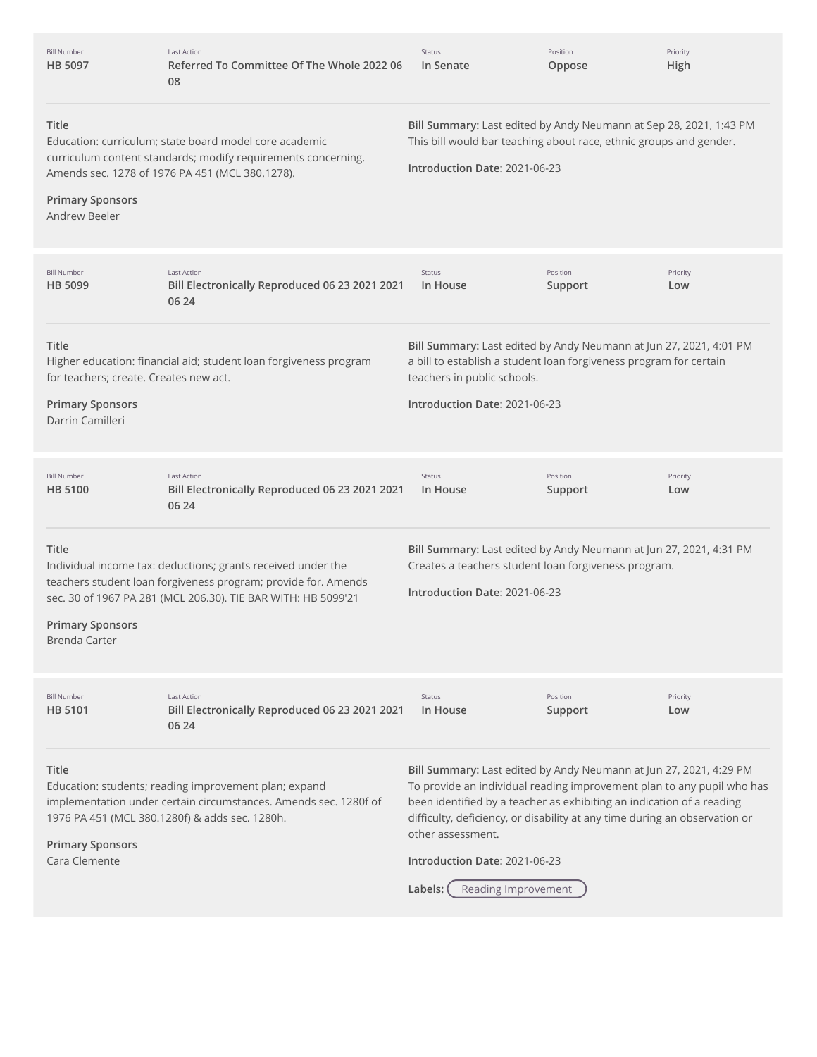| <b>Bill Number</b><br><b>HB 5097</b>                                                                                                                                                                                            | <b>Last Action</b><br>Referred To Committee Of The Whole 2022 06<br>08                                                                                                                          | Status<br>In Senate                                                                                                                                                                                                                                                                                                                                                                         | Position<br>Oppose  | Priority<br>High |
|---------------------------------------------------------------------------------------------------------------------------------------------------------------------------------------------------------------------------------|-------------------------------------------------------------------------------------------------------------------------------------------------------------------------------------------------|---------------------------------------------------------------------------------------------------------------------------------------------------------------------------------------------------------------------------------------------------------------------------------------------------------------------------------------------------------------------------------------------|---------------------|------------------|
| Title<br>Education: curriculum; state board model core academic<br>curriculum content standards; modify requirements concerning.<br>Amends sec. 1278 of 1976 PA 451 (MCL 380.1278).<br><b>Primary Sponsors</b><br>Andrew Beeler |                                                                                                                                                                                                 | Bill Summary: Last edited by Andy Neumann at Sep 28, 2021, 1:43 PM<br>This bill would bar teaching about race, ethnic groups and gender.<br>Introduction Date: 2021-06-23                                                                                                                                                                                                                   |                     |                  |
| <b>Bill Number</b><br>HB 5099                                                                                                                                                                                                   | <b>Last Action</b><br>Bill Electronically Reproduced 06 23 2021 2021<br>06 24                                                                                                                   | Status<br>In House                                                                                                                                                                                                                                                                                                                                                                          | Position<br>Support | Priority<br>Low  |
| Title<br>for teachers; create. Creates new act.<br><b>Primary Sponsors</b><br>Darrin Camilleri                                                                                                                                  | Higher education: financial aid; student loan forgiveness program                                                                                                                               | Bill Summary: Last edited by Andy Neumann at Jun 27, 2021, 4:01 PM<br>a bill to establish a student loan forgiveness program for certain<br>teachers in public schools.<br>Introduction Date: 2021-06-23                                                                                                                                                                                    |                     |                  |
| <b>Bill Number</b><br><b>HB 5100</b>                                                                                                                                                                                            | <b>Last Action</b><br>Bill Electronically Reproduced 06 23 2021 2021<br>06 24                                                                                                                   | <b>Status</b><br>In House                                                                                                                                                                                                                                                                                                                                                                   | Position<br>Support | Priority<br>Low  |
| Title<br><b>Primary Sponsors</b><br>Brenda Carter                                                                                                                                                                               | Individual income tax: deductions; grants received under the<br>teachers student loan forgiveness program; provide for. Amends<br>sec. 30 of 1967 PA 281 (MCL 206.30). TIE BAR WITH: HB 5099'21 | Bill Summary: Last edited by Andy Neumann at Jun 27, 2021, 4:31 PM<br>Creates a teachers student loan forgiveness program.<br>Introduction Date: 2021-06-23                                                                                                                                                                                                                                 |                     |                  |
| <b>Bill Number</b><br>HB 5101                                                                                                                                                                                                   | <b>Last Action</b><br>Bill Electronically Reproduced 06 23 2021 2021<br>06 24                                                                                                                   | Status<br>In House                                                                                                                                                                                                                                                                                                                                                                          | Position<br>Support | Priority<br>Low  |
| Title<br><b>Primary Sponsors</b><br>Cara Clemente                                                                                                                                                                               | Education: students; reading improvement plan; expand<br>implementation under certain circumstances. Amends sec. 1280f of<br>1976 PA 451 (MCL 380.1280f) & adds sec. 1280h.                     | Bill Summary: Last edited by Andy Neumann at Jun 27, 2021, 4:29 PM<br>To provide an individual reading improvement plan to any pupil who has<br>been identified by a teacher as exhibiting an indication of a reading<br>difficulty, deficiency, or disability at any time during an observation or<br>other assessment.<br>Introduction Date: 2021-06-23<br>Reading Improvement<br>Labels: |                     |                  |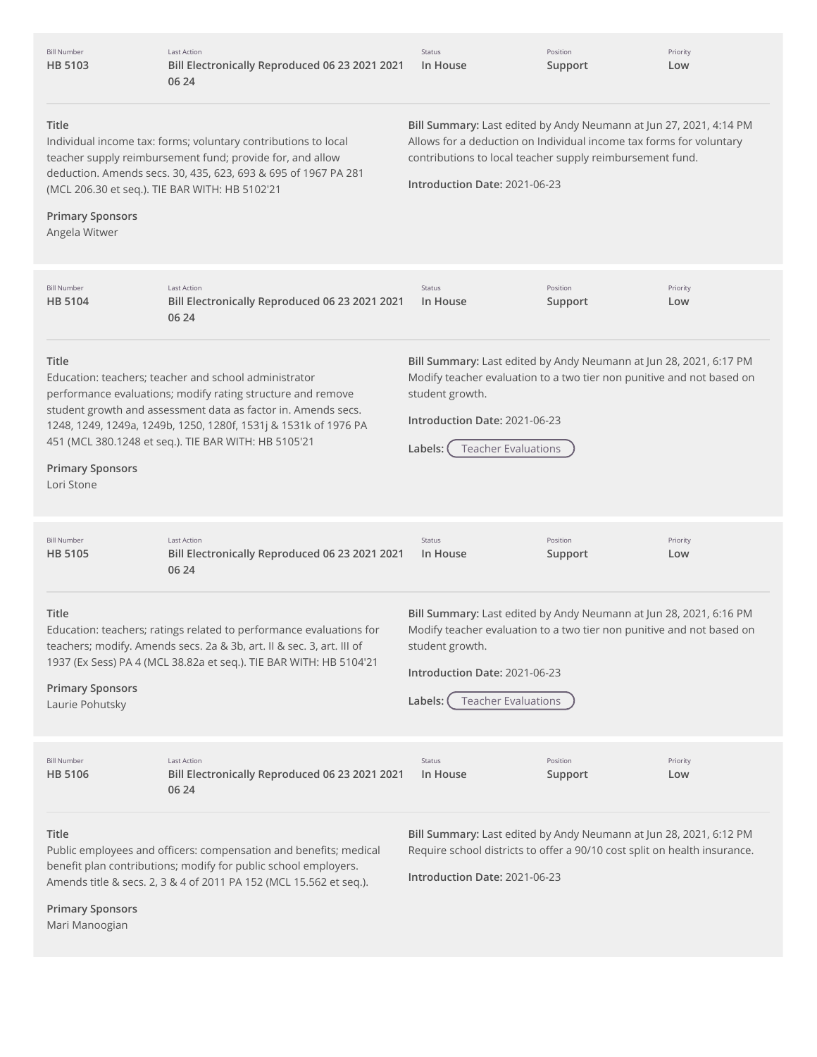| <b>Bill Number</b><br>HB 5103                                                                                                                                                                                                                                             | Last Action<br>Bill Electronically Reproduced 06 23 2021 2021<br>06 24                                                                                                                                                                                                                                           | Status<br>In House                                                                                                                                                                                                                       | Position<br>Support | Priority<br>Low |
|---------------------------------------------------------------------------------------------------------------------------------------------------------------------------------------------------------------------------------------------------------------------------|------------------------------------------------------------------------------------------------------------------------------------------------------------------------------------------------------------------------------------------------------------------------------------------------------------------|------------------------------------------------------------------------------------------------------------------------------------------------------------------------------------------------------------------------------------------|---------------------|-----------------|
| Title<br><b>Primary Sponsors</b><br>Angela Witwer                                                                                                                                                                                                                         | Individual income tax: forms; voluntary contributions to local<br>teacher supply reimbursement fund; provide for, and allow<br>deduction. Amends secs. 30, 435, 623, 693 & 695 of 1967 PA 281<br>(MCL 206.30 et seq.). TIE BAR WITH: HB 5102'21                                                                  | Bill Summary: Last edited by Andy Neumann at Jun 27, 2021, 4:14 PM<br>Allows for a deduction on Individual income tax forms for voluntary<br>contributions to local teacher supply reimbursement fund.<br>Introduction Date: 2021-06-23  |                     |                 |
| <b>Bill Number</b><br>HB 5104                                                                                                                                                                                                                                             | <b>Last Action</b><br>Bill Electronically Reproduced 06 23 2021 2021<br>06 24                                                                                                                                                                                                                                    | Status<br>In House                                                                                                                                                                                                                       | Position<br>Support | Priority<br>Low |
| Title<br><b>Primary Sponsors</b><br>Lori Stone                                                                                                                                                                                                                            | Education: teachers; teacher and school administrator<br>performance evaluations; modify rating structure and remove<br>student growth and assessment data as factor in. Amends secs.<br>1248, 1249, 1249a, 1249b, 1250, 1280f, 1531j & 1531k of 1976 PA<br>451 (MCL 380.1248 et seq.). TIE BAR WITH: HB 5105'21 | Bill Summary: Last edited by Andy Neumann at Jun 28, 2021, 6:17 PM<br>Modify teacher evaluation to a two tier non punitive and not based on<br>student growth.<br>Introduction Date: 2021-06-23<br><b>Teacher Evaluations</b><br>Labels: |                     |                 |
| <b>Bill Number</b><br><b>HB 5105</b>                                                                                                                                                                                                                                      | Last Action<br>Bill Electronically Reproduced 06 23 2021 2021<br>06 24                                                                                                                                                                                                                                           | Status<br>In House                                                                                                                                                                                                                       | Position<br>Support | Priority<br>Low |
| Title<br>Education: teachers; ratings related to performance evaluations for<br>teachers; modify. Amends secs. 2a & 3b, art. II & sec. 3, art. III of<br>1937 (Ex Sess) PA 4 (MCL 38.82a et seq.). TIE BAR WITH: HB 5104'21<br><b>Primary Sponsors</b><br>Laurie Pohutsky |                                                                                                                                                                                                                                                                                                                  | Bill Summary: Last edited by Andy Neumann at Jun 28, 2021, 6:16 PM<br>Modify teacher evaluation to a two tier non punitive and not based on<br>student growth.<br>Introduction Date: 2021-06-23<br>Labels:<br><b>Teacher Evaluations</b> |                     |                 |
| <b>Bill Number</b><br><b>HB 5106</b>                                                                                                                                                                                                                                      | Last Action<br>Bill Electronically Reproduced 06 23 2021 2021<br>06 24                                                                                                                                                                                                                                           | Status<br>In House                                                                                                                                                                                                                       | Position<br>Support | Priority<br>Low |
| Title<br>Public employees and officers: compensation and benefits; medical<br>benefit plan contributions; modify for public school employers.<br>Amends title & secs. 2, 3 & 4 of 2011 PA 152 (MCL 15.562 et seq.).                                                       |                                                                                                                                                                                                                                                                                                                  | Bill Summary: Last edited by Andy Neumann at Jun 28, 2021, 6:12 PM<br>Require school districts to offer a 90/10 cost split on health insurance.<br>Introduction Date: 2021-06-23                                                         |                     |                 |

**Primary Sponsors**

Mari Manoogian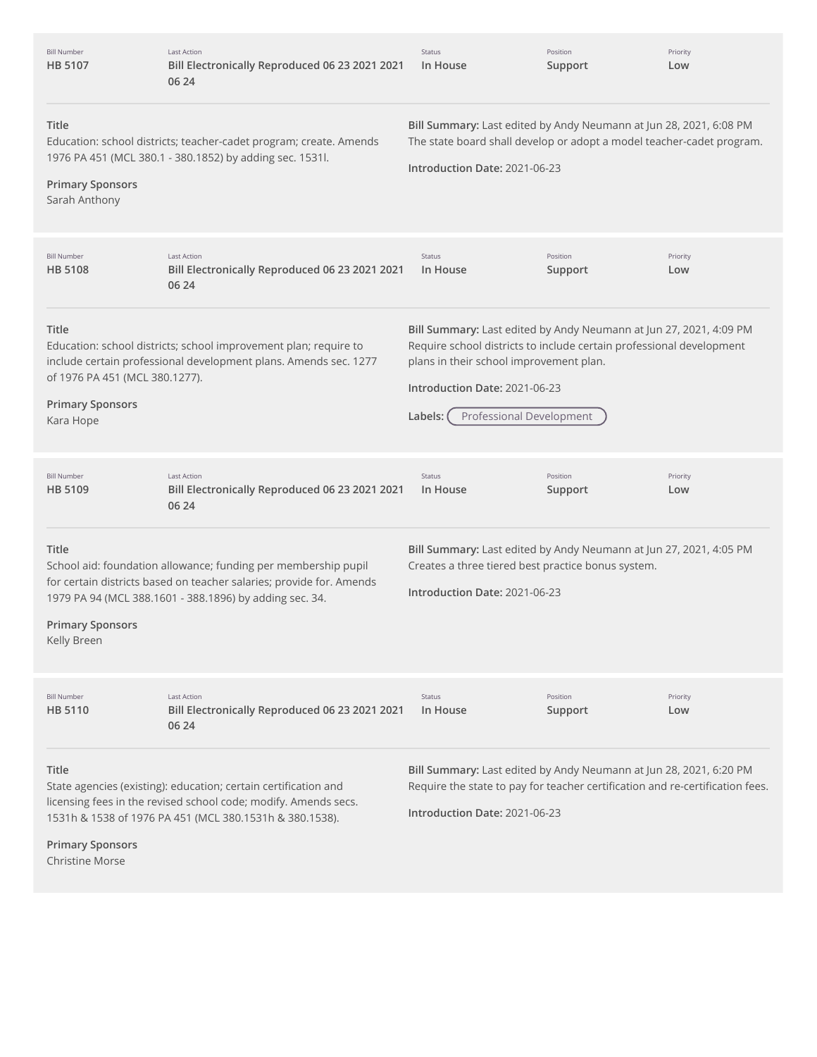| <b>Bill Number</b><br><b>HB 5107</b>                                            | <b>Last Action</b><br>Bill Electronically Reproduced 06 23 2021 2021<br>06 24                                                                                                                     | Status<br>In House                                                                                                                                                                                                                                            | Position<br>Support | Priority<br>Low |
|---------------------------------------------------------------------------------|---------------------------------------------------------------------------------------------------------------------------------------------------------------------------------------------------|---------------------------------------------------------------------------------------------------------------------------------------------------------------------------------------------------------------------------------------------------------------|---------------------|-----------------|
| Title<br><b>Primary Sponsors</b><br>Sarah Anthony                               | Education: school districts; teacher-cadet program; create. Amends<br>1976 PA 451 (MCL 380.1 - 380.1852) by adding sec. 1531l.                                                                    | Bill Summary: Last edited by Andy Neumann at Jun 28, 2021, 6:08 PM<br>The state board shall develop or adopt a model teacher-cadet program.<br>Introduction Date: 2021-06-23                                                                                  |                     |                 |
| <b>Bill Number</b><br><b>HB 5108</b>                                            | <b>Last Action</b><br>Bill Electronically Reproduced 06 23 2021 2021<br>06 24                                                                                                                     | Status<br>In House                                                                                                                                                                                                                                            | Position<br>Support | Priority<br>Low |
| Title<br>of 1976 PA 451 (MCL 380.1277).<br><b>Primary Sponsors</b><br>Kara Hope | Education: school districts; school improvement plan; require to<br>include certain professional development plans. Amends sec. 1277                                                              | Bill Summary: Last edited by Andy Neumann at Jun 27, 2021, 4:09 PM<br>Require school districts to include certain professional development<br>plans in their school improvement plan.<br>Introduction Date: 2021-06-23<br>Professional Development<br>Labels: |                     |                 |
| <b>Bill Number</b><br><b>HB 5109</b>                                            | Last Action<br>Bill Electronically Reproduced 06 23 2021 2021<br>06 24                                                                                                                            | Status<br>In House                                                                                                                                                                                                                                            | Position<br>Support | Priority<br>Low |
| Title<br><b>Primary Sponsors</b><br>Kelly Breen                                 | School aid: foundation allowance; funding per membership pupil<br>for certain districts based on teacher salaries; provide for. Amends<br>1979 PA 94 (MCL 388.1601 - 388.1896) by adding sec. 34. | Bill Summary: Last edited by Andy Neumann at Jun 27, 2021, 4:05 PM<br>Creates a three tiered best practice bonus system.<br>Introduction Date: 2021-06-23                                                                                                     |                     |                 |
| <b>Bill Number</b><br><b>HB 5110</b>                                            | Last Action<br>Bill Electronically Reproduced 06 23 2021 2021<br>06 24                                                                                                                            | <b>Status</b><br>In House                                                                                                                                                                                                                                     | Position<br>Support | Priority<br>Low |
| Title<br><b>Primary Sponsors</b><br><b>Christine Morse</b>                      | State agencies (existing): education; certain certification and<br>licensing fees in the revised school code; modify. Amends secs.<br>1531h & 1538 of 1976 PA 451 (MCL 380.1531h & 380.1538).     | Bill Summary: Last edited by Andy Neumann at Jun 28, 2021, 6:20 PM<br>Require the state to pay for teacher certification and re-certification fees.<br>Introduction Date: 2021-06-23                                                                          |                     |                 |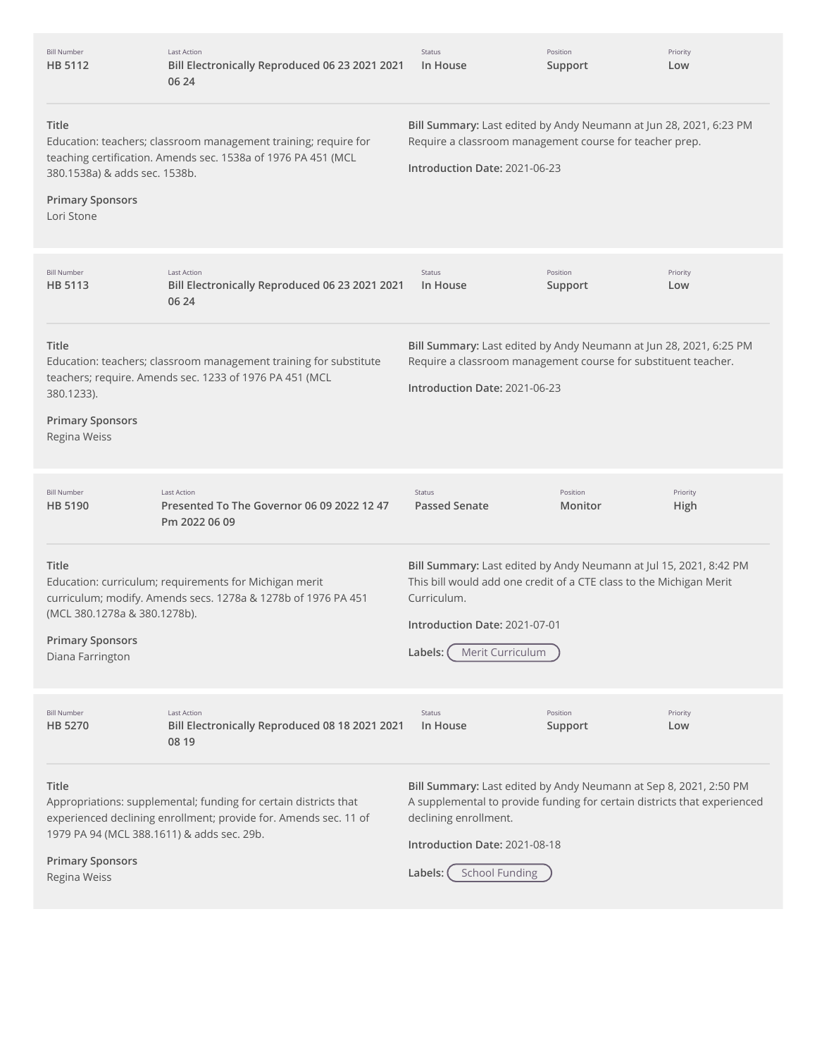| <b>Bill Number</b><br>HB 5112                                                                                                                                                                                       | Last Action<br>Bill Electronically Reproduced 06 23 2021 2021<br>06 24                                                               | <b>Status</b><br>In House                                                                                                                                                                                                                   | Position<br>Support | Priority<br>Low  |
|---------------------------------------------------------------------------------------------------------------------------------------------------------------------------------------------------------------------|--------------------------------------------------------------------------------------------------------------------------------------|---------------------------------------------------------------------------------------------------------------------------------------------------------------------------------------------------------------------------------------------|---------------------|------------------|
| Title<br>Education: teachers; classroom management training; require for<br>teaching certification. Amends sec. 1538a of 1976 PA 451 (MCL<br>380.1538a) & adds sec. 1538b.<br><b>Primary Sponsors</b><br>Lori Stone |                                                                                                                                      | Bill Summary: Last edited by Andy Neumann at Jun 28, 2021, 6:23 PM<br>Require a classroom management course for teacher prep.<br>Introduction Date: 2021-06-23                                                                              |                     |                  |
| <b>Bill Number</b><br>HB 5113                                                                                                                                                                                       | <b>Last Action</b><br>Bill Electronically Reproduced 06 23 2021 2021<br>06 24                                                        | <b>Status</b><br>In House                                                                                                                                                                                                                   | Position<br>Support | Priority<br>Low  |
| Title<br>380.1233).<br><b>Primary Sponsors</b><br>Regina Weiss                                                                                                                                                      | Education: teachers; classroom management training for substitute<br>teachers; require. Amends sec. 1233 of 1976 PA 451 (MCL         | Bill Summary: Last edited by Andy Neumann at Jun 28, 2021, 6:25 PM<br>Require a classroom management course for substituent teacher.<br>Introduction Date: 2021-06-23                                                                       |                     |                  |
| <b>Bill Number</b><br>HB 5190                                                                                                                                                                                       | <b>Last Action</b><br>Presented To The Governor 06 09 2022 12 47<br>Pm 2022 06 09                                                    | Status<br><b>Passed Senate</b>                                                                                                                                                                                                              | Position<br>Monitor | Priority<br>High |
| Title<br>(MCL 380.1278a & 380.1278b).<br><b>Primary Sponsors</b><br>Diana Farrington                                                                                                                                | Education: curriculum; requirements for Michigan merit<br>curriculum; modify. Amends secs. 1278a & 1278b of 1976 PA 451              | Bill Summary: Last edited by Andy Neumann at Jul 15, 2021, 8:42 PM<br>This bill would add one credit of a CTE class to the Michigan Merit<br>Curriculum.<br>Introduction Date: 2021-07-01<br>Merit Curriculum<br>Labels:                    |                     |                  |
| <b>Bill Number</b><br><b>HB 5270</b>                                                                                                                                                                                | <b>Last Action</b><br>Bill Electronically Reproduced 08 18 2021 2021<br>08 19                                                        | Status<br>In House                                                                                                                                                                                                                          | Position<br>Support | Priority<br>Low  |
| Title<br>1979 PA 94 (MCL 388.1611) & adds sec. 29b.<br><b>Primary Sponsors</b><br>Regina Weiss                                                                                                                      | Appropriations: supplemental; funding for certain districts that<br>experienced declining enrollment; provide for. Amends sec. 11 of | Bill Summary: Last edited by Andy Neumann at Sep 8, 2021, 2:50 PM<br>A supplemental to provide funding for certain districts that experienced<br>declining enrollment.<br>Introduction Date: 2021-08-18<br><b>School Funding</b><br>Labels: |                     |                  |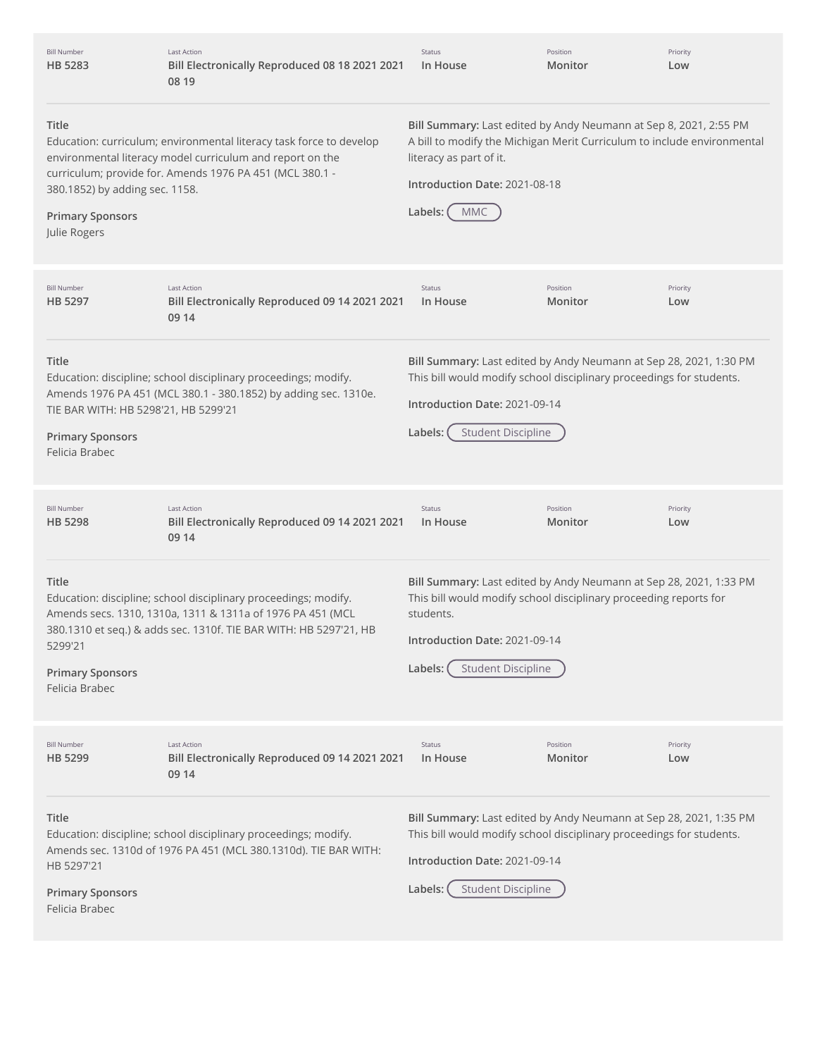| <b>Bill Number</b><br>HB 5283                                                                                                                                                                                                                                                      | <b>Last Action</b><br>Bill Electronically Reproduced 08 18 2021 2021<br>08 19                                                                                                                      | <b>Status</b><br>In House                                                                                                                                                                                                           | Position<br>Monitor | Priority<br>Low |
|------------------------------------------------------------------------------------------------------------------------------------------------------------------------------------------------------------------------------------------------------------------------------------|----------------------------------------------------------------------------------------------------------------------------------------------------------------------------------------------------|-------------------------------------------------------------------------------------------------------------------------------------------------------------------------------------------------------------------------------------|---------------------|-----------------|
| Title<br>Education: curriculum; environmental literacy task force to develop<br>environmental literacy model curriculum and report on the<br>curriculum; provide for. Amends 1976 PA 451 (MCL 380.1 -<br>380.1852) by adding sec. 1158.<br><b>Primary Sponsors</b><br>Julie Rogers |                                                                                                                                                                                                    | Bill Summary: Last edited by Andy Neumann at Sep 8, 2021, 2:55 PM<br>A bill to modify the Michigan Merit Curriculum to include environmental<br>literacy as part of it.<br>Introduction Date: 2021-08-18<br><b>MMC</b><br>Labels: ( |                     |                 |
| <b>Bill Number</b><br>HB 5297                                                                                                                                                                                                                                                      | <b>Last Action</b><br>Bill Electronically Reproduced 09 14 2021 2021<br>09 14                                                                                                                      | Status<br>In House                                                                                                                                                                                                                  | Position<br>Monitor | Priority<br>Low |
| Title<br>TIE BAR WITH: HB 5298'21, HB 5299'21<br><b>Primary Sponsors</b><br>Felicia Brabec                                                                                                                                                                                         | Education: discipline; school disciplinary proceedings; modify.<br>Amends 1976 PA 451 (MCL 380.1 - 380.1852) by adding sec. 1310e.                                                                 | Bill Summary: Last edited by Andy Neumann at Sep 28, 2021, 1:30 PM<br>This bill would modify school disciplinary proceedings for students.<br>Introduction Date: 2021-09-14<br><b>Student Discipline</b><br>Labels:                 |                     |                 |
| <b>Bill Number</b><br>HB 5298                                                                                                                                                                                                                                                      | <b>Last Action</b><br>Bill Electronically Reproduced 09 14 2021 2021<br>09 14                                                                                                                      | Status<br>In House                                                                                                                                                                                                                  | Position<br>Monitor | Priority<br>Low |
| Title<br>5299'21<br><b>Primary Sponsors</b><br>Felicia Brabec                                                                                                                                                                                                                      | Education: discipline; school disciplinary proceedings; modify.<br>Amends secs. 1310, 1310a, 1311 & 1311a of 1976 PA 451 (MCL<br>380.1310 et seq.) & adds sec. 1310f. TIE BAR WITH: HB 5297'21, HB | Bill Summary: Last edited by Andy Neumann at Sep 28, 2021, 1:33 PM<br>This bill would modify school disciplinary proceeding reports for<br>students.<br>Introduction Date: 2021-09-14<br><b>Student Discipline</b><br>Labels: (     |                     |                 |
| <b>Bill Number</b><br>HB 5299                                                                                                                                                                                                                                                      | <b>Last Action</b><br>Bill Electronically Reproduced 09 14 2021 2021<br>09 14                                                                                                                      | <b>Status</b><br>In House                                                                                                                                                                                                           | Position<br>Monitor | Priority<br>Low |
| Title<br>HB 5297'21<br><b>Primary Sponsors</b><br>Felicia Brabec                                                                                                                                                                                                                   | Education: discipline; school disciplinary proceedings; modify.<br>Amends sec. 1310d of 1976 PA 451 (MCL 380.1310d). TIE BAR WITH:                                                                 | Bill Summary: Last edited by Andy Neumann at Sep 28, 2021, 1:35 PM<br>This bill would modify school disciplinary proceedings for students.<br>Introduction Date: 2021-09-14<br><b>Student Discipline</b><br>Labels:                 |                     |                 |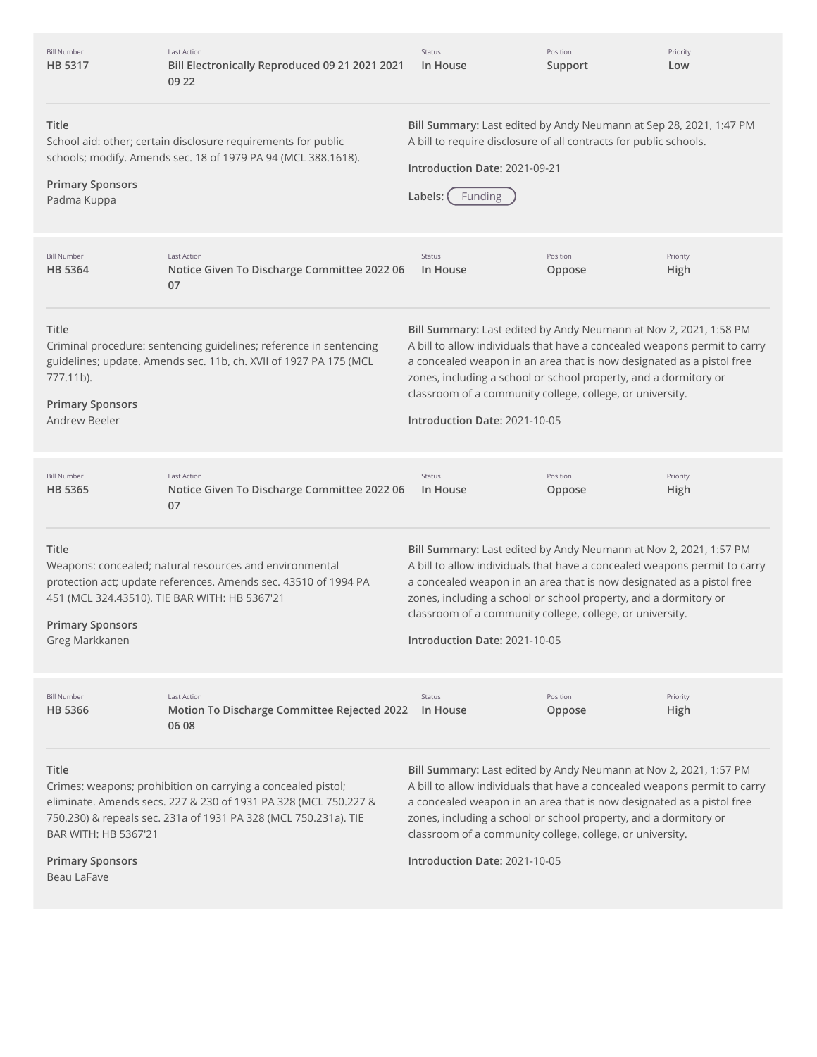| <b>Bill Number</b><br>HB 5317                                                                                                                                                                                                       | <b>Last Action</b><br>Bill Electronically Reproduced 09 21 2021 2021<br>09 22                                                                                               | Status<br>In House                                                                                                                                                                                                                                                                                                                                                                        | Position<br>Support | Priority<br>Low  |
|-------------------------------------------------------------------------------------------------------------------------------------------------------------------------------------------------------------------------------------|-----------------------------------------------------------------------------------------------------------------------------------------------------------------------------|-------------------------------------------------------------------------------------------------------------------------------------------------------------------------------------------------------------------------------------------------------------------------------------------------------------------------------------------------------------------------------------------|---------------------|------------------|
| Title<br><b>Primary Sponsors</b><br>Padma Kuppa                                                                                                                                                                                     | School aid: other; certain disclosure requirements for public<br>schools; modify. Amends sec. 18 of 1979 PA 94 (MCL 388.1618).                                              | Bill Summary: Last edited by Andy Neumann at Sep 28, 2021, 1:47 PM<br>A bill to require disclosure of all contracts for public schools.<br>Introduction Date: 2021-09-21<br>Labels:<br><b>Funding</b>                                                                                                                                                                                     |                     |                  |
| <b>Bill Number</b><br>HB 5364                                                                                                                                                                                                       | <b>Last Action</b><br>Notice Given To Discharge Committee 2022 06<br>07                                                                                                     | Status<br>In House                                                                                                                                                                                                                                                                                                                                                                        | Position<br>Oppose  | Priority<br>High |
| Title<br>777.11b).<br><b>Primary Sponsors</b><br>Andrew Beeler                                                                                                                                                                      | Criminal procedure: sentencing guidelines; reference in sentencing<br>guidelines; update. Amends sec. 11b, ch. XVII of 1927 PA 175 (MCL                                     | Bill Summary: Last edited by Andy Neumann at Nov 2, 2021, 1:58 PM<br>A bill to allow individuals that have a concealed weapons permit to carry<br>a concealed weapon in an area that is now designated as a pistol free<br>zones, including a school or school property, and a dormitory or<br>classroom of a community college, college, or university.<br>Introduction Date: 2021-10-05 |                     |                  |
| <b>Bill Number</b><br>HB 5365                                                                                                                                                                                                       | <b>Last Action</b><br>Notice Given To Discharge Committee 2022 06<br>07                                                                                                     | Status<br>In House                                                                                                                                                                                                                                                                                                                                                                        | Position<br>Oppose  | Priority<br>High |
| Title<br><b>Primary Sponsors</b><br>Greg Markkanen                                                                                                                                                                                  | Weapons: concealed; natural resources and environmental<br>protection act; update references. Amends sec. 43510 of 1994 PA<br>451 (MCL 324.43510). TIE BAR WITH: HB 5367'21 | Bill Summary: Last edited by Andy Neumann at Nov 2, 2021, 1:57 PM<br>A bill to allow individuals that have a concealed weapons permit to carry<br>a concealed weapon in an area that is now designated as a pistol free<br>zones, including a school or school property, and a dormitory or<br>classroom of a community college, college, or university.<br>Introduction Date: 2021-10-05 |                     |                  |
| <b>Bill Number</b><br><b>HB 5366</b>                                                                                                                                                                                                | <b>Last Action</b><br>Motion To Discharge Committee Rejected 2022<br>06 08                                                                                                  | Status<br>In House                                                                                                                                                                                                                                                                                                                                                                        | Position<br>Oppose  | Priority<br>High |
| Title<br>Crimes: weapons; prohibition on carrying a concealed pistol;<br>eliminate. Amends secs. 227 & 230 of 1931 PA 328 (MCL 750.227 &<br>750.230) & repeals sec. 231a of 1931 PA 328 (MCL 750.231a). TIE<br>BAR WITH: HB 5367'21 |                                                                                                                                                                             | Bill Summary: Last edited by Andy Neumann at Nov 2, 2021, 1:57 PM<br>A bill to allow individuals that have a concealed weapons permit to carry<br>a concealed weapon in an area that is now designated as a pistol free<br>zones, including a school or school property, and a dormitory or<br>classroom of a community college, college, or university.                                  |                     |                  |
| <b>Primary Sponsors</b><br>Beau LaFave                                                                                                                                                                                              |                                                                                                                                                                             | Introduction Date: 2021-10-05                                                                                                                                                                                                                                                                                                                                                             |                     |                  |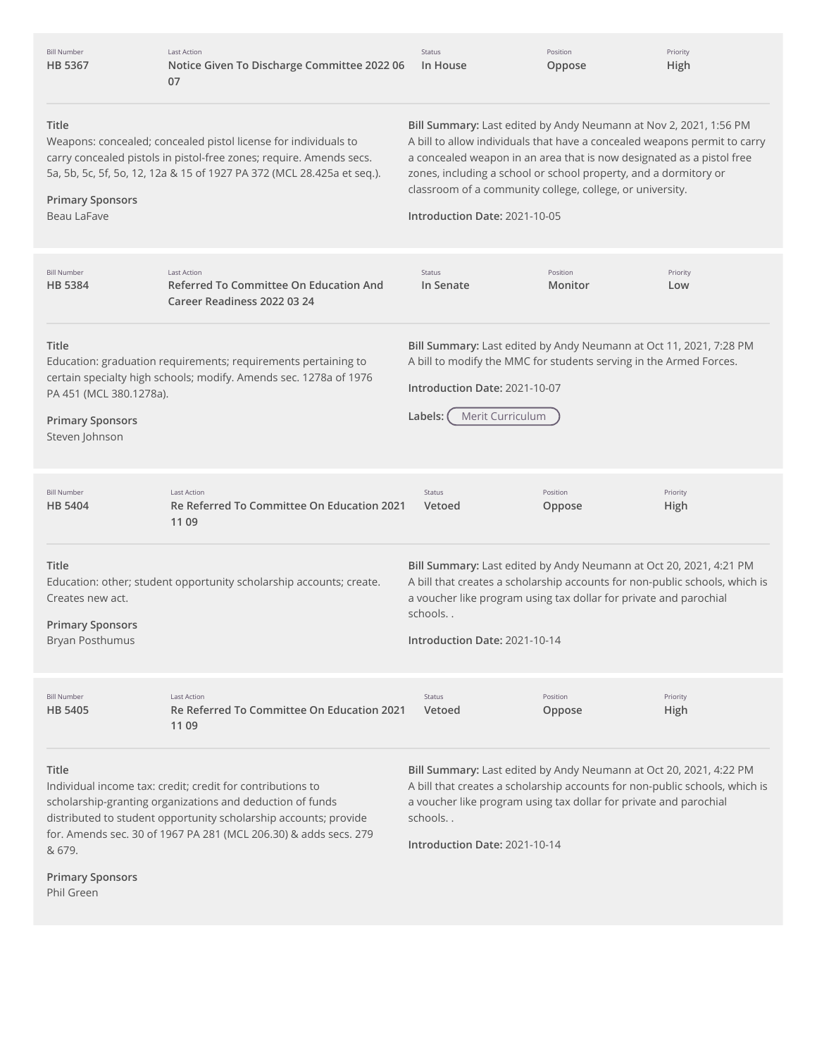| <b>Bill Number</b><br><b>HB 5367</b>                                                                                                                                                                                                                                                                                        | <b>Last Action</b><br>Notice Given To Discharge Committee 2022 06<br>07                                                             | <b>Status</b><br>In House                                                                                                                                                                                                                                                                                                                                                                 | Position<br>Oppose                                                | Priority<br>High                                                                                                                                  |  |
|-----------------------------------------------------------------------------------------------------------------------------------------------------------------------------------------------------------------------------------------------------------------------------------------------------------------------------|-------------------------------------------------------------------------------------------------------------------------------------|-------------------------------------------------------------------------------------------------------------------------------------------------------------------------------------------------------------------------------------------------------------------------------------------------------------------------------------------------------------------------------------------|-------------------------------------------------------------------|---------------------------------------------------------------------------------------------------------------------------------------------------|--|
| Title<br>Weapons: concealed; concealed pistol license for individuals to<br>carry concealed pistols in pistol-free zones; require. Amends secs.<br>5a, 5b, 5c, 5f, 5o, 12, 12a & 15 of 1927 PA 372 (MCL 28.425a et seq.).<br><b>Primary Sponsors</b><br>Beau LaFave                                                         |                                                                                                                                     | Bill Summary: Last edited by Andy Neumann at Nov 2, 2021, 1:56 PM<br>A bill to allow individuals that have a concealed weapons permit to carry<br>a concealed weapon in an area that is now designated as a pistol free<br>zones, including a school or school property, and a dormitory or<br>classroom of a community college, college, or university.<br>Introduction Date: 2021-10-05 |                                                                   |                                                                                                                                                   |  |
| <b>Bill Number</b><br>HB 5384                                                                                                                                                                                                                                                                                               | <b>Last Action</b><br><b>Referred To Committee On Education And</b><br>Career Readiness 2022 03 24                                  | Status<br>In Senate                                                                                                                                                                                                                                                                                                                                                                       | Position<br>Monitor                                               | Priority<br>Low                                                                                                                                   |  |
| Title<br>PA 451 (MCL 380.1278a).<br><b>Primary Sponsors</b><br>Steven Johnson                                                                                                                                                                                                                                               | Education: graduation requirements; requirements pertaining to<br>certain specialty high schools; modify. Amends sec. 1278a of 1976 | Bill Summary: Last edited by Andy Neumann at Oct 11, 2021, 7:28 PM<br>A bill to modify the MMC for students serving in the Armed Forces.<br>Introduction Date: 2021-10-07<br>Merit Curriculum<br>Labels:                                                                                                                                                                                  |                                                                   |                                                                                                                                                   |  |
| <b>Bill Number</b><br><b>HB 5404</b>                                                                                                                                                                                                                                                                                        | <b>Last Action</b><br>Re Referred To Committee On Education 2021<br>11 09                                                           | Status<br>Vetoed                                                                                                                                                                                                                                                                                                                                                                          | Position<br>Oppose                                                | Priority<br>High                                                                                                                                  |  |
| Title<br>Creates new act.<br><b>Primary Sponsors</b><br>Bryan Posthumus                                                                                                                                                                                                                                                     | Education: other; student opportunity scholarship accounts; create.                                                                 | Bill Summary: Last edited by Andy Neumann at Oct 20, 2021, 4:21 PM<br>A bill that creates a scholarship accounts for non-public schools, which is<br>a voucher like program using tax dollar for private and parochial<br>schools<br>Introduction Date: 2021-10-14                                                                                                                        |                                                                   |                                                                                                                                                   |  |
| <b>Bill Number</b><br>HB 5405                                                                                                                                                                                                                                                                                               | <b>Last Action</b><br>Re Referred To Committee On Education 2021<br>11 09                                                           | Status<br>Vetoed                                                                                                                                                                                                                                                                                                                                                                          | Position<br>Oppose                                                | Priority<br>High                                                                                                                                  |  |
| Title<br>Individual income tax: credit; credit for contributions to<br>scholarship-granting organizations and deduction of funds<br>distributed to student opportunity scholarship accounts; provide<br>for. Amends sec. 30 of 1967 PA 281 (MCL 206.30) & adds secs. 279<br>& 679.<br><b>Primary Sponsors</b><br>Phil Green |                                                                                                                                     | schools<br>Introduction Date: 2021-10-14                                                                                                                                                                                                                                                                                                                                                  | a voucher like program using tax dollar for private and parochial | Bill Summary: Last edited by Andy Neumann at Oct 20, 2021, 4:22 PM<br>A bill that creates a scholarship accounts for non-public schools, which is |  |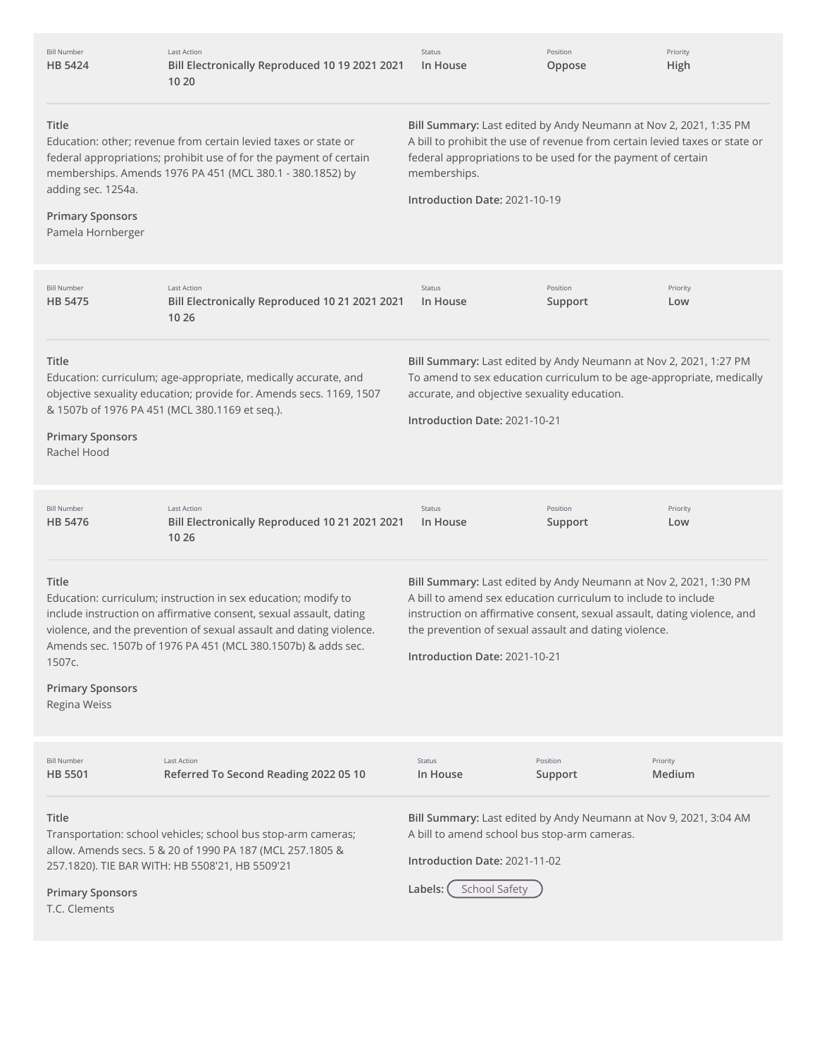| <b>Bill Number</b><br><b>HB 5424</b>                                                                                                                                                                                                                                                     | <b>Last Action</b><br>Bill Electronically Reproduced 10 19 2021 2021<br>10 20                                                                                                                                                                                               | Status<br>In House                                                                                                                                                                                                                                                                                        | Position<br>Oppose  | Priority<br>High   |  |
|------------------------------------------------------------------------------------------------------------------------------------------------------------------------------------------------------------------------------------------------------------------------------------------|-----------------------------------------------------------------------------------------------------------------------------------------------------------------------------------------------------------------------------------------------------------------------------|-----------------------------------------------------------------------------------------------------------------------------------------------------------------------------------------------------------------------------------------------------------------------------------------------------------|---------------------|--------------------|--|
| <b>Title</b><br>Education: other; revenue from certain levied taxes or state or<br>federal appropriations; prohibit use of for the payment of certain<br>memberships. Amends 1976 PA 451 (MCL 380.1 - 380.1852) by<br>adding sec. 1254a.<br><b>Primary Sponsors</b><br>Pamela Hornberger |                                                                                                                                                                                                                                                                             | Bill Summary: Last edited by Andy Neumann at Nov 2, 2021, 1:35 PM<br>A bill to prohibit the use of revenue from certain levied taxes or state or<br>federal appropriations to be used for the payment of certain<br>memberships.<br>Introduction Date: 2021-10-19                                         |                     |                    |  |
|                                                                                                                                                                                                                                                                                          |                                                                                                                                                                                                                                                                             |                                                                                                                                                                                                                                                                                                           |                     |                    |  |
| <b>Bill Number</b><br><b>HB 5475</b>                                                                                                                                                                                                                                                     | <b>Last Action</b><br>Bill Electronically Reproduced 10 21 2021 2021<br>10 26                                                                                                                                                                                               | Status<br>In House                                                                                                                                                                                                                                                                                        | Position<br>Support | Priority<br>Low    |  |
| Title<br><b>Primary Sponsors</b><br>Rachel Hood                                                                                                                                                                                                                                          | Education: curriculum; age-appropriate, medically accurate, and<br>objective sexuality education; provide for. Amends secs. 1169, 1507<br>& 1507b of 1976 PA 451 (MCL 380.1169 et seq.).                                                                                    | Bill Summary: Last edited by Andy Neumann at Nov 2, 2021, 1:27 PM<br>To amend to sex education curriculum to be age-appropriate, medically<br>accurate, and objective sexuality education.<br>Introduction Date: 2021-10-21                                                                               |                     |                    |  |
| <b>Bill Number</b><br><b>HB 5476</b>                                                                                                                                                                                                                                                     | <b>Last Action</b><br>Bill Electronically Reproduced 10 21 2021 2021<br>10 26                                                                                                                                                                                               | Status<br>In House                                                                                                                                                                                                                                                                                        | Position<br>Support | Priority<br>Low    |  |
| Title<br>1507c.<br><b>Primary Sponsors</b><br>Regina Weiss                                                                                                                                                                                                                               | Education: curriculum; instruction in sex education; modify to<br>include instruction on affirmative consent, sexual assault, dating<br>violence, and the prevention of sexual assault and dating violence.<br>Amends sec. 1507b of 1976 PA 451 (MCL 380.1507b) & adds sec. | Bill Summary: Last edited by Andy Neumann at Nov 2, 2021, 1:30 PM<br>A bill to amend sex education curriculum to include to include<br>instruction on affirmative consent, sexual assault, dating violence, and<br>the prevention of sexual assault and dating violence.<br>Introduction Date: 2021-10-21 |                     |                    |  |
| <b>Bill Number</b><br><b>HB 5501</b>                                                                                                                                                                                                                                                     | <b>Last Action</b><br>Referred To Second Reading 2022 05 10                                                                                                                                                                                                                 | Status<br>In House                                                                                                                                                                                                                                                                                        | Position<br>Support | Priority<br>Medium |  |
| Title<br><b>Primary Sponsors</b><br>T.C. Clements                                                                                                                                                                                                                                        | Transportation: school vehicles; school bus stop-arm cameras;<br>allow. Amends secs. 5 & 20 of 1990 PA 187 (MCL 257.1805 &<br>257.1820). TIE BAR WITH: HB 5508'21, HB 5509'21                                                                                               | Bill Summary: Last edited by Andy Neumann at Nov 9, 2021, 3:04 AM<br>A bill to amend school bus stop-arm cameras.<br>Introduction Date: 2021-11-02<br>Labels:<br><b>School Safety</b>                                                                                                                     |                     |                    |  |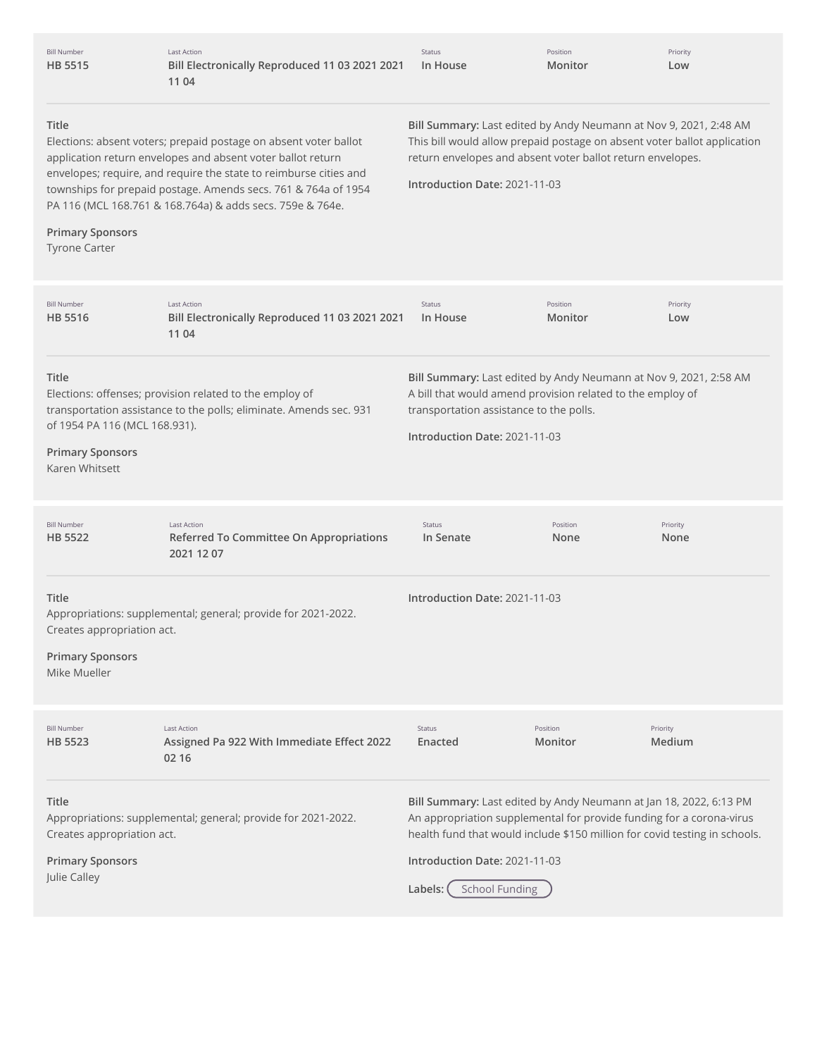| <b>Bill Number</b><br>HB 5515                                                       | <b>Last Action</b><br>Bill Electronically Reproduced 11 03 2021 2021<br>11 04                                                                                                                                                                                                                                                       | Status<br>In House                                                                                                                                                                                                                                                                            | Position<br>Monitor | Priority<br>Low    |
|-------------------------------------------------------------------------------------|-------------------------------------------------------------------------------------------------------------------------------------------------------------------------------------------------------------------------------------------------------------------------------------------------------------------------------------|-----------------------------------------------------------------------------------------------------------------------------------------------------------------------------------------------------------------------------------------------------------------------------------------------|---------------------|--------------------|
| Title<br><b>Primary Sponsors</b><br><b>Tyrone Carter</b>                            | Elections: absent voters; prepaid postage on absent voter ballot<br>application return envelopes and absent voter ballot return<br>envelopes; require, and require the state to reimburse cities and<br>townships for prepaid postage. Amends secs. 761 & 764a of 1954<br>PA 116 (MCL 168.761 & 168.764a) & adds secs. 759e & 764e. | Bill Summary: Last edited by Andy Neumann at Nov 9, 2021, 2:48 AM<br>This bill would allow prepaid postage on absent voter ballot application<br>return envelopes and absent voter ballot return envelopes.<br>Introduction Date: 2021-11-03                                                  |                     |                    |
| <b>Bill Number</b><br>HB 5516                                                       | <b>Last Action</b><br>Bill Electronically Reproduced 11 03 2021 2021<br>11 04                                                                                                                                                                                                                                                       | Status<br>In House                                                                                                                                                                                                                                                                            | Position<br>Monitor | Priority<br>Low    |
| Title<br>of 1954 PA 116 (MCL 168.931).<br><b>Primary Sponsors</b><br>Karen Whitsett | Elections: offenses; provision related to the employ of<br>transportation assistance to the polls; eliminate. Amends sec. 931                                                                                                                                                                                                       | Bill Summary: Last edited by Andy Neumann at Nov 9, 2021, 2:58 AM<br>A bill that would amend provision related to the employ of<br>transportation assistance to the polls.<br>Introduction Date: 2021-11-03                                                                                   |                     |                    |
| <b>Bill Number</b><br><b>HB 5522</b>                                                | <b>Last Action</b><br>Referred To Committee On Appropriations<br>2021 12 07                                                                                                                                                                                                                                                         | <b>Status</b><br>In Senate                                                                                                                                                                                                                                                                    | Position<br>None    | Priority<br>None   |
| Title<br>Creates appropriation act.<br><b>Primary Sponsors</b><br>Mike Mueller      | Appropriations: supplemental; general; provide for 2021-2022.                                                                                                                                                                                                                                                                       | Introduction Date: 2021-11-03                                                                                                                                                                                                                                                                 |                     |                    |
| <b>Bill Number</b><br>HB 5523                                                       | <b>Last Action</b><br>Assigned Pa 922 With Immediate Effect 2022<br>02 16                                                                                                                                                                                                                                                           | Status<br>Enacted                                                                                                                                                                                                                                                                             | Position<br>Monitor | Priority<br>Medium |
| Title<br>Creates appropriation act.<br><b>Primary Sponsors</b><br>Julie Calley      | Appropriations: supplemental; general; provide for 2021-2022.                                                                                                                                                                                                                                                                       | Bill Summary: Last edited by Andy Neumann at Jan 18, 2022, 6:13 PM<br>An appropriation supplemental for provide funding for a corona-virus<br>health fund that would include \$150 million for covid testing in schools.<br>Introduction Date: 2021-11-03<br><b>School Funding</b><br>Labels: |                     |                    |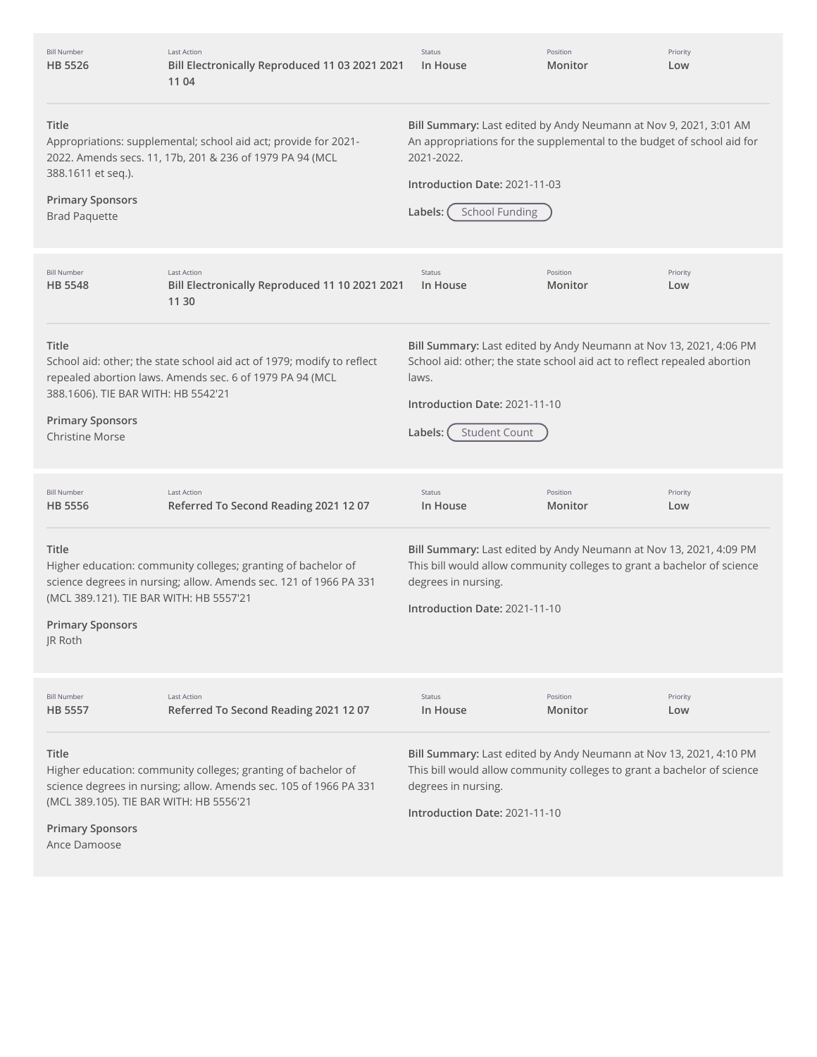| <b>Bill Number</b><br><b>HB 5526</b>                                                                                                                                                                          | Last Action<br>Bill Electronically Reproduced 11 03 2021 2021<br>11 04                                                             | Status<br>In House                                                                                                                                                                                                             | Position<br>Monitor | Priority<br>Low |
|---------------------------------------------------------------------------------------------------------------------------------------------------------------------------------------------------------------|------------------------------------------------------------------------------------------------------------------------------------|--------------------------------------------------------------------------------------------------------------------------------------------------------------------------------------------------------------------------------|---------------------|-----------------|
| Title<br>Appropriations: supplemental; school aid act; provide for 2021-<br>2022. Amends secs. 11, 17b, 201 & 236 of 1979 PA 94 (MCL<br>388.1611 et seq.).<br><b>Primary Sponsors</b><br><b>Brad Paquette</b> |                                                                                                                                    | Bill Summary: Last edited by Andy Neumann at Nov 9, 2021, 3:01 AM<br>An appropriations for the supplemental to the budget of school aid for<br>2021-2022.<br>Introduction Date: 2021-11-03<br><b>School Funding</b><br>Labels: |                     |                 |
| <b>Bill Number</b><br><b>HB 5548</b>                                                                                                                                                                          | <b>Last Action</b><br>Bill Electronically Reproduced 11 10 2021 2021<br>11 30                                                      | Status<br>In House                                                                                                                                                                                                             | Position<br>Monitor | Priority<br>Low |
| <b>Title</b><br>388.1606). TIE BAR WITH: HB 5542'21<br><b>Primary Sponsors</b><br><b>Christine Morse</b>                                                                                                      | School aid: other; the state school aid act of 1979; modify to reflect<br>repealed abortion laws. Amends sec. 6 of 1979 PA 94 (MCL | Bill Summary: Last edited by Andy Neumann at Nov 13, 2021, 4:06 PM<br>School aid: other; the state school aid act to reflect repealed abortion<br>laws.<br>Introduction Date: 2021-11-10<br><b>Student Count</b><br>Labels:    |                     |                 |
| <b>Bill Number</b><br><b>HB 5556</b>                                                                                                                                                                          | <b>Last Action</b><br>Referred To Second Reading 2021 12 07                                                                        | Status<br>In House                                                                                                                                                                                                             | Position<br>Monitor | Priority<br>Low |
| <b>Title</b><br>(MCL 389.121). TIE BAR WITH: HB 5557'21<br><b>Primary Sponsors</b><br>JR Roth                                                                                                                 | Higher education: community colleges; granting of bachelor of<br>science degrees in nursing; allow. Amends sec. 121 of 1966 PA 331 | Bill Summary: Last edited by Andy Neumann at Nov 13, 2021, 4:09 PM<br>This bill would allow community colleges to grant a bachelor of science<br>degrees in nursing.<br>Introduction Date: 2021-11-10                          |                     |                 |
| <b>Bill Number</b><br><b>HB 5557</b>                                                                                                                                                                          | <b>Last Action</b><br>Referred To Second Reading 2021 12 07                                                                        | Status<br>In House                                                                                                                                                                                                             | Position<br>Monitor | Priority<br>Low |
| Title<br>(MCL 389.105). TIE BAR WITH: HB 5556'21<br><b>Primary Sponsors</b>                                                                                                                                   | Higher education: community colleges; granting of bachelor of<br>science degrees in nursing; allow. Amends sec. 105 of 1966 PA 331 | Bill Summary: Last edited by Andy Neumann at Nov 13, 2021, 4:10 PM<br>This bill would allow community colleges to grant a bachelor of science<br>degrees in nursing.<br>Introduction Date: 2021-11-10                          |                     |                 |

Ance Damoose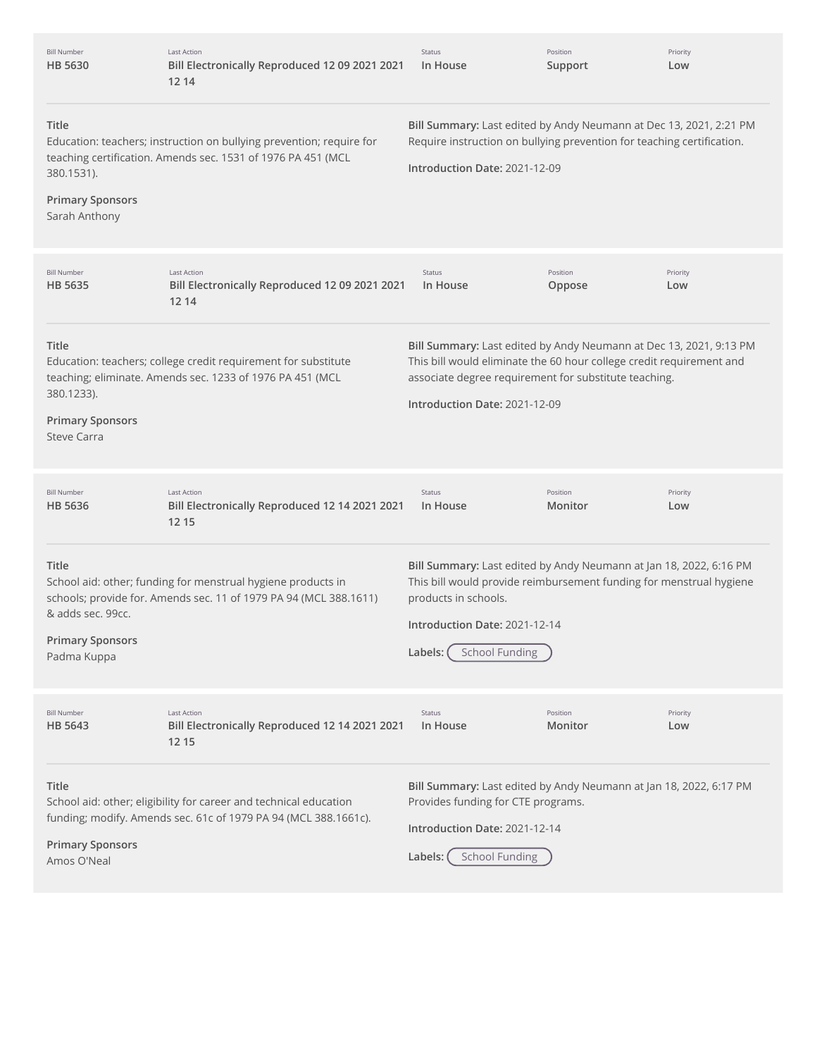| <b>Bill Number</b><br>HB 5630                                                                                                                                                                           | Last Action<br>Bill Electronically Reproduced 12 09 2021 2021<br>12 14                                                            | Status<br>In House                                                                                                                                                                                                                       | Position<br>Support | Priority<br>Low |
|---------------------------------------------------------------------------------------------------------------------------------------------------------------------------------------------------------|-----------------------------------------------------------------------------------------------------------------------------------|------------------------------------------------------------------------------------------------------------------------------------------------------------------------------------------------------------------------------------------|---------------------|-----------------|
| Title<br>Education: teachers; instruction on bullying prevention; require for<br>teaching certification. Amends sec. 1531 of 1976 PA 451 (MCL<br>380.1531).<br><b>Primary Sponsors</b><br>Sarah Anthony |                                                                                                                                   | Bill Summary: Last edited by Andy Neumann at Dec 13, 2021, 2:21 PM<br>Require instruction on bullying prevention for teaching certification.<br>Introduction Date: 2021-12-09                                                            |                     |                 |
| <b>Bill Number</b><br><b>HB 5635</b>                                                                                                                                                                    | <b>Last Action</b><br>Bill Electronically Reproduced 12 09 2021 2021<br>12 14                                                     | Status<br>In House                                                                                                                                                                                                                       | Position<br>Oppose  | Priority<br>Low |
| Title<br>380.1233).<br><b>Primary Sponsors</b><br><b>Steve Carra</b>                                                                                                                                    | Education: teachers; college credit requirement for substitute<br>teaching; eliminate. Amends sec. 1233 of 1976 PA 451 (MCL       | Bill Summary: Last edited by Andy Neumann at Dec 13, 2021, 9:13 PM<br>This bill would eliminate the 60 hour college credit requirement and<br>associate degree requirement for substitute teaching.<br>Introduction Date: 2021-12-09     |                     |                 |
| <b>Bill Number</b><br><b>HB 5636</b>                                                                                                                                                                    | <b>Last Action</b><br>Bill Electronically Reproduced 12 14 2021 2021<br>12 15                                                     | Status<br>In House                                                                                                                                                                                                                       | Position<br>Monitor | Priority<br>Low |
| Title<br>& adds sec. 99cc.<br><b>Primary Sponsors</b><br>Padma Kuppa                                                                                                                                    | School aid: other; funding for menstrual hygiene products in<br>schools; provide for. Amends sec. 11 of 1979 PA 94 (MCL 388.1611) | Bill Summary: Last edited by Andy Neumann at Jan 18, 2022, 6:16 PM<br>This bill would provide reimbursement funding for menstrual hygiene<br>products in schools.<br>Introduction Date: 2021-12-14<br><b>School Funding</b><br>Labels: ( |                     |                 |
| <b>Bill Number</b><br>HB 5643                                                                                                                                                                           | <b>Last Action</b><br>Bill Electronically Reproduced 12 14 2021 2021<br>12 15                                                     | Status<br>In House                                                                                                                                                                                                                       | Position<br>Monitor | Priority<br>Low |
| Title<br>School aid: other; eligibility for career and technical education<br>funding; modify. Amends sec. 61c of 1979 PA 94 (MCL 388.1661c).<br><b>Primary Sponsors</b><br>Amos O'Neal                 |                                                                                                                                   | Bill Summary: Last edited by Andy Neumann at Jan 18, 2022, 6:17 PM<br>Provides funding for CTE programs.<br>Introduction Date: 2021-12-14<br><b>School Funding</b><br>Labels: (                                                          |                     |                 |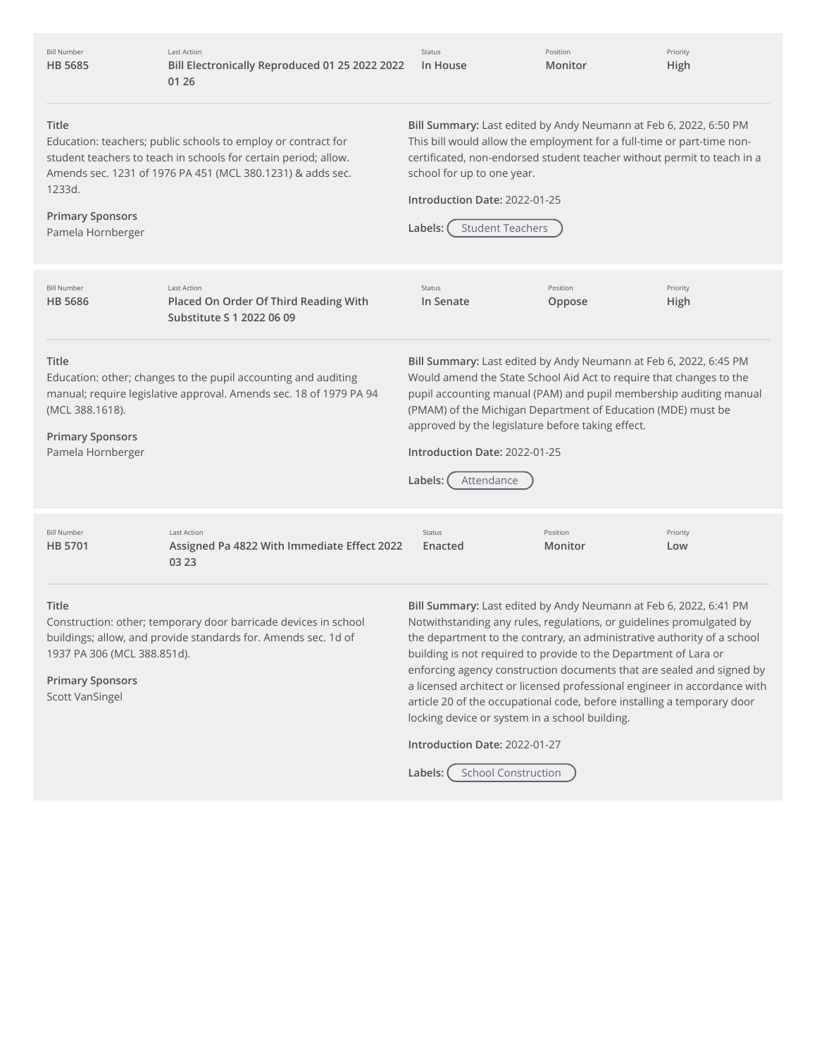Bill Number **HB [5685](http://app.fiscalnote.com/share/bill?url=f9ffb8c31aeadb682440df9c16939e44)** Last Action **Bill Electronically Reproduced 01 25 2022 2022 01 26** Status **In House**

Position **Monitor** Priority **High**

#### **Title**

**Primary Sponsors** Pamela Hornberger

Education: teachers; public schools to employ or contract for student teachers to teach in schools for certain period; allow. Amends sec. 1231 of 1976 PA 451 (MCL 380.1231) & adds sec. 1233d.

**Bill Summary:** Last edited by Andy Neumann at Feb 6, 2022, 6:50 PM This bill would allow the employment for a full-time or part-time noncertificated, non-endorsed student teacher without permit to teach in a school for up to one year.

**Introduction Date:** 2022-01-25

**Labels:** Student Teachers

**Title** Education: other; changes to the pupil accounting and auditing manual; require legislative approval. Amends sec. 18 of 1979 PA 94 (MCL 388.1618). **Primary Sponsors** Pamela Hornberger **Bill Summary:** Last edited by Andy Neumann at Feb 6, 2022, 6:45 PM Would amend the State School Aid Act to require that changes to the pupil accounting manual (PAM) and pupil membership auditing manual (PMAM) of the Michigan Department of Education (MDE) must be approved by the legislature before taking effect. **Introduction Date:** 2022-01-25 **Labels:** Attendance **Title** Construction: other; temporary door barricade devices in school buildings; allow, and provide standards for. Amends sec. 1d of 1937 PA 306 (MCL 388.851d). **Primary Sponsors** Scott VanSingel **Bill Summary:** Last edited by Andy Neumann at Feb 6, 2022, 6:41 PM Notwithstanding any rules, regulations, or guidelines promulgated by the department to the contrary, an administrative authority of a school building is not required to provide to the Department of Lara or enforcing agency construction documents that are sealed and signed by a licensed architect or licensed professional engineer in accordance with article 20 of the occupational code, before installing a temporary door locking device or system in a school building. **Introduction Date:** 2022-01-27 Bill Number **HB [5686](http://app.fiscalnote.com/share/bill?url=6f1f12f395502726641141a9ea703bcb)** Last Action **Placed On Order Of Third Reading With Substitute S 1 2022 06 09** Status **In Senate** Position **Oppose** Priority **High** Bill Number **HB [5701](http://app.fiscalnote.com/share/bill?url=6b44fbf4777fcba96ea4af1168f5c4f9)** Last Action **Assigned Pa 4822 With Immediate Effect 2022 03 23** Status **Enacted** Position **Monitor** Priority **Low**

Labels: (School Construction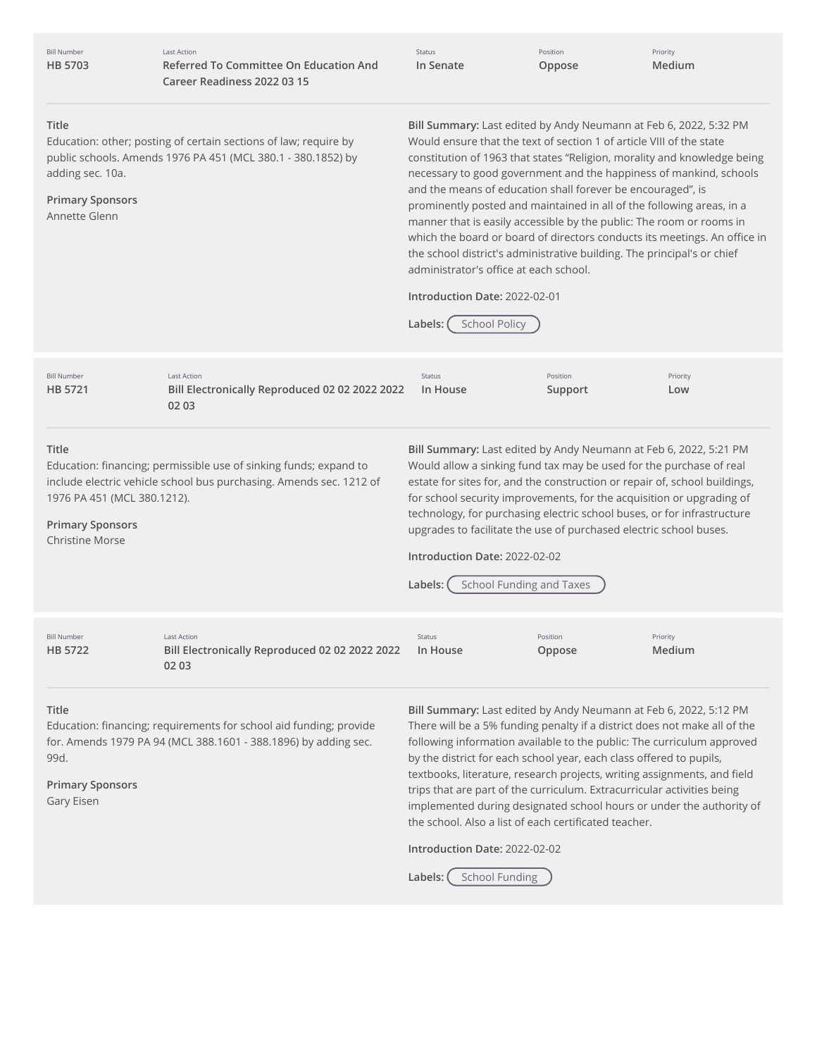| <b>Bill Number</b><br>HB 5703                                                                                                                                                                   | <b>Last Action</b><br>Referred To Committee On Education And<br>Career Readiness 2022 03 15                                              | Status<br>In Senate                                                                                                                                                                                                                                                                                                                                                                                                                                                                                                                                                                                                                                                                                                                                                               | Position<br>Oppose  | Priority<br>Medium |
|-------------------------------------------------------------------------------------------------------------------------------------------------------------------------------------------------|------------------------------------------------------------------------------------------------------------------------------------------|-----------------------------------------------------------------------------------------------------------------------------------------------------------------------------------------------------------------------------------------------------------------------------------------------------------------------------------------------------------------------------------------------------------------------------------------------------------------------------------------------------------------------------------------------------------------------------------------------------------------------------------------------------------------------------------------------------------------------------------------------------------------------------------|---------------------|--------------------|
| Title<br>adding sec. 10a.<br><b>Primary Sponsors</b><br>Annette Glenn                                                                                                                           | Education: other; posting of certain sections of law; require by<br>public schools. Amends 1976 PA 451 (MCL 380.1 - 380.1852) by         | Bill Summary: Last edited by Andy Neumann at Feb 6, 2022, 5:32 PM<br>Would ensure that the text of section 1 of article VIII of the state<br>constitution of 1963 that states "Religion, morality and knowledge being<br>necessary to good government and the happiness of mankind, schools<br>and the means of education shall forever be encouraged", is<br>prominently posted and maintained in all of the following areas, in a<br>manner that is easily accessible by the public: The room or rooms in<br>which the board or board of directors conducts its meetings. An office in<br>the school district's administrative building. The principal's or chief<br>administrator's office at each school.<br>Introduction Date: 2022-02-01<br><b>School Policy</b><br>Labels: |                     |                    |
| <b>Bill Number</b><br>HB 5721                                                                                                                                                                   | <b>Last Action</b><br>Bill Electronically Reproduced 02 02 2022 2022<br>02 03                                                            | Status<br>In House                                                                                                                                                                                                                                                                                                                                                                                                                                                                                                                                                                                                                                                                                                                                                                | Position<br>Support | Priority<br>Low    |
| Title<br>1976 PA 451 (MCL 380.1212).<br><b>Primary Sponsors</b><br><b>Christine Morse</b>                                                                                                       | Education: financing; permissible use of sinking funds; expand to<br>include electric vehicle school bus purchasing. Amends sec. 1212 of | Bill Summary: Last edited by Andy Neumann at Feb 6, 2022, 5:21 PM<br>Would allow a sinking fund tax may be used for the purchase of real<br>estate for sites for, and the construction or repair of, school buildings,<br>for school security improvements, for the acquisition or upgrading of<br>technology, for purchasing electric school buses, or for infrastructure<br>upgrades to facilitate the use of purchased electric school buses.<br>Introduction Date: 2022-02-02<br><b>School Funding and Taxes</b><br>Labels:                                                                                                                                                                                                                                                   |                     |                    |
| <b>Bill Number</b><br>HB 5722                                                                                                                                                                   | Last Action<br>Bill Electronically Reproduced 02 02 2022 2022<br>02 03                                                                   | <b>Status</b><br>In House                                                                                                                                                                                                                                                                                                                                                                                                                                                                                                                                                                                                                                                                                                                                                         | Position<br>Oppose  | Priority<br>Medium |
| Title<br>Education: financing; requirements for school aid funding; provide<br>for. Amends 1979 PA 94 (MCL 388.1601 - 388.1896) by adding sec.<br>99d.<br><b>Primary Sponsors</b><br>Gary Eisen |                                                                                                                                          | Bill Summary: Last edited by Andy Neumann at Feb 6, 2022, 5:12 PM<br>There will be a 5% funding penalty if a district does not make all of the<br>following information available to the public: The curriculum approved<br>by the district for each school year, each class offered to pupils,<br>textbooks, literature, research projects, writing assignments, and field<br>trips that are part of the curriculum. Extracurricular activities being<br>implemented during designated school hours or under the authority of<br>the school. Also a list of each certificated teacher.<br>Introduction Date: 2022-02-02<br><b>School Funding</b><br>Labels: (                                                                                                                    |                     |                    |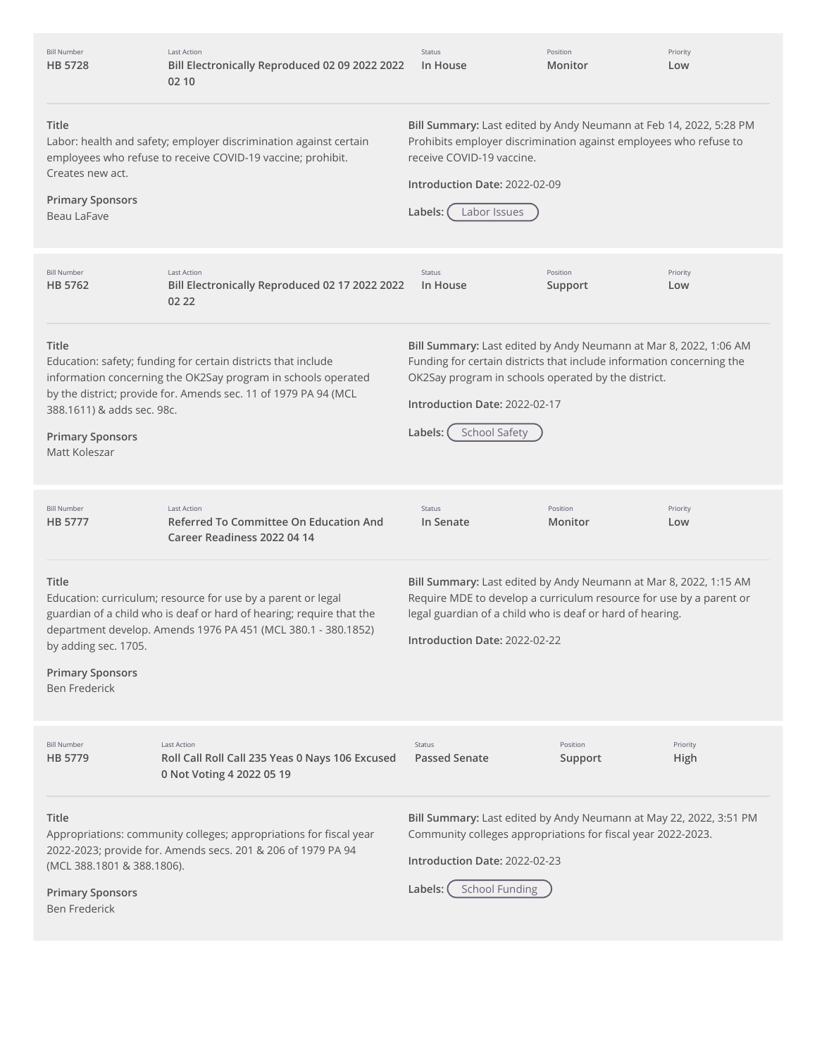| <b>Bill Number</b><br>HB 5728                                                    | <b>Last Action</b><br>Bill Electronically Reproduced 02 09 2022 2022<br>02 10                                                                                                                         | Status<br>In House                                                                                                                                                                                                                                                    | Position<br>Monitor | Priority<br>Low  |
|----------------------------------------------------------------------------------|-------------------------------------------------------------------------------------------------------------------------------------------------------------------------------------------------------|-----------------------------------------------------------------------------------------------------------------------------------------------------------------------------------------------------------------------------------------------------------------------|---------------------|------------------|
| Title<br>Creates new act.<br><b>Primary Sponsors</b><br>Beau LaFave              | Labor: health and safety; employer discrimination against certain<br>employees who refuse to receive COVID-19 vaccine; prohibit.                                                                      | Bill Summary: Last edited by Andy Neumann at Feb 14, 2022, 5:28 PM<br>Prohibits employer discrimination against employees who refuse to<br>receive COVID-19 vaccine.<br>Introduction Date: 2022-02-09<br>Labels:<br>Labor Issues                                      |                     |                  |
| <b>Bill Number</b><br>HB 5762                                                    | Last Action<br>Bill Electronically Reproduced 02 17 2022 2022<br>02 22                                                                                                                                | Status<br>In House                                                                                                                                                                                                                                                    | Position<br>Support | Priority<br>Low  |
| Title<br>388.1611) & adds sec. 98c.<br><b>Primary Sponsors</b><br>Matt Koleszar  | Education: safety; funding for certain districts that include<br>information concerning the OK2Say program in schools operated<br>by the district; provide for. Amends sec. 11 of 1979 PA 94 (MCL     | Bill Summary: Last edited by Andy Neumann at Mar 8, 2022, 1:06 AM<br>Funding for certain districts that include information concerning the<br>OK2Say program in schools operated by the district.<br>Introduction Date: 2022-02-17<br><b>School Safety</b><br>Labels: |                     |                  |
| <b>Bill Number</b><br>HB 5777                                                    | <b>Last Action</b><br><b>Referred To Committee On Education And</b><br>Career Readiness 2022 04 14                                                                                                    | Status<br>In Senate                                                                                                                                                                                                                                                   | Position<br>Monitor | Priority<br>Low  |
| Title<br>by adding sec. 1705.<br><b>Primary Sponsors</b><br><b>Ben Frederick</b> | Education: curriculum; resource for use by a parent or legal<br>guardian of a child who is deaf or hard of hearing; require that the<br>department develop. Amends 1976 PA 451 (MCL 380.1 - 380.1852) | Bill Summary: Last edited by Andy Neumann at Mar 8, 2022, 1:15 AM<br>Require MDE to develop a curriculum resource for use by a parent or<br>legal guardian of a child who is deaf or hard of hearing.<br>Introduction Date: 2022-02-22                                |                     |                  |
| <b>Bill Number</b><br>HB 5779                                                    | <b>Last Action</b><br>Roll Call Roll Call 235 Yeas 0 Nays 106 Excused                                                                                                                                 | <b>Status</b><br><b>Passed Senate</b>                                                                                                                                                                                                                                 | Position<br>Support | Priority<br>High |
|                                                                                  | 0 Not Voting 4 2022 05 19                                                                                                                                                                             |                                                                                                                                                                                                                                                                       |                     |                  |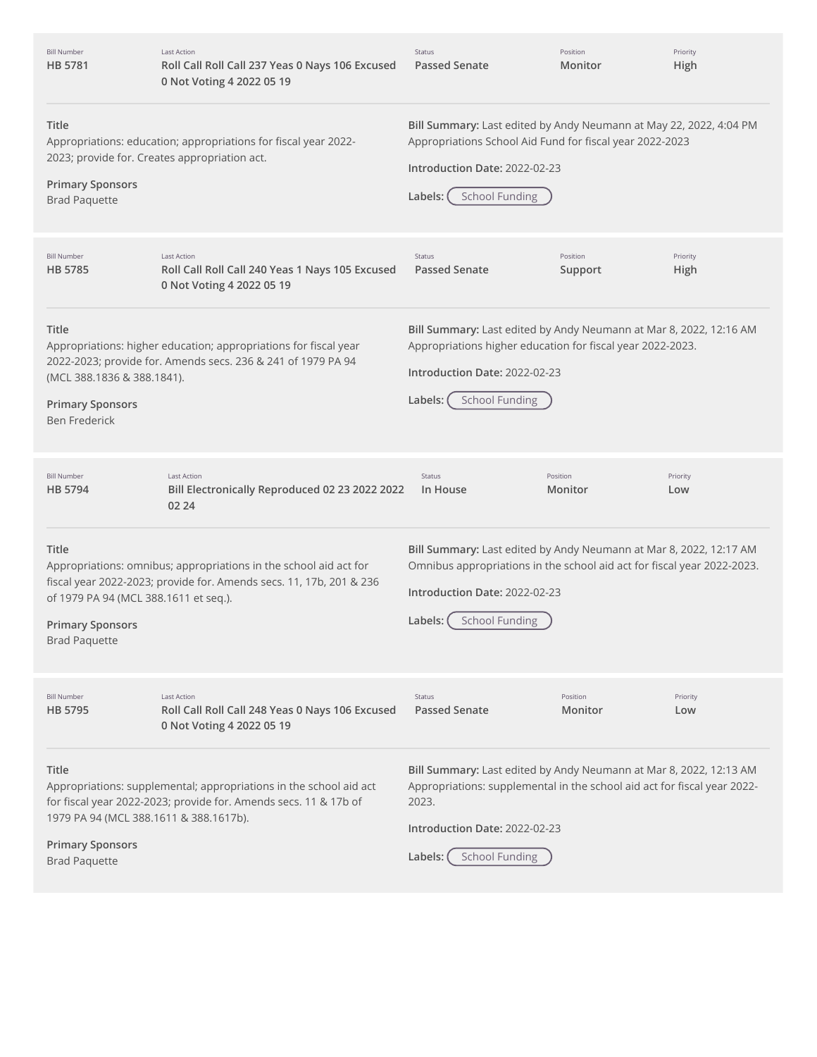| <b>Bill Number</b><br><b>HB 5781</b>                                                                             | <b>Last Action</b><br>Roll Call Roll Call 237 Yeas 0 Nays 106 Excused<br>0 Not Voting 4 2022 05 19                                       | Status<br><b>Passed Senate</b>                                                                                                                                                                                               | Position<br>Monitor | Priority<br>High |
|------------------------------------------------------------------------------------------------------------------|------------------------------------------------------------------------------------------------------------------------------------------|------------------------------------------------------------------------------------------------------------------------------------------------------------------------------------------------------------------------------|---------------------|------------------|
| <b>Title</b><br>2023; provide for. Creates appropriation act.<br><b>Primary Sponsors</b><br><b>Brad Paquette</b> | Appropriations: education; appropriations for fiscal year 2022-                                                                          | Bill Summary: Last edited by Andy Neumann at May 22, 2022, 4:04 PM<br>Appropriations School Aid Fund for fiscal year 2022-2023<br>Introduction Date: 2022-02-23<br><b>School Funding</b><br>Labels:                          |                     |                  |
| <b>Bill Number</b><br><b>HB 5785</b>                                                                             | <b>Last Action</b><br>Roll Call Roll Call 240 Yeas 1 Nays 105 Excused<br>0 Not Voting 4 2022 05 19                                       | Status<br><b>Passed Senate</b>                                                                                                                                                                                               | Position<br>Support | Priority<br>High |
| <b>Title</b><br>(MCL 388.1836 & 388.1841).<br><b>Primary Sponsors</b><br><b>Ben Frederick</b>                    | Appropriations: higher education; appropriations for fiscal year<br>2022-2023; provide for. Amends secs. 236 & 241 of 1979 PA 94         | Bill Summary: Last edited by Andy Neumann at Mar 8, 2022, 12:16 AM<br>Appropriations higher education for fiscal year 2022-2023.<br>Introduction Date: 2022-02-23<br><b>School Funding</b><br>Labels:                        |                     |                  |
| <b>Bill Number</b><br>HB 5794                                                                                    | Last Action<br>Bill Electronically Reproduced 02 23 2022 2022<br>02 24                                                                   | Status<br>In House                                                                                                                                                                                                           | Position<br>Monitor | Priority<br>Low  |
| <b>Title</b><br>of 1979 PA 94 (MCL 388.1611 et seq.).<br><b>Primary Sponsors</b><br><b>Brad Paquette</b>         | Appropriations: omnibus; appropriations in the school aid act for<br>fiscal year 2022-2023; provide for. Amends secs. 11, 17b, 201 & 236 | Bill Summary: Last edited by Andy Neumann at Mar 8, 2022, 12:17 AM<br>Omnibus appropriations in the school aid act for fiscal year 2022-2023.<br>Introduction Date: 2022-02-23<br><b>School Funding</b><br>Labels:           |                     |                  |
| <b>Bill Number</b><br><b>HB 5795</b>                                                                             | <b>Last Action</b><br>Roll Call Roll Call 248 Yeas 0 Nays 106 Excused<br>0 Not Voting 4 2022 05 19                                       | Status<br><b>Passed Senate</b>                                                                                                                                                                                               | Position<br>Monitor | Priority<br>Low  |
| <b>Title</b><br>1979 PA 94 (MCL 388.1611 & 388.1617b).<br><b>Primary Sponsors</b><br><b>Brad Paquette</b>        | Appropriations: supplemental; appropriations in the school aid act<br>for fiscal year 2022-2023; provide for. Amends secs. 11 & 17b of   | Bill Summary: Last edited by Andy Neumann at Mar 8, 2022, 12:13 AM<br>Appropriations: supplemental in the school aid act for fiscal year 2022-<br>2023.<br>Introduction Date: 2022-02-23<br><b>School Funding</b><br>Labels: |                     |                  |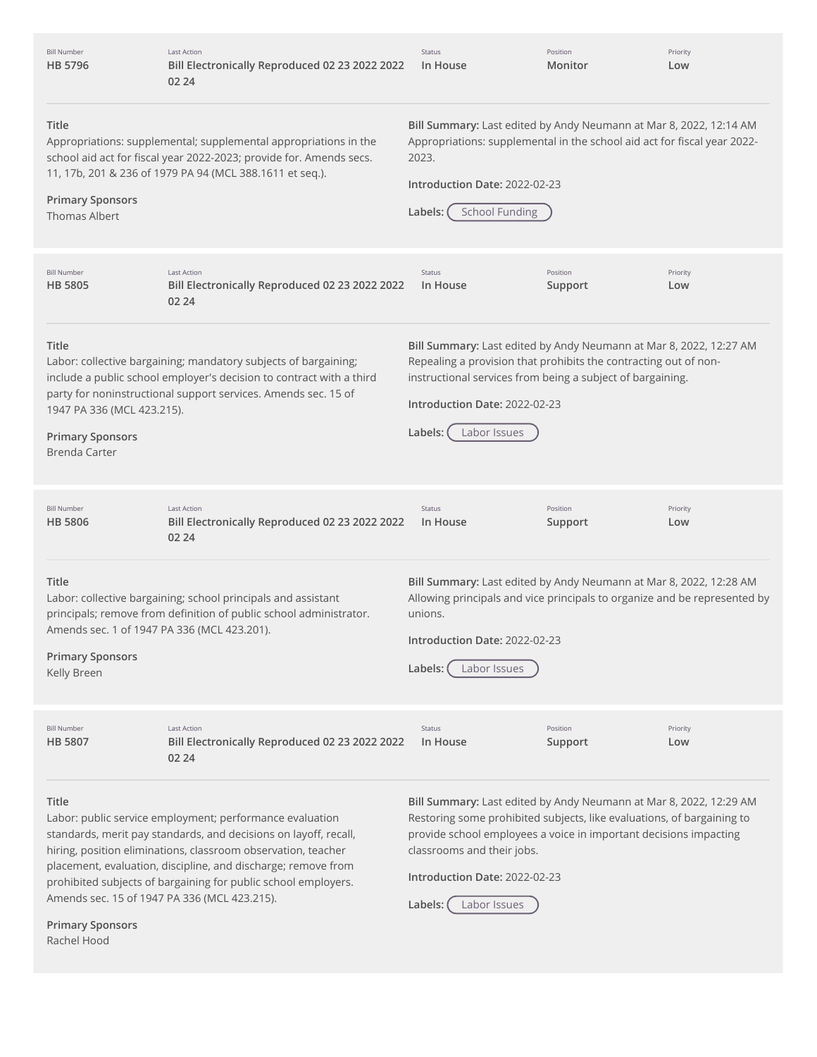| <b>Bill Number</b><br>HB 5796                                                          | <b>Last Action</b><br>Bill Electronically Reproduced 02 23 2022 2022<br>02 24                                                                                                                             | <b>Status</b><br>In House                                                                                                                                                                                                                                        | Position<br>Monitor | Priority<br>Low |
|----------------------------------------------------------------------------------------|-----------------------------------------------------------------------------------------------------------------------------------------------------------------------------------------------------------|------------------------------------------------------------------------------------------------------------------------------------------------------------------------------------------------------------------------------------------------------------------|---------------------|-----------------|
| Title<br><b>Primary Sponsors</b><br><b>Thomas Albert</b>                               | Appropriations: supplemental; supplemental appropriations in the<br>school aid act for fiscal year 2022-2023; provide for. Amends secs.<br>11, 17b, 201 & 236 of 1979 PA 94 (MCL 388.1611 et seq.).       | Bill Summary: Last edited by Andy Neumann at Mar 8, 2022, 12:14 AM<br>Appropriations: supplemental in the school aid act for fiscal year 2022-<br>2023.<br>Introduction Date: 2022-02-23<br><b>School Funding</b><br>Labels:                                     |                     |                 |
| <b>Bill Number</b><br><b>HB 5805</b>                                                   | <b>Last Action</b><br>Bill Electronically Reproduced 02 23 2022 2022<br>02 24                                                                                                                             | Status<br>In House                                                                                                                                                                                                                                               | Position<br>Support | Priority<br>Low |
| Title<br>1947 PA 336 (MCL 423.215).<br><b>Primary Sponsors</b><br><b>Brenda Carter</b> | Labor: collective bargaining; mandatory subjects of bargaining;<br>include a public school employer's decision to contract with a third<br>party for noninstructional support services. Amends sec. 15 of | Bill Summary: Last edited by Andy Neumann at Mar 8, 2022, 12:27 AM<br>Repealing a provision that prohibits the contracting out of non-<br>instructional services from being a subject of bargaining.<br>Introduction Date: 2022-02-23<br>Labels:<br>Labor Issues |                     |                 |
| <b>Bill Number</b><br><b>HB 5806</b>                                                   | <b>Last Action</b><br>Bill Electronically Reproduced 02 23 2022 2022<br>02 24                                                                                                                             | Status<br>In House                                                                                                                                                                                                                                               | Position<br>Support | Priority<br>Low |
| Title                                                                                  | Labor: collective bargaining; school principals and assistant<br>principals; remove from definition of public school administrator.                                                                       | Bill Summary: Last edited by Andy Neumann at Mar 8, 2022, 12:28 AM<br>Allowing principals and vice principals to organize and be represented by<br>unions.                                                                                                       |                     |                 |
| <b>Primary Sponsors</b><br>Kelly Breen                                                 | Amends sec. 1 of 1947 PA 336 (MCL 423.201).                                                                                                                                                               | Introduction Date: 2022-02-23<br>Labels:<br>Labor Issues                                                                                                                                                                                                         |                     |                 |
| <b>Bill Number</b><br><b>HB 5807</b>                                                   | <b>Last Action</b><br>Bill Electronically Reproduced 02 23 2022 2022<br>02 24                                                                                                                             | Status<br>In House                                                                                                                                                                                                                                               | Position<br>Support | Priority<br>Low |

Rachel Hood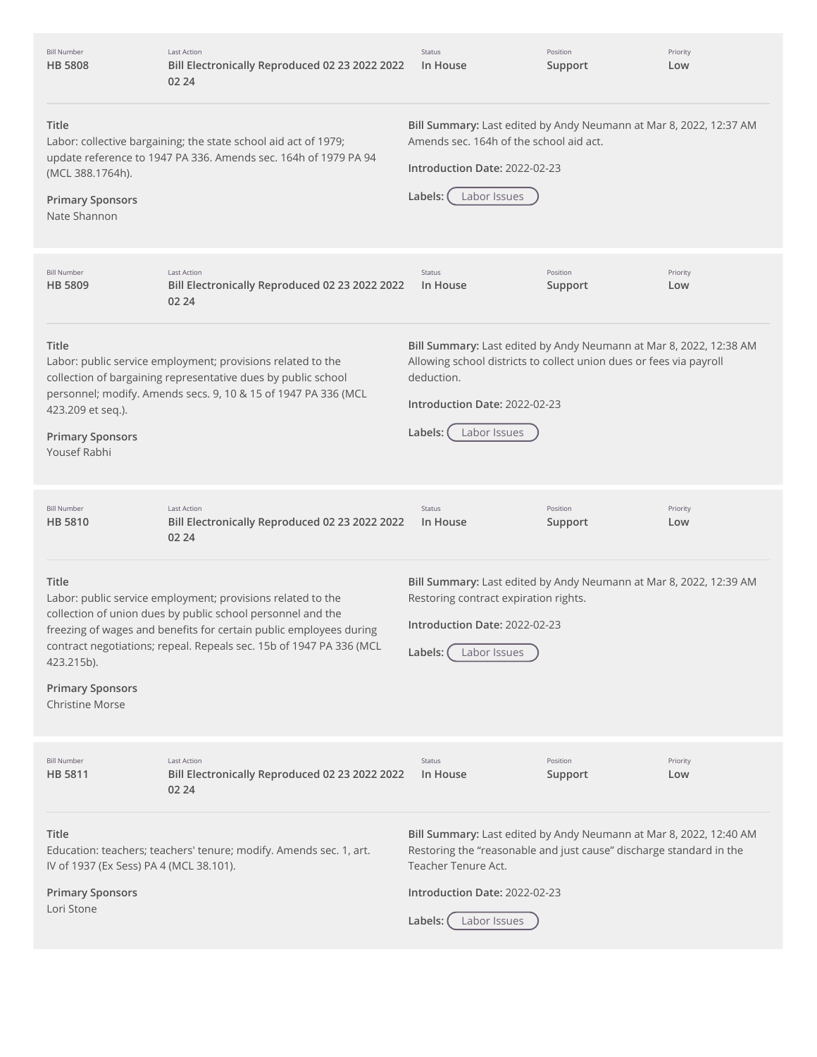| <b>Bill Number</b><br><b>HB 5808</b>                                                      | Last Action<br>Bill Electronically Reproduced 02 23 2022 2022<br>02 24                                                                                                                                                                                                  | Status<br>In House                                                                                                                                                                                                           | Position<br>Support | Priority<br>Low |
|-------------------------------------------------------------------------------------------|-------------------------------------------------------------------------------------------------------------------------------------------------------------------------------------------------------------------------------------------------------------------------|------------------------------------------------------------------------------------------------------------------------------------------------------------------------------------------------------------------------------|---------------------|-----------------|
| Title<br>(MCL 388.1764h).<br><b>Primary Sponsors</b><br>Nate Shannon                      | Labor: collective bargaining; the state school aid act of 1979;<br>update reference to 1947 PA 336. Amends sec. 164h of 1979 PA 94                                                                                                                                      | Bill Summary: Last edited by Andy Neumann at Mar 8, 2022, 12:37 AM<br>Amends sec. 164h of the school aid act.<br>Introduction Date: 2022-02-23<br>Labor Issues<br>Labels:                                                    |                     |                 |
| <b>Bill Number</b><br><b>HB 5809</b>                                                      | Last Action<br>Bill Electronically Reproduced 02 23 2022 2022<br>02 24                                                                                                                                                                                                  | Status<br>In House                                                                                                                                                                                                           | Position<br>Support | Priority<br>Low |
| Title<br>423.209 et seq.).<br><b>Primary Sponsors</b><br>Yousef Rabhi                     | Labor: public service employment; provisions related to the<br>collection of bargaining representative dues by public school<br>personnel; modify. Amends secs. 9, 10 & 15 of 1947 PA 336 (MCL                                                                          | Bill Summary: Last edited by Andy Neumann at Mar 8, 2022, 12:38 AM<br>Allowing school districts to collect union dues or fees via payroll<br>deduction.<br>Introduction Date: 2022-02-23<br>Labor Issues<br>Labels:          |                     |                 |
| <b>Bill Number</b><br><b>HB 5810</b>                                                      | Last Action<br>Bill Electronically Reproduced 02 23 2022 2022<br>02 24                                                                                                                                                                                                  | Status<br>In House                                                                                                                                                                                                           | Position<br>Support | Priority<br>Low |
| Title<br>423.215b).<br><b>Primary Sponsors</b><br><b>Christine Morse</b>                  | Labor: public service employment; provisions related to the<br>collection of union dues by public school personnel and the<br>freezing of wages and benefits for certain public employees during<br>contract negotiations; repeal. Repeals sec. 15b of 1947 PA 336 (MCL | Bill Summary: Last edited by Andy Neumann at Mar 8, 2022, 12:39 AM<br>Restoring contract expiration rights.<br>Introduction Date: 2022-02-23<br>Labels:<br>Labor Issues                                                      |                     |                 |
| <b>Bill Number</b><br>HB 5811                                                             | Last Action<br>Bill Electronically Reproduced 02 23 2022 2022<br>02 24                                                                                                                                                                                                  | Status<br>In House                                                                                                                                                                                                           | Position<br>Support | Priority<br>Low |
| Title<br>IV of 1937 (Ex Sess) PA 4 (MCL 38.101).<br><b>Primary Sponsors</b><br>Lori Stone | Education: teachers; teachers' tenure; modify. Amends sec. 1, art.                                                                                                                                                                                                      | Bill Summary: Last edited by Andy Neumann at Mar 8, 2022, 12:40 AM<br>Restoring the "reasonable and just cause" discharge standard in the<br>Teacher Tenure Act.<br>Introduction Date: 2022-02-23<br>Labels:<br>Labor Issues |                     |                 |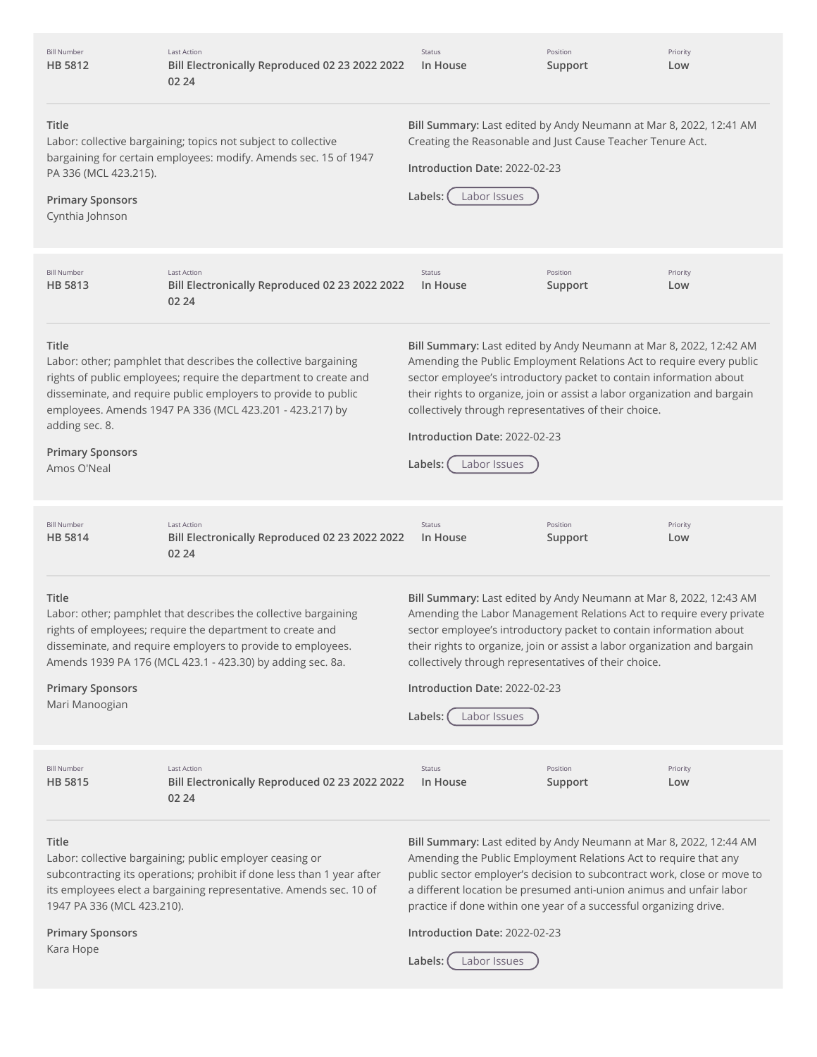| <b>Bill Number</b><br>HB 5812                                                | <b>Last Action</b><br>Bill Electronically Reproduced 02 23 2022 2022<br>02 24                                                                                                                                                                                     | Status<br>In House                                                                                                                                                                                                                                                                                                                                                                                                 | Position<br>Support | Priority<br>Low |
|------------------------------------------------------------------------------|-------------------------------------------------------------------------------------------------------------------------------------------------------------------------------------------------------------------------------------------------------------------|--------------------------------------------------------------------------------------------------------------------------------------------------------------------------------------------------------------------------------------------------------------------------------------------------------------------------------------------------------------------------------------------------------------------|---------------------|-----------------|
| Title<br>PA 336 (MCL 423.215).<br><b>Primary Sponsors</b><br>Cynthia Johnson | Labor: collective bargaining; topics not subject to collective<br>bargaining for certain employees: modify. Amends sec. 15 of 1947                                                                                                                                | Bill Summary: Last edited by Andy Neumann at Mar 8, 2022, 12:41 AM<br>Creating the Reasonable and Just Cause Teacher Tenure Act.<br>Introduction Date: 2022-02-23<br>Labor Issues<br>Labels:                                                                                                                                                                                                                       |                     |                 |
| <b>Bill Number</b><br>HB 5813                                                | <b>Last Action</b><br>Bill Electronically Reproduced 02 23 2022 2022<br>02 24                                                                                                                                                                                     | Status<br>In House                                                                                                                                                                                                                                                                                                                                                                                                 | Position<br>Support | Priority<br>Low |
| Title<br>adding sec. 8.<br><b>Primary Sponsors</b><br>Amos O'Neal            | Labor: other; pamphlet that describes the collective bargaining<br>rights of public employees; require the department to create and<br>disseminate, and require public employers to provide to public<br>employees. Amends 1947 PA 336 (MCL 423.201 - 423.217) by | Bill Summary: Last edited by Andy Neumann at Mar 8, 2022, 12:42 AM<br>Amending the Public Employment Relations Act to require every public<br>sector employee's introductory packet to contain information about<br>their rights to organize, join or assist a labor organization and bargain<br>collectively through representatives of their choice.<br>Introduction Date: 2022-02-23<br>Labels:<br>Labor Issues |                     |                 |
| <b>Bill Number</b><br>HB 5814                                                | <b>Last Action</b><br>Bill Electronically Reproduced 02 23 2022 2022<br>02 24                                                                                                                                                                                     | Status<br>In House                                                                                                                                                                                                                                                                                                                                                                                                 | Position<br>Support | Priority<br>Low |
| Title<br><b>Primary Sponsors</b><br>Mari Manoogian                           | Labor: other; pamphlet that describes the collective bargaining<br>rights of employees; require the department to create and<br>disseminate, and require employers to provide to employees.<br>Amends 1939 PA 176 (MCL 423.1 - 423.30) by adding sec. 8a.         | Bill Summary: Last edited by Andy Neumann at Mar 8, 2022, 12:43 AM<br>Amending the Labor Management Relations Act to require every private<br>sector employee's introductory packet to contain information about<br>their rights to organize, join or assist a labor organization and bargain<br>collectively through representatives of their choice.<br>Introduction Date: 2022-02-23<br>Labor Issues<br>Labels: |                     |                 |
| <b>Bill Number</b><br>HB 5815                                                | <b>Last Action</b><br>Bill Electronically Reproduced 02 23 2022 2022<br>02 24                                                                                                                                                                                     | Status<br>In House                                                                                                                                                                                                                                                                                                                                                                                                 | Position<br>Support | Priority<br>Low |
| Title<br>1947 PA 336 (MCL 423.210).                                          | Labor: collective bargaining; public employer ceasing or<br>subcontracting its operations; prohibit if done less than 1 year after<br>its employees elect a bargaining representative. Amends sec. 10 of                                                          | Bill Summary: Last edited by Andy Neumann at Mar 8, 2022, 12:44 AM<br>Amending the Public Employment Relations Act to require that any<br>public sector employer's decision to subcontract work, close or move to<br>a different location be presumed anti-union animus and unfair labor<br>practice if done within one year of a successful organizing drive.                                                     |                     |                 |
| <b>Primary Sponsors</b><br>Kara Hope                                         |                                                                                                                                                                                                                                                                   | Introduction Date: 2022-02-23<br>Labor Issues<br>Labels:                                                                                                                                                                                                                                                                                                                                                           |                     |                 |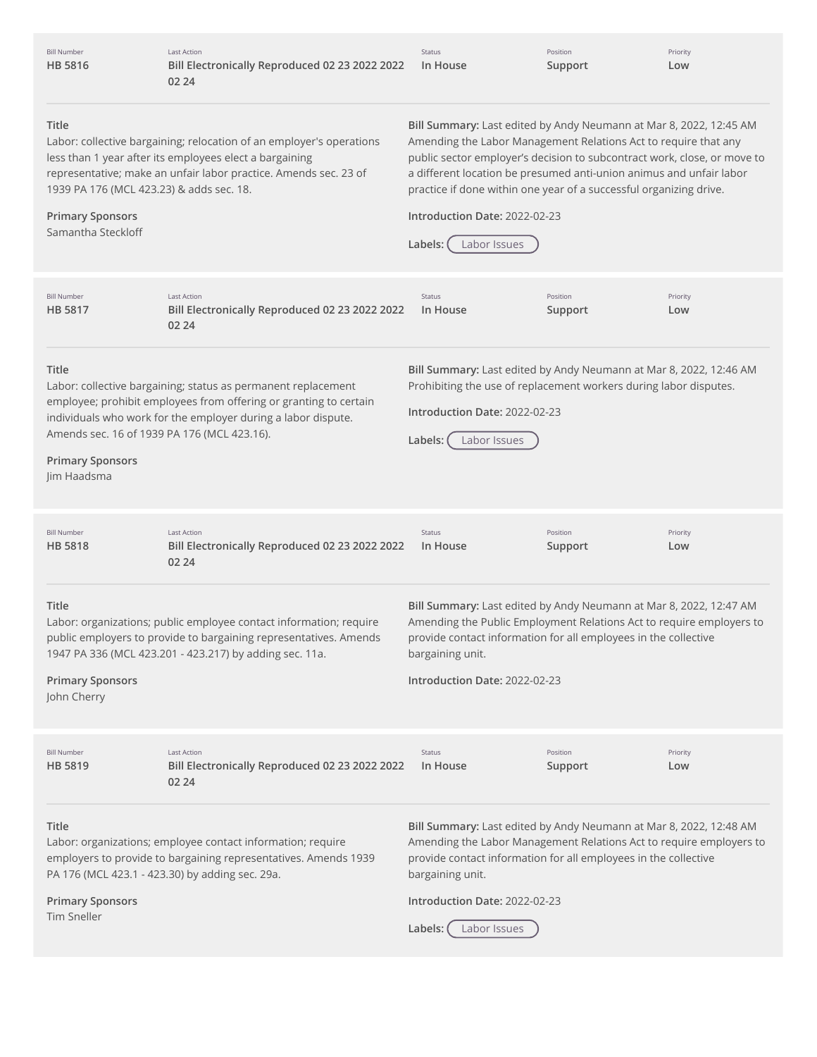| <b>Bill Number</b><br><b>HB 5816</b>                                                               | <b>Last Action</b><br>Bill Electronically Reproduced 02 23 2022 2022<br>02 24                                                                                                                                                                      | Status<br>In House                                       | Position<br>Support                                                | Priority<br>Low                                                                                                                                                                                                                                                                          |
|----------------------------------------------------------------------------------------------------|----------------------------------------------------------------------------------------------------------------------------------------------------------------------------------------------------------------------------------------------------|----------------------------------------------------------|--------------------------------------------------------------------|------------------------------------------------------------------------------------------------------------------------------------------------------------------------------------------------------------------------------------------------------------------------------------------|
| Title<br>1939 PA 176 (MCL 423.23) & adds sec. 18.<br><b>Primary Sponsors</b><br>Samantha Steckloff | Labor: collective bargaining; relocation of an employer's operations<br>less than 1 year after its employees elect a bargaining<br>representative; make an unfair labor practice. Amends sec. 23 of                                                | Introduction Date: 2022-02-23<br>Labor Issues<br>Labels: | practice if done within one year of a successful organizing drive. | Bill Summary: Last edited by Andy Neumann at Mar 8, 2022, 12:45 AM<br>Amending the Labor Management Relations Act to require that any<br>public sector employer's decision to subcontract work, close, or move to<br>a different location be presumed anti-union animus and unfair labor |
| <b>Bill Number</b><br><b>HB 5817</b>                                                               | <b>Last Action</b><br>Bill Electronically Reproduced 02 23 2022 2022<br>02 24                                                                                                                                                                      | Status<br>In House                                       | Position<br>Support                                                | Priority<br>Low                                                                                                                                                                                                                                                                          |
| Title<br><b>Primary Sponsors</b><br>Jim Haadsma                                                    | Labor: collective bargaining; status as permanent replacement<br>employee; prohibit employees from offering or granting to certain<br>individuals who work for the employer during a labor dispute.<br>Amends sec. 16 of 1939 PA 176 (MCL 423.16). | Introduction Date: 2022-02-23<br>Labels:<br>Labor Issues | Prohibiting the use of replacement workers during labor disputes.  | Bill Summary: Last edited by Andy Neumann at Mar 8, 2022, 12:46 AM                                                                                                                                                                                                                       |
| <b>Bill Number</b><br><b>HB 5818</b>                                                               | <b>Last Action</b><br>Bill Electronically Reproduced 02 23 2022 2022<br>02 24                                                                                                                                                                      | Status<br>In House                                       | Position<br>Support                                                | Priority<br>Low                                                                                                                                                                                                                                                                          |
| Title<br><b>Primary Sponsors</b><br>John Cherry                                                    | Labor: organizations; public employee contact information; require<br>public employers to provide to bargaining representatives. Amends<br>1947 PA 336 (MCL 423.201 - 423.217) by adding sec. 11a.                                                 | bargaining unit.<br>Introduction Date: 2022-02-23        | provide contact information for all employees in the collective    | Bill Summary: Last edited by Andy Neumann at Mar 8, 2022, 12:47 AM<br>Amending the Public Employment Relations Act to require employers to                                                                                                                                               |
| <b>Bill Number</b><br>HB 5819                                                                      | <b>Last Action</b><br>Bill Electronically Reproduced 02 23 2022 2022<br>02 24                                                                                                                                                                      | Status<br>In House                                       | Position<br>Support                                                | Priority<br>Low                                                                                                                                                                                                                                                                          |
| Title<br><b>Primary Sponsors</b>                                                                   | Labor: organizations; employee contact information; require<br>employers to provide to bargaining representatives. Amends 1939<br>PA 176 (MCL 423.1 - 423.30) by adding sec. 29a.                                                                  | bargaining unit.<br>Introduction Date: 2022-02-23        | provide contact information for all employees in the collective    | Bill Summary: Last edited by Andy Neumann at Mar 8, 2022, 12:48 AM<br>Amending the Labor Management Relations Act to require employers to                                                                                                                                                |
| Tim Sneller                                                                                        |                                                                                                                                                                                                                                                    | Labels:<br>Labor Issues                                  |                                                                    |                                                                                                                                                                                                                                                                                          |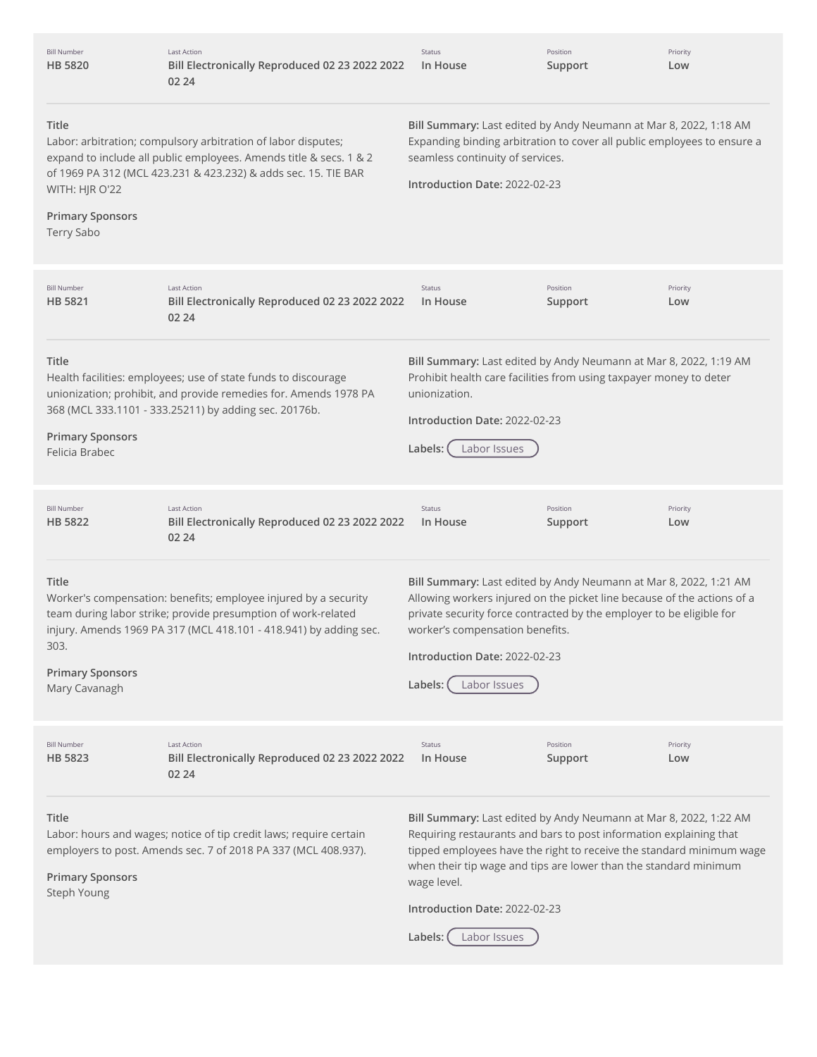| <b>Bill Number</b><br><b>HB 5820</b>                                    | <b>Last Action</b><br>Bill Electronically Reproduced 02 23 2022 2022<br>02 24                                                                                                                         | <b>Status</b><br>In House                                                                                                                                                                                                                                                                                                           | Position<br>Support | Priority<br>Low |
|-------------------------------------------------------------------------|-------------------------------------------------------------------------------------------------------------------------------------------------------------------------------------------------------|-------------------------------------------------------------------------------------------------------------------------------------------------------------------------------------------------------------------------------------------------------------------------------------------------------------------------------------|---------------------|-----------------|
| Title<br>WITH: HJR O'22<br><b>Primary Sponsors</b><br><b>Terry Sabo</b> | Labor: arbitration; compulsory arbitration of labor disputes;<br>expand to include all public employees. Amends title & secs. 1 & 2<br>of 1969 PA 312 (MCL 423.231 & 423.232) & adds sec. 15. TIE BAR | Bill Summary: Last edited by Andy Neumann at Mar 8, 2022, 1:18 AM<br>Expanding binding arbitration to cover all public employees to ensure a<br>seamless continuity of services.<br>Introduction Date: 2022-02-23                                                                                                                   |                     |                 |
| <b>Bill Number</b><br><b>HB 5821</b>                                    | Last Action<br>Bill Electronically Reproduced 02 23 2022 2022<br>02 24                                                                                                                                | Status<br>In House                                                                                                                                                                                                                                                                                                                  | Position<br>Support | Priority<br>Low |
| Title<br><b>Primary Sponsors</b><br>Felicia Brabec                      | Health facilities: employees; use of state funds to discourage<br>unionization; prohibit, and provide remedies for. Amends 1978 PA<br>368 (MCL 333.1101 - 333.25211) by adding sec. 20176b.           | Bill Summary: Last edited by Andy Neumann at Mar 8, 2022, 1:19 AM<br>Prohibit health care facilities from using taxpayer money to deter<br>unionization.<br>Introduction Date: 2022-02-23<br>Labels:<br>Labor Issues                                                                                                                |                     |                 |
| <b>Bill Number</b><br>HB 5822                                           | <b>Last Action</b><br>Bill Electronically Reproduced 02 23 2022 2022                                                                                                                                  | <b>Status</b><br>In House                                                                                                                                                                                                                                                                                                           | Position<br>Support | Priority<br>Low |
|                                                                         | 02 24                                                                                                                                                                                                 |                                                                                                                                                                                                                                                                                                                                     |                     |                 |
| Title<br>303.<br><b>Primary Sponsors</b><br>Mary Cavanagh               | Worker's compensation: benefits; employee injured by a security<br>team during labor strike; provide presumption of work-related<br>injury. Amends 1969 PA 317 (MCL 418.101 - 418.941) by adding sec. | Bill Summary: Last edited by Andy Neumann at Mar 8, 2022, 1:21 AM<br>Allowing workers injured on the picket line because of the actions of a<br>private security force contracted by the employer to be eligible for<br>worker's compensation benefits.<br>Introduction Date: 2022-02-23<br>Labels:<br>Labor Issues                 |                     |                 |
| <b>Bill Number</b><br>HB 5823                                           | Last Action<br>Bill Electronically Reproduced 02 23 2022 2022<br>02 24                                                                                                                                | <b>Status</b><br>In House                                                                                                                                                                                                                                                                                                           | Position<br>Support | Priority<br>Low |
| Title<br><b>Primary Sponsors</b><br>Steph Young                         | Labor: hours and wages; notice of tip credit laws; require certain<br>employers to post. Amends sec. 7 of 2018 PA 337 (MCL 408.937).                                                                  | Bill Summary: Last edited by Andy Neumann at Mar 8, 2022, 1:22 AM<br>Requiring restaurants and bars to post information explaining that<br>tipped employees have the right to receive the standard minimum wage<br>when their tip wage and tips are lower than the standard minimum<br>wage level.<br>Introduction Date: 2022-02-23 |                     |                 |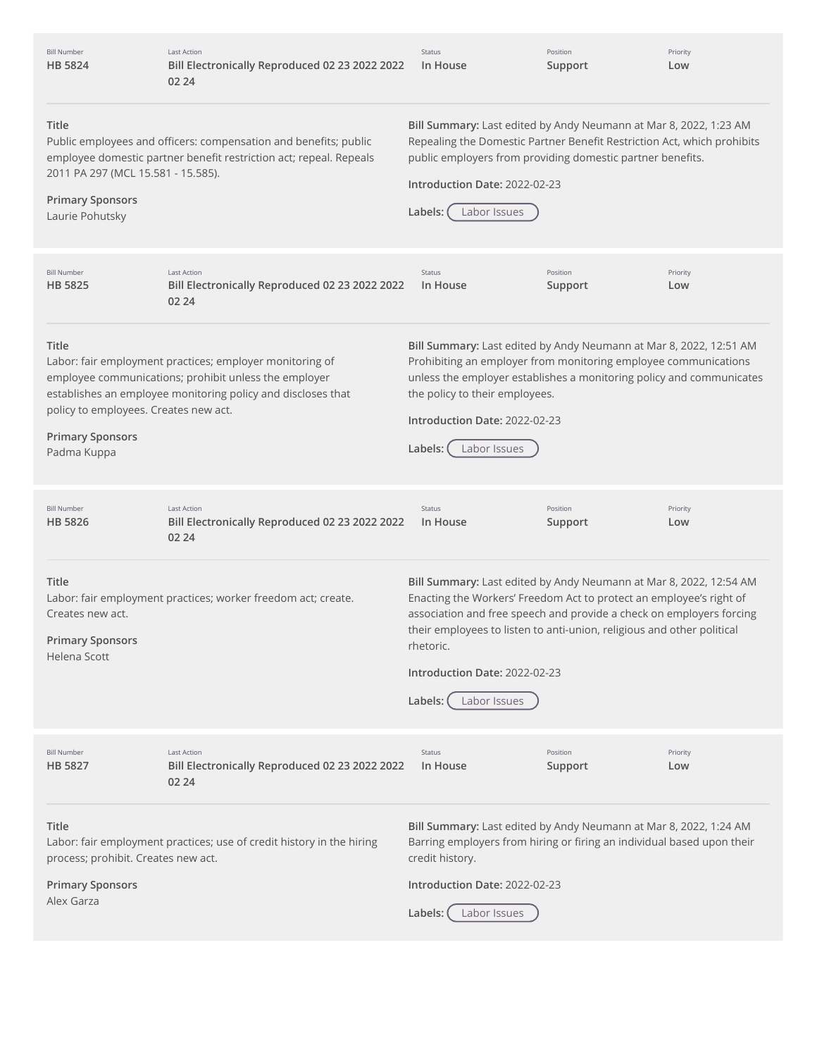| <b>Bill Number</b><br>HB 5824                                                             | <b>Last Action</b><br>Bill Electronically Reproduced 02 23 2022 2022<br>02 24                                                                                                     | Status<br>In House                                                                                                                                                                                                                                                                                                                                                   | Position<br>Support | Priority<br>Low |
|-------------------------------------------------------------------------------------------|-----------------------------------------------------------------------------------------------------------------------------------------------------------------------------------|----------------------------------------------------------------------------------------------------------------------------------------------------------------------------------------------------------------------------------------------------------------------------------------------------------------------------------------------------------------------|---------------------|-----------------|
| Title<br>2011 PA 297 (MCL 15.581 - 15.585).<br><b>Primary Sponsors</b><br>Laurie Pohutsky | Public employees and officers: compensation and benefits; public<br>employee domestic partner benefit restriction act; repeal. Repeals                                            | Bill Summary: Last edited by Andy Neumann at Mar 8, 2022, 1:23 AM<br>Repealing the Domestic Partner Benefit Restriction Act, which prohibits<br>public employers from providing domestic partner benefits.<br>Introduction Date: 2022-02-23<br>Labor Issues<br>Labels:                                                                                               |                     |                 |
| <b>Bill Number</b><br>HB 5825                                                             | <b>Last Action</b><br>Bill Electronically Reproduced 02 23 2022 2022<br>02 24                                                                                                     | Status<br>In House                                                                                                                                                                                                                                                                                                                                                   | Position<br>Support | Priority<br>Low |
| Title<br>policy to employees. Creates new act.<br><b>Primary Sponsors</b><br>Padma Kuppa  | Labor: fair employment practices; employer monitoring of<br>employee communications; prohibit unless the employer<br>establishes an employee monitoring policy and discloses that | Bill Summary: Last edited by Andy Neumann at Mar 8, 2022, 12:51 AM<br>Prohibiting an employer from monitoring employee communications<br>unless the employer establishes a monitoring policy and communicates<br>the policy to their employees.<br>Introduction Date: 2022-02-23<br>Labels:<br>Labor Issues                                                          |                     |                 |
| <b>Bill Number</b><br>HB 5826                                                             | <b>Last Action</b><br>Bill Electronically Reproduced 02 23 2022 2022<br>02 24                                                                                                     | Status<br>In House                                                                                                                                                                                                                                                                                                                                                   | Position<br>Support | Priority<br>Low |
| Title<br>Creates new act.<br><b>Primary Sponsors</b><br>Helena Scott                      | Labor: fair employment practices; worker freedom act; create.                                                                                                                     | Bill Summary: Last edited by Andy Neumann at Mar 8, 2022, 12:54 AM<br>Enacting the Workers' Freedom Act to protect an employee's right of<br>association and free speech and provide a check on employers forcing<br>their employees to listen to anti-union, religious and other political<br>rhetoric.<br>Introduction Date: 2022-02-23<br>Labor Issues<br>Labels: |                     |                 |
| <b>Bill Number</b><br>HB 5827                                                             | <b>Last Action</b><br>Bill Electronically Reproduced 02 23 2022 2022<br>02 24                                                                                                     | Status<br>In House                                                                                                                                                                                                                                                                                                                                                   | Position<br>Support | Priority<br>Low |
| Title<br>process; prohibit. Creates new act.<br><b>Primary Sponsors</b><br>Alex Garza     | Labor: fair employment practices; use of credit history in the hiring                                                                                                             | Bill Summary: Last edited by Andy Neumann at Mar 8, 2022, 1:24 AM<br>Barring employers from hiring or firing an individual based upon their<br>credit history.<br>Introduction Date: 2022-02-23<br>Labels:<br>Labor Issues                                                                                                                                           |                     |                 |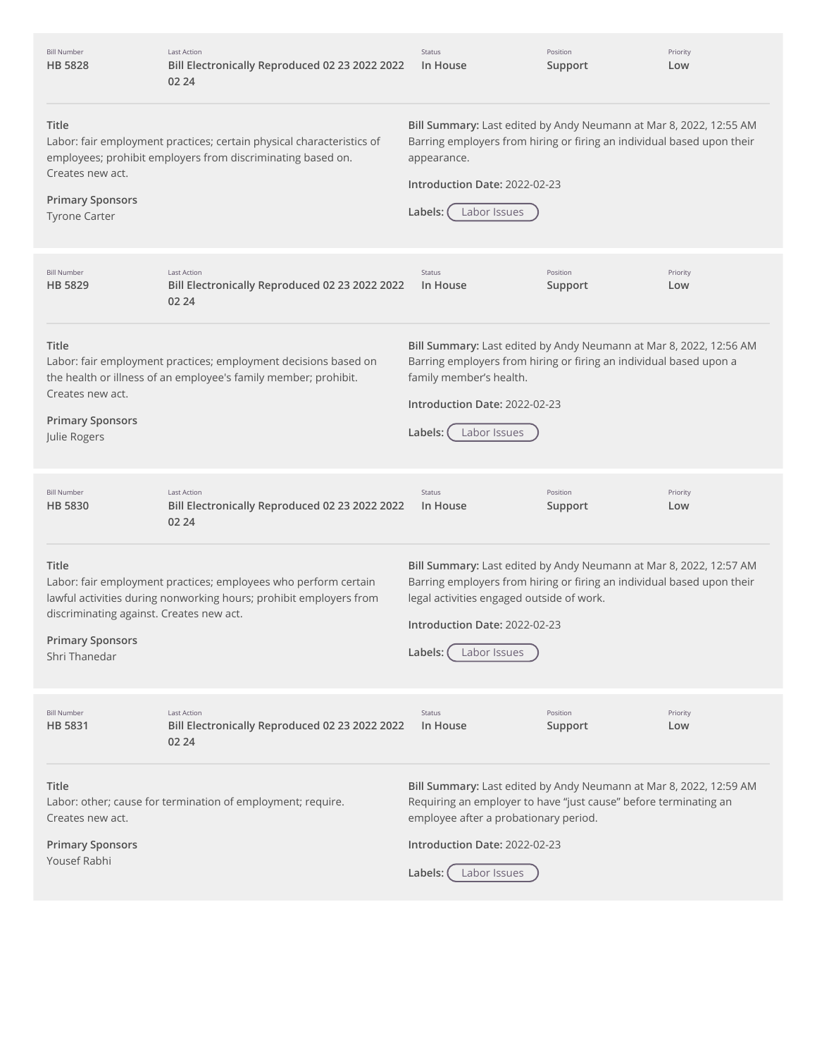| <b>Bill Number</b><br>HB 5828                                                                        | <b>Last Action</b><br>Bill Electronically Reproduced 02 23 2022 2022<br>02 24                                                         | Status<br>In House                                                                                                                                                                                                                                    | Position<br>Support | Priority<br>Low |
|------------------------------------------------------------------------------------------------------|---------------------------------------------------------------------------------------------------------------------------------------|-------------------------------------------------------------------------------------------------------------------------------------------------------------------------------------------------------------------------------------------------------|---------------------|-----------------|
| <b>Title</b><br>Creates new act.<br><b>Primary Sponsors</b><br><b>Tyrone Carter</b>                  | Labor: fair employment practices; certain physical characteristics of<br>employees; prohibit employers from discriminating based on.  | Bill Summary: Last edited by Andy Neumann at Mar 8, 2022, 12:55 AM<br>Barring employers from hiring or firing an individual based upon their<br>appearance.<br>Introduction Date: 2022-02-23<br>Labels:<br>Labor Issues                               |                     |                 |
| <b>Bill Number</b><br>HB 5829                                                                        | <b>Last Action</b><br>Bill Electronically Reproduced 02 23 2022 2022<br>02 24                                                         | Status<br>In House                                                                                                                                                                                                                                    | Position<br>Support | Priority<br>Low |
| Title<br>Creates new act.<br><b>Primary Sponsors</b><br>Julie Rogers                                 | Labor: fair employment practices; employment decisions based on<br>the health or illness of an employee's family member; prohibit.    | Bill Summary: Last edited by Andy Neumann at Mar 8, 2022, 12:56 AM<br>Barring employers from hiring or firing an individual based upon a<br>family member's health.<br>Introduction Date: 2022-02-23<br>Labels:<br>Labor Issues                       |                     |                 |
|                                                                                                      |                                                                                                                                       |                                                                                                                                                                                                                                                       |                     |                 |
| <b>Bill Number</b><br><b>HB 5830</b>                                                                 | <b>Last Action</b><br>Bill Electronically Reproduced 02 23 2022 2022<br>02 24                                                         | Status<br>In House                                                                                                                                                                                                                                    | Position<br>Support | Priority<br>Low |
| <b>Title</b><br>discriminating against. Creates new act.<br><b>Primary Sponsors</b><br>Shri Thanedar | Labor: fair employment practices; employees who perform certain<br>lawful activities during nonworking hours; prohibit employers from | Bill Summary: Last edited by Andy Neumann at Mar 8, 2022, 12:57 AM<br>Barring employers from hiring or firing an individual based upon their<br>legal activities engaged outside of work.<br>Introduction Date: 2022-02-23<br>Labels:<br>Labor Issues |                     |                 |
| <b>Bill Number</b><br><b>HB 5831</b>                                                                 | <b>Last Action</b><br>Bill Electronically Reproduced 02 23 2022 2022<br>02 24                                                         | Status<br>In House                                                                                                                                                                                                                                    | Position<br>Support | Priority<br>Low |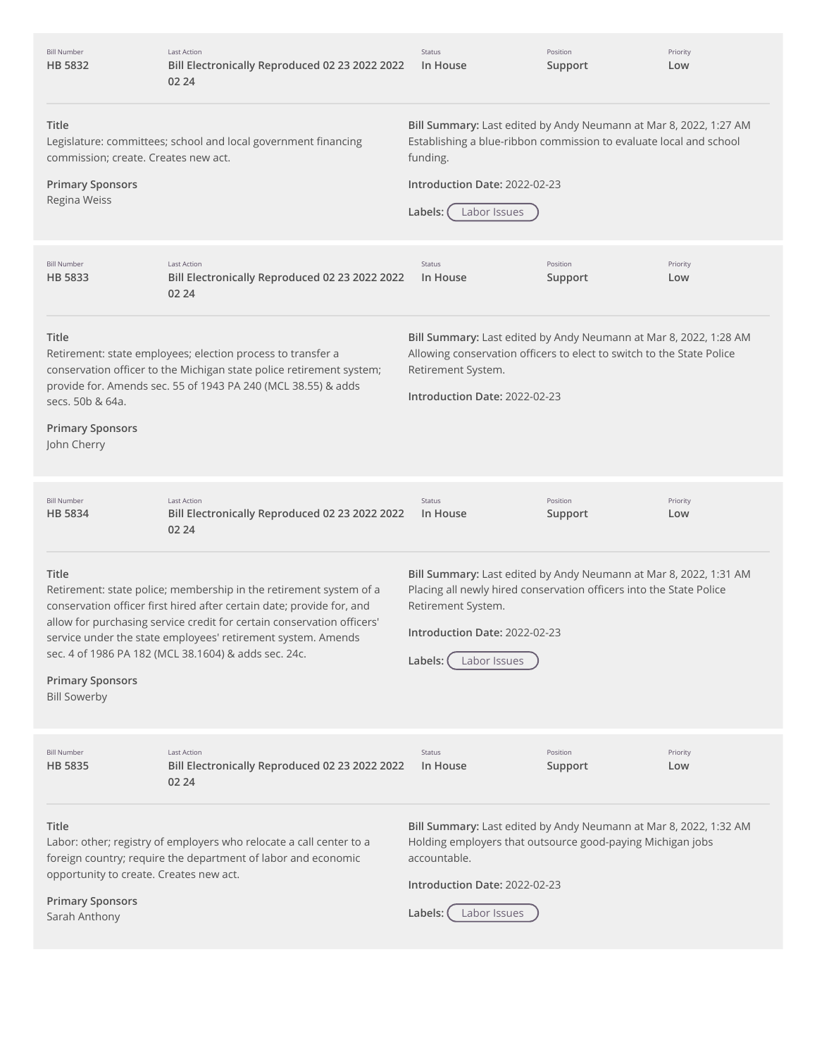| <b>Bill Number</b><br>HB 5832                                                                | <b>Last Action</b><br>Bill Electronically Reproduced 02 23 2022 2022<br>02 24                                                                                                                                                                                                                                                                 | Status<br>In House                                                                                                                                                                                                         | Position<br>Support | Priority<br>Low |
|----------------------------------------------------------------------------------------------|-----------------------------------------------------------------------------------------------------------------------------------------------------------------------------------------------------------------------------------------------------------------------------------------------------------------------------------------------|----------------------------------------------------------------------------------------------------------------------------------------------------------------------------------------------------------------------------|---------------------|-----------------|
| Title<br>commission; create. Creates new act.<br><b>Primary Sponsors</b><br>Regina Weiss     | Legislature: committees; school and local government financing                                                                                                                                                                                                                                                                                | Bill Summary: Last edited by Andy Neumann at Mar 8, 2022, 1:27 AM<br>Establishing a blue-ribbon commission to evaluate local and school<br>funding.<br>Introduction Date: 2022-02-23<br>Labels:<br>Labor Issues            |                     |                 |
| <b>Bill Number</b><br>HB 5833                                                                | <b>Last Action</b><br>Bill Electronically Reproduced 02 23 2022 2022<br>02 24                                                                                                                                                                                                                                                                 | Status<br>In House                                                                                                                                                                                                         | Position<br>Support | Priority<br>Low |
| Title<br>secs. 50b & 64a.<br><b>Primary Sponsors</b><br>John Cherry                          | Retirement: state employees; election process to transfer a<br>conservation officer to the Michigan state police retirement system;<br>provide for. Amends sec. 55 of 1943 PA 240 (MCL 38.55) & adds                                                                                                                                          | Bill Summary: Last edited by Andy Neumann at Mar 8, 2022, 1:28 AM<br>Allowing conservation officers to elect to switch to the State Police<br>Retirement System.<br>Introduction Date: 2022-02-23                          |                     |                 |
| <b>Bill Number</b><br>HB 5834                                                                | <b>Last Action</b><br>Bill Electronically Reproduced 02 23 2022 2022<br>02 24                                                                                                                                                                                                                                                                 | Status<br>In House                                                                                                                                                                                                         | Position<br>Support | Priority<br>Low |
| Title<br><b>Primary Sponsors</b><br><b>Bill Sowerby</b>                                      | Retirement: state police; membership in the retirement system of a<br>conservation officer first hired after certain date; provide for, and<br>allow for purchasing service credit for certain conservation officers'<br>service under the state employees' retirement system. Amends<br>sec. 4 of 1986 PA 182 (MCL 38.1604) & adds sec. 24c. | Bill Summary: Last edited by Andy Neumann at Mar 8, 2022, 1:31 AM<br>Placing all newly hired conservation officers into the State Police<br>Retirement System.<br>Introduction Date: 2022-02-23<br>Labels:<br>Labor Issues |                     |                 |
| <b>Bill Number</b><br><b>HB 5835</b>                                                         | <b>Last Action</b><br>Bill Electronically Reproduced 02 23 2022 2022<br>02 24                                                                                                                                                                                                                                                                 | Status<br>In House                                                                                                                                                                                                         | Position<br>Support | Priority<br>Low |
| Title<br>opportunity to create. Creates new act.<br><b>Primary Sponsors</b><br>Sarah Anthony | Labor: other; registry of employers who relocate a call center to a<br>foreign country; require the department of labor and economic                                                                                                                                                                                                          | Bill Summary: Last edited by Andy Neumann at Mar 8, 2022, 1:32 AM<br>Holding employers that outsource good-paying Michigan jobs<br>accountable.<br>Introduction Date: 2022-02-23<br>Labels:<br>Labor Issues                |                     |                 |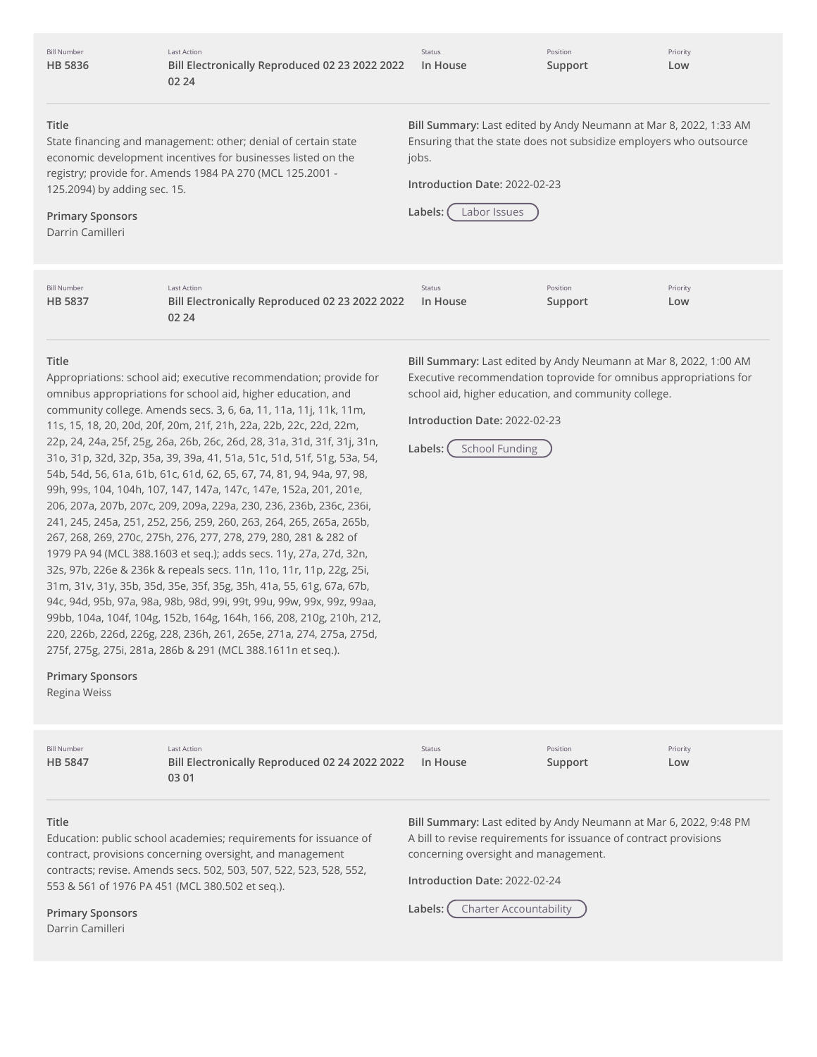**Title** State financing and management: other; denial of certain state economic development incentives for businesses listed on the registry; provide for. Amends 1984 PA 270 (MCL 125.2001 - 125.2094) by adding sec. 15. **Primary Sponsors** Darrin Camilleri **Bill Summary:** Last edited by Andy Neumann at Mar 8, 2022, 1:33 AM Ensuring that the state does not subsidize employers who outsource jobs. **Introduction Date:** 2022-02-23 **Labels:** Labor Issues **Title** Appropriations: school aid; executive recommendation; provide for omnibus appropriations for school aid, higher education, and community college. Amends secs. 3, 6, 6a, 11, 11a, 11j, 11k, 11m, 11s, 15, 18, 20, 20d, 20f, 20m, 21f, 21h, 22a, 22b, 22c, 22d, 22m, 22p, 24, 24a, 25f, 25g, 26a, 26b, 26c, 26d, 28, 31a, 31d, 31f, 31j, 31n, 31o, 31p, 32d, 32p, 35a, 39, 39a, 41, 51a, 51c, 51d, 51f, 51g, 53a, 54, 54b, 54d, 56, 61a, 61b, 61c, 61d, 62, 65, 67, 74, 81, 94, 94a, 97, 98, 99h, 99s, 104, 104h, 107, 147, 147a, 147c, 147e, 152a, 201, 201e, 206, 207a, 207b, 207c, 209, 209a, 229a, 230, 236, 236b, 236c, 236i, 241, 245, 245a, 251, 252, 256, 259, 260, 263, 264, 265, 265a, 265b, 267, 268, 269, 270c, 275h, 276, 277, 278, 279, 280, 281 & 282 of 1979 PA 94 (MCL 388.1603 et seq.); adds secs. 11y, 27a, 27d, 32n, 32s, 97b, 226e & 236k & repeals secs. 11n, 11o, 11r, 11p, 22g, 25i, 31m, 31v, 31y, 35b, 35d, 35e, 35f, 35g, 35h, 41a, 55, 61g, 67a, 67b, 94c, 94d, 95b, 97a, 98a, 98b, 98d, 99i, 99t, 99u, 99w, 99x, 99z, 99aa, 99bb, 104a, 104f, 104g, 152b, 164g, 164h, 166, 208, 210g, 210h, 212, 220, 226b, 226d, 226g, 228, 236h, 261, 265e, 271a, 274, 275a, 275d, 275f, 275g, 275i, 281a, 286b & 291 (MCL 388.1611n et seq.). **Primary Sponsors** Regina Weiss **Bill Summary:** Last edited by Andy Neumann at Mar 8, 2022, 1:00 AM Executive recommendation toprovide for omnibus appropriations for school aid, higher education, and community college. **Introduction Date:** 2022-02-23 Labels: (School Funding Bill Number **HB [5836](http://app.fiscalnote.com/share/bill?url=2fb5197fdd69c70df93cb2de4a9a8f20)** Last Action **Bill Electronically Reproduced 02 23 2022 2022 02 24** Status **In House** Position **Support** Priority **Low** Bill Number **HB [5837](http://app.fiscalnote.com/share/bill?url=806bf715c2a525c867000d95805524be)** Last Action **Bill Electronically Reproduced 02 23 2022 2022 02 24** Status **In House** Position **Support** Priority **Low** Bill Number **HB [5847](http://app.fiscalnote.com/share/bill?url=245ad2edf353419acd4bfb2bb9c7f557)** Last Action **Bill Electronically Reproduced 02 24 2022 2022** Status **In House** Position **Support** Priority **Low**

#### **Title**

Education: public school academies; requirements for issuance of contract, provisions concerning oversight, and management contracts; revise. Amends secs. 502, 503, 507, 522, 523, 528, 552, 553 & 561 of 1976 PA 451 (MCL 380.502 et seq.).

**03 01**

**Bill Summary:** Last edited by Andy Neumann at Mar 6, 2022, 9:48 PM A bill to revise requirements for issuance of contract provisions concerning oversight and management.

**Introduction Date:** 2022-02-24

**Labels:** Charter Accountability

**Primary Sponsors** Darrin Camilleri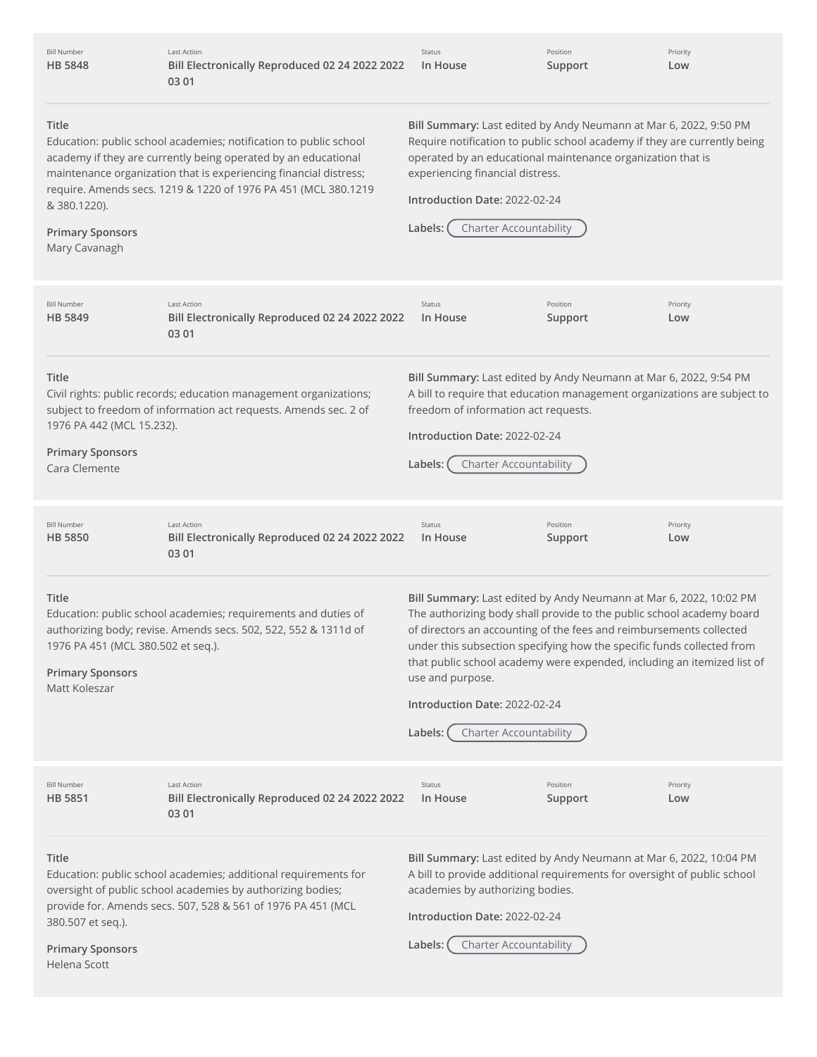| <b>Bill Number</b><br><b>HB 5848</b>                                                    | Last Action<br>Bill Electronically Reproduced 02 24 2022 2022<br>03 01                                                                                                                                                                                                     | Status<br>In House                                                                                                                                                                                                                                                                                                                                                                                                                                                         | Position<br>Support | Priority<br>Low |
|-----------------------------------------------------------------------------------------|----------------------------------------------------------------------------------------------------------------------------------------------------------------------------------------------------------------------------------------------------------------------------|----------------------------------------------------------------------------------------------------------------------------------------------------------------------------------------------------------------------------------------------------------------------------------------------------------------------------------------------------------------------------------------------------------------------------------------------------------------------------|---------------------|-----------------|
| Title<br>& 380.1220).<br><b>Primary Sponsors</b><br>Mary Cavanagh                       | Education: public school academies; notification to public school<br>academy if they are currently being operated by an educational<br>maintenance organization that is experiencing financial distress;<br>require. Amends secs. 1219 & 1220 of 1976 PA 451 (MCL 380.1219 | Bill Summary: Last edited by Andy Neumann at Mar 6, 2022, 9:50 PM<br>Require notification to public school academy if they are currently being<br>operated by an educational maintenance organization that is<br>experiencing financial distress.<br>Introduction Date: 2022-02-24<br><b>Charter Accountability</b><br>Labels:                                                                                                                                             |                     |                 |
| <b>Bill Number</b><br><b>HB 5849</b>                                                    | <b>Last Action</b><br>Bill Electronically Reproduced 02 24 2022 2022<br>03 01                                                                                                                                                                                              | Status<br>In House                                                                                                                                                                                                                                                                                                                                                                                                                                                         | Position<br>Support | Priority<br>Low |
| Title<br>1976 PA 442 (MCL 15.232).<br><b>Primary Sponsors</b><br>Cara Clemente          | Civil rights: public records; education management organizations;<br>subject to freedom of information act requests. Amends sec. 2 of                                                                                                                                      | Bill Summary: Last edited by Andy Neumann at Mar 6, 2022, 9:54 PM<br>A bill to require that education management organizations are subject to<br>freedom of information act requests.<br>Introduction Date: 2022-02-24<br><b>Charter Accountability</b><br>Labels:                                                                                                                                                                                                         |                     |                 |
| <b>Bill Number</b><br><b>HB 5850</b>                                                    | <b>Last Action</b><br>Bill Electronically Reproduced 02 24 2022 2022<br>03 01                                                                                                                                                                                              | Status<br>In House                                                                                                                                                                                                                                                                                                                                                                                                                                                         | Position<br>Support | Priority<br>Low |
| Title<br>1976 PA 451 (MCL 380.502 et seq.).<br><b>Primary Sponsors</b><br>Matt Koleszar | Education: public school academies; requirements and duties of<br>authorizing body; revise. Amends secs. 502, 522, 552 & 1311d of                                                                                                                                          | Bill Summary: Last edited by Andy Neumann at Mar 6, 2022, 10:02 PM<br>The authorizing body shall provide to the public school academy board<br>of directors an accounting of the fees and reimbursements collected<br>under this subsection specifying how the specific funds collected from<br>that public school academy were expended, including an itemized list of<br>use and purpose.<br>Introduction Date: 2022-02-24<br><b>Charter Accountability</b><br>Labels: ( |                     |                 |
| <b>Bill Number</b><br><b>HB 5851</b>                                                    | <b>Last Action</b><br>Bill Electronically Reproduced 02 24 2022 2022<br>03 01                                                                                                                                                                                              | Status<br>In House                                                                                                                                                                                                                                                                                                                                                                                                                                                         | Position<br>Support | Priority<br>Low |
| Title<br>380.507 et seq.).<br><b>Primary Sponsors</b><br>Helena Scott                   | Education: public school academies; additional requirements for<br>oversight of public school academies by authorizing bodies;<br>provide for. Amends secs. 507, 528 & 561 of 1976 PA 451 (MCL                                                                             | Bill Summary: Last edited by Andy Neumann at Mar 6, 2022, 10:04 PM<br>A bill to provide additional requirements for oversight of public school<br>academies by authorizing bodies.<br>Introduction Date: 2022-02-24<br>Labels:<br><b>Charter Accountability</b>                                                                                                                                                                                                            |                     |                 |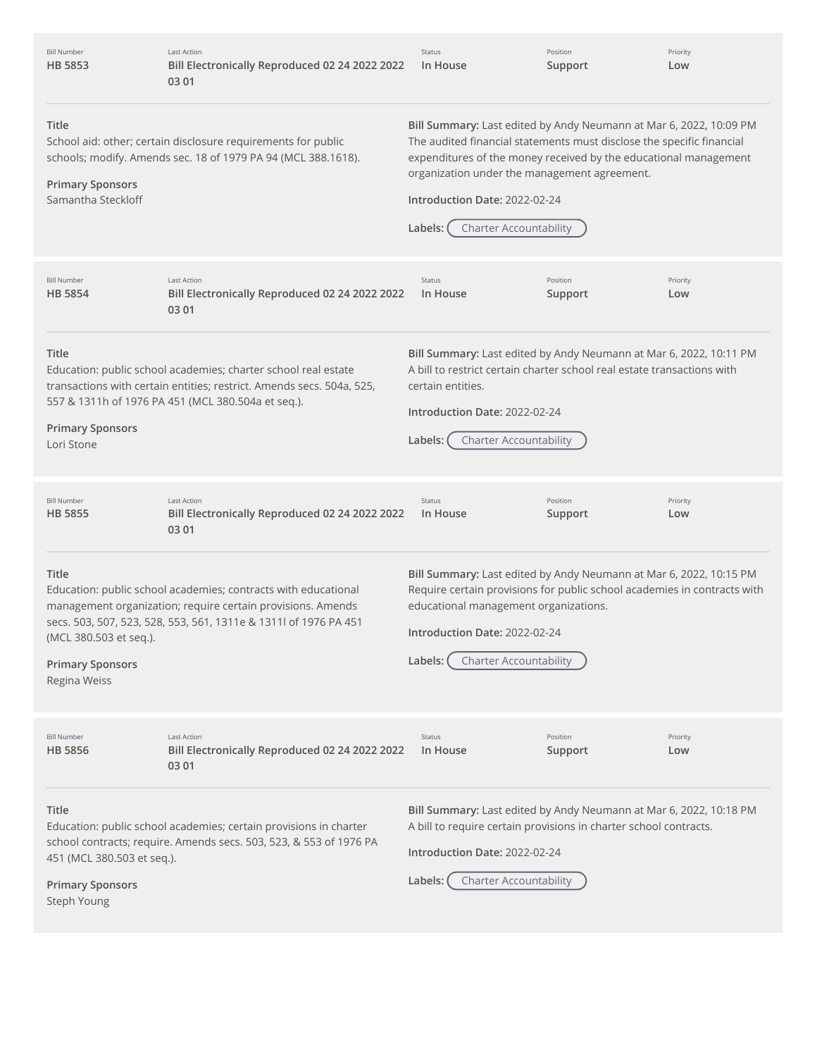| <b>Bill Number</b><br>HB 5853                                              | <b>Last Action</b><br>Bill Electronically Reproduced 02 24 2022 2022<br>03 01                                                                                                                     | Status<br>In House                                                                                                                                                                                                                                                                                                                           | Position<br>Support | Priority<br>Low |
|----------------------------------------------------------------------------|---------------------------------------------------------------------------------------------------------------------------------------------------------------------------------------------------|----------------------------------------------------------------------------------------------------------------------------------------------------------------------------------------------------------------------------------------------------------------------------------------------------------------------------------------------|---------------------|-----------------|
| Title<br><b>Primary Sponsors</b><br>Samantha Steckloff                     | School aid: other; certain disclosure requirements for public<br>schools; modify. Amends sec. 18 of 1979 PA 94 (MCL 388.1618).                                                                    | Bill Summary: Last edited by Andy Neumann at Mar 6, 2022, 10:09 PM<br>The audited financial statements must disclose the specific financial<br>expenditures of the money received by the educational management<br>organization under the management agreement.<br>Introduction Date: 2022-02-24<br><b>Charter Accountability</b><br>Labels: |                     |                 |
| <b>Bill Number</b><br><b>HB 5854</b>                                       | <b>Last Action</b><br>Bill Electronically Reproduced 02 24 2022 2022<br>03 01                                                                                                                     | Status<br>In House                                                                                                                                                                                                                                                                                                                           | Position<br>Support | Priority<br>Low |
| Title<br><b>Primary Sponsors</b><br>Lori Stone                             | Education: public school academies; charter school real estate<br>transactions with certain entities; restrict. Amends secs. 504a, 525,<br>557 & 1311h of 1976 PA 451 (MCL 380.504a et seq.).     | Bill Summary: Last edited by Andy Neumann at Mar 6, 2022, 10:11 PM<br>A bill to restrict certain charter school real estate transactions with<br>certain entities.<br>Introduction Date: 2022-02-24<br><b>Charter Accountability</b><br>Labels:                                                                                              |                     |                 |
| <b>Bill Number</b><br><b>HB 5855</b>                                       | <b>Last Action</b><br>Bill Electronically Reproduced 02 24 2022 2022<br>03 01                                                                                                                     | Status<br>In House                                                                                                                                                                                                                                                                                                                           | Position<br>Support | Priority<br>Low |
| Title<br>(MCL 380.503 et seq.).<br><b>Primary Sponsors</b><br>Regina Weiss | Education: public school academies; contracts with educational<br>management organization; require certain provisions. Amends<br>secs. 503, 507, 523, 528, 553, 561, 1311e & 1311l of 1976 PA 451 | Bill Summary: Last edited by Andy Neumann at Mar 6, 2022, 10:15 PM<br>Require certain provisions for public school academies in contracts with<br>educational management organizations.<br>Introduction Date: 2022-02-24<br><b>Charter Accountability</b><br>Labels:                                                                         |                     |                 |
| <b>Bill Number</b><br><b>HB 5856</b>                                       | <b>Last Action</b><br>Bill Electronically Reproduced 02 24 2022 2022<br>03 01                                                                                                                     | Status<br>In House                                                                                                                                                                                                                                                                                                                           | Position<br>Support | Priority<br>Low |
| Title<br>451 (MCL 380.503 et seq.).<br><b>Primary Sponsors</b>             | Education: public school academies; certain provisions in charter<br>school contracts; require. Amends secs. 503, 523, & 553 of 1976 PA                                                           | Bill Summary: Last edited by Andy Neumann at Mar 6, 2022, 10:18 PM<br>A bill to require certain provisions in charter school contracts.<br>Introduction Date: 2022-02-24<br><b>Charter Accountability</b><br>Labels:                                                                                                                         |                     |                 |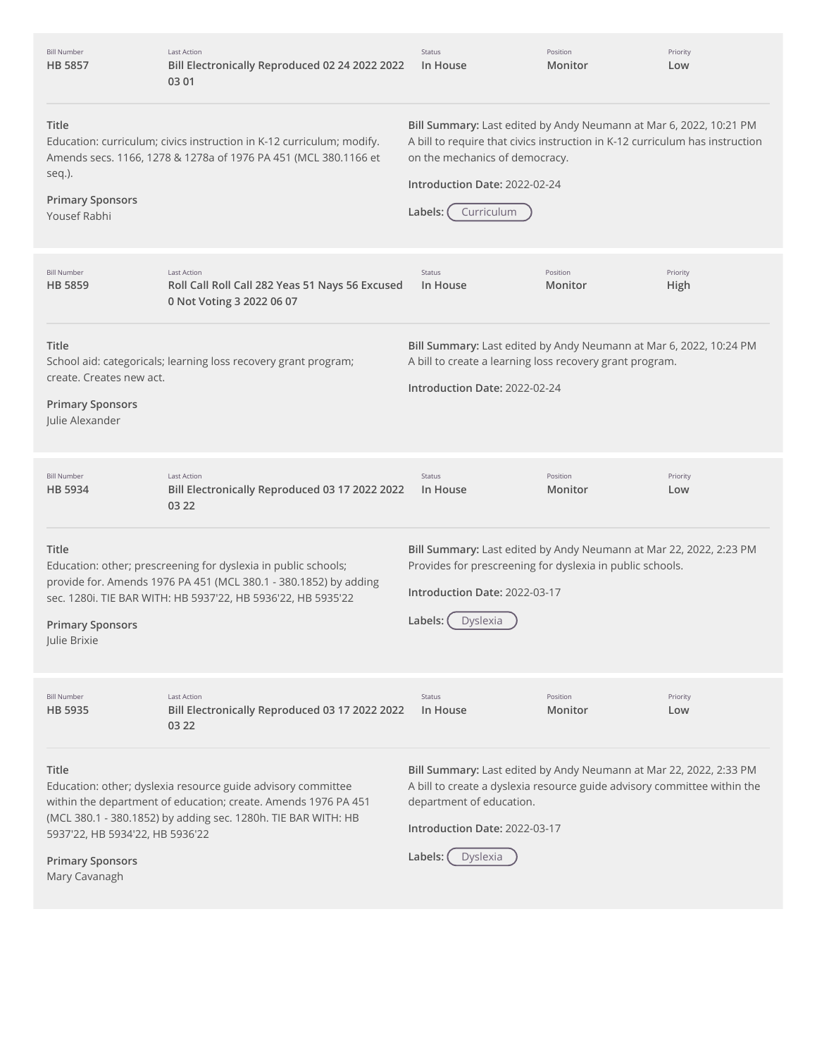| <b>Bill Number</b><br><b>HB 5857</b>                                                        | <b>Last Action</b><br>Bill Electronically Reproduced 02 24 2022 2022<br>03 01                                                                                                                      | Status<br>In House                                                                                                                                                                                                                             | Position<br>Monitor | Priority<br>Low  |
|---------------------------------------------------------------------------------------------|----------------------------------------------------------------------------------------------------------------------------------------------------------------------------------------------------|------------------------------------------------------------------------------------------------------------------------------------------------------------------------------------------------------------------------------------------------|---------------------|------------------|
| Title<br>seq.).<br><b>Primary Sponsors</b><br>Yousef Rabhi                                  | Education: curriculum; civics instruction in K-12 curriculum; modify.<br>Amends secs. 1166, 1278 & 1278a of 1976 PA 451 (MCL 380.1166 et                                                           | Bill Summary: Last edited by Andy Neumann at Mar 6, 2022, 10:21 PM<br>A bill to require that civics instruction in K-12 curriculum has instruction<br>on the mechanics of democracy.<br>Introduction Date: 2022-02-24<br>Curriculum<br>Labels: |                     |                  |
| <b>Bill Number</b><br><b>HB 5859</b>                                                        | <b>Last Action</b><br>Roll Call Roll Call 282 Yeas 51 Nays 56 Excused<br>0 Not Voting 3 2022 06 07                                                                                                 | <b>Status</b><br>In House                                                                                                                                                                                                                      | Position<br>Monitor | Priority<br>High |
| Title<br>create. Creates new act.<br><b>Primary Sponsors</b><br>Julie Alexander             | School aid: categoricals; learning loss recovery grant program;                                                                                                                                    | Bill Summary: Last edited by Andy Neumann at Mar 6, 2022, 10:24 PM<br>A bill to create a learning loss recovery grant program.<br>Introduction Date: 2022-02-24                                                                                |                     |                  |
| <b>Bill Number</b><br><b>HB 5934</b>                                                        | <b>Last Action</b><br>Bill Electronically Reproduced 03 17 2022 2022<br>03 22                                                                                                                      | <b>Status</b><br>In House                                                                                                                                                                                                                      | Position<br>Monitor | Priority<br>Low  |
| Title<br><b>Primary Sponsors</b><br>Julie Brixie                                            | Education: other; prescreening for dyslexia in public schools;<br>provide for. Amends 1976 PA 451 (MCL 380.1 - 380.1852) by adding<br>sec. 1280i. TIE BAR WITH: HB 5937'22, HB 5936'22, HB 5935'22 | Bill Summary: Last edited by Andy Neumann at Mar 22, 2022, 2:23 PM<br>Provides for prescreening for dyslexia in public schools.<br>Introduction Date: 2022-03-17<br>Labels:<br>Dyslexia                                                        |                     |                  |
| <b>Bill Number</b><br>HB 5935                                                               | <b>Last Action</b><br>Bill Electronically Reproduced 03 17 2022 2022<br>03 22                                                                                                                      | <b>Status</b><br>In House                                                                                                                                                                                                                      | Position<br>Monitor | Priority<br>Low  |
| <b>Title</b><br>5937'22, HB 5934'22, HB 5936'22<br><b>Primary Sponsors</b><br>Mary Cavanagh | Education: other; dyslexia resource guide advisory committee<br>within the department of education; create. Amends 1976 PA 451<br>(MCL 380.1 - 380.1852) by adding sec. 1280h. TIE BAR WITH: HB    | Bill Summary: Last edited by Andy Neumann at Mar 22, 2022, 2:33 PM<br>A bill to create a dyslexia resource guide advisory committee within the<br>department of education.<br>Introduction Date: 2022-03-17<br>Labels:<br>Dyslexia             |                     |                  |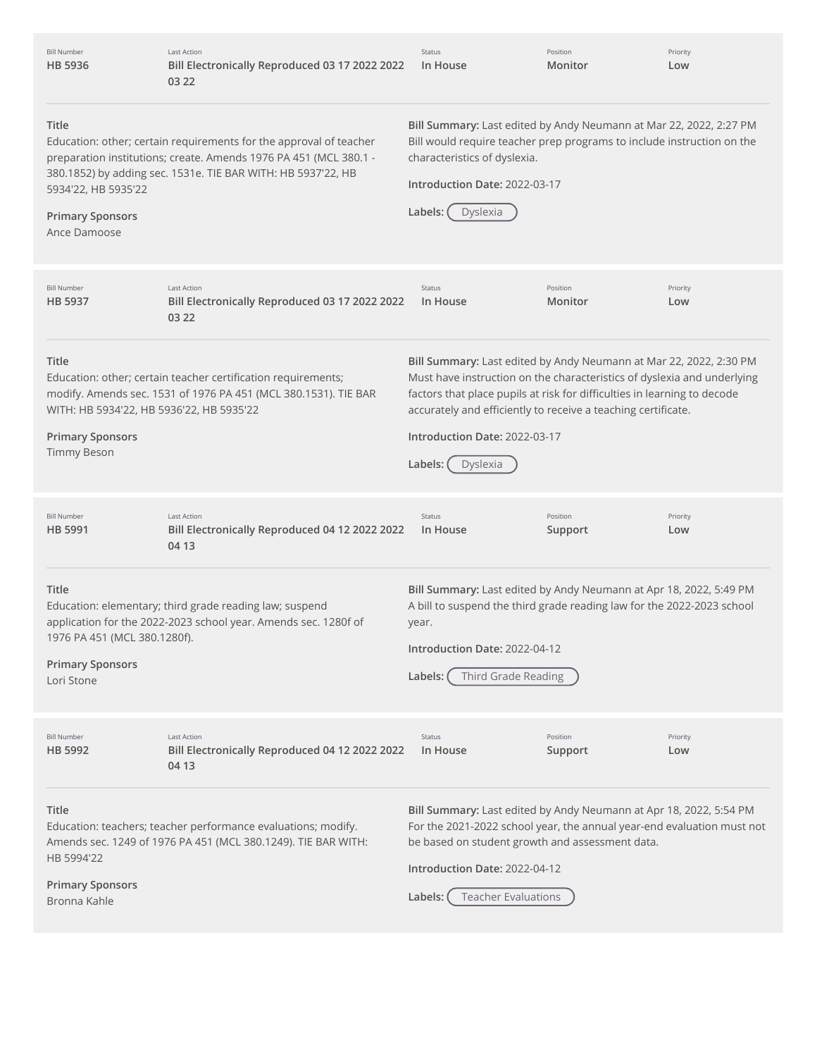| <b>Bill Number</b><br>HB 5936                                                                                                                                                                                                                                                      | Last Action<br>Bill Electronically Reproduced 03 17 2022 2022<br>03 22                                                           | Status<br>In House                                                                                                                                                                                                                                                                                                                                 | Position<br>Monitor                                                                                                                                                           | Priority<br>Low |  |
|------------------------------------------------------------------------------------------------------------------------------------------------------------------------------------------------------------------------------------------------------------------------------------|----------------------------------------------------------------------------------------------------------------------------------|----------------------------------------------------------------------------------------------------------------------------------------------------------------------------------------------------------------------------------------------------------------------------------------------------------------------------------------------------|-------------------------------------------------------------------------------------------------------------------------------------------------------------------------------|-----------------|--|
| Title<br>Education: other; certain requirements for the approval of teacher<br>preparation institutions; create. Amends 1976 PA 451 (MCL 380.1 -<br>380.1852) by adding sec. 1531e. TIE BAR WITH: HB 5937'22, HB<br>5934'22, HB 5935'22<br><b>Primary Sponsors</b><br>Ance Damoose |                                                                                                                                  | characteristics of dyslexia.<br>Labels:<br>Dyslexia                                                                                                                                                                                                                                                                                                | Bill Summary: Last edited by Andy Neumann at Mar 22, 2022, 2:27 PM<br>Bill would require teacher prep programs to include instruction on the<br>Introduction Date: 2022-03-17 |                 |  |
| <b>Bill Number</b><br>HB 5937                                                                                                                                                                                                                                                      | <b>Last Action</b><br>Bill Electronically Reproduced 03 17 2022 2022<br>03 22                                                    | Status<br>In House                                                                                                                                                                                                                                                                                                                                 | Position<br>Monitor                                                                                                                                                           | Priority<br>Low |  |
| Title<br>WITH: HB 5934'22, HB 5936'22, HB 5935'22<br><b>Primary Sponsors</b><br><b>Timmy Beson</b>                                                                                                                                                                                 | Education: other; certain teacher certification requirements;<br>modify. Amends sec. 1531 of 1976 PA 451 (MCL 380.1531). TIE BAR | Bill Summary: Last edited by Andy Neumann at Mar 22, 2022, 2:30 PM<br>Must have instruction on the characteristics of dyslexia and underlying<br>factors that place pupils at risk for difficulties in learning to decode<br>accurately and efficiently to receive a teaching certificate.<br>Introduction Date: 2022-03-17<br>Labels:<br>Dyslexia |                                                                                                                                                                               |                 |  |
| <b>Bill Number</b><br>HB 5991                                                                                                                                                                                                                                                      | <b>Last Action</b><br>Bill Electronically Reproduced 04 12 2022 2022<br>04 13                                                    | Status<br>In House                                                                                                                                                                                                                                                                                                                                 | Position<br>Support                                                                                                                                                           | Priority<br>Low |  |
| Title<br>1976 PA 451 (MCL 380.1280f).<br><b>Primary Sponsors</b><br>Lori Stone                                                                                                                                                                                                     | Education: elementary; third grade reading law; suspend<br>application for the 2022-2023 school year. Amends sec. 1280f of       | Bill Summary: Last edited by Andy Neumann at Apr 18, 2022, 5:49 PM<br>A bill to suspend the third grade reading law for the 2022-2023 school<br>year.<br>Introduction Date: 2022-04-12<br>Third Grade Reading<br>Labels:                                                                                                                           |                                                                                                                                                                               |                 |  |
| <b>Bill Number</b><br>HB 5992                                                                                                                                                                                                                                                      | <b>Last Action</b><br>Bill Electronically Reproduced 04 12 2022 2022<br>04 13                                                    | Status<br>In House                                                                                                                                                                                                                                                                                                                                 | Position<br>Support                                                                                                                                                           | Priority<br>Low |  |
| Title<br>HB 5994'22<br><b>Primary Sponsors</b><br>Bronna Kahle                                                                                                                                                                                                                     | Education: teachers; teacher performance evaluations; modify.<br>Amends sec. 1249 of 1976 PA 451 (MCL 380.1249). TIE BAR WITH:   | Bill Summary: Last edited by Andy Neumann at Apr 18, 2022, 5:54 PM<br>For the 2021-2022 school year, the annual year-end evaluation must not<br>be based on student growth and assessment data.<br>Introduction Date: 2022-04-12<br><b>Teacher Evaluations</b><br>Labels:                                                                          |                                                                                                                                                                               |                 |  |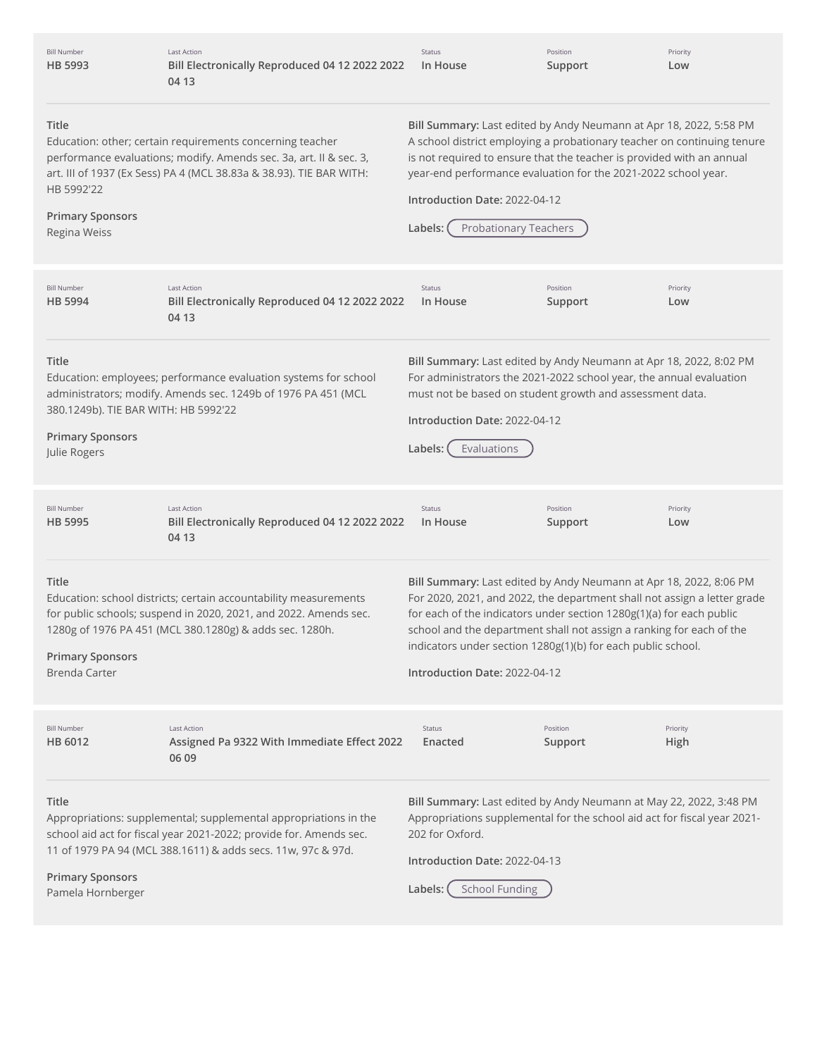| <b>Bill Number</b><br>HB 5993                                                                                                                                                                                                                                   | <b>Last Action</b><br>Bill Electronically Reproduced 04 12 2022 2022<br>04 13                                                                                                                          | Status<br>In House                                                                                                                                                                                                                                                                                                                                                                              | Position<br>Support | Priority<br>Low  |
|-----------------------------------------------------------------------------------------------------------------------------------------------------------------------------------------------------------------------------------------------------------------|--------------------------------------------------------------------------------------------------------------------------------------------------------------------------------------------------------|-------------------------------------------------------------------------------------------------------------------------------------------------------------------------------------------------------------------------------------------------------------------------------------------------------------------------------------------------------------------------------------------------|---------------------|------------------|
| Title<br>HB 5992'22<br><b>Primary Sponsors</b><br>Regina Weiss                                                                                                                                                                                                  | Education: other; certain requirements concerning teacher<br>performance evaluations; modify. Amends sec. 3a, art. II & sec. 3,<br>art. III of 1937 (Ex Sess) PA 4 (MCL 38.83a & 38.93). TIE BAR WITH: | Bill Summary: Last edited by Andy Neumann at Apr 18, 2022, 5:58 PM<br>A school district employing a probationary teacher on continuing tenure<br>is not required to ensure that the teacher is provided with an annual<br>year-end performance evaluation for the 2021-2022 school year.<br>Introduction Date: 2022-04-12<br><b>Probationary Teachers</b><br>Labels:                            |                     |                  |
| <b>Bill Number</b><br>HB 5994                                                                                                                                                                                                                                   | Last Action<br>Bill Electronically Reproduced 04 12 2022 2022<br>04 13                                                                                                                                 | Status<br>In House                                                                                                                                                                                                                                                                                                                                                                              | Position<br>Support | Priority<br>Low  |
| Title<br>380.1249b). TIE BAR WITH: HB 5992'22<br><b>Primary Sponsors</b><br>Julie Rogers                                                                                                                                                                        | Education: employees; performance evaluation systems for school<br>administrators; modify. Amends sec. 1249b of 1976 PA 451 (MCL                                                                       | Bill Summary: Last edited by Andy Neumann at Apr 18, 2022, 8:02 PM<br>For administrators the 2021-2022 school year, the annual evaluation<br>must not be based on student growth and assessment data.<br>Introduction Date: 2022-04-12<br>Evaluations<br>Labels: (                                                                                                                              |                     |                  |
| <b>Bill Number</b><br>HB 5995                                                                                                                                                                                                                                   | <b>Last Action</b><br>Bill Electronically Reproduced 04 12 2022 2022<br>04 13                                                                                                                          | Status<br>In House                                                                                                                                                                                                                                                                                                                                                                              | Position<br>Support | Priority<br>Low  |
| Title<br><b>Primary Sponsors</b><br>Brenda Carter                                                                                                                                                                                                               | Education: school districts; certain accountability measurements<br>for public schools; suspend in 2020, 2021, and 2022. Amends sec.<br>1280g of 1976 PA 451 (MCL 380.1280g) & adds sec. 1280h.        | Bill Summary: Last edited by Andy Neumann at Apr 18, 2022, 8:06 PM<br>For 2020, 2021, and 2022, the department shall not assign a letter grade<br>for each of the indicators under section 1280g(1)(a) for each public<br>school and the department shall not assign a ranking for each of the<br>indicators under section 1280g(1)(b) for each public school.<br>Introduction Date: 2022-04-12 |                     |                  |
| <b>Bill Number</b><br>HB 6012                                                                                                                                                                                                                                   | <b>Last Action</b><br>Assigned Pa 9322 With Immediate Effect 2022<br>06 09                                                                                                                             | <b>Status</b><br>Enacted                                                                                                                                                                                                                                                                                                                                                                        | Position<br>Support | Priority<br>High |
| Title<br>Appropriations: supplemental; supplemental appropriations in the<br>school aid act for fiscal year 2021-2022; provide for. Amends sec.<br>11 of 1979 PA 94 (MCL 388.1611) & adds secs. 11w, 97c & 97d.<br><b>Primary Sponsors</b><br>Pamela Hornberger |                                                                                                                                                                                                        | Bill Summary: Last edited by Andy Neumann at May 22, 2022, 3:48 PM<br>Appropriations supplemental for the school aid act for fiscal year 2021-<br>202 for Oxford.<br>Introduction Date: 2022-04-13<br><b>School Funding</b><br>Labels: (                                                                                                                                                        |                     |                  |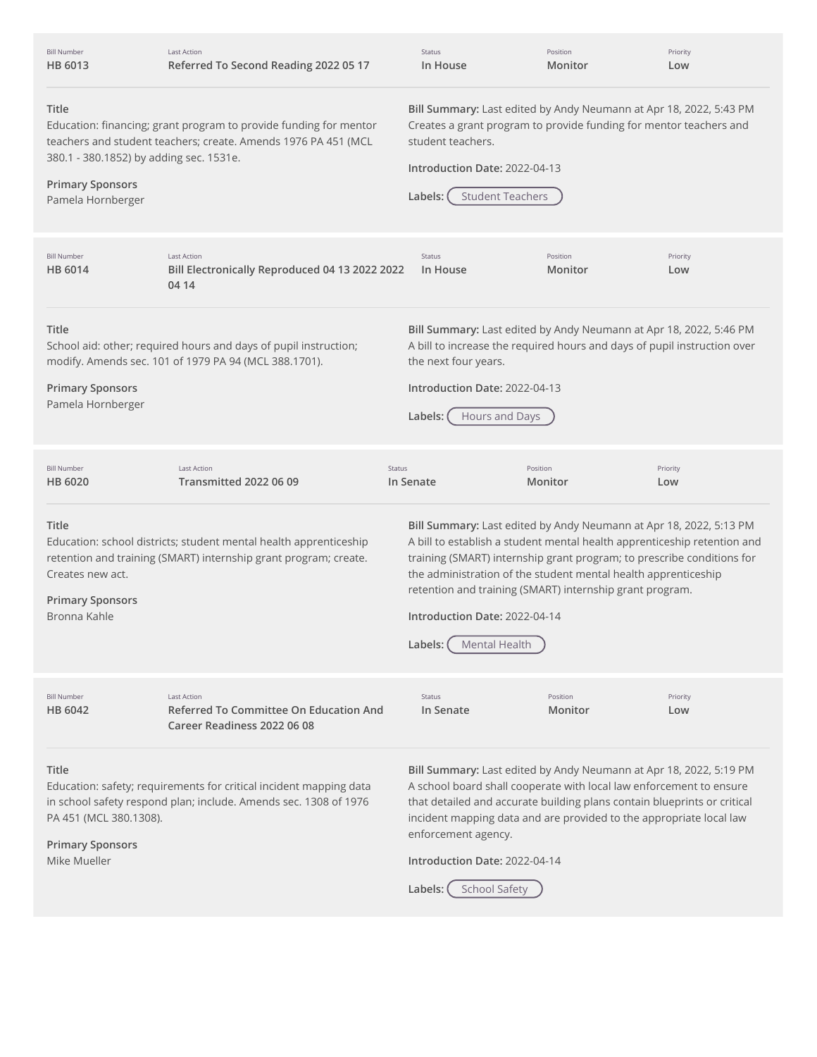| <b>Bill Number</b><br>HB 6013                                                                                                                                                                                                                                                                                                                                                                                                     | Last Action<br>Referred To Second Reading 2022 05 17                                                                                  | Status<br>In House                                                                                                                                                                                                                                                                                                                                                                                                  | Position<br>Monitor | Priority<br>Low                                                                                                                                                                                                                                                                              |
|-----------------------------------------------------------------------------------------------------------------------------------------------------------------------------------------------------------------------------------------------------------------------------------------------------------------------------------------------------------------------------------------------------------------------------------|---------------------------------------------------------------------------------------------------------------------------------------|---------------------------------------------------------------------------------------------------------------------------------------------------------------------------------------------------------------------------------------------------------------------------------------------------------------------------------------------------------------------------------------------------------------------|---------------------|----------------------------------------------------------------------------------------------------------------------------------------------------------------------------------------------------------------------------------------------------------------------------------------------|
| Title<br>Education: financing; grant program to provide funding for mentor<br>teachers and student teachers; create. Amends 1976 PA 451 (MCL<br>380.1 - 380.1852) by adding sec. 1531e.<br><b>Primary Sponsors</b><br>Pamela Hornberger                                                                                                                                                                                           |                                                                                                                                       | student teachers.<br>Introduction Date: 2022-04-13<br><b>Student Teachers</b><br>Labels:                                                                                                                                                                                                                                                                                                                            |                     | Bill Summary: Last edited by Andy Neumann at Apr 18, 2022, 5:43 PM<br>Creates a grant program to provide funding for mentor teachers and                                                                                                                                                     |
| <b>Bill Number</b><br>HB 6014                                                                                                                                                                                                                                                                                                                                                                                                     | Last Action<br>Bill Electronically Reproduced 04 13 2022 2022<br>04 14                                                                | Status<br>In House                                                                                                                                                                                                                                                                                                                                                                                                  | Position<br>Monitor | Priority<br>Low                                                                                                                                                                                                                                                                              |
| <b>Title</b><br>Bill Summary: Last edited by Andy Neumann at Apr 18, 2022, 5:46 PM<br>A bill to increase the required hours and days of pupil instruction over<br>School aid: other; required hours and days of pupil instruction;<br>modify. Amends sec. 101 of 1979 PA 94 (MCL 388.1701).<br>the next four years.<br><b>Primary Sponsors</b><br>Introduction Date: 2022-04-13<br>Pamela Hornberger<br>Labels:<br>Hours and Days |                                                                                                                                       |                                                                                                                                                                                                                                                                                                                                                                                                                     |                     |                                                                                                                                                                                                                                                                                              |
| <b>Bill Number</b><br>HB 6020                                                                                                                                                                                                                                                                                                                                                                                                     | <b>Last Action</b><br><b>Transmitted 2022 06 09</b>                                                                                   | <b>Status</b><br>In Senate                                                                                                                                                                                                                                                                                                                                                                                          | Position<br>Monitor | Priority<br>Low                                                                                                                                                                                                                                                                              |
| Title<br>Creates new act.<br><b>Primary Sponsors</b><br>Bronna Kahle                                                                                                                                                                                                                                                                                                                                                              | Education: school districts; student mental health apprenticeship<br>retention and training (SMART) internship grant program; create. | Bill Summary: Last edited by Andy Neumann at Apr 18, 2022, 5:13 PM<br>A bill to establish a student mental health apprenticeship retention and<br>training (SMART) internship grant program; to prescribe conditions for<br>the administration of the student mental health apprenticeship<br>retention and training (SMART) internship grant program.<br>Introduction Date: 2022-04-14<br>Labels:<br>Mental Health |                     |                                                                                                                                                                                                                                                                                              |
| <b>Bill Number</b><br>HB 6042                                                                                                                                                                                                                                                                                                                                                                                                     | Last Action<br><b>Referred To Committee On Education And</b><br>Career Readiness 2022 06 08                                           | Status<br>In Senate                                                                                                                                                                                                                                                                                                                                                                                                 | Position<br>Monitor | Priority<br>Low                                                                                                                                                                                                                                                                              |
| <b>Title</b><br>Education: safety; requirements for critical incident mapping data<br>in school safety respond plan; include. Amends sec. 1308 of 1976<br>PA 451 (MCL 380.1308).<br><b>Primary Sponsors</b><br>Mike Mueller                                                                                                                                                                                                       |                                                                                                                                       | enforcement agency.<br>Introduction Date: 2022-04-14<br><b>School Safety</b><br>Labels:                                                                                                                                                                                                                                                                                                                             |                     | Bill Summary: Last edited by Andy Neumann at Apr 18, 2022, 5:19 PM<br>A school board shall cooperate with local law enforcement to ensure<br>that detailed and accurate building plans contain blueprints or critical<br>incident mapping data and are provided to the appropriate local law |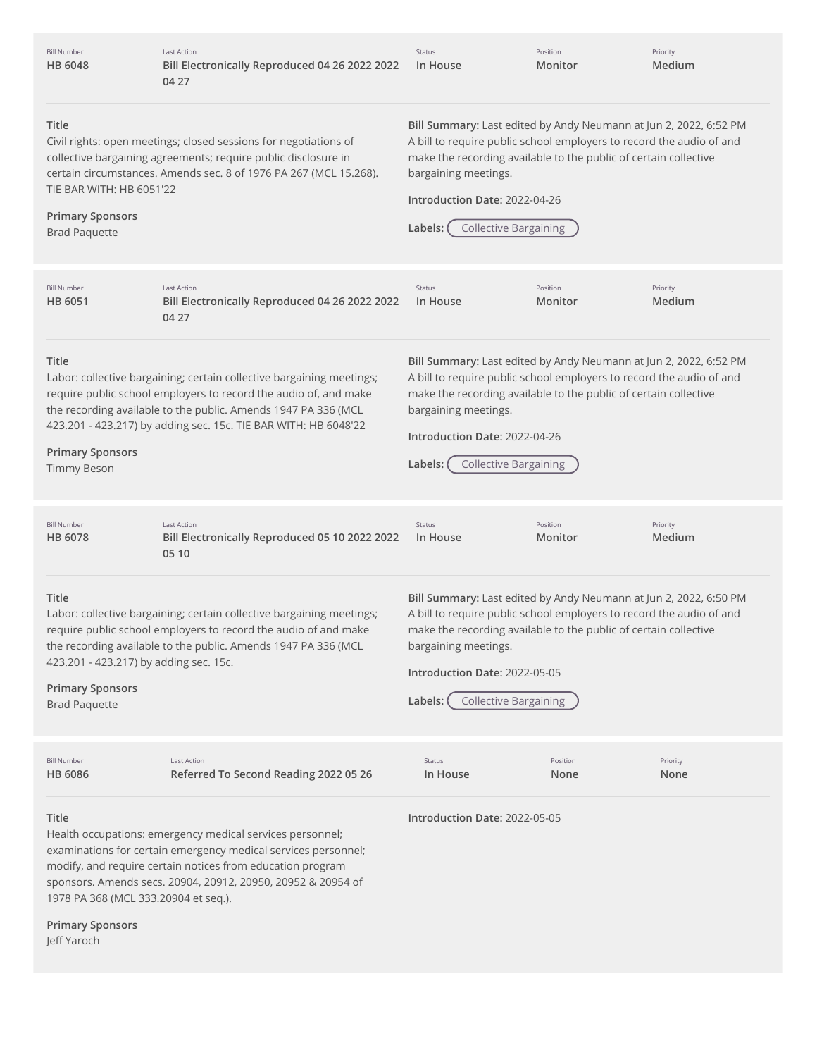| <b>Bill Number</b><br><b>HB 6048</b>                                                               | Last Action<br>Bill Electronically Reproduced 04 26 2022 2022<br>04 27                                                                                                                                                                                                                                                             | Status<br>In House                                                                                                                                                                                                                                                                                                | Position<br>Monitor | Priority<br>Medium |
|----------------------------------------------------------------------------------------------------|------------------------------------------------------------------------------------------------------------------------------------------------------------------------------------------------------------------------------------------------------------------------------------------------------------------------------------|-------------------------------------------------------------------------------------------------------------------------------------------------------------------------------------------------------------------------------------------------------------------------------------------------------------------|---------------------|--------------------|
| Title<br>TIE BAR WITH: HB 6051'22<br><b>Primary Sponsors</b><br><b>Brad Paquette</b>               | Civil rights: open meetings; closed sessions for negotiations of<br>collective bargaining agreements; require public disclosure in<br>certain circumstances. Amends sec. 8 of 1976 PA 267 (MCL 15.268).                                                                                                                            | Bill Summary: Last edited by Andy Neumann at Jun 2, 2022, 6:52 PM<br>A bill to require public school employers to record the audio of and<br>make the recording available to the public of certain collective<br>bargaining meetings.<br>Introduction Date: 2022-04-26<br><b>Collective Bargaining</b><br>Labels: |                     |                    |
| <b>Bill Number</b><br>HB 6051                                                                      | <b>Last Action</b><br>Bill Electronically Reproduced 04 26 2022 2022<br>04 27                                                                                                                                                                                                                                                      | Status<br>In House                                                                                                                                                                                                                                                                                                | Position<br>Monitor | Priority<br>Medium |
| Title<br><b>Primary Sponsors</b><br><b>Timmy Beson</b>                                             | Labor: collective bargaining; certain collective bargaining meetings;<br>require public school employers to record the audio of, and make<br>the recording available to the public. Amends 1947 PA 336 (MCL<br>423.201 - 423.217) by adding sec. 15c. TIE BAR WITH: HB 6048'22                                                     | Bill Summary: Last edited by Andy Neumann at Jun 2, 2022, 6:52 PM<br>A bill to require public school employers to record the audio of and<br>make the recording available to the public of certain collective<br>bargaining meetings.<br>Introduction Date: 2022-04-26<br><b>Collective Bargaining</b><br>Labels: |                     |                    |
| <b>Bill Number</b><br>HB 6078                                                                      | <b>Last Action</b><br>Bill Electronically Reproduced 05 10 2022 2022<br>05 10                                                                                                                                                                                                                                                      | Status<br>In House                                                                                                                                                                                                                                                                                                | Position<br>Monitor | Priority<br>Medium |
| Title<br>423.201 - 423.217) by adding sec. 15c.<br><b>Primary Sponsors</b><br><b>Brad Paquette</b> | Labor: collective bargaining; certain collective bargaining meetings;<br>require public school employers to record the audio of and make<br>the recording available to the public. Amends 1947 PA 336 (MCL                                                                                                                         | Bill Summary: Last edited by Andy Neumann at Jun 2, 2022, 6:50 PM<br>A bill to require public school employers to record the audio of and<br>make the recording available to the public of certain collective<br>bargaining meetings.<br>Introduction Date: 2022-05-05<br><b>Collective Bargaining</b><br>Labels: |                     |                    |
| <b>Bill Number</b><br><b>HB 6086</b>                                                               | Last Action<br>Referred To Second Reading 2022 05 26                                                                                                                                                                                                                                                                               | Status<br>In House                                                                                                                                                                                                                                                                                                | Position<br>None    | Priority<br>None   |
| Title                                                                                              | Introduction Date: 2022-05-05<br>Health occupations: emergency medical services personnel;<br>examinations for certain emergency medical services personnel;<br>modify, and require certain notices from education program<br>sponsors. Amends secs. 20904, 20912, 20950, 20952 & 20954 of<br>1978 PA 368 (MCL 333.20904 et seq.). |                                                                                                                                                                                                                                                                                                                   |                     |                    |
| <b>Primary Sponsors</b><br>Jeff Yaroch                                                             |                                                                                                                                                                                                                                                                                                                                    |                                                                                                                                                                                                                                                                                                                   |                     |                    |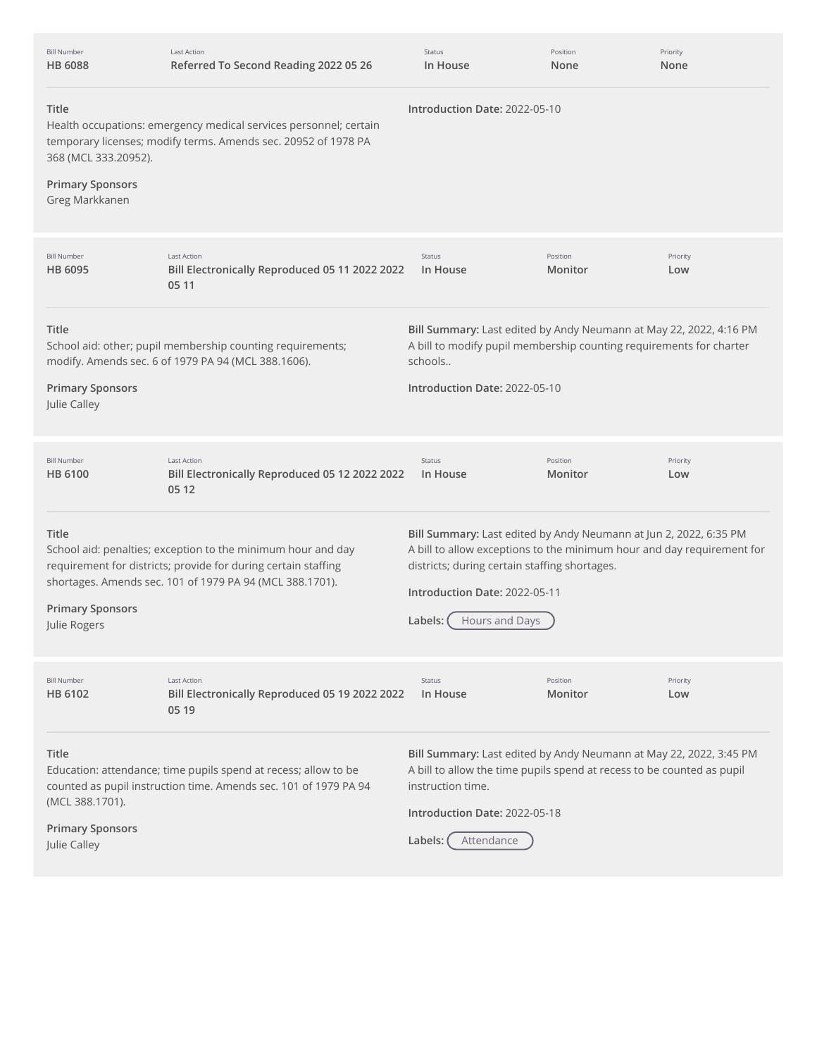| <b>Bill Number</b><br><b>HB 6088</b>                                       | <b>Last Action</b><br>Referred To Second Reading 2022 05 26                                                                                                                                | Status<br>In House                                                                                                                                                                                                                                                | Position<br>None    | Priority<br>None |
|----------------------------------------------------------------------------|--------------------------------------------------------------------------------------------------------------------------------------------------------------------------------------------|-------------------------------------------------------------------------------------------------------------------------------------------------------------------------------------------------------------------------------------------------------------------|---------------------|------------------|
| Title<br>368 (MCL 333.20952).<br><b>Primary Sponsors</b><br>Greg Markkanen | Health occupations: emergency medical services personnel; certain<br>temporary licenses; modify terms. Amends sec. 20952 of 1978 PA                                                        | Introduction Date: 2022-05-10                                                                                                                                                                                                                                     |                     |                  |
| <b>Bill Number</b><br>HB 6095                                              | <b>Last Action</b><br>Bill Electronically Reproduced 05 11 2022 2022<br>05 11                                                                                                              | Status<br>In House                                                                                                                                                                                                                                                | Position<br>Monitor | Priority<br>Low  |
| Title<br><b>Primary Sponsors</b><br>Julie Calley                           | School aid: other; pupil membership counting requirements;<br>modify. Amends sec. 6 of 1979 PA 94 (MCL 388.1606).                                                                          | Bill Summary: Last edited by Andy Neumann at May 22, 2022, 4:16 PM<br>A bill to modify pupil membership counting requirements for charter<br>schools<br>Introduction Date: 2022-05-10                                                                             |                     |                  |
| <b>Bill Number</b><br><b>HB 6100</b>                                       | <b>Last Action</b><br>Bill Electronically Reproduced 05 12 2022 2022<br>05 12                                                                                                              | <b>Status</b><br>In House                                                                                                                                                                                                                                         | Position<br>Monitor | Priority<br>Low  |
| Title<br><b>Primary Sponsors</b><br>Julie Rogers                           | School aid: penalties; exception to the minimum hour and day<br>requirement for districts; provide for during certain staffing<br>shortages. Amends sec. 101 of 1979 PA 94 (MCL 388.1701). | Bill Summary: Last edited by Andy Neumann at Jun 2, 2022, 6:35 PM<br>A bill to allow exceptions to the minimum hour and day requirement for<br>districts; during certain staffing shortages.<br>Introduction Date: 2022-05-11<br><b>Hours and Days</b><br>Labels: |                     |                  |
| <b>Bill Number</b><br>HB 6102                                              | <b>Last Action</b><br>Bill Electronically Reproduced 05 19 2022 2022<br>05 19                                                                                                              | <b>Status</b><br>In House                                                                                                                                                                                                                                         | Position<br>Monitor | Priority<br>Low  |
| Title<br>(MCL 388.1701).<br><b>Primary Sponsors</b><br>Julie Calley        | Education: attendance; time pupils spend at recess; allow to be<br>counted as pupil instruction time. Amends sec. 101 of 1979 PA 94                                                        | Bill Summary: Last edited by Andy Neumann at May 22, 2022, 3:45 PM<br>A bill to allow the time pupils spend at recess to be counted as pupil<br>instruction time.<br>Introduction Date: 2022-05-18<br>Labels:<br>Attendance                                       |                     |                  |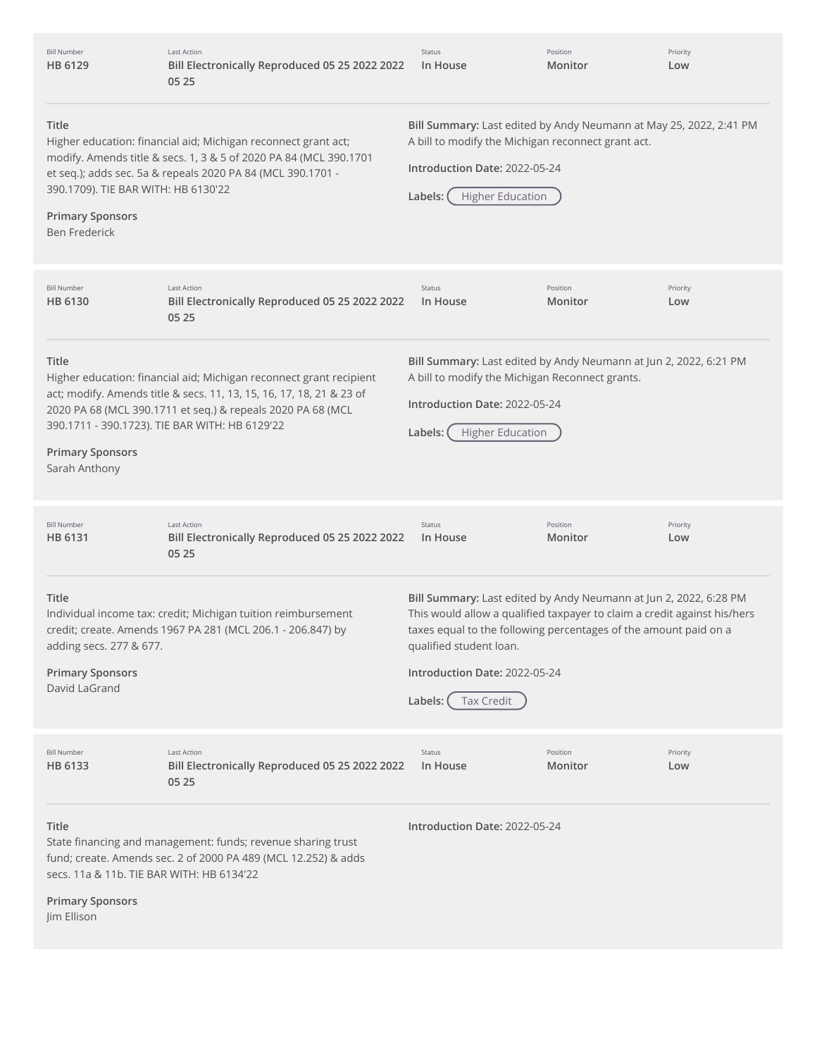| <b>Bill Number</b><br>HB 6129                                                                                                                                                                                                                                                                         | <b>Last Action</b><br>Bill Electronically Reproduced 05 25 2022 2022<br>05 25                                                                                                                                                                                | Status<br>In House                                                                                                                                                                                                                                                                                     | Position<br>Monitor | Priority<br>Low |
|-------------------------------------------------------------------------------------------------------------------------------------------------------------------------------------------------------------------------------------------------------------------------------------------------------|--------------------------------------------------------------------------------------------------------------------------------------------------------------------------------------------------------------------------------------------------------------|--------------------------------------------------------------------------------------------------------------------------------------------------------------------------------------------------------------------------------------------------------------------------------------------------------|---------------------|-----------------|
| Title<br>Higher education: financial aid; Michigan reconnect grant act;<br>modify. Amends title & secs. 1, 3 & 5 of 2020 PA 84 (MCL 390.1701<br>et seq.); adds sec. 5a & repeals 2020 PA 84 (MCL 390.1701 -<br>390.1709). TIE BAR WITH: HB 6130'22<br><b>Primary Sponsors</b><br><b>Ben Frederick</b> |                                                                                                                                                                                                                                                              | Bill Summary: Last edited by Andy Neumann at May 25, 2022, 2:41 PM<br>A bill to modify the Michigan reconnect grant act.<br>Introduction Date: 2022-05-24<br><b>Higher Education</b><br>Labels:                                                                                                        |                     |                 |
| <b>Bill Number</b><br>HB 6130                                                                                                                                                                                                                                                                         | <b>Last Action</b><br>Bill Electronically Reproduced 05 25 2022 2022<br>05 25                                                                                                                                                                                | Status<br>In House                                                                                                                                                                                                                                                                                     | Position<br>Monitor | Priority<br>Low |
| Title<br><b>Primary Sponsors</b><br>Sarah Anthony                                                                                                                                                                                                                                                     | Higher education: financial aid; Michigan reconnect grant recipient<br>act; modify. Amends title & secs. 11, 13, 15, 16, 17, 18, 21 & 23 of<br>2020 PA 68 (MCL 390.1711 et seq.) & repeals 2020 PA 68 (MCL<br>390.1711 - 390.1723). TIE BAR WITH: HB 6129'22 | Bill Summary: Last edited by Andy Neumann at Jun 2, 2022, 6:21 PM<br>A bill to modify the Michigan Reconnect grants.<br>Introduction Date: 2022-05-24<br><b>Higher Education</b><br>Labels:                                                                                                            |                     |                 |
| <b>Bill Number</b><br>HB 6131                                                                                                                                                                                                                                                                         | <b>Last Action</b><br>Bill Electronically Reproduced 05 25 2022 2022<br>05 25                                                                                                                                                                                | Status<br>In House                                                                                                                                                                                                                                                                                     | Position<br>Monitor | Priority<br>Low |
| <b>Title</b><br>adding secs. 277 & 677.<br><b>Primary Sponsors</b><br>David LaGrand                                                                                                                                                                                                                   | Individual income tax: credit; Michigan tuition reimbursement<br>credit; create. Amends 1967 PA 281 (MCL 206.1 - 206.847) by                                                                                                                                 | Bill Summary: Last edited by Andy Neumann at Jun 2, 2022, 6:28 PM<br>This would allow a qualified taxpayer to claim a credit against his/hers<br>taxes equal to the following percentages of the amount paid on a<br>qualified student loan.<br>Introduction Date: 2022-05-24<br>Labels:<br>Tax Credit |                     |                 |
| <b>Bill Number</b><br>HB 6133                                                                                                                                                                                                                                                                         | <b>Last Action</b><br>Bill Electronically Reproduced 05 25 2022 2022<br>05 25                                                                                                                                                                                | Status<br>In House                                                                                                                                                                                                                                                                                     | Position<br>Monitor | Priority<br>Low |
| <b>Title</b><br>secs. 11a & 11b. TIE BAR WITH: HB 6134'22                                                                                                                                                                                                                                             | State financing and management: funds; revenue sharing trust<br>fund; create. Amends sec. 2 of 2000 PA 489 (MCL 12.252) & adds                                                                                                                               | Introduction Date: 2022-05-24                                                                                                                                                                                                                                                                          |                     |                 |
| <b>Primary Sponsors</b><br>Jim Ellison                                                                                                                                                                                                                                                                |                                                                                                                                                                                                                                                              |                                                                                                                                                                                                                                                                                                        |                     |                 |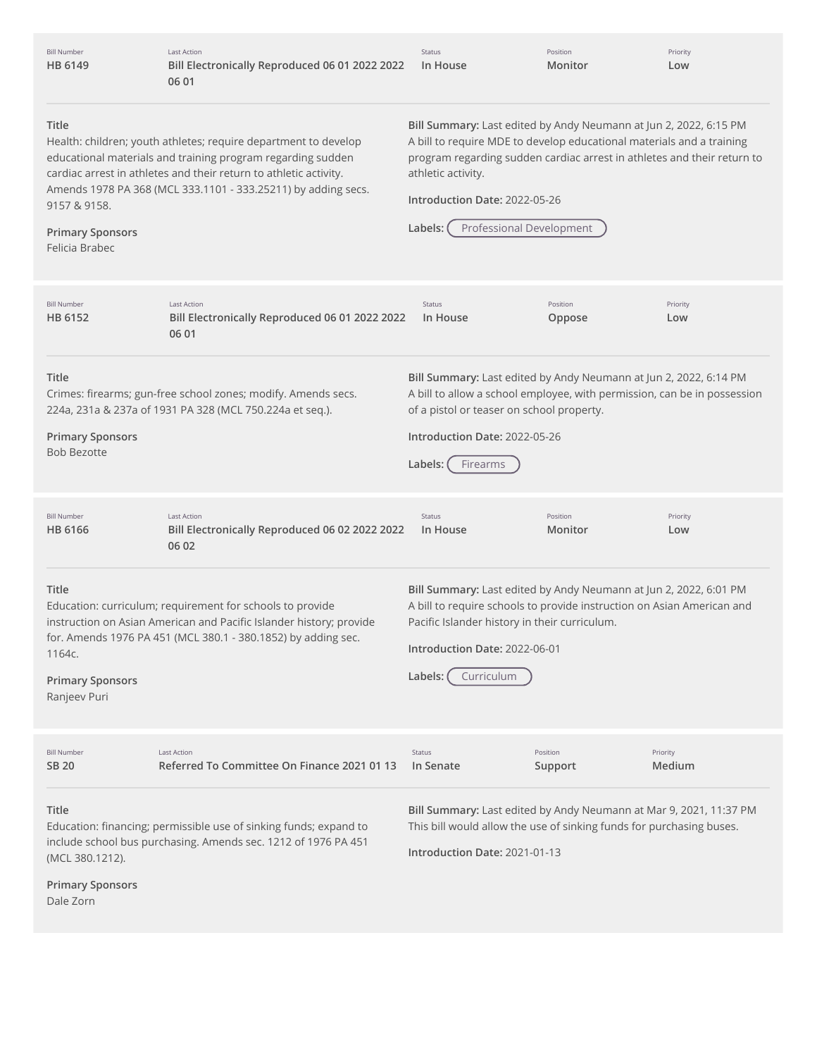| <b>Bill Number</b><br>HB 6149                                                                                                                                                                                                                                                                                                                                                                                                                                                                                                                                                                                                                                     | <b>Last Action</b><br>Bill Electronically Reproduced 06 01 2022 2022<br>06 01                                                                                                                     | <b>Status</b><br>In House                                                                                                                                                                                                                              | Position<br>Monitor | Priority<br>Low    |
|-------------------------------------------------------------------------------------------------------------------------------------------------------------------------------------------------------------------------------------------------------------------------------------------------------------------------------------------------------------------------------------------------------------------------------------------------------------------------------------------------------------------------------------------------------------------------------------------------------------------------------------------------------------------|---------------------------------------------------------------------------------------------------------------------------------------------------------------------------------------------------|--------------------------------------------------------------------------------------------------------------------------------------------------------------------------------------------------------------------------------------------------------|---------------------|--------------------|
| Title<br>Bill Summary: Last edited by Andy Neumann at Jun 2, 2022, 6:15 PM<br>A bill to require MDE to develop educational materials and a training<br>Health: children; youth athletes; require department to develop<br>program regarding sudden cardiac arrest in athletes and their return to<br>educational materials and training program regarding sudden<br>cardiac arrest in athletes and their return to athletic activity.<br>athletic activity.<br>Amends 1978 PA 368 (MCL 333.1101 - 333.25211) by adding secs.<br>Introduction Date: 2022-05-26<br>9157 & 9158.<br>Professional Development<br>Labels:<br><b>Primary Sponsors</b><br>Felicia Brabec |                                                                                                                                                                                                   |                                                                                                                                                                                                                                                        |                     |                    |
| <b>Bill Number</b><br>HB 6152                                                                                                                                                                                                                                                                                                                                                                                                                                                                                                                                                                                                                                     | <b>Last Action</b><br>Bill Electronically Reproduced 06 01 2022 2022<br>06 01                                                                                                                     | Status<br>In House                                                                                                                                                                                                                                     | Position<br>Oppose  | Priority<br>Low    |
| Title<br><b>Primary Sponsors</b><br><b>Bob Bezotte</b>                                                                                                                                                                                                                                                                                                                                                                                                                                                                                                                                                                                                            | Crimes: firearms; gun-free school zones; modify. Amends secs.<br>224a, 231a & 237a of 1931 PA 328 (MCL 750.224a et seq.).                                                                         | Bill Summary: Last edited by Andy Neumann at Jun 2, 2022, 6:14 PM<br>A bill to allow a school employee, with permission, can be in possession<br>of a pistol or teaser on school property.<br>Introduction Date: 2022-05-26<br>Labels:<br>Firearms     |                     |                    |
| <b>Bill Number</b><br>HB 6166                                                                                                                                                                                                                                                                                                                                                                                                                                                                                                                                                                                                                                     | <b>Last Action</b><br>Bill Electronically Reproduced 06 02 2022 2022<br>06 02                                                                                                                     | Status<br>In House                                                                                                                                                                                                                                     | Position<br>Monitor | Priority<br>Low    |
| Title<br>1164c.<br><b>Primary Sponsors</b><br>Ranjeev Puri                                                                                                                                                                                                                                                                                                                                                                                                                                                                                                                                                                                                        | Education: curriculum; requirement for schools to provide<br>instruction on Asian American and Pacific Islander history; provide<br>for. Amends 1976 PA 451 (MCL 380.1 - 380.1852) by adding sec. | Bill Summary: Last edited by Andy Neumann at Jun 2, 2022, 6:01 PM<br>A bill to require schools to provide instruction on Asian American and<br>Pacific Islander history in their curriculum.<br>Introduction Date: 2022-06-01<br>Labels:<br>Curriculum |                     |                    |
| <b>Bill Number</b><br>SB 20                                                                                                                                                                                                                                                                                                                                                                                                                                                                                                                                                                                                                                       | Last Action<br>Referred To Committee On Finance 2021 01 13                                                                                                                                        | Status<br>In Senate                                                                                                                                                                                                                                    | Position<br>Support | Priority<br>Medium |
| Title<br>(MCL 380.1212).<br><b>Primary Sponsors</b><br>Dale Zorn                                                                                                                                                                                                                                                                                                                                                                                                                                                                                                                                                                                                  | Education: financing; permissible use of sinking funds; expand to<br>include school bus purchasing. Amends sec. 1212 of 1976 PA 451                                                               | Bill Summary: Last edited by Andy Neumann at Mar 9, 2021, 11:37 PM<br>This bill would allow the use of sinking funds for purchasing buses.<br>Introduction Date: 2021-01-13                                                                            |                     |                    |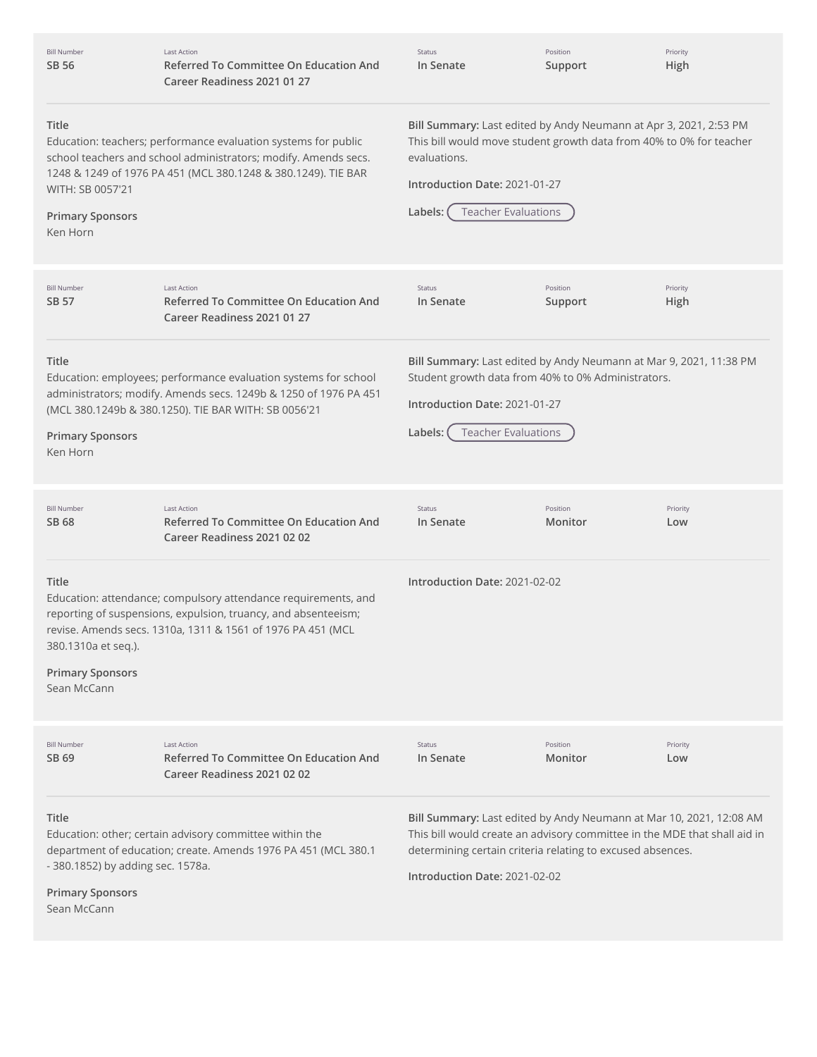| <b>Bill Number</b><br>SB 56                                                          | <b>Last Action</b><br>Referred To Committee On Education And<br>Career Readiness 2021 01 27                                                                                                        | <b>Status</b><br>In Senate                                                                                                                                                                                                                      | Position<br>Support | Priority<br>High |
|--------------------------------------------------------------------------------------|----------------------------------------------------------------------------------------------------------------------------------------------------------------------------------------------------|-------------------------------------------------------------------------------------------------------------------------------------------------------------------------------------------------------------------------------------------------|---------------------|------------------|
| Title<br>WITH: SB 0057'21<br><b>Primary Sponsors</b><br>Ken Horn                     | Education: teachers; performance evaluation systems for public<br>school teachers and school administrators; modify. Amends secs.<br>1248 & 1249 of 1976 PA 451 (MCL 380.1248 & 380.1249). TIE BAR | Bill Summary: Last edited by Andy Neumann at Apr 3, 2021, 2:53 PM<br>This bill would move student growth data from 40% to 0% for teacher<br>evaluations.<br>Introduction Date: 2021-01-27<br><b>Teacher Evaluations</b><br>Labels:              |                     |                  |
| <b>Bill Number</b><br>SB 57                                                          | <b>Last Action</b><br><b>Referred To Committee On Education And</b><br>Career Readiness 2021 01 27                                                                                                 | Status<br>In Senate                                                                                                                                                                                                                             | Position<br>Support | Priority<br>High |
| Title<br><b>Primary Sponsors</b><br>Ken Horn                                         | Education: employees; performance evaluation systems for school<br>administrators; modify. Amends secs. 1249b & 1250 of 1976 PA 451<br>(MCL 380.1249b & 380.1250). TIE BAR WITH: SB 0056'21        | Bill Summary: Last edited by Andy Neumann at Mar 9, 2021, 11:38 PM<br>Student growth data from 40% to 0% Administrators.<br>Introduction Date: 2021-01-27<br><b>Teacher Evaluations</b><br>Labels:                                              |                     |                  |
| <b>Bill Number</b><br>SB 68                                                          | <b>Last Action</b><br><b>Referred To Committee On Education And</b><br>Career Readiness 2021 02 02                                                                                                 | Status<br>In Senate                                                                                                                                                                                                                             | Position<br>Monitor | Priority<br>Low  |
| Title<br>380.1310a et seq.).<br><b>Primary Sponsors</b><br>Sean McCann               | Education: attendance; compulsory attendance requirements, and<br>reporting of suspensions, expulsion, truancy, and absenteeism;<br>revise. Amends secs. 1310a, 1311 & 1561 of 1976 PA 451 (MCL    | Introduction Date: 2021-02-02                                                                                                                                                                                                                   |                     |                  |
| <b>Bill Number</b><br>SB 69                                                          | <b>Last Action</b><br><b>Referred To Committee On Education And</b><br>Career Readiness 2021 02 02                                                                                                 | Status<br>In Senate                                                                                                                                                                                                                             | Position<br>Monitor | Priority<br>Low  |
| Title<br>- 380.1852) by adding sec. 1578a.<br><b>Primary Sponsors</b><br>Sean McCann | Education: other; certain advisory committee within the<br>department of education; create. Amends 1976 PA 451 (MCL 380.1                                                                          | Bill Summary: Last edited by Andy Neumann at Mar 10, 2021, 12:08 AM<br>This bill would create an advisory committee in the MDE that shall aid in<br>determining certain criteria relating to excused absences.<br>Introduction Date: 2021-02-02 |                     |                  |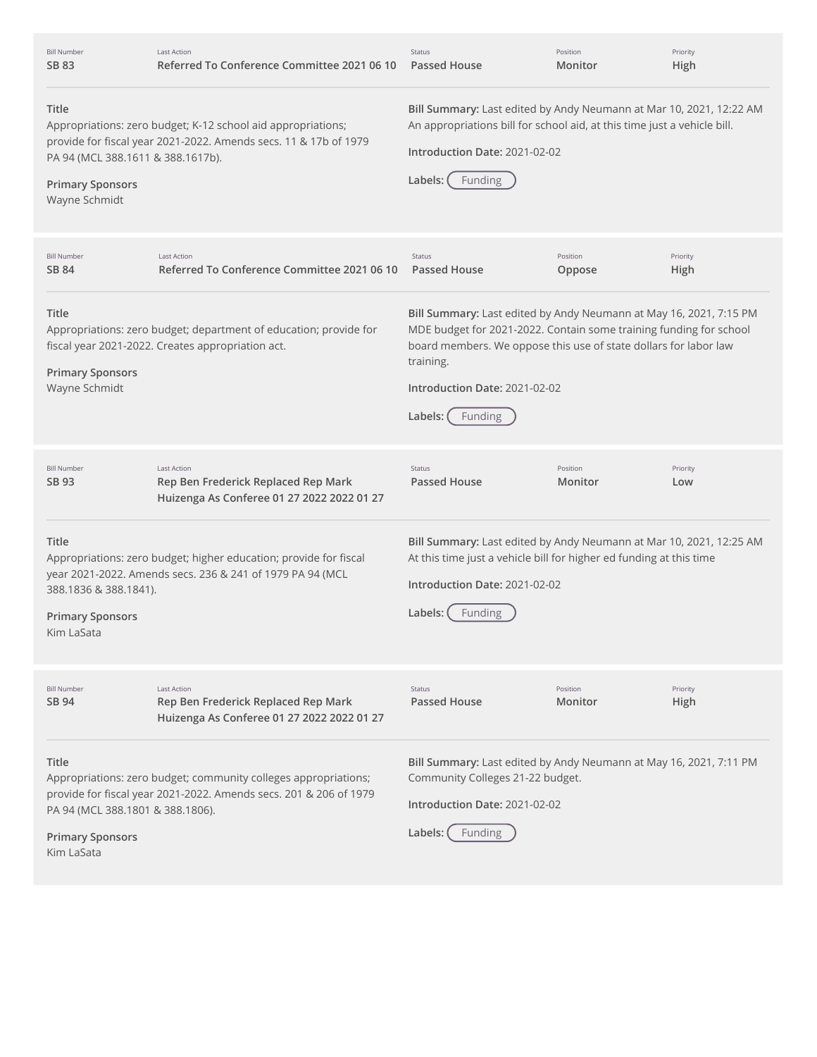| <b>Bill Number</b><br>SB 83                                                            | <b>Last Action</b><br>Referred To Conference Committee 2021 06 10                                                                    | Status<br>Passed House                                                                                                                                                                                                                                                           | Position<br>Monitor | Priority<br>High |
|----------------------------------------------------------------------------------------|--------------------------------------------------------------------------------------------------------------------------------------|----------------------------------------------------------------------------------------------------------------------------------------------------------------------------------------------------------------------------------------------------------------------------------|---------------------|------------------|
| Title<br>PA 94 (MCL 388.1611 & 388.1617b).<br><b>Primary Sponsors</b><br>Wayne Schmidt | Appropriations: zero budget; K-12 school aid appropriations;<br>provide for fiscal year 2021-2022. Amends secs. 11 & 17b of 1979     | Bill Summary: Last edited by Andy Neumann at Mar 10, 2021, 12:22 AM<br>An appropriations bill for school aid, at this time just a vehicle bill.<br>Introduction Date: 2021-02-02<br>Labels:<br>Funding                                                                           |                     |                  |
| <b>Bill Number</b><br>SB 84                                                            | <b>Last Action</b><br>Referred To Conference Committee 2021 06 10                                                                    | <b>Status</b><br>Passed House                                                                                                                                                                                                                                                    | Position<br>Oppose  | Priority<br>High |
| Title<br><b>Primary Sponsors</b><br>Wayne Schmidt                                      | Appropriations: zero budget; department of education; provide for<br>fiscal year 2021-2022. Creates appropriation act.               | Bill Summary: Last edited by Andy Neumann at May 16, 2021, 7:15 PM<br>MDE budget for 2021-2022. Contain some training funding for school<br>board members. We oppose this use of state dollars for labor law<br>training.<br>Introduction Date: 2021-02-02<br>Labels:<br>Funding |                     |                  |
| <b>Bill Number</b><br>SB 93                                                            | Last Action<br>Rep Ben Frederick Replaced Rep Mark<br>Huizenga As Conferee 01 27 2022 2022 01 27                                     | Status<br>Passed House                                                                                                                                                                                                                                                           | Position<br>Monitor | Priority<br>Low  |
| Title<br>388.1836 & 388.1841).<br><b>Primary Sponsors</b><br>Kim LaSata                | Appropriations: zero budget; higher education; provide for fiscal<br>year 2021-2022. Amends secs. 236 & 241 of 1979 PA 94 (MCL       | Bill Summary: Last edited by Andy Neumann at Mar 10, 2021, 12:25 AM<br>At this time just a vehicle bill for higher ed funding at this time<br>Introduction Date: 2021-02-02<br>Labels:<br><b>Funding</b>                                                                         |                     |                  |
| <b>Bill Number</b><br>SB 94                                                            | <b>Last Action</b><br>Rep Ben Frederick Replaced Rep Mark<br>Huizenga As Conferee 01 27 2022 2022 01 27                              | Status<br><b>Passed House</b>                                                                                                                                                                                                                                                    | Position<br>Monitor | Priority<br>High |
| Title<br>PA 94 (MCL 388.1801 & 388.1806).<br><b>Primary Sponsors</b><br>Kim LaSata     | Appropriations: zero budget; community colleges appropriations;<br>provide for fiscal year 2021-2022. Amends secs. 201 & 206 of 1979 | Bill Summary: Last edited by Andy Neumann at May 16, 2021, 7:11 PM<br>Community Colleges 21-22 budget.<br>Introduction Date: 2021-02-02<br>Labels:<br><b>Funding</b>                                                                                                             |                     |                  |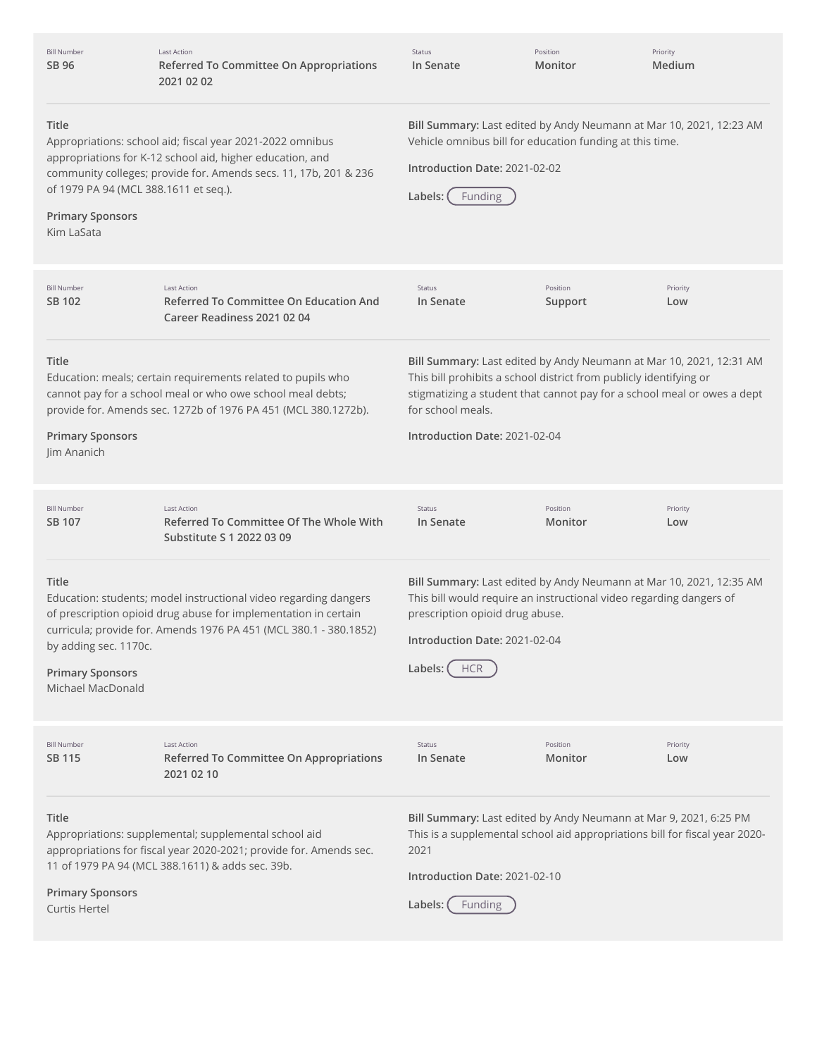| <b>Bill Number</b><br>SB 96                                                                                                                                                                                                                                                                                                                                                                                                                                                     | <b>Last Action</b><br>Referred To Committee On Appropriations<br>2021 02 02                                                                                                                              | Status<br>In Senate                                                                                                                                                                                                                                                        | Position<br>Monitor | Priority<br>Medium |
|---------------------------------------------------------------------------------------------------------------------------------------------------------------------------------------------------------------------------------------------------------------------------------------------------------------------------------------------------------------------------------------------------------------------------------------------------------------------------------|----------------------------------------------------------------------------------------------------------------------------------------------------------------------------------------------------------|----------------------------------------------------------------------------------------------------------------------------------------------------------------------------------------------------------------------------------------------------------------------------|---------------------|--------------------|
| Title<br>Bill Summary: Last edited by Andy Neumann at Mar 10, 2021, 12:23 AM<br>Vehicle omnibus bill for education funding at this time.<br>Appropriations: school aid; fiscal year 2021-2022 omnibus<br>appropriations for K-12 school aid, higher education, and<br>Introduction Date: 2021-02-02<br>community colleges; provide for. Amends secs. 11, 17b, 201 & 236<br>of 1979 PA 94 (MCL 388.1611 et seq.).<br>Labels:<br>Funding<br><b>Primary Sponsors</b><br>Kim LaSata |                                                                                                                                                                                                          |                                                                                                                                                                                                                                                                            |                     |                    |
| <b>Bill Number</b><br>SB 102                                                                                                                                                                                                                                                                                                                                                                                                                                                    | Last Action<br>Referred To Committee On Education And<br>Career Readiness 2021 02 04                                                                                                                     | Status<br>In Senate                                                                                                                                                                                                                                                        | Position<br>Support | Priority<br>Low    |
| Title<br><b>Primary Sponsors</b><br>Jim Ananich                                                                                                                                                                                                                                                                                                                                                                                                                                 | Education: meals; certain requirements related to pupils who<br>cannot pay for a school meal or who owe school meal debts;<br>provide for. Amends sec. 1272b of 1976 PA 451 (MCL 380.1272b).             | Bill Summary: Last edited by Andy Neumann at Mar 10, 2021, 12:31 AM<br>This bill prohibits a school district from publicly identifying or<br>stigmatizing a student that cannot pay for a school meal or owes a dept<br>for school meals.<br>Introduction Date: 2021-02-04 |                     |                    |
| <b>Bill Number</b><br>SB 107                                                                                                                                                                                                                                                                                                                                                                                                                                                    | <b>Last Action</b><br>Referred To Committee Of The Whole With<br>Substitute S 1 2022 03 09                                                                                                               | Status<br>In Senate                                                                                                                                                                                                                                                        | Position<br>Monitor | Priority<br>Low    |
| Title<br>by adding sec. 1170c.<br><b>Primary Sponsors</b><br>Michael MacDonald                                                                                                                                                                                                                                                                                                                                                                                                  | Education: students; model instructional video regarding dangers<br>of prescription opioid drug abuse for implementation in certain<br>curricula; provide for. Amends 1976 PA 451 (MCL 380.1 - 380.1852) | Bill Summary: Last edited by Andy Neumann at Mar 10, 2021, 12:35 AM<br>This bill would require an instructional video regarding dangers of<br>prescription opioid drug abuse.<br>Introduction Date: 2021-02-04<br>Labels:<br><b>HCR</b>                                    |                     |                    |
| <b>Bill Number</b><br>SB 115                                                                                                                                                                                                                                                                                                                                                                                                                                                    | <b>Last Action</b><br><b>Referred To Committee On Appropriations</b><br>2021 02 10                                                                                                                       | Status<br>In Senate                                                                                                                                                                                                                                                        | Position<br>Monitor | Priority<br>Low    |
| Title<br><b>Primary Sponsors</b><br>Curtis Hertel                                                                                                                                                                                                                                                                                                                                                                                                                               | Appropriations: supplemental; supplemental school aid<br>appropriations for fiscal year 2020-2021; provide for. Amends sec.<br>11 of 1979 PA 94 (MCL 388.1611) & adds sec. 39b.                          | Bill Summary: Last edited by Andy Neumann at Mar 9, 2021, 6:25 PM<br>This is a supplemental school aid appropriations bill for fiscal year 2020-<br>2021<br>Introduction Date: 2021-02-10<br>Labels:<br><b>Funding</b>                                                     |                     |                    |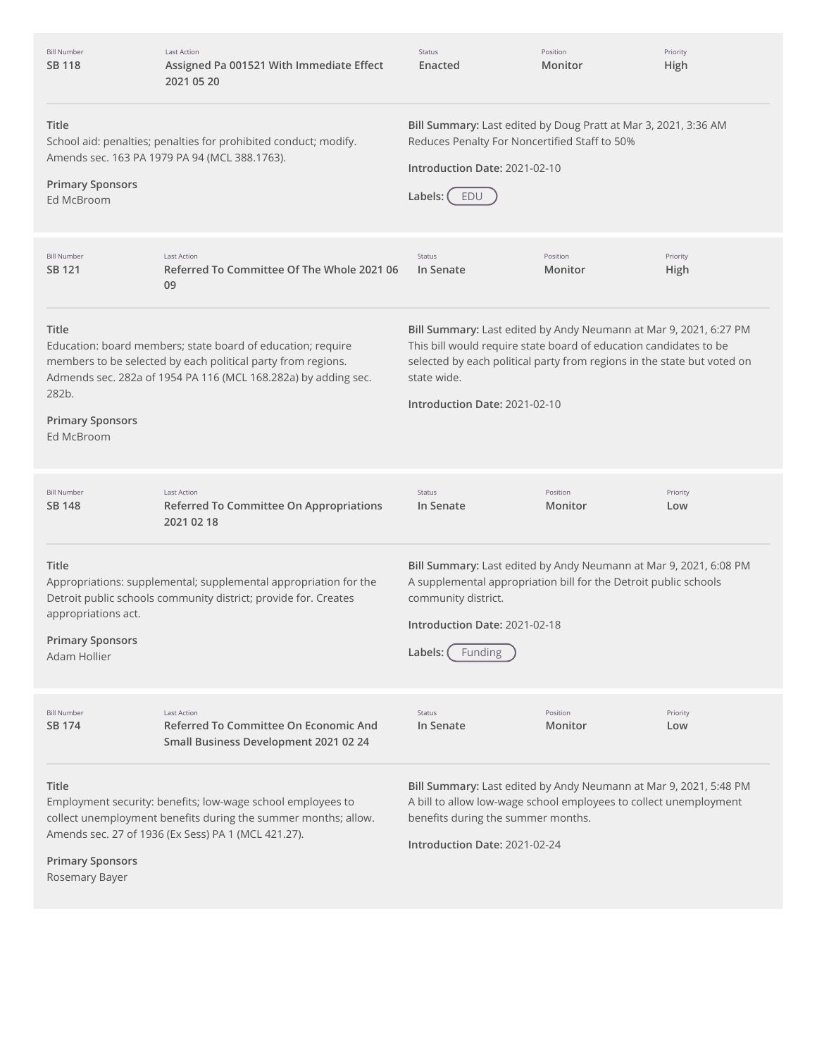| <b>Bill Number</b><br><b>SB 118</b>                                                                                                                                                                                                        | <b>Last Action</b><br>Assigned Pa 001521 With Immediate Effect<br>2021 05 20                                                                                                                  | Status<br>Enacted                                                                                                                                                                                                                                                 | Position<br>Monitor | Priority<br>High |
|--------------------------------------------------------------------------------------------------------------------------------------------------------------------------------------------------------------------------------------------|-----------------------------------------------------------------------------------------------------------------------------------------------------------------------------------------------|-------------------------------------------------------------------------------------------------------------------------------------------------------------------------------------------------------------------------------------------------------------------|---------------------|------------------|
| Title<br><b>Primary Sponsors</b><br>Ed McBroom                                                                                                                                                                                             | School aid: penalties; penalties for prohibited conduct; modify.<br>Amends sec. 163 PA 1979 PA 94 (MCL 388.1763).                                                                             | Bill Summary: Last edited by Doug Pratt at Mar 3, 2021, 3:36 AM<br>Reduces Penalty For Noncertified Staff to 50%<br>Introduction Date: 2021-02-10<br>Labels:<br>EDU                                                                                               |                     |                  |
| <b>Bill Number</b><br>SB 121                                                                                                                                                                                                               | <b>Last Action</b><br>Referred To Committee Of The Whole 2021 06<br>09                                                                                                                        | Status<br>In Senate                                                                                                                                                                                                                                               | Position<br>Monitor | Priority<br>High |
| Title<br>282b.<br><b>Primary Sponsors</b><br>Ed McBroom                                                                                                                                                                                    | Education: board members; state board of education; require<br>members to be selected by each political party from regions.<br>Admends sec. 282a of 1954 PA 116 (MCL 168.282a) by adding sec. | Bill Summary: Last edited by Andy Neumann at Mar 9, 2021, 6:27 PM<br>This bill would require state board of education candidates to be<br>selected by each political party from regions in the state but voted on<br>state wide.<br>Introduction Date: 2021-02-10 |                     |                  |
| <b>Bill Number</b><br><b>SB 148</b>                                                                                                                                                                                                        | <b>Last Action</b><br>Referred To Committee On Appropriations<br>2021 02 18                                                                                                                   | Status<br>In Senate                                                                                                                                                                                                                                               | Position<br>Monitor | Priority<br>Low  |
| Title<br>appropriations act.<br><b>Primary Sponsors</b><br>Adam Hollier                                                                                                                                                                    | Appropriations: supplemental; supplemental appropriation for the<br>Detroit public schools community district; provide for. Creates                                                           | Bill Summary: Last edited by Andy Neumann at Mar 9, 2021, 6:08 PM<br>A supplemental appropriation bill for the Detroit public schools<br>community district.<br>Introduction Date: 2021-02-18<br>Labels:<br>Funding                                               |                     |                  |
| <b>Bill Number</b><br>SB 174                                                                                                                                                                                                               | <b>Last Action</b><br>Referred To Committee On Economic And<br>Small Business Development 2021 02 24                                                                                          | Status<br>In Senate                                                                                                                                                                                                                                               | Position<br>Monitor | Priority<br>Low  |
| Title<br>Employment security: benefits; low-wage school employees to<br>collect unemployment benefits during the summer months; allow.<br>Amends sec. 27 of 1936 (Ex Sess) PA 1 (MCL 421.27).<br><b>Primary Sponsors</b><br>Rosemary Bayer |                                                                                                                                                                                               | Bill Summary: Last edited by Andy Neumann at Mar 9, 2021, 5:48 PM<br>A bill to allow low-wage school employees to collect unemployment<br>benefits during the summer months.<br>Introduction Date: 2021-02-24                                                     |                     |                  |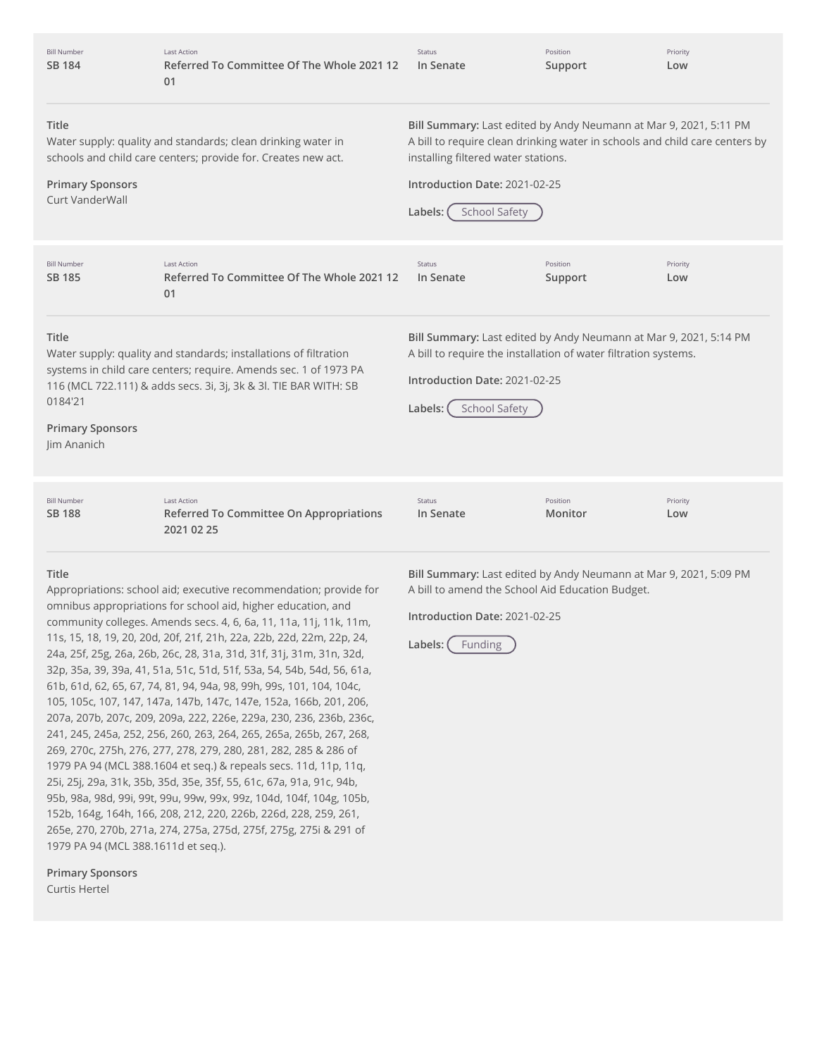| <b>Bill Number</b><br><b>SB 184</b>                                                                                                                                                                                                                                    | <b>Last Action</b><br>Referred To Committee Of The Whole 2021 12<br>01                                                        | <b>Status</b><br>In Senate                                                                                                                                                                                                                                  | Position<br>Support | Priority<br>Low |
|------------------------------------------------------------------------------------------------------------------------------------------------------------------------------------------------------------------------------------------------------------------------|-------------------------------------------------------------------------------------------------------------------------------|-------------------------------------------------------------------------------------------------------------------------------------------------------------------------------------------------------------------------------------------------------------|---------------------|-----------------|
| Title<br><b>Primary Sponsors</b><br>Curt VanderWall                                                                                                                                                                                                                    | Water supply: quality and standards; clean drinking water in<br>schools and child care centers; provide for. Creates new act. | Bill Summary: Last edited by Andy Neumann at Mar 9, 2021, 5:11 PM<br>A bill to require clean drinking water in schools and child care centers by<br>installing filtered water stations.<br>Introduction Date: 2021-02-25<br><b>School Safety</b><br>Labels: |                     |                 |
| <b>Bill Number</b><br>SB 185                                                                                                                                                                                                                                           | <b>Last Action</b><br>Referred To Committee Of The Whole 2021 12<br>01                                                        | Status<br>In Senate                                                                                                                                                                                                                                         | Position<br>Support | Priority<br>Low |
| Title<br>Water supply: quality and standards; installations of filtration<br>systems in child care centers; require. Amends sec. 1 of 1973 PA<br>116 (MCL 722.111) & adds secs. 3i, 3j, 3k & 3l. TIE BAR WITH: SB<br>0184'21<br><b>Primary Sponsors</b><br>Jim Ananich |                                                                                                                               | Bill Summary: Last edited by Andy Neumann at Mar 9, 2021, 5:14 PM<br>A bill to require the installation of water filtration systems.<br>Introduction Date: 2021-02-25<br><b>School Safety</b><br>Labels:                                                    |                     |                 |
| <b>Bill Number</b><br><b>SB 188</b>                                                                                                                                                                                                                                    | <b>Last Action</b><br>Referred To Committee On Appropriations<br>2021 02 25                                                   | <b>Status</b><br>In Senate                                                                                                                                                                                                                                  | Position<br>Monitor | Priority<br>Low |

#### **Title**

Appropriations: school aid; executive recommendation; provide for omnibus appropriations for school aid, higher education, and community colleges. Amends secs. 4, 6, 6a, 11, 11a, 11j, 11k, 11m, 11s, 15, 18, 19, 20, 20d, 20f, 21f, 21h, 22a, 22b, 22d, 22m, 22p, 24, 24a, 25f, 25g, 26a, 26b, 26c, 28, 31a, 31d, 31f, 31j, 31m, 31n, 32d, 32p, 35a, 39, 39a, 41, 51a, 51c, 51d, 51f, 53a, 54, 54b, 54d, 56, 61a, 61b, 61d, 62, 65, 67, 74, 81, 94, 94a, 98, 99h, 99s, 101, 104, 104c, 105, 105c, 107, 147, 147a, 147b, 147c, 147e, 152a, 166b, 201, 206, 207a, 207b, 207c, 209, 209a, 222, 226e, 229a, 230, 236, 236b, 236c, 241, 245, 245a, 252, 256, 260, 263, 264, 265, 265a, 265b, 267, 268, 269, 270c, 275h, 276, 277, 278, 279, 280, 281, 282, 285 & 286 of 1979 PA 94 (MCL 388.1604 et seq.) & repeals secs. 11d, 11p, 11q, 25i, 25j, 29a, 31k, 35b, 35d, 35e, 35f, 55, 61c, 67a, 91a, 91c, 94b, 95b, 98a, 98d, 99i, 99t, 99u, 99w, 99x, 99z, 104d, 104f, 104g, 105b, 152b, 164g, 164h, 166, 208, 212, 220, 226b, 226d, 228, 259, 261, 265e, 270, 270b, 271a, 274, 275a, 275d, 275f, 275g, 275i & 291 of 1979 PA 94 (MCL 388.1611d et seq.).

**Primary Sponsors**

Curtis Hertel

**Bill Summary:** Last edited by Andy Neumann at Mar 9, 2021, 5:09 PM A bill to amend the School Aid Education Budget.

**Introduction Date:** 2021-02-25

Labels: (Funding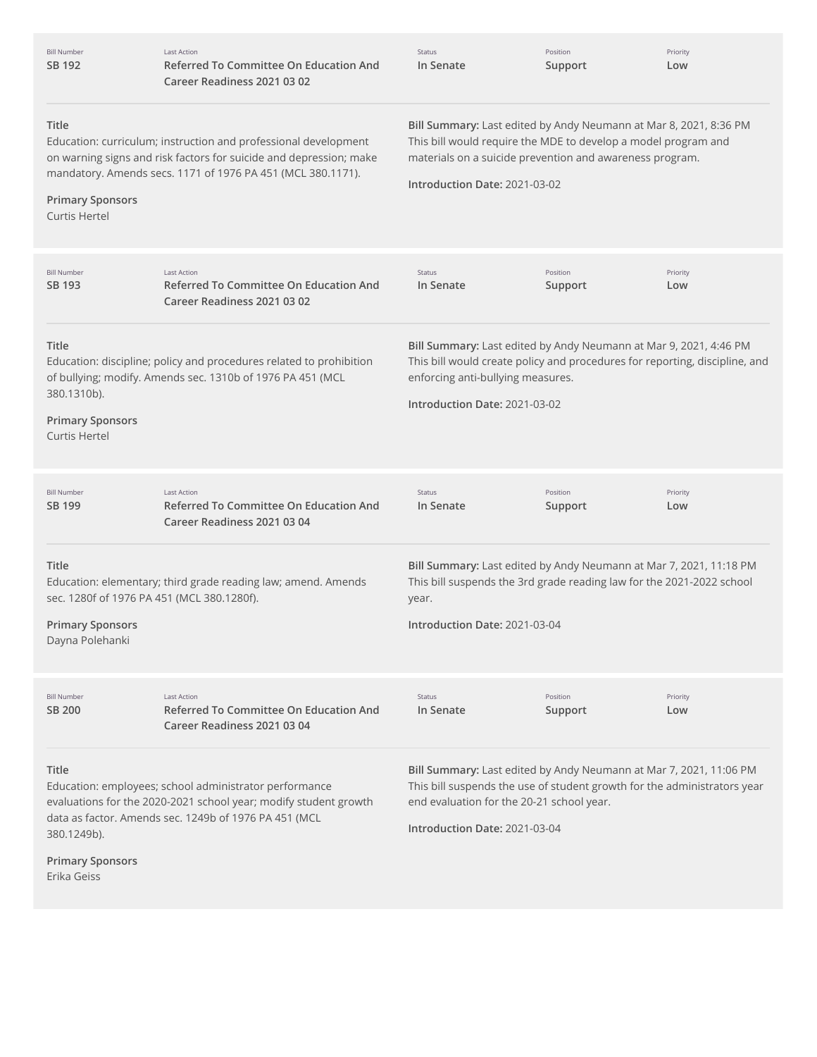| <b>Bill Number</b><br>SB 192                                                                      | <b>Last Action</b><br><b>Referred To Committee On Education And</b><br>Career Readiness 2021 03 02                                                                                                   | Status<br>In Senate                                                                                                                                                                                                              | Position<br>Support | Priority<br>Low |
|---------------------------------------------------------------------------------------------------|------------------------------------------------------------------------------------------------------------------------------------------------------------------------------------------------------|----------------------------------------------------------------------------------------------------------------------------------------------------------------------------------------------------------------------------------|---------------------|-----------------|
| Title<br><b>Primary Sponsors</b><br>Curtis Hertel                                                 | Education: curriculum; instruction and professional development<br>on warning signs and risk factors for suicide and depression; make<br>mandatory. Amends secs. 1171 of 1976 PA 451 (MCL 380.1171). | Bill Summary: Last edited by Andy Neumann at Mar 8, 2021, 8:36 PM<br>This bill would require the MDE to develop a model program and<br>materials on a suicide prevention and awareness program.<br>Introduction Date: 2021-03-02 |                     |                 |
| <b>Bill Number</b><br>SB 193                                                                      | <b>Last Action</b><br><b>Referred To Committee On Education And</b><br>Career Readiness 2021 03 02                                                                                                   | Status<br>In Senate                                                                                                                                                                                                              | Position<br>Support | Priority<br>Low |
| Title<br>380.1310b).<br><b>Primary Sponsors</b><br>Curtis Hertel                                  | Education: discipline; policy and procedures related to prohibition<br>of bullying; modify. Amends sec. 1310b of 1976 PA 451 (MCL                                                                    | Bill Summary: Last edited by Andy Neumann at Mar 9, 2021, 4:46 PM<br>This bill would create policy and procedures for reporting, discipline, and<br>enforcing anti-bullying measures.<br>Introduction Date: 2021-03-02           |                     |                 |
| <b>Bill Number</b><br>SB 199                                                                      | <b>Last Action</b><br><b>Referred To Committee On Education And</b><br>Career Readiness 2021 03 04                                                                                                   | Status<br>In Senate                                                                                                                                                                                                              | Position<br>Support | Priority<br>Low |
| Title<br>sec. 1280f of 1976 PA 451 (MCL 380.1280f).<br><b>Primary Sponsors</b><br>Dayna Polehanki | Education: elementary; third grade reading law; amend. Amends                                                                                                                                        | Bill Summary: Last edited by Andy Neumann at Mar 7, 2021, 11:18 PM<br>This bill suspends the 3rd grade reading law for the 2021-2022 school<br>year.<br>Introduction Date: 2021-03-04                                            |                     |                 |
| <b>Bill Number</b><br><b>SB 200</b>                                                               | <b>Last Action</b><br><b>Referred To Committee On Education And</b><br>Career Readiness 2021 03 04                                                                                                   | Status<br>In Senate                                                                                                                                                                                                              | Position<br>Support | Priority<br>Low |
| <b>Title</b><br>380.1249b).<br><b>Primary Sponsors</b><br>Erika Geiss                             | Education: employees; school administrator performance<br>evaluations for the 2020-2021 school year; modify student growth<br>data as factor. Amends sec. 1249b of 1976 PA 451 (MCL                  | Bill Summary: Last edited by Andy Neumann at Mar 7, 2021, 11:06 PM<br>This bill suspends the use of student growth for the administrators year<br>end evaluation for the 20-21 school year.<br>Introduction Date: 2021-03-04     |                     |                 |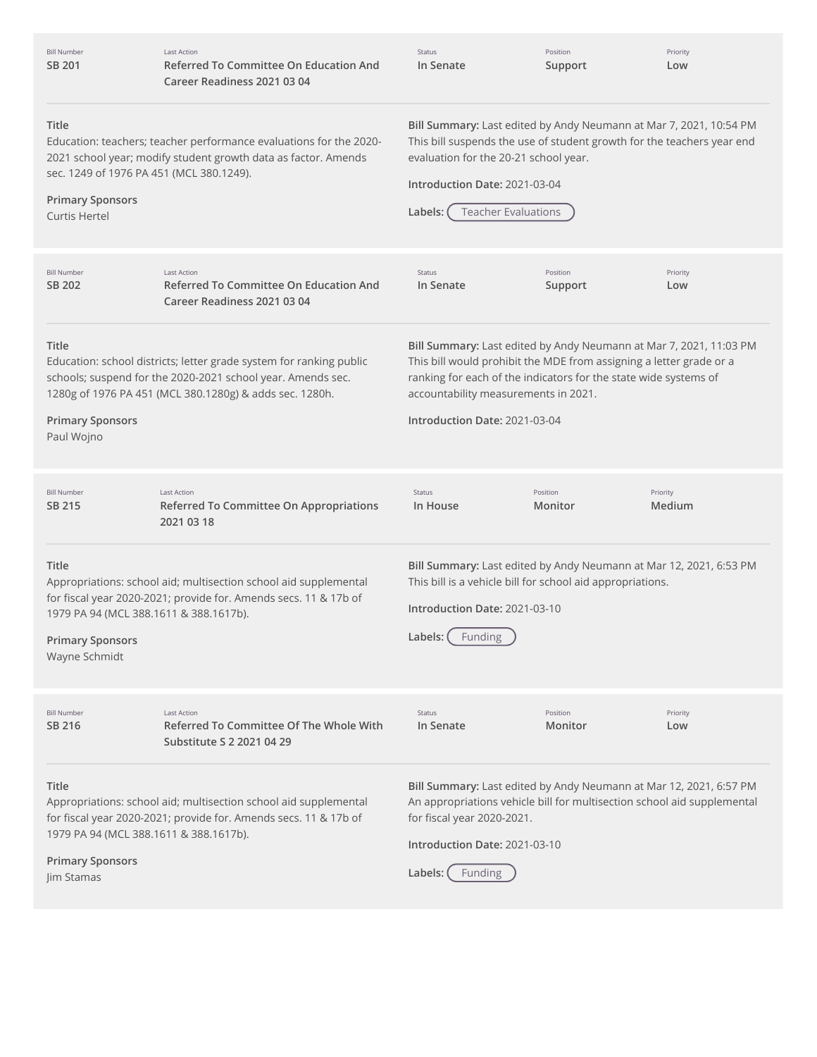| <b>Bill Number</b><br>SB 201                                                                         | <b>Last Action</b><br>Referred To Committee On Education And<br>Career Readiness 2021 03 04                                                                                                   | Status<br>In Senate                                                                                                                                                                                                                                                                    | Position<br>Support | Priority<br>Low    |
|------------------------------------------------------------------------------------------------------|-----------------------------------------------------------------------------------------------------------------------------------------------------------------------------------------------|----------------------------------------------------------------------------------------------------------------------------------------------------------------------------------------------------------------------------------------------------------------------------------------|---------------------|--------------------|
| <b>Title</b><br>sec. 1249 of 1976 PA 451 (MCL 380.1249).<br><b>Primary Sponsors</b><br>Curtis Hertel | Education: teachers; teacher performance evaluations for the 2020-<br>2021 school year; modify student growth data as factor. Amends                                                          | Bill Summary: Last edited by Andy Neumann at Mar 7, 2021, 10:54 PM<br>This bill suspends the use of student growth for the teachers year end<br>evaluation for the 20-21 school year.<br>Introduction Date: 2021-03-04<br><b>Teacher Evaluations</b><br>Labels:                        |                     |                    |
| <b>Bill Number</b><br>SB 202                                                                         | <b>Last Action</b><br><b>Referred To Committee On Education And</b><br>Career Readiness 2021 03 04                                                                                            | Status<br>In Senate                                                                                                                                                                                                                                                                    | Position<br>Support | Priority<br>Low    |
| <b>Title</b><br><b>Primary Sponsors</b><br>Paul Wojno                                                | Education: school districts; letter grade system for ranking public<br>schools; suspend for the 2020-2021 school year. Amends sec.<br>1280g of 1976 PA 451 (MCL 380.1280g) & adds sec. 1280h. | Bill Summary: Last edited by Andy Neumann at Mar 7, 2021, 11:03 PM<br>This bill would prohibit the MDE from assigning a letter grade or a<br>ranking for each of the indicators for the state wide systems of<br>accountability measurements in 2021.<br>Introduction Date: 2021-03-04 |                     |                    |
| <b>Bill Number</b><br>SB 215                                                                         | <b>Last Action</b><br>Referred To Committee On Appropriations<br>2021 03 18                                                                                                                   | Status<br>In House                                                                                                                                                                                                                                                                     | Position<br>Monitor | Priority<br>Medium |
| <b>Title</b><br>1979 PA 94 (MCL 388.1611 & 388.1617b).<br><b>Primary Sponsors</b><br>Wayne Schmidt   | Appropriations: school aid; multisection school aid supplemental<br>for fiscal year 2020-2021; provide for. Amends secs. 11 & 17b of                                                          | Bill Summary: Last edited by Andy Neumann at Mar 12, 2021, 6:53 PM<br>This bill is a vehicle bill for school aid appropriations.<br>Introduction Date: 2021-03-10<br>Labels: (Funding                                                                                                  |                     |                    |
| <b>Bill Number</b><br>SB 216                                                                         | <b>Last Action</b><br>Referred To Committee Of The Whole With<br>Substitute S 2 2021 04 29                                                                                                    | Status<br>In Senate                                                                                                                                                                                                                                                                    | Position<br>Monitor | Priority<br>Low    |
| <b>Title</b><br>1979 PA 94 (MCL 388.1611 & 388.1617b).<br><b>Primary Sponsors</b><br>Jim Stamas      | Appropriations: school aid; multisection school aid supplemental<br>for fiscal year 2020-2021; provide for. Amends secs. 11 & 17b of                                                          | Bill Summary: Last edited by Andy Neumann at Mar 12, 2021, 6:57 PM<br>An appropriations vehicle bill for multisection school aid supplemental<br>for fiscal year 2020-2021.<br>Introduction Date: 2021-03-10<br>Labels: (<br>Funding                                                   |                     |                    |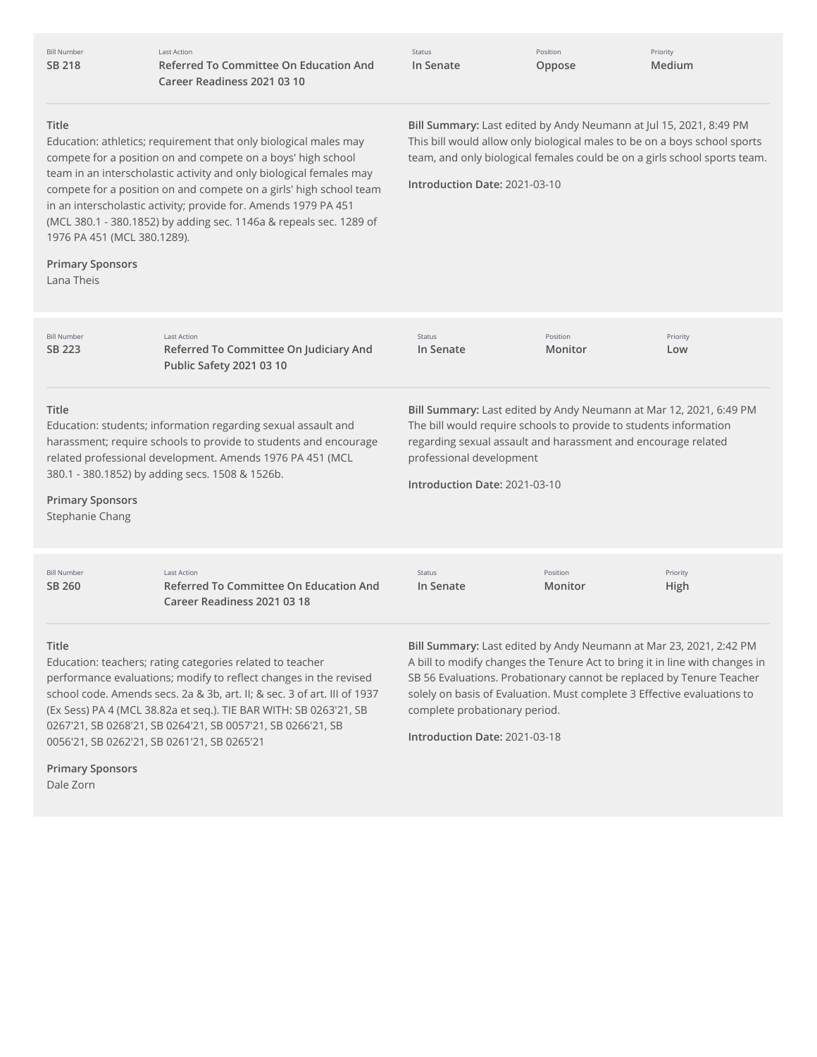| <b>Bill Number</b> |  |
|--------------------|--|
| <b>SB 218</b>      |  |

Last Action **Referred To Committee On Education And Career Readiness 2021 03 10**

Status **In Senate** Position **Oppose**

Priority **Medium**

#### **Title**

Education: athletics; requirement that only biological males may compete for a position on and compete on a boys' high school team in an interscholastic activity and only biological females may compete for a position on and compete on a girls' high school team in an interscholastic activity; provide for. Amends 1979 PA 451 (MCL 380.1 - 380.1852) by adding sec. 1146a & repeals sec. 1289 of 1976 PA 451 (MCL 380.1289).

# **Primary Sponsors**

Lana Theis

**Bill Summary:** Last edited by Andy Neumann at Jul 15, 2021, 8:49 PM This bill would allow only biological males to be on a boys school sports team, and only biological females could be on a girls school sports team.

**Introduction Date:** 2021-03-10

| <b>Bill Number</b><br>SB 223                                                                                                                                                                                                                                                                             | <b>Last Action</b><br>Referred To Committee On Judiciary And<br><b>Public Safety 2021 03 10</b>                                                                                                            | <b>Status</b><br>In Senate                                                                                                                                                                                                                                            | Position<br>Monitor | Priority<br>Low                                                                                                                                                                                                                                                                                      |
|----------------------------------------------------------------------------------------------------------------------------------------------------------------------------------------------------------------------------------------------------------------------------------------------------------|------------------------------------------------------------------------------------------------------------------------------------------------------------------------------------------------------------|-----------------------------------------------------------------------------------------------------------------------------------------------------------------------------------------------------------------------------------------------------------------------|---------------------|------------------------------------------------------------------------------------------------------------------------------------------------------------------------------------------------------------------------------------------------------------------------------------------------------|
| Title<br>Education: students; information regarding sexual assault and<br>harassment; require schools to provide to students and encourage<br>related professional development. Amends 1976 PA 451 (MCL<br>380.1 - 380.1852) by adding secs. 1508 & 1526b.<br><b>Primary Sponsors</b><br>Stephanie Chang |                                                                                                                                                                                                            | Bill Summary: Last edited by Andy Neumann at Mar 12, 2021, 6:49 PM<br>The bill would require schools to provide to students information<br>regarding sexual assault and harassment and encourage related<br>professional development<br>Introduction Date: 2021-03-10 |                     |                                                                                                                                                                                                                                                                                                      |
| <b>Bill Number</b><br>SB 260                                                                                                                                                                                                                                                                             | <b>Last Action</b><br>Referred To Committee On Education And<br>Career Readiness 2021 03 18                                                                                                                | <b>Status</b><br>In Senate                                                                                                                                                                                                                                            | Position<br>Monitor | Priority<br>High                                                                                                                                                                                                                                                                                     |
| Title                                                                                                                                                                                                                                                                                                    | Education: teachers; rating categories related to teacher<br>performance evaluations; modify to reflect changes in the revised<br>school code. Amends secs. 2a & 3b, art. II; & sec. 3 of art. III of 1937 |                                                                                                                                                                                                                                                                       |                     | Bill Summary: Last edited by Andy Neumann at Mar 23, 2021, 2:42 PM<br>A bill to modify changes the Tenure Act to bring it in line with changes in<br>SB 56 Evaluations. Probationary cannot be replaced by Tenure Teacher<br>solely on basis of Evaluation. Must complete 3 Effective evaluations to |

(Ex Sess) PA 4 (MCL 38.82a et seq.). TIE BAR WITH: SB 0263'21, SB 0267'21, SB 0268'21, SB 0264'21, SB 0057'21, SB 0266'21, SB 0056'21, SB 0262'21, SB 0261'21, SB 0265'21

complete probationary period. **Introduction Date:** 2021-03-18

**Primary Sponsors** Dale Zorn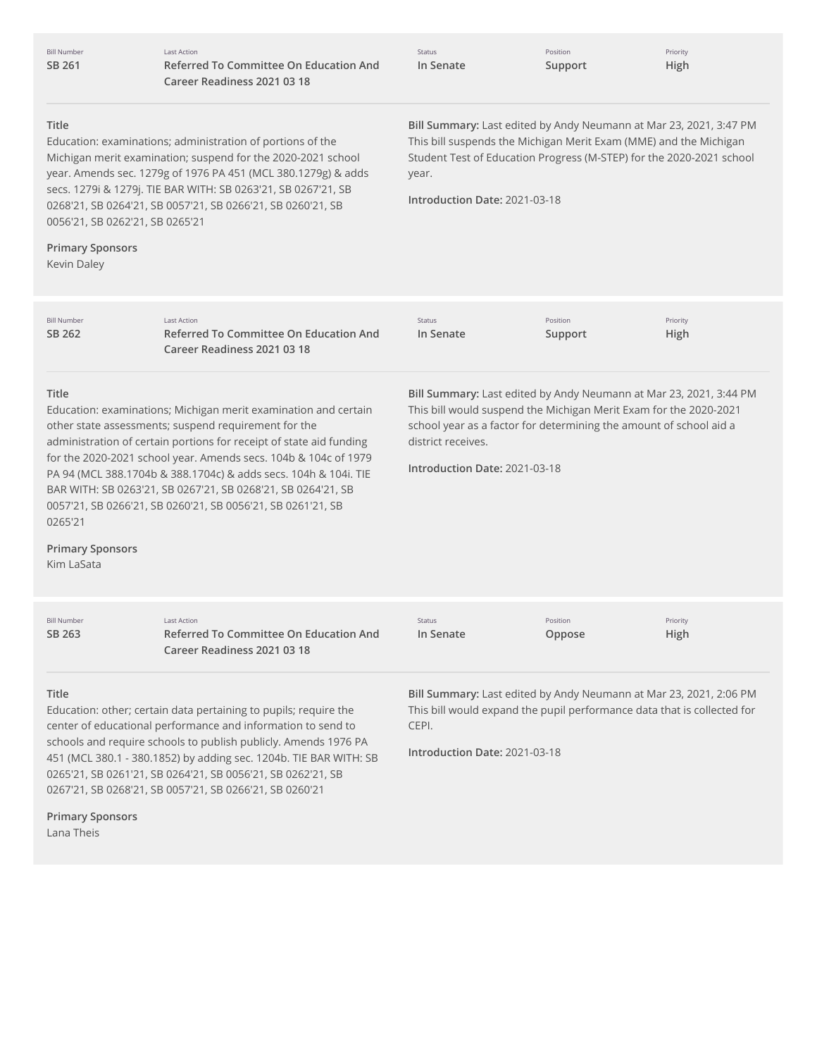|        | <b>Bill Number</b> |
|--------|--------------------|
| SB 261 |                    |

Last Action **Referred To Committee On Education And Career Readiness 2021 03 18**

| Status |           |  |
|--------|-----------|--|
|        | In Senate |  |

Position **Support** Priority **High**

## **Title**

**Primary Sponsors**

Education: examinations; administration of portions of the Michigan merit examination; suspend for the 2020-2021 school year. Amends sec. 1279g of 1976 PA 451 (MCL 380.1279g) & adds secs. 1279i & 1279j. TIE BAR WITH: SB 0263'21, SB 0267'21, SB 0268'21, SB 0264'21, SB 0057'21, SB 0266'21, SB 0260'21, SB 0056'21, SB 0262'21, SB 0265'21

**Bill Summary:** Last edited by Andy Neumann at Mar 23, 2021, 3:47 PM This bill suspends the Michigan Merit Exam (MME) and the Michigan Student Test of Education Progress (M-STEP) for the 2020-2021 school year.

**Introduction Date:** 2021-03-18

| Kevin Daley                                                                                                                                                                                                                                                                                                                                                                                                                                                                                                                             |                                                                                                    |                                                                                                                                                                                                                                                                      |                     |                  |
|-----------------------------------------------------------------------------------------------------------------------------------------------------------------------------------------------------------------------------------------------------------------------------------------------------------------------------------------------------------------------------------------------------------------------------------------------------------------------------------------------------------------------------------------|----------------------------------------------------------------------------------------------------|----------------------------------------------------------------------------------------------------------------------------------------------------------------------------------------------------------------------------------------------------------------------|---------------------|------------------|
| <b>Bill Number</b><br>SB 262                                                                                                                                                                                                                                                                                                                                                                                                                                                                                                            | <b>Last Action</b><br><b>Referred To Committee On Education And</b><br>Career Readiness 2021 03 18 | <b>Status</b><br>In Senate                                                                                                                                                                                                                                           | Position<br>Support | Priority<br>High |
| <b>Title</b><br>Education: examinations; Michigan merit examination and certain<br>other state assessments; suspend requirement for the<br>administration of certain portions for receipt of state aid funding<br>for the 2020-2021 school year. Amends secs. 104b & 104c of 1979<br>PA 94 (MCL 388.1704b & 388.1704c) & adds secs. 104h & 104i. TIE<br>BAR WITH: SB 0263'21, SB 0267'21, SB 0268'21, SB 0264'21, SB<br>0057'21, SB 0266'21, SB 0260'21, SB 0056'21, SB 0261'21, SB<br>0265'21<br><b>Primary Sponsors</b><br>Kim LaSata |                                                                                                    | Bill Summary: Last edited by Andy Neumann at Mar 23, 2021, 3:44 PM<br>This bill would suspend the Michigan Merit Exam for the 2020-2021<br>school year as a factor for determining the amount of school aid a<br>district receives.<br>Introduction Date: 2021-03-18 |                     |                  |
| <b>Bill Number</b><br>SB 263                                                                                                                                                                                                                                                                                                                                                                                                                                                                                                            | <b>Last Action</b><br>Referred To Committee On Education And<br>Career Readiness 2021 03 18        | Status<br>In Senate                                                                                                                                                                                                                                                  | Position<br>Oppose  | Priority<br>High |
| Title<br>Education: other; certain data pertaining to pupils; require the<br>center of educational performance and information to send to<br>schools and require schools to publish publicly. Amends 1976 PA<br>451 (MCL 380.1 - 380.1852) by adding sec. 1204b. TIE BAR WITH: SB<br>0265'21, SB 0261'21, SB 0264'21, SB 0056'21, SB 0262'21, SB<br>0267'21, SB 0268'21, SB 0057'21, SB 0266'21, SB 0260'21<br><b>Primary Sponsors</b>                                                                                                  |                                                                                                    | Bill Summary: Last edited by Andy Neumann at Mar 23, 2021, 2:06 PM<br>This bill would expand the pupil performance data that is collected for<br>CEPI.<br>Introduction Date: 2021-03-18                                                                              |                     |                  |

Lana Theis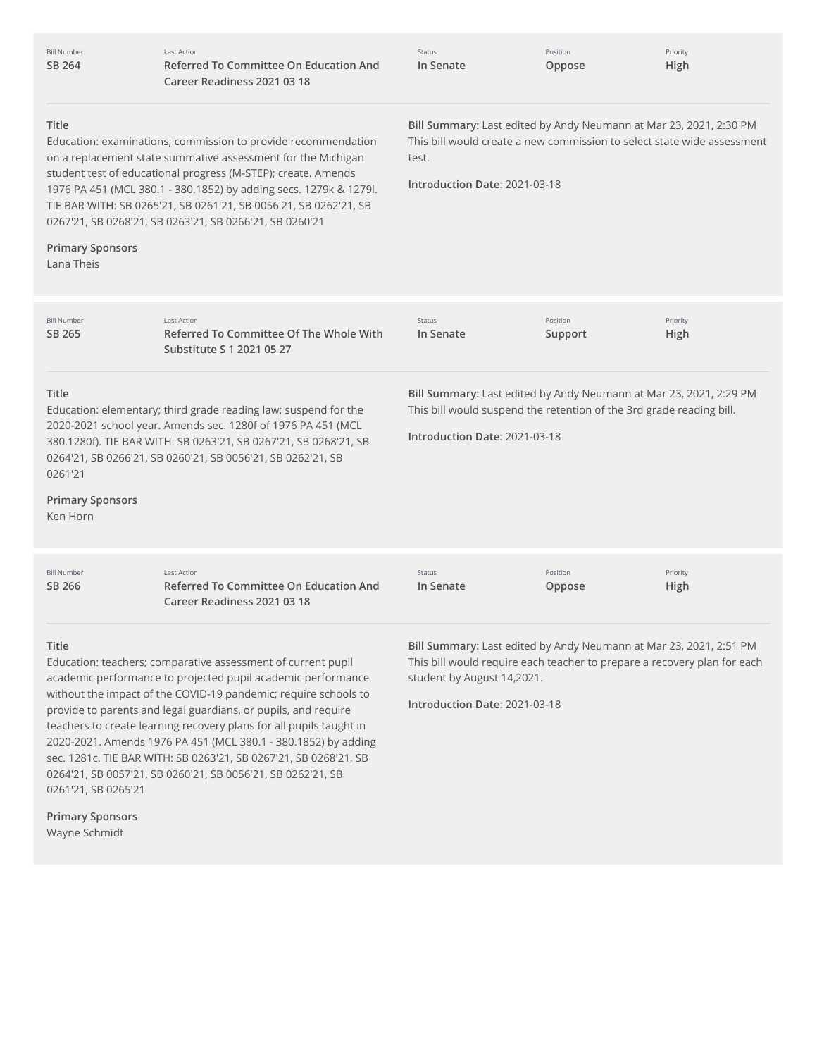| <b>Bill Number</b><br>SB 264                                                                                                                                                                                                                                                                                                                                                                                                                                                                                                                                                                                                                    | <b>Last Action</b><br><b>Referred To Committee On Education And</b><br>Career Readiness 2021 03 18                                                                                                                                                                 | <b>Status</b><br>In Senate                                                                                                                                                                                    | Position<br>Oppose  | Priority<br>High |  |
|-------------------------------------------------------------------------------------------------------------------------------------------------------------------------------------------------------------------------------------------------------------------------------------------------------------------------------------------------------------------------------------------------------------------------------------------------------------------------------------------------------------------------------------------------------------------------------------------------------------------------------------------------|--------------------------------------------------------------------------------------------------------------------------------------------------------------------------------------------------------------------------------------------------------------------|---------------------------------------------------------------------------------------------------------------------------------------------------------------------------------------------------------------|---------------------|------------------|--|
| Title<br>Bill Summary: Last edited by Andy Neumann at Mar 23, 2021, 2:30 PM<br>This bill would create a new commission to select state wide assessment<br>Education: examinations; commission to provide recommendation<br>on a replacement state summative assessment for the Michigan<br>test.<br>student test of educational progress (M-STEP); create. Amends<br>Introduction Date: 2021-03-18<br>1976 PA 451 (MCL 380.1 - 380.1852) by adding secs. 1279k & 1279l.<br>TIE BAR WITH: SB 0265'21, SB 0261'21, SB 0056'21, SB 0262'21, SB<br>0267'21, SB 0268'21, SB 0263'21, SB 0266'21, SB 0260'21<br><b>Primary Sponsors</b><br>Lana Theis |                                                                                                                                                                                                                                                                    |                                                                                                                                                                                                               |                     |                  |  |
| <b>Bill Number</b><br>SB 265                                                                                                                                                                                                                                                                                                                                                                                                                                                                                                                                                                                                                    | <b>Last Action</b><br>Referred To Committee Of The Whole With<br>Substitute S 1 2021 05 27                                                                                                                                                                         | Status<br>In Senate                                                                                                                                                                                           | Position<br>Support | Priority<br>High |  |
| Title<br>0261'21<br><b>Primary Sponsors</b><br>Ken Horn                                                                                                                                                                                                                                                                                                                                                                                                                                                                                                                                                                                         | Education: elementary; third grade reading law; suspend for the<br>2020-2021 school year. Amends sec. 1280f of 1976 PA 451 (MCL<br>380.1280f). TIE BAR WITH: SB 0263'21, SB 0267'21, SB 0268'21, SB<br>0264'21, SB 0266'21, SB 0260'21, SB 0056'21, SB 0262'21, SB | Bill Summary: Last edited by Andy Neumann at Mar 23, 2021, 2:29 PM<br>This bill would suspend the retention of the 3rd grade reading bill.<br>Introduction Date: 2021-03-18                                   |                     |                  |  |
| <b>Bill Number</b><br>SB 266                                                                                                                                                                                                                                                                                                                                                                                                                                                                                                                                                                                                                    | <b>Last Action</b><br>Referred To Committee On Education And<br>Career Readiness 2021 03 18                                                                                                                                                                        | Status<br>In Senate                                                                                                                                                                                           | Position<br>Oppose  | Priority<br>High |  |
| Title<br>Education: teachers; comparative assessment of current pupil<br>academic performance to projected pupil academic performance<br>without the impact of the COVID-19 pandemic; require schools to<br>provide to parents and legal guardians, or pupils, and require<br>teachers to create learning recovery plans for all pupils taught in<br>2020-2021. Amends 1976 PA 451 (MCL 380.1 - 380.1852) by adding<br>sec. 1281c. TIE BAR WITH: SB 0263'21, SB 0267'21, SB 0268'21, SB<br>0264'21, SB 0057'21, SB 0260'21, SB 0056'21, SB 0262'21, SB                                                                                          |                                                                                                                                                                                                                                                                    | Bill Summary: Last edited by Andy Neumann at Mar 23, 2021, 2:51 PM<br>This bill would require each teacher to prepare a recovery plan for each<br>student by August 14,2021.<br>Introduction Date: 2021-03-18 |                     |                  |  |

**Primary Sponsors** Wayne Schmidt

0261'21, SB 0265'21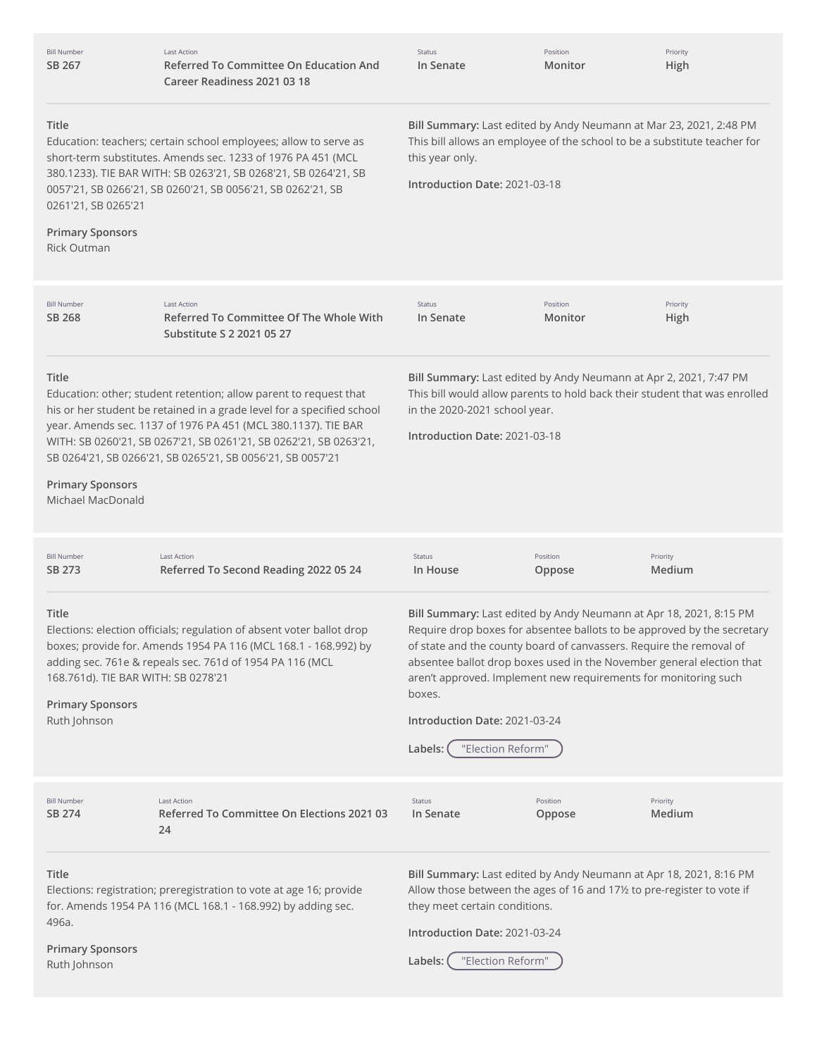| <b>Bill Number</b><br>SB 267                                                            | <b>Last Action</b><br>Referred To Committee On Education And<br>Career Readiness 2021 03 18                                                                                                                                                                                                                                                     | Status<br>In Senate                                                                                                                                                                                                                                                                                                                                                                                                                         | Position<br>Monitor | Priority<br>High   |
|-----------------------------------------------------------------------------------------|-------------------------------------------------------------------------------------------------------------------------------------------------------------------------------------------------------------------------------------------------------------------------------------------------------------------------------------------------|---------------------------------------------------------------------------------------------------------------------------------------------------------------------------------------------------------------------------------------------------------------------------------------------------------------------------------------------------------------------------------------------------------------------------------------------|---------------------|--------------------|
| Title<br>0261'21, SB 0265'21<br><b>Primary Sponsors</b><br><b>Rick Outman</b>           | Education: teachers; certain school employees; allow to serve as<br>short-term substitutes. Amends sec. 1233 of 1976 PA 451 (MCL<br>380.1233). TIE BAR WITH: SB 0263'21, SB 0268'21, SB 0264'21, SB<br>0057'21, SB 0266'21, SB 0260'21, SB 0056'21, SB 0262'21, SB                                                                              | Bill Summary: Last edited by Andy Neumann at Mar 23, 2021, 2:48 PM<br>This bill allows an employee of the school to be a substitute teacher for<br>this year only.<br>Introduction Date: 2021-03-18                                                                                                                                                                                                                                         |                     |                    |
| <b>Bill Number</b><br>SB 268                                                            | <b>Last Action</b><br>Referred To Committee Of The Whole With<br>Substitute S 2 2021 05 27                                                                                                                                                                                                                                                      | Status<br>In Senate                                                                                                                                                                                                                                                                                                                                                                                                                         | Position<br>Monitor | Priority<br>High   |
| Title<br><b>Primary Sponsors</b><br>Michael MacDonald                                   | Education: other; student retention; allow parent to request that<br>his or her student be retained in a grade level for a specified school<br>year. Amends sec. 1137 of 1976 PA 451 (MCL 380.1137). TIE BAR<br>WITH: SB 0260'21, SB 0267'21, SB 0261'21, SB 0262'21, SB 0263'21,<br>SB 0264'21, SB 0266'21, SB 0265'21, SB 0056'21, SB 0057'21 | Bill Summary: Last edited by Andy Neumann at Apr 2, 2021, 7:47 PM<br>This bill would allow parents to hold back their student that was enrolled<br>in the 2020-2021 school year.<br>Introduction Date: 2021-03-18                                                                                                                                                                                                                           |                     |                    |
| <b>Bill Number</b><br>SB 273                                                            | <b>Last Action</b><br>Referred To Second Reading 2022 05 24                                                                                                                                                                                                                                                                                     | Status<br>In House                                                                                                                                                                                                                                                                                                                                                                                                                          | Position<br>Oppose  | Priority<br>Medium |
| Title<br>168.761d). TIE BAR WITH: SB 0278'21<br><b>Primary Sponsors</b><br>Ruth Johnson | Elections: election officials; regulation of absent voter ballot drop<br>boxes; provide for. Amends 1954 PA 116 (MCL 168.1 - 168.992) by<br>adding sec. 761e & repeals sec. 761d of 1954 PA 116 (MCL                                                                                                                                            | Bill Summary: Last edited by Andy Neumann at Apr 18, 2021, 8:15 PM<br>Require drop boxes for absentee ballots to be approved by the secretary<br>of state and the county board of canvassers. Require the removal of<br>absentee ballot drop boxes used in the November general election that<br>aren't approved. Implement new requirements for monitoring such<br>boxes.<br>Introduction Date: 2021-03-24<br>"Election Reform"<br>Labels: |                     |                    |
| <b>Bill Number</b><br>SB 274                                                            | <b>Last Action</b><br>Referred To Committee On Elections 2021 03<br>24                                                                                                                                                                                                                                                                          | Status<br>In Senate                                                                                                                                                                                                                                                                                                                                                                                                                         | Position<br>Oppose  | Priority<br>Medium |
| Title<br>496a.<br><b>Primary Sponsors</b><br>Ruth Johnson                               | Elections: registration; preregistration to vote at age 16; provide<br>for. Amends 1954 PA 116 (MCL 168.1 - 168.992) by adding sec.                                                                                                                                                                                                             | Bill Summary: Last edited by Andy Neumann at Apr 18, 2021, 8:16 PM<br>Allow those between the ages of 16 and 171/2 to pre-register to vote if<br>they meet certain conditions.<br>Introduction Date: 2021-03-24<br>"Election Reform"<br>Labels:                                                                                                                                                                                             |                     |                    |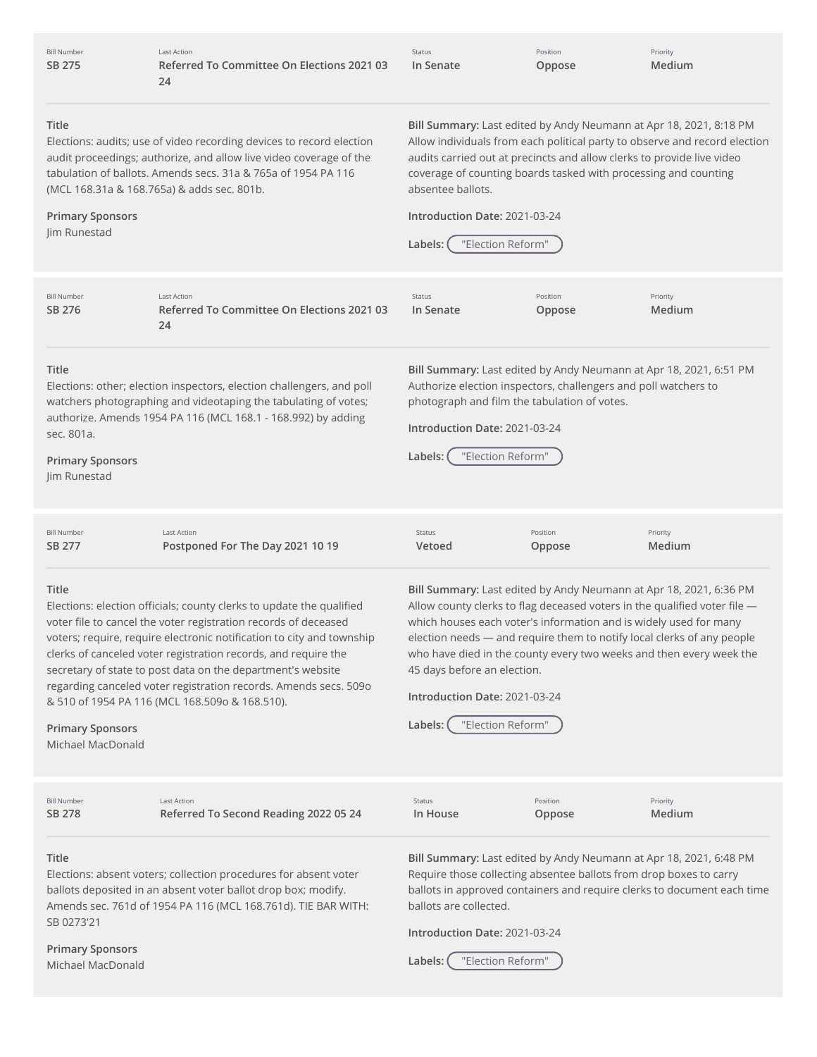| <b>Bill Number</b> |  |
|--------------------|--|
| SB 275             |  |

Last Action **Referred To Committee On Elections 2021 03** Status **In Senate** Position **Oppose** Priority **Medium**

#### **Title**

Elections: audits; use of video recording devices to record election audit proceedings; authorize, and allow live video coverage of the tabulation of ballots. Amends secs. 31a & 765a of 1954 PA 116 (MCL 168.31a & 168.765a) & adds sec. 801b.

#### **Primary Sponsors**

Jim Runestad

**Bill Summary:** Last edited by Andy Neumann at Apr 18, 2021, 8:18 PM Allow individuals from each political party to observe and record election audits carried out at precincts and allow clerks to provide live video coverage of counting boards tasked with processing and counting absentee ballots.

**Bill Summary:** Last edited by Andy Neumann at Apr 18, 2021, 6:51 PM Authorize election inspectors, challengers and poll watchers to

Position **Oppose**

### **Introduction Date:** 2021-03-24

| Labels: ( | "Election Reform" |  |
|-----------|-------------------|--|
|           |                   |  |

photograph and film the tabulation of votes.

**Introduction Date:** 2021-03-24

**Labels:** "Election Reform"

Bill Number **SB [276](http://app.fiscalnote.com/share/bill?url=acce9b4e2955182777dd103b8cd5bcec)** Last Action **Referred To Committee On Elections 2021 03 24**

Status **In Senate**

**Priority Medium**

#### **Title**

Elections: other; election inspectors, election challengers, and poll watchers photographing and videotaping the tabulating of votes; authorize. Amends 1954 PA 116 (MCL 168.1 - 168.992) by adding sec. 801a.

# **Primary Sponsors**

Jim Runestad

| Bill Number | Last Action                      | Status | Position | Priority      |
|-------------|----------------------------------|--------|----------|---------------|
| SB 277      | Postponed For The Day 2021 10 19 | Vetoed | Oppose   | <b>Medium</b> |

#### **Title**

Elections: election officials; county clerks to update the qualified voter file to cancel the voter registration records of deceased voters; require, require electronic notification to city and township clerks of canceled voter registration records, and require the secretary of state to post data on the department's website regarding canceled voter registration records. Amends secs. 509o & 510 of 1954 PA 116 (MCL 168.509o & 168.510).

**Bill Summary:** Last edited by Andy Neumann at Apr 18, 2021, 6:36 PM Allow county clerks to flag deceased voters in the qualified voter file which houses each voter's information and is widely used for many election needs — and require them to notify local clerks of any people who have died in the county every two weeks and then every week the 45 days before an election.

**Introduction Date:** 2021-03-24



**Primary Sponsors** Michael MacDonald

**Title** Elections: absent voters; collection procedures for absent voter ballots deposited in an absent voter ballot drop box; modify. Amends sec. 761d of 1954 PA 116 (MCL 168.761d). TIE BAR WITH: SB 0273'21 **Primary Sponsors Bill Summary:** Last edited by Andy Neumann at Apr 18, 2021, 6:48 PM Require those collecting absentee ballots from drop boxes to carry ballots in approved containers and require clerks to document each time ballots are collected. **Introduction Date:** 2021-03-24 **Labels:** "Election Reform" Bill Number **SB [278](http://app.fiscalnote.com/share/bill?url=f4cb92c8286b6e3d92e24173a76ac998)** Last Action **Referred To Second Reading 2022 05 24** Status **In House** Position **Oppose Priority Medium**

Michael MacDonald

**24**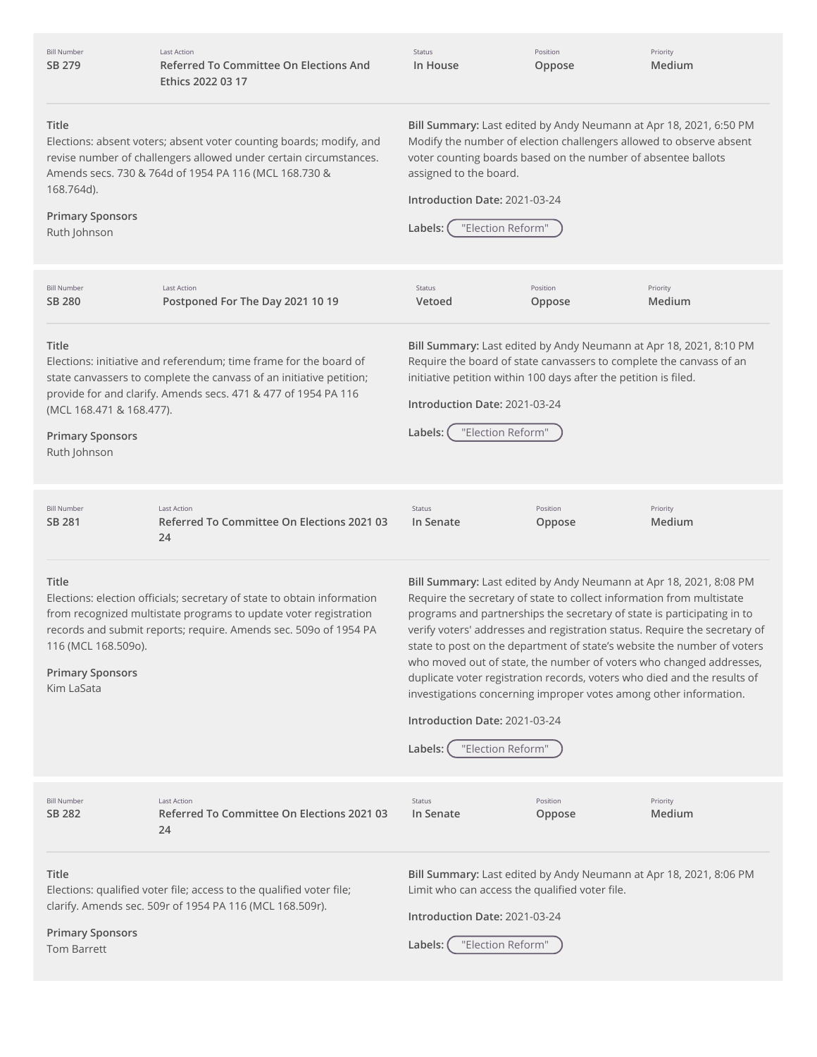| <b>Bill Number</b><br>SB 279                                                 | <b>Last Action</b><br>Referred To Committee On Elections And<br>Ethics 2022 03 17                                                                                                                               | Status<br>In House                                                                                                                                                                                                                                                                                                                                           | Position<br>Oppose | Priority<br>Medium                                                                                                                                                                                                                                                                                       |
|------------------------------------------------------------------------------|-----------------------------------------------------------------------------------------------------------------------------------------------------------------------------------------------------------------|--------------------------------------------------------------------------------------------------------------------------------------------------------------------------------------------------------------------------------------------------------------------------------------------------------------------------------------------------------------|--------------------|----------------------------------------------------------------------------------------------------------------------------------------------------------------------------------------------------------------------------------------------------------------------------------------------------------|
| Title<br>168.764d).<br><b>Primary Sponsors</b><br>Ruth Johnson               | Elections: absent voters; absent voter counting boards; modify, and<br>revise number of challengers allowed under certain circumstances.<br>Amends secs. 730 & 764d of 1954 PA 116 (MCL 168.730 &               | Bill Summary: Last edited by Andy Neumann at Apr 18, 2021, 6:50 PM<br>Modify the number of election challengers allowed to observe absent<br>voter counting boards based on the number of absentee ballots<br>assigned to the board.<br>Introduction Date: 2021-03-24<br>"Election Reform"<br>Labels:                                                        |                    |                                                                                                                                                                                                                                                                                                          |
| <b>Bill Number</b><br><b>SB 280</b>                                          | <b>Last Action</b><br>Postponed For The Day 2021 10 19                                                                                                                                                          | Status<br>Vetoed                                                                                                                                                                                                                                                                                                                                             | Position<br>Oppose | Priority<br>Medium                                                                                                                                                                                                                                                                                       |
| Title<br>(MCL 168.471 & 168.477).<br><b>Primary Sponsors</b><br>Ruth Johnson | Elections: initiative and referendum; time frame for the board of<br>state canvassers to complete the canvass of an initiative petition;<br>provide for and clarify. Amends secs. 471 & 477 of 1954 PA 116      | Bill Summary: Last edited by Andy Neumann at Apr 18, 2021, 8:10 PM<br>Require the board of state canvassers to complete the canvass of an<br>initiative petition within 100 days after the petition is filed.<br>Introduction Date: 2021-03-24<br>"Election Reform"<br>Labels:                                                                               |                    |                                                                                                                                                                                                                                                                                                          |
| <b>Bill Number</b><br>SB 281                                                 | <b>Last Action</b><br>Referred To Committee On Elections 2021 03<br>24                                                                                                                                          | Status<br>In Senate                                                                                                                                                                                                                                                                                                                                          | Position<br>Oppose | Priority<br>Medium                                                                                                                                                                                                                                                                                       |
| Title<br>116 (MCL 168.509o).<br><b>Primary Sponsors</b><br>Kim LaSata        | Elections: election officials; secretary of state to obtain information<br>from recognized multistate programs to update voter registration<br>records and submit reports; require. Amends sec. 509o of 1954 PA | Bill Summary: Last edited by Andy Neumann at Apr 18, 2021, 8:08 PM<br>Require the secretary of state to collect information from multistate<br>programs and partnerships the secretary of state is participating in to<br>investigations concerning improper votes among other information.<br>Introduction Date: 2021-03-24<br>"Election Reform"<br>Labels: |                    | verify voters' addresses and registration status. Require the secretary of<br>state to post on the department of state's website the number of voters<br>who moved out of state, the number of voters who changed addresses,<br>duplicate voter registration records, voters who died and the results of |
| <b>Bill Number</b><br>SB 282                                                 | <b>Last Action</b><br>Referred To Committee On Elections 2021 03<br>24                                                                                                                                          | Status<br>In Senate                                                                                                                                                                                                                                                                                                                                          | Position<br>Oppose | Priority<br>Medium                                                                                                                                                                                                                                                                                       |
| Title<br><b>Primary Sponsors</b><br><b>Tom Barrett</b>                       | Elections: qualified voter file; access to the qualified voter file;<br>clarify. Amends sec. 509r of 1954 PA 116 (MCL 168.509r).                                                                                | Bill Summary: Last edited by Andy Neumann at Apr 18, 2021, 8:06 PM<br>Limit who can access the qualified voter file.<br>Introduction Date: 2021-03-24<br>"Election Reform"<br>Labels:                                                                                                                                                                        |                    |                                                                                                                                                                                                                                                                                                          |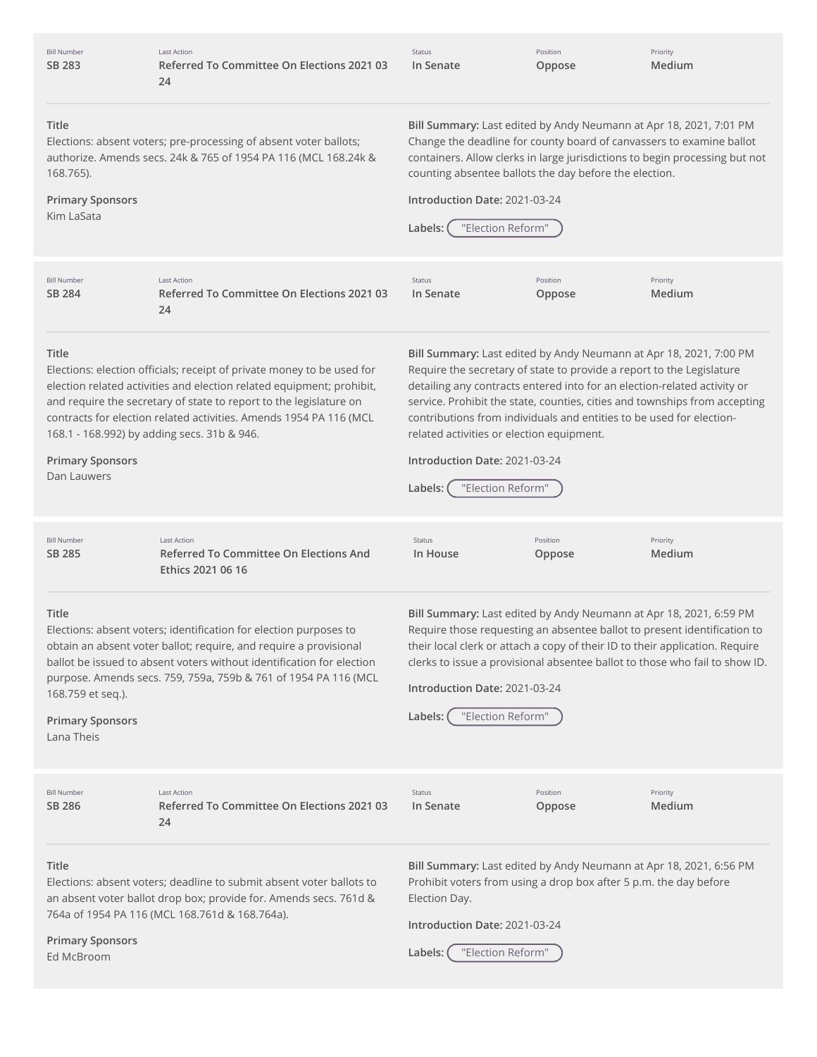| <b>Bill Number</b><br>SB 283                                                                                                                                                                                                                  | Last Action<br>Referred To Committee On Elections 2021 03<br>24                                                                                                                                                                                                                                                                            | Status<br>In Senate                                                                                                                                                                                                                                                                                                                                                                                                                                                                         | Position<br>Oppose | Priority<br>Medium |
|-----------------------------------------------------------------------------------------------------------------------------------------------------------------------------------------------------------------------------------------------|--------------------------------------------------------------------------------------------------------------------------------------------------------------------------------------------------------------------------------------------------------------------------------------------------------------------------------------------|---------------------------------------------------------------------------------------------------------------------------------------------------------------------------------------------------------------------------------------------------------------------------------------------------------------------------------------------------------------------------------------------------------------------------------------------------------------------------------------------|--------------------|--------------------|
| Title<br>168.765).<br><b>Primary Sponsors</b><br>Kim LaSata                                                                                                                                                                                   | Elections: absent voters; pre-processing of absent voter ballots;<br>authorize. Amends secs. 24k & 765 of 1954 PA 116 (MCL 168.24k &                                                                                                                                                                                                       | Bill Summary: Last edited by Andy Neumann at Apr 18, 2021, 7:01 PM<br>Change the deadline for county board of canvassers to examine ballot<br>containers. Allow clerks in large jurisdictions to begin processing but not<br>counting absentee ballots the day before the election.<br>Introduction Date: 2021-03-24<br>"Election Reform"<br>Labels:                                                                                                                                        |                    |                    |
| <b>Bill Number</b><br>SB 284                                                                                                                                                                                                                  | <b>Last Action</b><br>Referred To Committee On Elections 2021 03<br>24                                                                                                                                                                                                                                                                     | Status<br>In Senate                                                                                                                                                                                                                                                                                                                                                                                                                                                                         | Position<br>Oppose | Priority<br>Medium |
| Title<br><b>Primary Sponsors</b><br>Dan Lauwers                                                                                                                                                                                               | Elections: election officials; receipt of private money to be used for<br>election related activities and election related equipment; prohibit,<br>and require the secretary of state to report to the legislature on<br>contracts for election related activities. Amends 1954 PA 116 (MCL<br>168.1 - 168.992) by adding secs. 31b & 946. | Bill Summary: Last edited by Andy Neumann at Apr 18, 2021, 7:00 PM<br>Require the secretary of state to provide a report to the Legislature<br>detailing any contracts entered into for an election-related activity or<br>service. Prohibit the state, counties, cities and townships from accepting<br>contributions from individuals and entities to be used for election-<br>related activities or election equipment.<br>Introduction Date: 2021-03-24<br>"Election Reform"<br>Labels: |                    |                    |
| <b>Bill Number</b><br>SB 285                                                                                                                                                                                                                  | <b>Last Action</b><br>Referred To Committee On Elections And<br>Ethics 2021 06 16                                                                                                                                                                                                                                                          | Status<br>In House                                                                                                                                                                                                                                                                                                                                                                                                                                                                          | Position<br>Oppose | Priority<br>Medium |
| Title<br>168.759 et seq.).<br><b>Primary Sponsors</b><br>Lana Theis                                                                                                                                                                           | Elections: absent voters; identification for election purposes to<br>obtain an absent voter ballot; require, and require a provisional<br>ballot be issued to absent voters without identification for election<br>purpose. Amends secs. 759, 759a, 759b & 761 of 1954 PA 116 (MCL                                                         | Bill Summary: Last edited by Andy Neumann at Apr 18, 2021, 6:59 PM<br>Require those requesting an absentee ballot to present identification to<br>their local clerk or attach a copy of their ID to their application. Require<br>clerks to issue a provisional absentee ballot to those who fail to show ID.<br>Introduction Date: 2021-03-24<br>"Election Reform"<br>Labels:                                                                                                              |                    |                    |
| <b>Bill Number</b><br>SB 286                                                                                                                                                                                                                  | <b>Last Action</b><br>Referred To Committee On Elections 2021 03<br>24                                                                                                                                                                                                                                                                     | Status<br>In Senate                                                                                                                                                                                                                                                                                                                                                                                                                                                                         | Position<br>Oppose | Priority<br>Medium |
| Title<br>Elections: absent voters; deadline to submit absent voter ballots to<br>an absent voter ballot drop box; provide for. Amends secs. 761d &<br>764a of 1954 PA 116 (MCL 168.761d & 168.764a).<br><b>Primary Sponsors</b><br>Ed McBroom |                                                                                                                                                                                                                                                                                                                                            | Bill Summary: Last edited by Andy Neumann at Apr 18, 2021, 6:56 PM<br>Prohibit voters from using a drop box after 5 p.m. the day before<br>Election Day.<br>Introduction Date: 2021-03-24<br>"Election Reform"<br>Labels:                                                                                                                                                                                                                                                                   |                    |                    |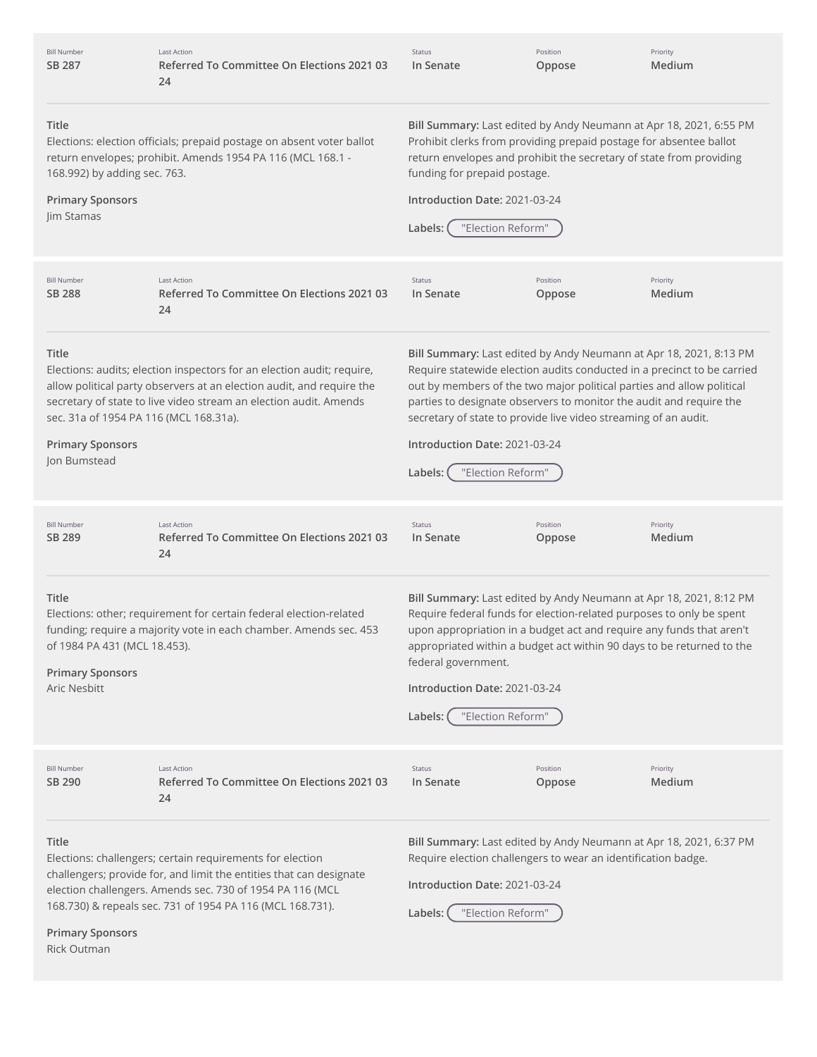| <b>Bill Number</b><br>SB 287                                                                                                                                                                                                                                                                   | <b>Last Action</b><br>Referred To Committee On Elections 2021 03<br>24                                                                                                                                                                                                                                                                                                                                                                                                                                                                                                                                                                                    | Status<br>In Senate                                                                                                                                                                                                                                                                                                                                                                 | Position<br>Oppose | Priority<br>Medium |
|------------------------------------------------------------------------------------------------------------------------------------------------------------------------------------------------------------------------------------------------------------------------------------------------|-----------------------------------------------------------------------------------------------------------------------------------------------------------------------------------------------------------------------------------------------------------------------------------------------------------------------------------------------------------------------------------------------------------------------------------------------------------------------------------------------------------------------------------------------------------------------------------------------------------------------------------------------------------|-------------------------------------------------------------------------------------------------------------------------------------------------------------------------------------------------------------------------------------------------------------------------------------------------------------------------------------------------------------------------------------|--------------------|--------------------|
| Title<br>168.992) by adding sec. 763.<br><b>Primary Sponsors</b><br>Jim Stamas                                                                                                                                                                                                                 | Elections: election officials; prepaid postage on absent voter ballot<br>return envelopes; prohibit. Amends 1954 PA 116 (MCL 168.1 -                                                                                                                                                                                                                                                                                                                                                                                                                                                                                                                      | Bill Summary: Last edited by Andy Neumann at Apr 18, 2021, 6:55 PM<br>Prohibit clerks from providing prepaid postage for absentee ballot<br>return envelopes and prohibit the secretary of state from providing<br>funding for prepaid postage.<br>Introduction Date: 2021-03-24<br>"Election Reform"<br>Labels:                                                                    |                    |                    |
| <b>Bill Number</b><br><b>SB 288</b>                                                                                                                                                                                                                                                            | <b>Last Action</b><br>Referred To Committee On Elections 2021 03<br>24                                                                                                                                                                                                                                                                                                                                                                                                                                                                                                                                                                                    | Status<br>In Senate                                                                                                                                                                                                                                                                                                                                                                 | Position<br>Oppose | Priority<br>Medium |
| Title<br>sec. 31a of 1954 PA 116 (MCL 168.31a).<br><b>Primary Sponsors</b><br>Jon Bumstead                                                                                                                                                                                                     | Bill Summary: Last edited by Andy Neumann at Apr 18, 2021, 8:13 PM<br>Require statewide election audits conducted in a precinct to be carried<br>Elections: audits; election inspectors for an election audit; require,<br>allow political party observers at an election audit, and require the<br>out by members of the two major political parties and allow political<br>secretary of state to live video stream an election audit. Amends<br>parties to designate observers to monitor the audit and require the<br>secretary of state to provide live video streaming of an audit.<br>Introduction Date: 2021-03-24<br>"Election Reform"<br>Labels: |                                                                                                                                                                                                                                                                                                                                                                                     |                    |                    |
| <b>Bill Number</b><br>SB 289                                                                                                                                                                                                                                                                   | <b>Last Action</b><br>Referred To Committee On Elections 2021 03<br>24                                                                                                                                                                                                                                                                                                                                                                                                                                                                                                                                                                                    | Status<br>In Senate                                                                                                                                                                                                                                                                                                                                                                 | Position<br>Oppose | Priority<br>Medium |
| Title<br>of 1984 PA 431 (MCL 18.453).<br><b>Primary Sponsors</b><br>Aric Nesbitt                                                                                                                                                                                                               | Elections: other; requirement for certain federal election-related<br>funding; require a majority vote in each chamber. Amends sec. 453                                                                                                                                                                                                                                                                                                                                                                                                                                                                                                                   | Bill Summary: Last edited by Andy Neumann at Apr 18, 2021, 8:12 PM<br>Require federal funds for election-related purposes to only be spent<br>upon appropriation in a budget act and require any funds that aren't<br>appropriated within a budget act within 90 days to be returned to the<br>federal government.<br>Introduction Date: 2021-03-24<br>"Election Reform"<br>Labels: |                    |                    |
| <b>Bill Number</b><br>SB 290                                                                                                                                                                                                                                                                   | <b>Last Action</b><br>Referred To Committee On Elections 2021 03<br>24                                                                                                                                                                                                                                                                                                                                                                                                                                                                                                                                                                                    | Status<br>In Senate                                                                                                                                                                                                                                                                                                                                                                 | Position<br>Oppose | Priority<br>Medium |
| Title<br>Elections: challengers; certain requirements for election<br>challengers; provide for, and limit the entities that can designate<br>election challengers. Amends sec. 730 of 1954 PA 116 (MCL<br>168.730) & repeals sec. 731 of 1954 PA 116 (MCL 168.731).<br><b>Primary Sponsors</b> |                                                                                                                                                                                                                                                                                                                                                                                                                                                                                                                                                                                                                                                           | Bill Summary: Last edited by Andy Neumann at Apr 18, 2021, 6:37 PM<br>Require election challengers to wear an identification badge.<br>Introduction Date: 2021-03-24<br>"Election Reform"<br>Labels:                                                                                                                                                                                |                    |                    |

Rick Outman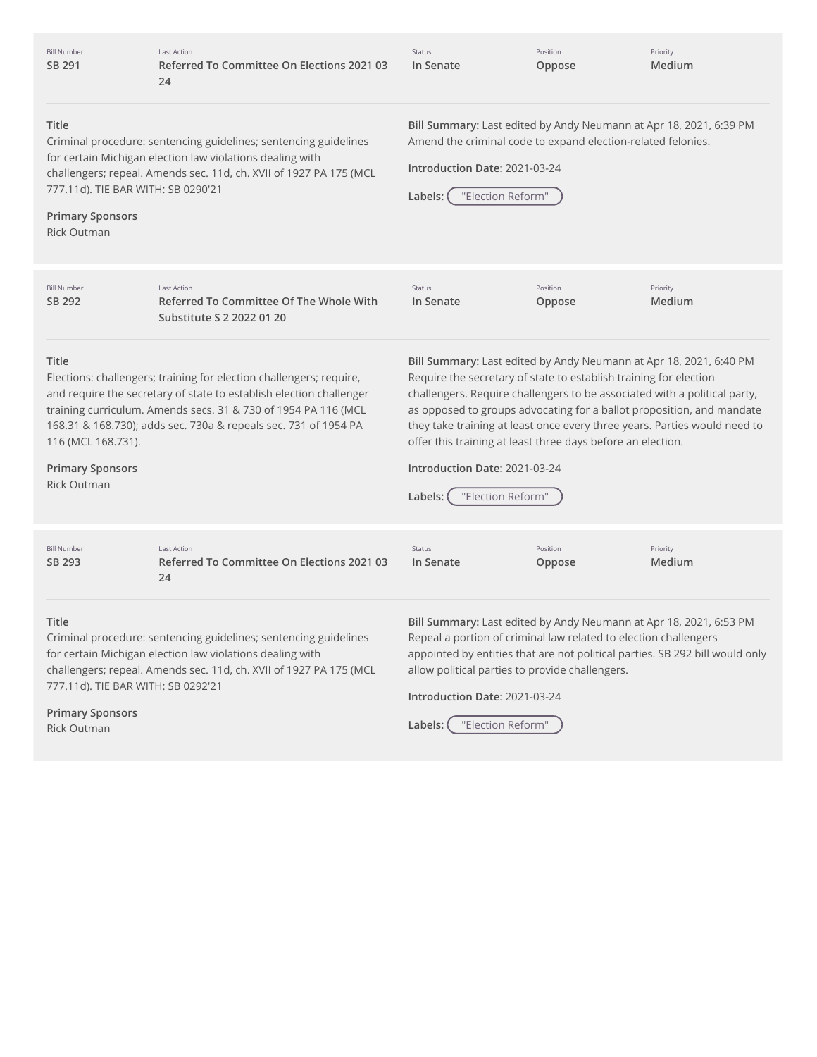| <b>Bill Number</b><br>SB 291                                                                                                                                                                                                                                                                                                                                    | <b>Last Action</b><br>Referred To Committee On Elections 2021 03<br>24                                                                                                                              | Status<br>In Senate                                                                                                                                                                                                                                                                                                                                                                                                                                                                                        | Position<br>Oppose | Priority<br>Medium |
|-----------------------------------------------------------------------------------------------------------------------------------------------------------------------------------------------------------------------------------------------------------------------------------------------------------------------------------------------------------------|-----------------------------------------------------------------------------------------------------------------------------------------------------------------------------------------------------|------------------------------------------------------------------------------------------------------------------------------------------------------------------------------------------------------------------------------------------------------------------------------------------------------------------------------------------------------------------------------------------------------------------------------------------------------------------------------------------------------------|--------------------|--------------------|
| Title<br>777.11d). TIE BAR WITH: SB 0290'21<br><b>Primary Sponsors</b><br><b>Rick Outman</b>                                                                                                                                                                                                                                                                    | Criminal procedure: sentencing guidelines; sentencing guidelines<br>for certain Michigan election law violations dealing with<br>challengers; repeal. Amends sec. 11d, ch. XVII of 1927 PA 175 (MCL | Bill Summary: Last edited by Andy Neumann at Apr 18, 2021, 6:39 PM<br>Amend the criminal code to expand election-related felonies.<br>Introduction Date: 2021-03-24<br>"Election Reform"<br>Labels:                                                                                                                                                                                                                                                                                                        |                    |                    |
| <b>Bill Number</b><br>SB 292                                                                                                                                                                                                                                                                                                                                    | <b>Last Action</b><br>Referred To Committee Of The Whole With<br>Substitute S 2 2022 01 20                                                                                                          | <b>Status</b><br>In Senate                                                                                                                                                                                                                                                                                                                                                                                                                                                                                 | Position<br>Oppose | Priority<br>Medium |
| Title<br>Elections: challengers; training for election challengers; require,<br>and require the secretary of state to establish election challenger<br>training curriculum. Amends secs. 31 & 730 of 1954 PA 116 (MCL<br>168.31 & 168.730); adds sec. 730a & repeals sec. 731 of 1954 PA<br>116 (MCL 168.731).<br><b>Primary Sponsors</b><br><b>Rick Outman</b> |                                                                                                                                                                                                     | Bill Summary: Last edited by Andy Neumann at Apr 18, 2021, 6:40 PM<br>Require the secretary of state to establish training for election<br>challengers. Require challengers to be associated with a political party,<br>as opposed to groups advocating for a ballot proposition, and mandate<br>they take training at least once every three years. Parties would need to<br>offer this training at least three days before an election.<br>Introduction Date: 2021-03-24<br>"Election Reform"<br>Labels: |                    |                    |
| <b>Bill Number</b><br>SB 293                                                                                                                                                                                                                                                                                                                                    | <b>Last Action</b><br>Referred To Committee On Elections 2021 03<br>24                                                                                                                              | Status<br>In Senate                                                                                                                                                                                                                                                                                                                                                                                                                                                                                        | Position<br>Oppose | Priority<br>Medium |
| Title<br>Criminal procedure: sentencing guidelines; sentencing guidelines<br>for certain Michigan election law violations dealing with<br>challengers; repeal. Amends sec. 11d, ch. XVII of 1927 PA 175 (MCL<br>777.11d). TIE BAR WITH: SB 0292'21<br><b>Primary Sponsors</b>                                                                                   |                                                                                                                                                                                                     | Bill Summary: Last edited by Andy Neumann at Apr 18, 2021, 6:53 PM<br>Repeal a portion of criminal law related to election challengers<br>appointed by entities that are not political parties. SB 292 bill would only<br>allow political parties to provide challengers.<br>Introduction Date: 2021-03-24                                                                                                                                                                                                 |                    |                    |
|                                                                                                                                                                                                                                                                                                                                                                 |                                                                                                                                                                                                     | $L = \frac{1}{2}$                                                                                                                                                                                                                                                                                                                                                                                                                                                                                          |                    |                    |

Rick Outman

**Labels:** "Election Reform"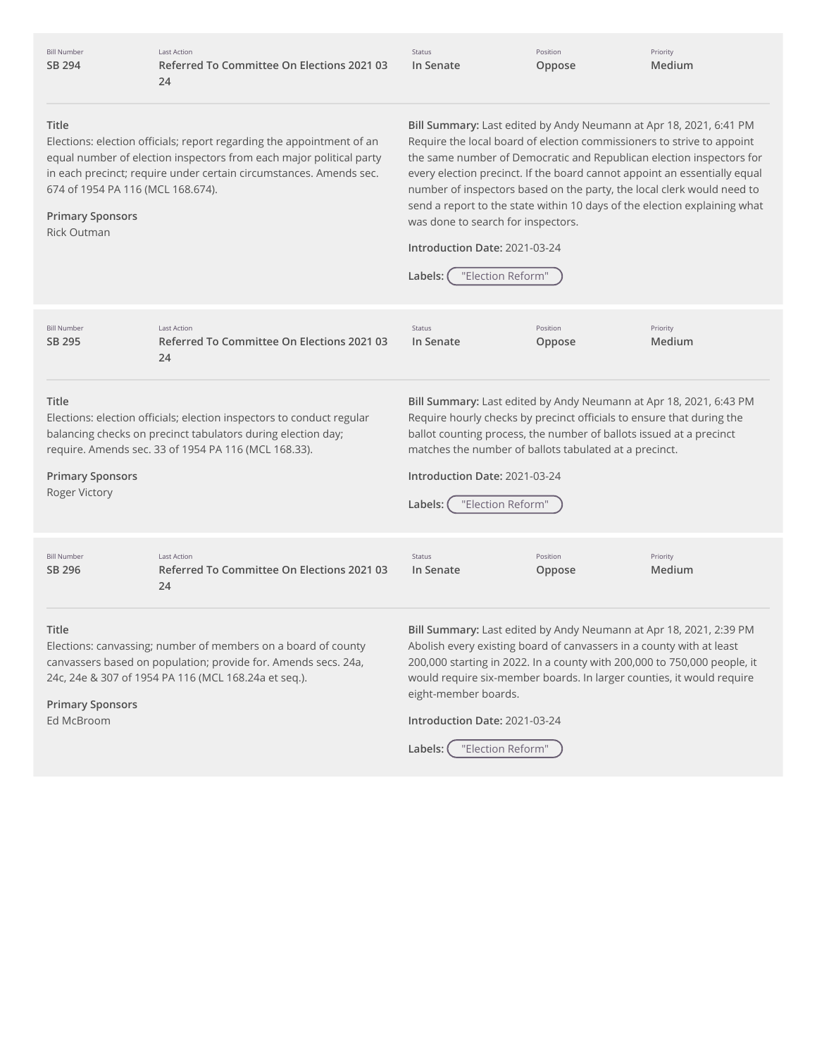| <b>Bill Number</b> |
|--------------------|
| SB 294             |

Last Action **Referred To Committee On Elections 2021 03 24**

Status **In Senate** Position **Oppose**

Priority **Medium**

## **Title**

Elections: election officials; report regarding the appointment of an equal number of election inspectors from each major political party in each precinct; require under certain circumstances. Amends sec. 674 of 1954 PA 116 (MCL 168.674).

## **Primary Sponsors**

Rick Outman

**Bill Summary:** Last edited by Andy Neumann at Apr 18, 2021, 6:41 PM Require the local board of election commissioners to strive to appoint the same number of Democratic and Republican election inspectors for every election precinct. If the board cannot appoint an essentially equal number of inspectors based on the party, the local clerk would need to send a report to the state within 10 days of the election explaining what was done to search for inspectors.

#### **Introduction Date:** 2021-03-24

|                                                                                                                                                                                                  |                                                                                                                                                                                               | "Election Reform"<br>Labels:                                                                                                                                                                                                                                                                                                                  |                    |                    |  |
|--------------------------------------------------------------------------------------------------------------------------------------------------------------------------------------------------|-----------------------------------------------------------------------------------------------------------------------------------------------------------------------------------------------|-----------------------------------------------------------------------------------------------------------------------------------------------------------------------------------------------------------------------------------------------------------------------------------------------------------------------------------------------|--------------------|--------------------|--|
| <b>Bill Number</b><br>SB 295                                                                                                                                                                     | Last Action<br>Referred To Committee On Elections 2021 03<br>24                                                                                                                               | <b>Status</b><br>In Senate                                                                                                                                                                                                                                                                                                                    | Position<br>Oppose | Priority<br>Medium |  |
| Title<br><b>Primary Sponsors</b><br><b>Roger Victory</b>                                                                                                                                         | Elections: election officials; election inspectors to conduct regular<br>balancing checks on precinct tabulators during election day;<br>require. Amends sec. 33 of 1954 PA 116 (MCL 168.33). | Bill Summary: Last edited by Andy Neumann at Apr 18, 2021, 6:43 PM<br>Require hourly checks by precinct officials to ensure that during the<br>ballot counting process, the number of ballots issued at a precinct<br>matches the number of ballots tabulated at a precinct.<br>Introduction Date: 2021-03-24<br>"Election Reform"<br>Labels: |                    |                    |  |
| <b>Bill Number</b><br>SB 296                                                                                                                                                                     | <b>Last Action</b><br>Referred To Committee On Elections 2021 03<br>24                                                                                                                        | <b>Status</b><br>In Senate                                                                                                                                                                                                                                                                                                                    | Position<br>Oppose | Priority<br>Medium |  |
| Title<br>Elections: canvassing; number of members on a board of county<br>canvassers based on population; provide for. Amends secs. 24a,<br>24c, 24e & 307 of 1954 PA 116 (MCL 168.24a et seq.). |                                                                                                                                                                                               | Bill Summary: Last edited by Andy Neumann at Apr 18, 2021, 2:39 PM<br>Abolish every existing board of canvassers in a county with at least<br>200,000 starting in 2022. In a county with 200,000 to 750,000 people, it<br>would require six-member boards. In larger counties, it would require<br>eight-member boards.                       |                    |                    |  |

**Primary Sponsors** Ed McBroom

**Introduction Date:** 2021-03-24

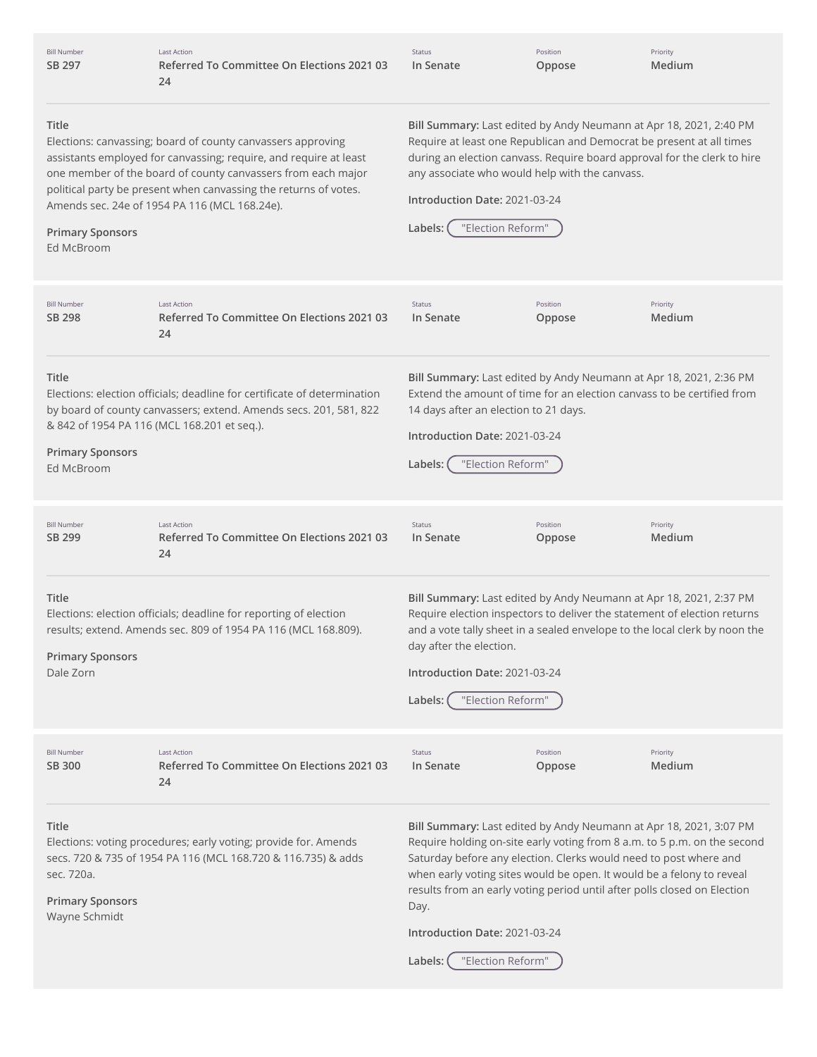| <b>Bill Number</b><br>SB 297                                    | <b>Last Action</b><br>Referred To Committee On Elections 2021 03<br>24                                                                                                                                                                                                                                                | Status<br>In Senate                                                                                    | Position<br>Oppose                             | Priority<br>Medium                                                                                                                                                                                                                                                                                                                                                       |
|-----------------------------------------------------------------|-----------------------------------------------------------------------------------------------------------------------------------------------------------------------------------------------------------------------------------------------------------------------------------------------------------------------|--------------------------------------------------------------------------------------------------------|------------------------------------------------|--------------------------------------------------------------------------------------------------------------------------------------------------------------------------------------------------------------------------------------------------------------------------------------------------------------------------------------------------------------------------|
| Title<br><b>Primary Sponsors</b><br>Ed McBroom                  | Elections: canvassing; board of county canvassers approving<br>assistants employed for canvassing; require, and require at least<br>one member of the board of county canvassers from each major<br>political party be present when canvassing the returns of votes.<br>Amends sec. 24e of 1954 PA 116 (MCL 168.24e). | Introduction Date: 2021-03-24<br>"Election Reform"<br>Labels:                                          | any associate who would help with the canvass. | Bill Summary: Last edited by Andy Neumann at Apr 18, 2021, 2:40 PM<br>Require at least one Republican and Democrat be present at all times<br>during an election canvass. Require board approval for the clerk to hire                                                                                                                                                   |
| <b>Bill Number</b><br>SB 298                                    | <b>Last Action</b><br>Referred To Committee On Elections 2021 03<br>24                                                                                                                                                                                                                                                | Status<br>In Senate                                                                                    | Position<br>Oppose                             | Priority<br>Medium                                                                                                                                                                                                                                                                                                                                                       |
| Title<br><b>Primary Sponsors</b><br>Ed McBroom                  | Elections: election officials; deadline for certificate of determination<br>by board of county canvassers; extend. Amends secs. 201, 581, 822<br>& 842 of 1954 PA 116 (MCL 168.201 et seq.).                                                                                                                          | 14 days after an election to 21 days.<br>Introduction Date: 2021-03-24<br>"Election Reform"<br>Labels: |                                                | Bill Summary: Last edited by Andy Neumann at Apr 18, 2021, 2:36 PM<br>Extend the amount of time for an election canvass to be certified from                                                                                                                                                                                                                             |
| <b>Bill Number</b><br>SB 299                                    | <b>Last Action</b><br>Referred To Committee On Elections 2021 03<br>24                                                                                                                                                                                                                                                | Status<br>In Senate                                                                                    | Position<br>Oppose                             | Priority<br>Medium                                                                                                                                                                                                                                                                                                                                                       |
| <b>Title</b><br><b>Primary Sponsors</b><br>Dale Zorn            | Elections: election officials; deadline for reporting of election<br>results; extend. Amends sec. 809 of 1954 PA 116 (MCL 168.809).                                                                                                                                                                                   | day after the election.<br>Introduction Date: 2021-03-24<br>"Election Reform"<br>Labels:               |                                                | Bill Summary: Last edited by Andy Neumann at Apr 18, 2021, 2:37 PM<br>Require election inspectors to deliver the statement of election returns<br>and a vote tally sheet in a sealed envelope to the local clerk by noon the                                                                                                                                             |
| <b>Bill Number</b><br>SB 300                                    | Last Action<br>Referred To Committee On Elections 2021 03<br>24                                                                                                                                                                                                                                                       | Status<br>In Senate                                                                                    | Position<br>Oppose                             | Priority<br>Medium                                                                                                                                                                                                                                                                                                                                                       |
| Title<br>sec. 720a.<br><b>Primary Sponsors</b><br>Wayne Schmidt | Elections: voting procedures; early voting; provide for. Amends<br>secs. 720 & 735 of 1954 PA 116 (MCL 168.720 & 116.735) & adds                                                                                                                                                                                      | Day.<br>Introduction Date: 2021-03-24                                                                  |                                                | Bill Summary: Last edited by Andy Neumann at Apr 18, 2021, 3:07 PM<br>Require holding on-site early voting from 8 a.m. to 5 p.m. on the second<br>Saturday before any election. Clerks would need to post where and<br>when early voting sites would be open. It would be a felony to reveal<br>results from an early voting period until after polls closed on Election |

**Labels:** "Election Reform"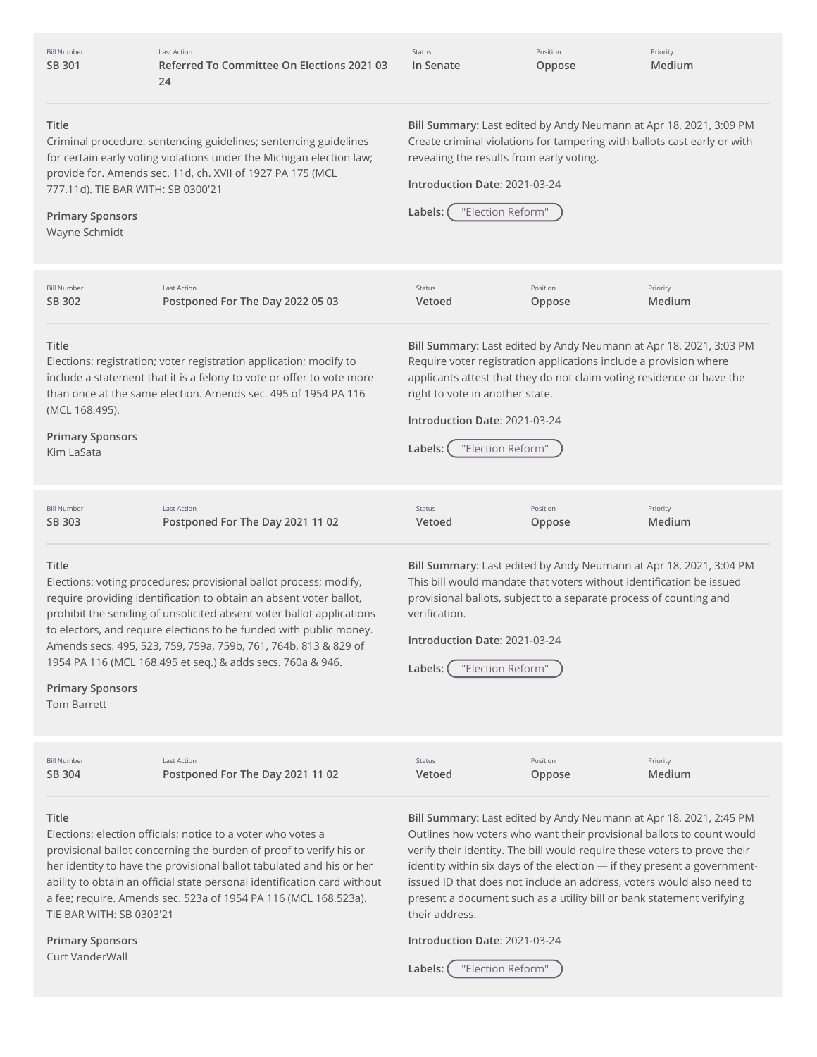| <b>Bill Number</b> |  |
|--------------------|--|
| SB 301             |  |

Last Action **Referred To Committee On Elections 2021 03 24**

Status **In Senate** Position **Oppose** Priority **Medium**

#### **Title**

Criminal procedure: sentencing guidelines; sentencing guidelines for certain early voting violations under the Michigan election law; provide for. Amends sec. 11d, ch. XVII of 1927 PA 175 (MCL 777.11d). TIE BAR WITH: SB 0300'21

### **Primary Sponsors**

Wayne Schmidt

**Bill Summary:** Last edited by Andy Neumann at Apr 18, 2021, 3:09 PM Create criminal violations for tampering with ballots cast early or with revealing the results from early voting.

## **Introduction Date:** 2021-03-24

| Labels: ( | "Election Reform" |  |
|-----------|-------------------|--|
|           |                   |  |

**Title** Elections: registration; voter registration application; modify to include a statement that it is a felony to vote or offer to vote more than once at the same election. Amends sec. 495 of 1954 PA 116 (MCL 168.495). **Primary Sponsors** Kim LaSata **Bill Summary:** Last edited by Andy Neumann at Apr 18, 2021, 3:03 PM Require voter registration applications include a provision where applicants attest that they do not claim voting residence or have the right to vote in another state. **Introduction Date:** 2021-03-24 **Labels:** "Election Reform" **Title** Elections: voting procedures; provisional ballot process; modify, require providing identification to obtain an absent voter ballot, prohibit the sending of unsolicited absent voter ballot applications to electors, and require elections to be funded with public money. Amends secs. 495, 523, 759, 759a, 759b, 761, 764b, 813 & 829 of 1954 PA 116 (MCL 168.495 et seq.) & adds secs. 760a & 946. **Primary Sponsors** Tom Barrett **Bill Summary:** Last edited by Andy Neumann at Apr 18, 2021, 3:04 PM This bill would mandate that voters without identification be issued provisional ballots, subject to a separate process of counting and verification. **Introduction Date:** 2021-03-24 **Labels:** "Election Reform" **Title** Elections: election officials; notice to a voter who votes a **Bill Summary:** Last edited by Andy Neumann at Apr 18, 2021, 2:45 PM Outlines how voters who want their provisional ballots to count would Bill Number **SB [302](http://app.fiscalnote.com/share/bill?url=8eed0bd72c2e6492554d14dc0e8f020a)** Last Action **Postponed For The Day 2022 05 03** Status **Vetoed** Position **Oppose** Priority **Medium** Bill Number **SB [303](http://app.fiscalnote.com/share/bill?url=7f1bb19c7bdd3f328a35a65b879eb04c)** Last Action **Postponed For The Day 2021 11 02** Status **Vetoed** Position **Oppose** Priority **Medium** Bill Number **SB [304](http://app.fiscalnote.com/share/bill?url=2f469834624c6dbf379e9ae0a12ce3c4)** Last Action **Postponed For The Day 2021 11 02** Status **Vetoed** Position **Oppose** Priority **Medium**

provisional ballot concerning the burden of proof to verify his or her identity to have the provisional ballot tabulated and his or her ability to obtain an official state personal identification card without a fee; require. Amends sec. 523a of 1954 PA 116 (MCL 168.523a). TIE BAR WITH: SB 0303'21

**Primary Sponsors** Curt VanderWall

verify their identity. The bill would require these voters to prove their identity within six days of the election — if they present a governmentissued ID that does not include an address, voters would also need to present a document such as a utility bill or bank statement verifying their address.

**Introduction Date:** 2021-03-24

**Labels:** "Election Reform"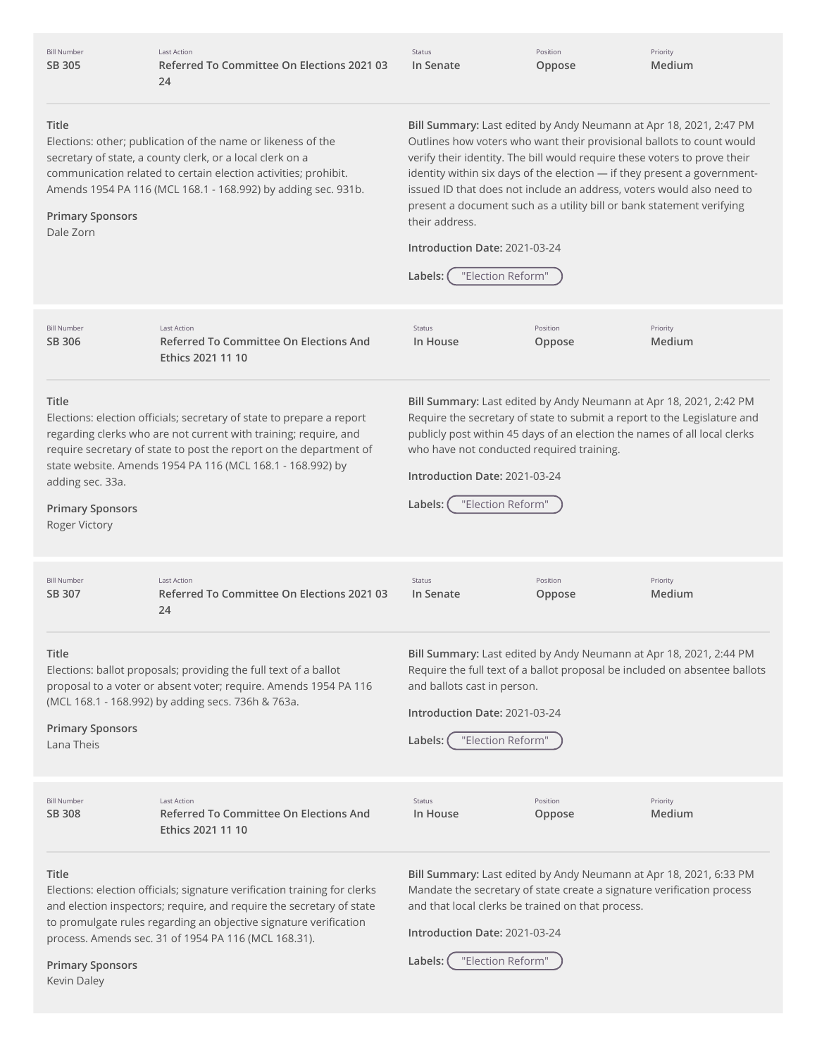| <b>Bill Number</b><br>SB 305                                          | <b>Last Action</b><br>Referred To Committee On Elections 2021 03<br>24                                                                                                                                                                                                         | Status<br>In Senate                                                                                                                                                                                                                                                                                                                                                                                                                                                                                                                       | Position<br>Oppose | Priority<br>Medium                                                         |
|-----------------------------------------------------------------------|--------------------------------------------------------------------------------------------------------------------------------------------------------------------------------------------------------------------------------------------------------------------------------|-------------------------------------------------------------------------------------------------------------------------------------------------------------------------------------------------------------------------------------------------------------------------------------------------------------------------------------------------------------------------------------------------------------------------------------------------------------------------------------------------------------------------------------------|--------------------|----------------------------------------------------------------------------|
| Title<br><b>Primary Sponsors</b><br>Dale Zorn                         | Elections: other; publication of the name or likeness of the<br>secretary of state, a county clerk, or a local clerk on a<br>communication related to certain election activities; prohibit.<br>Amends 1954 PA 116 (MCL 168.1 - 168.992) by adding sec. 931b.                  | Bill Summary: Last edited by Andy Neumann at Apr 18, 2021, 2:47 PM<br>Outlines how voters who want their provisional ballots to count would<br>verify their identity. The bill would require these voters to prove their<br>identity within six days of the election - if they present a government-<br>issued ID that does not include an address, voters would also need to<br>present a document such as a utility bill or bank statement verifying<br>their address.<br>Introduction Date: 2021-03-24<br>"Election Reform"<br>Labels: |                    |                                                                            |
| <b>Bill Number</b><br>SB 306                                          | <b>Last Action</b><br>Referred To Committee On Elections And<br>Ethics 2021 11 10                                                                                                                                                                                              | Status<br>In House                                                                                                                                                                                                                                                                                                                                                                                                                                                                                                                        | Position<br>Oppose | Priority<br>Medium                                                         |
| Title<br>adding sec. 33a.<br><b>Primary Sponsors</b><br>Roger Victory | Elections: election officials; secretary of state to prepare a report<br>regarding clerks who are not current with training; require, and<br>require secretary of state to post the report on the department of<br>state website. Amends 1954 PA 116 (MCL 168.1 - 168.992) by  | Bill Summary: Last edited by Andy Neumann at Apr 18, 2021, 2:42 PM<br>Require the secretary of state to submit a report to the Legislature and<br>publicly post within 45 days of an election the names of all local clerks<br>who have not conducted required training.<br>Introduction Date: 2021-03-24<br>"Election Reform"<br>Labels:                                                                                                                                                                                                 |                    |                                                                            |
| <b>Bill Number</b><br>SB 307                                          | Last Action<br>Referred To Committee On Elections 2021 03<br>24                                                                                                                                                                                                                | Status<br>In Senate                                                                                                                                                                                                                                                                                                                                                                                                                                                                                                                       | Position<br>Oppose | Priority<br>Medium                                                         |
| Title<br><b>Primary Sponsors</b><br>Lana Theis                        | Elections: ballot proposals; providing the full text of a ballot<br>proposal to a voter or absent voter; require. Amends 1954 PA 116<br>(MCL 168.1 - 168.992) by adding secs. 736h & 763a.                                                                                     | Bill Summary: Last edited by Andy Neumann at Apr 18, 2021, 2:44 PM<br>and ballots cast in person.<br>Introduction Date: 2021-03-24<br>"Election Reform"<br>Labels:                                                                                                                                                                                                                                                                                                                                                                        |                    | Require the full text of a ballot proposal be included on absentee ballots |
| <b>Bill Number</b><br>SB 308                                          | <b>Last Action</b><br>Referred To Committee On Elections And<br>Ethics 2021 11 10                                                                                                                                                                                              | Status<br>In House                                                                                                                                                                                                                                                                                                                                                                                                                                                                                                                        | Position<br>Oppose | Priority<br>Medium                                                         |
| Title<br><b>Primary Sponsors</b>                                      | Elections: election officials; signature verification training for clerks<br>and election inspectors; require, and require the secretary of state<br>to promulgate rules regarding an objective signature verification<br>process. Amends sec. 31 of 1954 PA 116 (MCL 168.31). | Bill Summary: Last edited by Andy Neumann at Apr 18, 2021, 6:33 PM<br>Mandate the secretary of state create a signature verification process<br>and that local clerks be trained on that process.<br>Introduction Date: 2021-03-24<br>"Election Reform"<br>Labels:                                                                                                                                                                                                                                                                        |                    |                                                                            |

Kevin Daley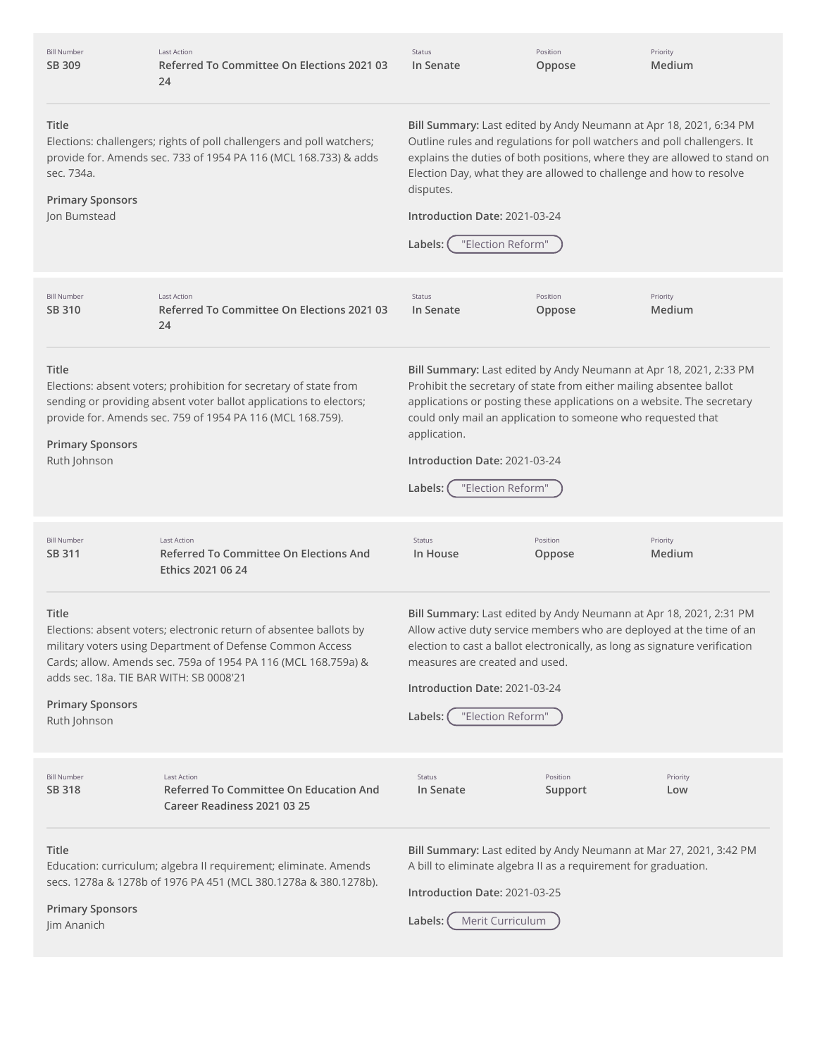| <b>Bill Number</b><br>SB 309                                                                                                                                                                                                                                                                                                                                                                                                                                                                                                                                                                                                     | <b>Last Action</b><br>Referred To Committee On Elections 2021 03<br>24                                                                                                                                | Status<br>In Senate                                                                                                                                                                                                                                                                                                                                                              | Position<br>Oppose  | Priority<br>Medium |  |
|----------------------------------------------------------------------------------------------------------------------------------------------------------------------------------------------------------------------------------------------------------------------------------------------------------------------------------------------------------------------------------------------------------------------------------------------------------------------------------------------------------------------------------------------------------------------------------------------------------------------------------|-------------------------------------------------------------------------------------------------------------------------------------------------------------------------------------------------------|----------------------------------------------------------------------------------------------------------------------------------------------------------------------------------------------------------------------------------------------------------------------------------------------------------------------------------------------------------------------------------|---------------------|--------------------|--|
| Title<br>sec. 734a.<br><b>Primary Sponsors</b><br>Jon Bumstead                                                                                                                                                                                                                                                                                                                                                                                                                                                                                                                                                                   | Elections: challengers; rights of poll challengers and poll watchers;<br>provide for. Amends sec. 733 of 1954 PA 116 (MCL 168.733) & adds                                                             | Bill Summary: Last edited by Andy Neumann at Apr 18, 2021, 6:34 PM<br>Outline rules and regulations for poll watchers and poll challengers. It<br>explains the duties of both positions, where they are allowed to stand on<br>Election Day, what they are allowed to challenge and how to resolve<br>disputes.<br>Introduction Date: 2021-03-24<br>"Election Reform"<br>Labels: |                     |                    |  |
| <b>Bill Number</b><br>SB 310                                                                                                                                                                                                                                                                                                                                                                                                                                                                                                                                                                                                     | <b>Last Action</b><br>Referred To Committee On Elections 2021 03<br>24                                                                                                                                | Status<br>In Senate                                                                                                                                                                                                                                                                                                                                                              | Position<br>Oppose  | Priority<br>Medium |  |
| Title<br><b>Primary Sponsors</b><br>Ruth Johnson                                                                                                                                                                                                                                                                                                                                                                                                                                                                                                                                                                                 | Elections: absent voters; prohibition for secretary of state from<br>sending or providing absent voter ballot applications to electors;<br>provide for. Amends sec. 759 of 1954 PA 116 (MCL 168.759). | Bill Summary: Last edited by Andy Neumann at Apr 18, 2021, 2:33 PM<br>Prohibit the secretary of state from either mailing absentee ballot<br>applications or posting these applications on a website. The secretary<br>could only mail an application to someone who requested that<br>application.<br>Introduction Date: 2021-03-24<br>"Election Reform"<br>Labels:             |                     |                    |  |
| <b>Bill Number</b><br>SB 311                                                                                                                                                                                                                                                                                                                                                                                                                                                                                                                                                                                                     | <b>Last Action</b><br>Referred To Committee On Elections And<br>Ethics 2021 06 24                                                                                                                     | Status<br>In House                                                                                                                                                                                                                                                                                                                                                               | Position<br>Oppose  | Priority<br>Medium |  |
| Bill Summary: Last edited by Andy Neumann at Apr 18, 2021, 2:31 PM<br>Title<br>Elections: absent voters; electronic return of absentee ballots by<br>Allow active duty service members who are deployed at the time of an<br>military voters using Department of Defense Common Access<br>election to cast a ballot electronically, as long as signature verification<br>Cards; allow. Amends sec. 759a of 1954 PA 116 (MCL 168.759a) &<br>measures are created and used.<br>adds sec. 18a. TIE BAR WITH: SB 0008'21<br>Introduction Date: 2021-03-24<br><b>Primary Sponsors</b><br>"Election Reform"<br>Labels:<br>Ruth Johnson |                                                                                                                                                                                                       |                                                                                                                                                                                                                                                                                                                                                                                  |                     |                    |  |
| <b>Bill Number</b><br><b>SB 318</b>                                                                                                                                                                                                                                                                                                                                                                                                                                                                                                                                                                                              | <b>Last Action</b><br><b>Referred To Committee On Education And</b><br>Career Readiness 2021 03 25                                                                                                    | Status<br>In Senate                                                                                                                                                                                                                                                                                                                                                              | Position<br>Support | Priority<br>Low    |  |
| Title<br><b>Primary Sponsors</b><br>Jim Ananich                                                                                                                                                                                                                                                                                                                                                                                                                                                                                                                                                                                  | Education: curriculum; algebra II requirement; eliminate. Amends<br>secs. 1278a & 1278b of 1976 PA 451 (MCL 380.1278a & 380.1278b).                                                                   | Bill Summary: Last edited by Andy Neumann at Mar 27, 2021, 3:42 PM<br>A bill to eliminate algebra II as a requirement for graduation.<br>Introduction Date: 2021-03-25<br>Merit Curriculum<br>Labels:                                                                                                                                                                            |                     |                    |  |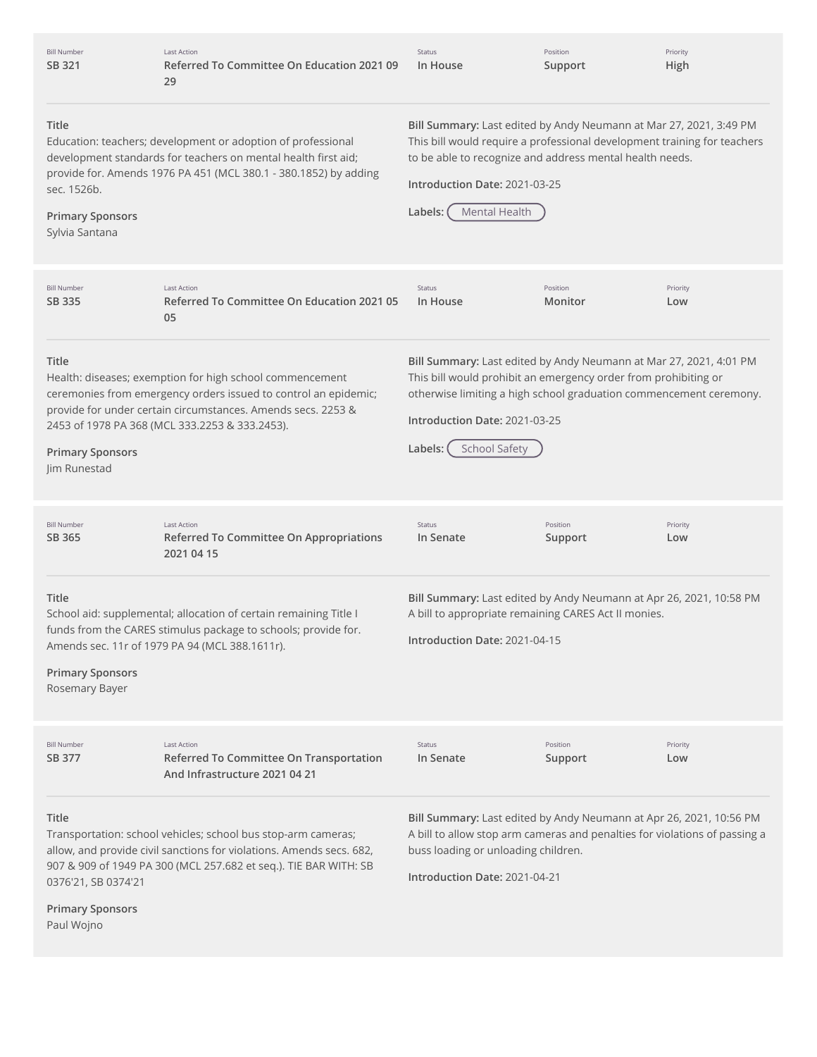| <b>Bill Number</b><br>SB 321                                                                                                                                                                                                                                                                                                                                                                                | <b>Last Action</b><br>Referred To Committee On Education 2021 09<br>29                                                                                                                                                                        | Status<br>In House                                                                                                                                                                                                                                                      | Position<br>Support | Priority<br>High                                                                                                                                  |  |
|-------------------------------------------------------------------------------------------------------------------------------------------------------------------------------------------------------------------------------------------------------------------------------------------------------------------------------------------------------------------------------------------------------------|-----------------------------------------------------------------------------------------------------------------------------------------------------------------------------------------------------------------------------------------------|-------------------------------------------------------------------------------------------------------------------------------------------------------------------------------------------------------------------------------------------------------------------------|---------------------|---------------------------------------------------------------------------------------------------------------------------------------------------|--|
| Title<br>sec. 1526b.<br><b>Primary Sponsors</b><br>Sylvia Santana                                                                                                                                                                                                                                                                                                                                           | Education: teachers; development or adoption of professional<br>development standards for teachers on mental health first aid;<br>provide for. Amends 1976 PA 451 (MCL 380.1 - 380.1852) by adding                                            | Bill Summary: Last edited by Andy Neumann at Mar 27, 2021, 3:49 PM<br>This bill would require a professional development training for teachers<br>to be able to recognize and address mental health needs.<br>Introduction Date: 2021-03-25<br>Mental Health<br>Labels: |                     |                                                                                                                                                   |  |
| <b>Bill Number</b><br>SB 335                                                                                                                                                                                                                                                                                                                                                                                | <b>Last Action</b><br>Referred To Committee On Education 2021 05<br>05                                                                                                                                                                        | Status<br>In House                                                                                                                                                                                                                                                      | Position<br>Monitor | Priority<br>Low                                                                                                                                   |  |
| Title<br><b>Primary Sponsors</b><br>Jim Runestad                                                                                                                                                                                                                                                                                                                                                            | Health: diseases; exemption for high school commencement<br>ceremonies from emergency orders issued to control an epidemic;<br>provide for under certain circumstances. Amends secs. 2253 &<br>2453 of 1978 PA 368 (MCL 333.2253 & 333.2453). | This bill would prohibit an emergency order from prohibiting or<br>Introduction Date: 2021-03-25<br>Labels:<br><b>School Safety</b>                                                                                                                                     |                     | Bill Summary: Last edited by Andy Neumann at Mar 27, 2021, 4:01 PM<br>otherwise limiting a high school graduation commencement ceremony.          |  |
| <b>Bill Number</b><br>SB 365                                                                                                                                                                                                                                                                                                                                                                                | <b>Last Action</b><br>Referred To Committee On Appropriations<br>2021 04 15                                                                                                                                                                   | Status<br>In Senate                                                                                                                                                                                                                                                     | Position<br>Support | Priority<br>Low                                                                                                                                   |  |
| Bill Summary: Last edited by Andy Neumann at Apr 26, 2021, 10:58 PM<br>Title<br>School aid: supplemental; allocation of certain remaining Title I<br>A bill to appropriate remaining CARES Act II monies.<br>funds from the CARES stimulus package to schools; provide for.<br>Introduction Date: 2021-04-15<br>Amends sec. 11r of 1979 PA 94 (MCL 388.1611r).<br><b>Primary Sponsors</b><br>Rosemary Bayer |                                                                                                                                                                                                                                               |                                                                                                                                                                                                                                                                         |                     |                                                                                                                                                   |  |
| <b>Bill Number</b><br>SB 377                                                                                                                                                                                                                                                                                                                                                                                | <b>Last Action</b><br>Referred To Committee On Transportation<br>And Infrastructure 2021 04 21                                                                                                                                                | Status<br>In Senate                                                                                                                                                                                                                                                     | Position<br>Support | Priority<br>Low                                                                                                                                   |  |
| Title<br>0376'21, SB 0374'21<br><b>Primary Sponsors</b><br>Paul Wojno                                                                                                                                                                                                                                                                                                                                       | Transportation: school vehicles; school bus stop-arm cameras;<br>allow, and provide civil sanctions for violations. Amends secs. 682,<br>907 & 909 of 1949 PA 300 (MCL 257.682 et seq.). TIE BAR WITH: SB                                     | buss loading or unloading children.<br>Introduction Date: 2021-04-21                                                                                                                                                                                                    |                     | Bill Summary: Last edited by Andy Neumann at Apr 26, 2021, 10:56 PM<br>A bill to allow stop arm cameras and penalties for violations of passing a |  |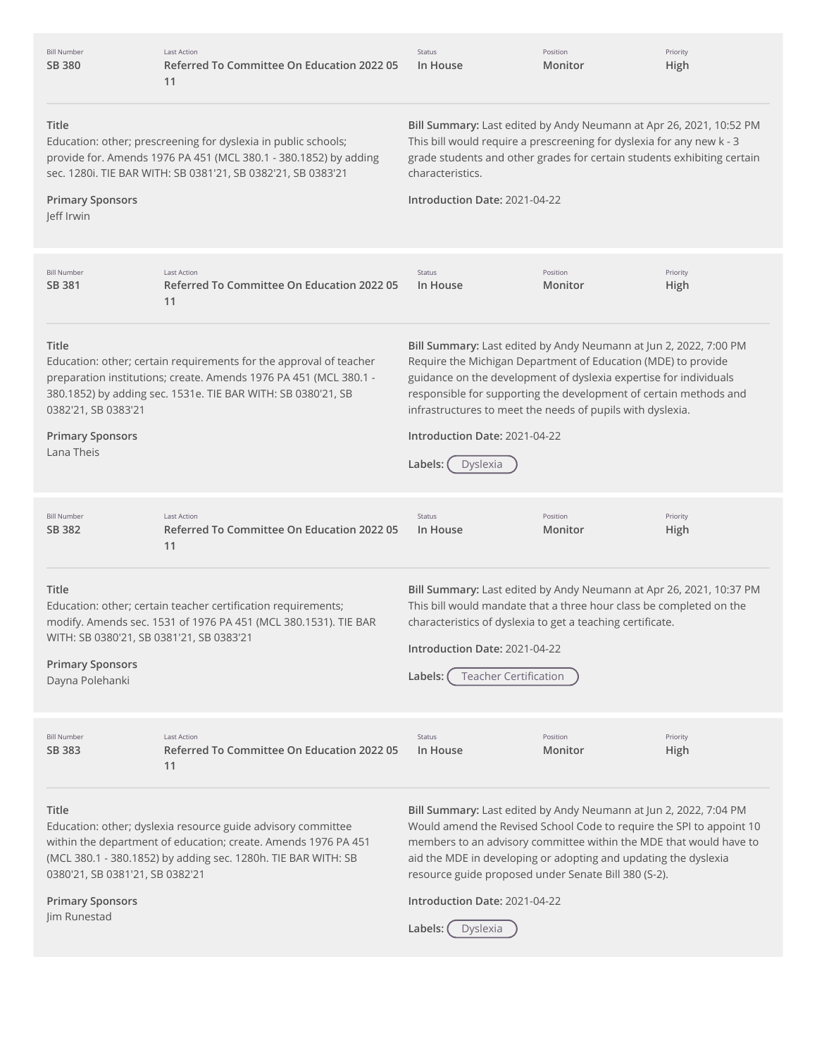| <b>Bill Number</b><br><b>SB 380</b>                                                                                                                                                                                                                                                                                                                                                                                                                                                                                                                                                                                                                                                           | <b>Last Action</b><br>Referred To Committee On Education 2022 05<br>11                                                                                                                          | Status<br>In House                                                                                                                                                                                                                                                           | Position<br>Monitor                                                                                                     | Priority<br>High                                                                                                                                                                                                |
|-----------------------------------------------------------------------------------------------------------------------------------------------------------------------------------------------------------------------------------------------------------------------------------------------------------------------------------------------------------------------------------------------------------------------------------------------------------------------------------------------------------------------------------------------------------------------------------------------------------------------------------------------------------------------------------------------|-------------------------------------------------------------------------------------------------------------------------------------------------------------------------------------------------|------------------------------------------------------------------------------------------------------------------------------------------------------------------------------------------------------------------------------------------------------------------------------|-------------------------------------------------------------------------------------------------------------------------|-----------------------------------------------------------------------------------------------------------------------------------------------------------------------------------------------------------------|
| Title<br>Education: other; prescreening for dyslexia in public schools;<br>provide for. Amends 1976 PA 451 (MCL 380.1 - 380.1852) by adding<br>sec. 1280i. TIE BAR WITH: SB 0381'21, SB 0382'21, SB 0383'21<br><b>Primary Sponsors</b><br>Jeff Irwin                                                                                                                                                                                                                                                                                                                                                                                                                                          |                                                                                                                                                                                                 | Bill Summary: Last edited by Andy Neumann at Apr 26, 2021, 10:52 PM<br>This bill would require a prescreening for dyslexia for any new k - 3<br>grade students and other grades for certain students exhibiting certain<br>characteristics.<br>Introduction Date: 2021-04-22 |                                                                                                                         |                                                                                                                                                                                                                 |
| <b>Bill Number</b><br>SB 381                                                                                                                                                                                                                                                                                                                                                                                                                                                                                                                                                                                                                                                                  | <b>Last Action</b><br>Referred To Committee On Education 2022 05<br>11                                                                                                                          | Status<br>In House                                                                                                                                                                                                                                                           | Position<br>Monitor                                                                                                     | Priority<br>High                                                                                                                                                                                                |
| Title<br>Bill Summary: Last edited by Andy Neumann at Jun 2, 2022, 7:00 PM<br>Education: other; certain requirements for the approval of teacher<br>Require the Michigan Department of Education (MDE) to provide<br>preparation institutions; create. Amends 1976 PA 451 (MCL 380.1 -<br>guidance on the development of dyslexia expertise for individuals<br>380.1852) by adding sec. 1531e. TIE BAR WITH: SB 0380'21, SB<br>responsible for supporting the development of certain methods and<br>0382'21, SB 0383'21<br>infrastructures to meet the needs of pupils with dyslexia.<br><b>Primary Sponsors</b><br>Introduction Date: 2021-04-22<br>Lana Theis<br>Labels:<br><b>Dyslexia</b> |                                                                                                                                                                                                 |                                                                                                                                                                                                                                                                              |                                                                                                                         |                                                                                                                                                                                                                 |
| <b>Bill Number</b><br>SB 382                                                                                                                                                                                                                                                                                                                                                                                                                                                                                                                                                                                                                                                                  | <b>Last Action</b><br>Referred To Committee On Education 2022 05<br>11                                                                                                                          | Status<br>In House                                                                                                                                                                                                                                                           | Position<br>Monitor                                                                                                     | Priority<br>High                                                                                                                                                                                                |
| Title<br>WITH: SB 0380'21, SB 0381'21, SB 0383'21<br><b>Primary Sponsors</b><br>Dayna Polehanki                                                                                                                                                                                                                                                                                                                                                                                                                                                                                                                                                                                               | Education: other; certain teacher certification requirements;<br>modify. Amends sec. 1531 of 1976 PA 451 (MCL 380.1531). TIE BAR                                                                | Introduction Date: 2021-04-22<br>Labels:                                                                                                                                                                                                                                     | characteristics of dyslexia to get a teaching certificate.<br><b>Teacher Certification</b>                              | Bill Summary: Last edited by Andy Neumann at Apr 26, 2021, 10:37 PM<br>This bill would mandate that a three hour class be completed on the                                                                      |
| <b>Bill Number</b><br>SB 383                                                                                                                                                                                                                                                                                                                                                                                                                                                                                                                                                                                                                                                                  | <b>Last Action</b><br>Referred To Committee On Education 2022 05<br>11                                                                                                                          | Status<br>In House                                                                                                                                                                                                                                                           | Position<br>Monitor                                                                                                     | Priority<br>High                                                                                                                                                                                                |
| Title<br>0380'21, SB 0381'21, SB 0382'21<br><b>Primary Sponsors</b><br>Jim Runestad                                                                                                                                                                                                                                                                                                                                                                                                                                                                                                                                                                                                           | Education: other; dyslexia resource guide advisory committee<br>within the department of education; create. Amends 1976 PA 451<br>(MCL 380.1 - 380.1852) by adding sec. 1280h. TIE BAR WITH: SB | Introduction Date: 2021-04-22<br>Labels:<br>Dyslexia                                                                                                                                                                                                                         | aid the MDE in developing or adopting and updating the dyslexia<br>resource guide proposed under Senate Bill 380 (S-2). | Bill Summary: Last edited by Andy Neumann at Jun 2, 2022, 7:04 PM<br>Would amend the Revised School Code to require the SPI to appoint 10<br>members to an advisory committee within the MDE that would have to |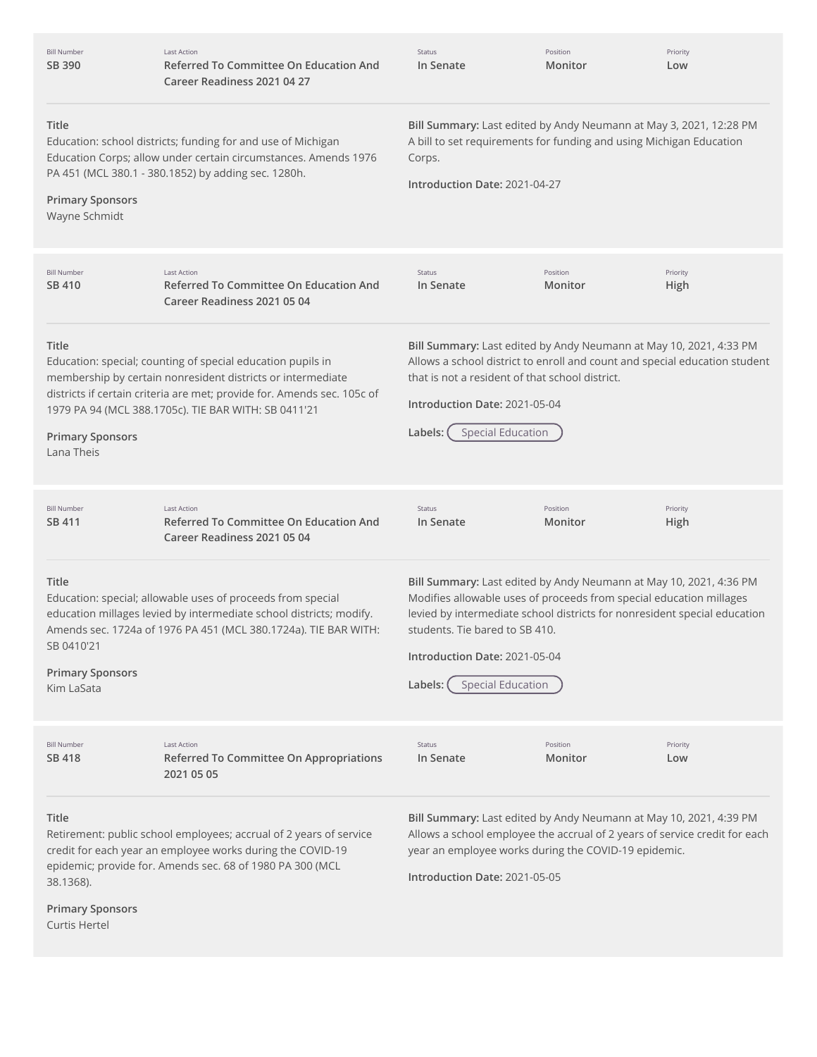| <b>Bill Number</b><br>SB 390                                   | <b>Last Action</b><br><b>Referred To Committee On Education And</b><br>Career Readiness 2021 04 27                                                                                                                                                                                                                                                                                                                                                                                                                                           | Status<br>In Senate                                                                                                                                                                  | Position<br>Monitor | Priority<br>Low                                                                                                                                                                                                        |  |
|----------------------------------------------------------------|----------------------------------------------------------------------------------------------------------------------------------------------------------------------------------------------------------------------------------------------------------------------------------------------------------------------------------------------------------------------------------------------------------------------------------------------------------------------------------------------------------------------------------------------|--------------------------------------------------------------------------------------------------------------------------------------------------------------------------------------|---------------------|------------------------------------------------------------------------------------------------------------------------------------------------------------------------------------------------------------------------|--|
| Title<br><b>Primary Sponsors</b><br>Wayne Schmidt              | Education: school districts; funding for and use of Michigan<br>Education Corps; allow under certain circumstances. Amends 1976<br>PA 451 (MCL 380.1 - 380.1852) by adding sec. 1280h.                                                                                                                                                                                                                                                                                                                                                       | Bill Summary: Last edited by Andy Neumann at May 3, 2021, 12:28 PM<br>A bill to set requirements for funding and using Michigan Education<br>Corps.<br>Introduction Date: 2021-04-27 |                     |                                                                                                                                                                                                                        |  |
| <b>Bill Number</b><br>SB 410                                   | <b>Last Action</b><br>Referred To Committee On Education And<br>Career Readiness 2021 05 04                                                                                                                                                                                                                                                                                                                                                                                                                                                  | Status<br>In Senate                                                                                                                                                                  | Position<br>Monitor | Priority<br>High                                                                                                                                                                                                       |  |
| Title<br><b>Primary Sponsors</b><br>Lana Theis                 | Bill Summary: Last edited by Andy Neumann at May 10, 2021, 4:33 PM<br>Allows a school district to enroll and count and special education student<br>Education: special; counting of special education pupils in<br>membership by certain nonresident districts or intermediate<br>that is not a resident of that school district.<br>districts if certain criteria are met; provide for. Amends sec. 105c of<br>Introduction Date: 2021-05-04<br>1979 PA 94 (MCL 388.1705c). TIE BAR WITH: SB 0411'21<br><b>Special Education</b><br>Labels: |                                                                                                                                                                                      |                     |                                                                                                                                                                                                                        |  |
| <b>Bill Number</b><br>SB 411                                   | <b>Last Action</b><br><b>Referred To Committee On Education And</b><br>Career Readiness 2021 05 04                                                                                                                                                                                                                                                                                                                                                                                                                                           | Status<br>In Senate                                                                                                                                                                  | Position<br>Monitor | Priority<br>High                                                                                                                                                                                                       |  |
| Title<br>SB 0410'21<br><b>Primary Sponsors</b><br>Kim LaSata   | Education: special; allowable uses of proceeds from special<br>education millages levied by intermediate school districts; modify.<br>Amends sec. 1724a of 1976 PA 451 (MCL 380.1724a). TIE BAR WITH:                                                                                                                                                                                                                                                                                                                                        | students. Tie bared to SB 410.<br>Introduction Date: 2021-05-04<br><b>Special Education</b><br>Labels:                                                                               |                     | Bill Summary: Last edited by Andy Neumann at May 10, 2021, 4:36 PM<br>Modifies allowable uses of proceeds from special education millages<br>levied by intermediate school districts for nonresident special education |  |
| <b>Bill Number</b><br>SB 418                                   | <b>Last Action</b><br>Referred To Committee On Appropriations<br>2021 05 05                                                                                                                                                                                                                                                                                                                                                                                                                                                                  | Status<br>In Senate                                                                                                                                                                  | Position<br>Monitor | Priority<br>Low                                                                                                                                                                                                        |  |
| Title<br>38.1368).<br><b>Primary Sponsors</b><br>Curtis Hertel | Retirement: public school employees; accrual of 2 years of service<br>credit for each year an employee works during the COVID-19<br>epidemic; provide for. Amends sec. 68 of 1980 PA 300 (MCL                                                                                                                                                                                                                                                                                                                                                | year an employee works during the COVID-19 epidemic.<br>Introduction Date: 2021-05-05                                                                                                |                     | Bill Summary: Last edited by Andy Neumann at May 10, 2021, 4:39 PM<br>Allows a school employee the accrual of 2 years of service credit for each                                                                       |  |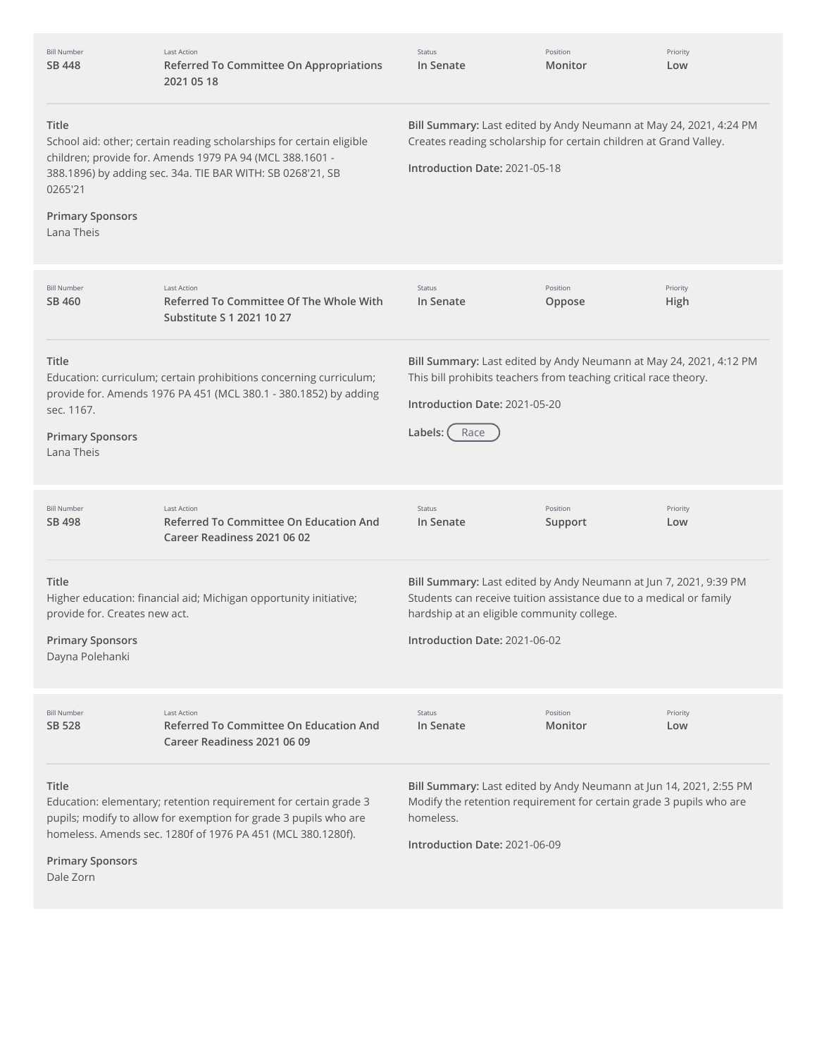| <b>Bill Number</b><br>SB 448                                                                | <b>Last Action</b><br>Referred To Committee On Appropriations<br>2021 05 18                                                                                                                         | <b>Status</b><br>In Senate                                                                                                                                                                                             | Position<br>Monitor | Priority<br>Low  |
|---------------------------------------------------------------------------------------------|-----------------------------------------------------------------------------------------------------------------------------------------------------------------------------------------------------|------------------------------------------------------------------------------------------------------------------------------------------------------------------------------------------------------------------------|---------------------|------------------|
| <b>Title</b><br>0265'21<br><b>Primary Sponsors</b><br>Lana Theis                            | School aid: other; certain reading scholarships for certain eligible<br>children; provide for. Amends 1979 PA 94 (MCL 388.1601 -<br>388.1896) by adding sec. 34a. TIE BAR WITH: SB 0268'21, SB      | Bill Summary: Last edited by Andy Neumann at May 24, 2021, 4:24 PM<br>Creates reading scholarship for certain children at Grand Valley.<br>Introduction Date: 2021-05-18                                               |                     |                  |
| <b>Bill Number</b><br>SB 460                                                                | <b>Last Action</b><br>Referred To Committee Of The Whole With<br>Substitute S 1 2021 10 27                                                                                                          | <b>Status</b><br>In Senate                                                                                                                                                                                             | Position<br>Oppose  | Priority<br>High |
| Title<br>sec. 1167.<br><b>Primary Sponsors</b><br>Lana Theis                                | Education: curriculum; certain prohibitions concerning curriculum;<br>provide for. Amends 1976 PA 451 (MCL 380.1 - 380.1852) by adding                                                              | Bill Summary: Last edited by Andy Neumann at May 24, 2021, 4:12 PM<br>This bill prohibits teachers from teaching critical race theory.<br>Introduction Date: 2021-05-20<br>Labels:<br>Race                             |                     |                  |
| <b>Bill Number</b><br>SB 498                                                                | <b>Last Action</b><br><b>Referred To Committee On Education And</b><br>Career Readiness 2021 06 02                                                                                                  | Status<br>In Senate                                                                                                                                                                                                    | Position<br>Support | Priority<br>Low  |
| <b>Title</b><br>provide for. Creates new act.<br><b>Primary Sponsors</b><br>Dayna Polehanki | Higher education: financial aid; Michigan opportunity initiative;                                                                                                                                   | Bill Summary: Last edited by Andy Neumann at Jun 7, 2021, 9:39 PM<br>Students can receive tuition assistance due to a medical or family<br>hardship at an eligible community college.<br>Introduction Date: 2021-06-02 |                     |                  |
| <b>Bill Number</b><br>SB 528                                                                | <b>Last Action</b><br>Referred To Committee On Education And<br>Career Readiness 2021 06 09                                                                                                         | Status<br>In Senate                                                                                                                                                                                                    | Position<br>Monitor | Priority<br>Low  |
| Title<br><b>Primary Sponsors</b><br>Dale Zorn                                               | Education: elementary; retention requirement for certain grade 3<br>pupils; modify to allow for exemption for grade 3 pupils who are<br>homeless. Amends sec. 1280f of 1976 PA 451 (MCL 380.1280f). | Bill Summary: Last edited by Andy Neumann at Jun 14, 2021, 2:55 PM<br>Modify the retention requirement for certain grade 3 pupils who are<br>homeless.<br>Introduction Date: 2021-06-09                                |                     |                  |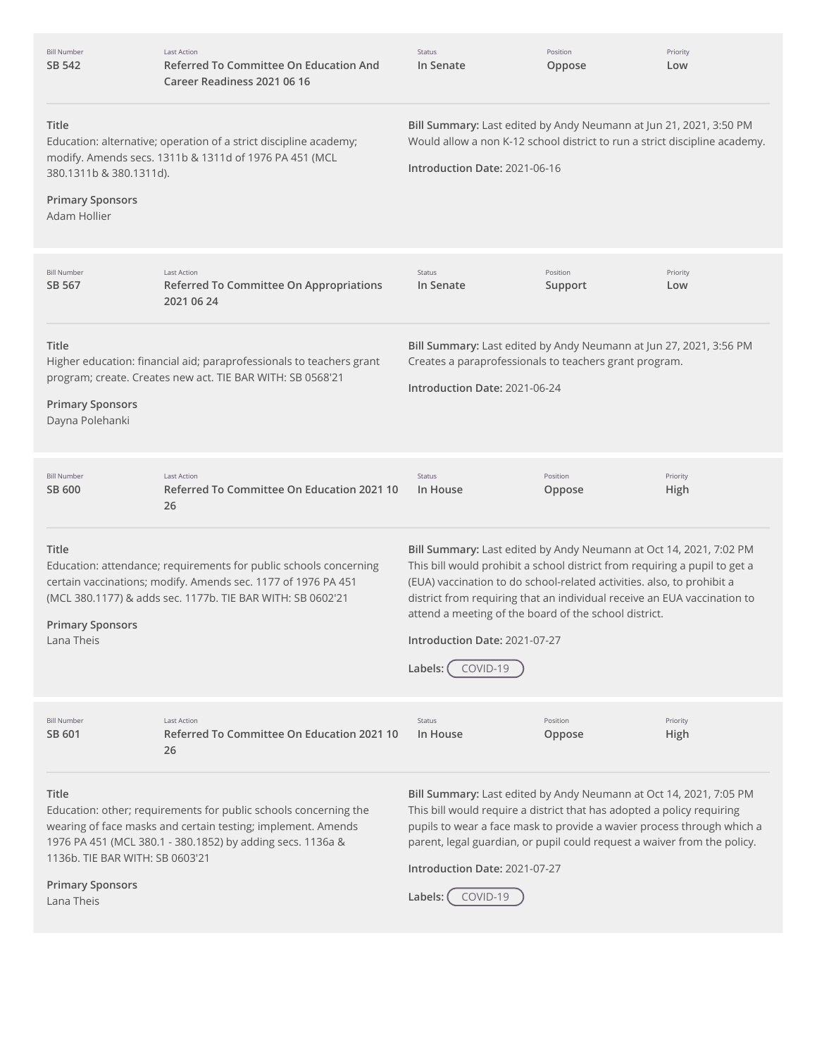| <b>Bill Number</b><br>SB 542                                                             | <b>Last Action</b><br>Referred To Committee On Education And<br>Career Readiness 2021 06 16                                                                                                      | Status<br>In Senate                                                                                                                                                                                                                                                                                                                                                                                                       | Position<br>Oppose  | Priority<br>Low  |
|------------------------------------------------------------------------------------------|--------------------------------------------------------------------------------------------------------------------------------------------------------------------------------------------------|---------------------------------------------------------------------------------------------------------------------------------------------------------------------------------------------------------------------------------------------------------------------------------------------------------------------------------------------------------------------------------------------------------------------------|---------------------|------------------|
| Title<br>380.1311b & 380.1311d).<br><b>Primary Sponsors</b><br>Adam Hollier              | Education: alternative; operation of a strict discipline academy;<br>modify. Amends secs. 1311b & 1311d of 1976 PA 451 (MCL                                                                      | Bill Summary: Last edited by Andy Neumann at Jun 21, 2021, 3:50 PM<br>Would allow a non K-12 school district to run a strict discipline academy.<br>Introduction Date: 2021-06-16                                                                                                                                                                                                                                         |                     |                  |
| <b>Bill Number</b><br>SB 567                                                             | <b>Last Action</b><br>Referred To Committee On Appropriations<br>2021 06 24                                                                                                                      | <b>Status</b><br>In Senate                                                                                                                                                                                                                                                                                                                                                                                                | Position<br>Support | Priority<br>Low  |
| Title<br><b>Primary Sponsors</b><br>Dayna Polehanki                                      | Higher education: financial aid; paraprofessionals to teachers grant<br>program; create. Creates new act. TIE BAR WITH: SB 0568'21                                                               | Bill Summary: Last edited by Andy Neumann at Jun 27, 2021, 3:56 PM<br>Creates a paraprofessionals to teachers grant program.<br>Introduction Date: 2021-06-24                                                                                                                                                                                                                                                             |                     |                  |
| <b>Bill Number</b><br>SB 600                                                             | <b>Last Action</b><br>Referred To Committee On Education 2021 10<br>26                                                                                                                           | <b>Status</b><br>In House                                                                                                                                                                                                                                                                                                                                                                                                 | Position<br>Oppose  | Priority<br>High |
| <b>Title</b><br><b>Primary Sponsors</b><br>Lana Theis                                    | Education: attendance; requirements for public schools concerning<br>certain vaccinations; modify. Amends sec. 1177 of 1976 PA 451<br>(MCL 380.1177) & adds sec. 1177b. TIE BAR WITH: SB 0602'21 | Bill Summary: Last edited by Andy Neumann at Oct 14, 2021, 7:02 PM<br>This bill would prohibit a school district from requiring a pupil to get a<br>(EUA) vaccination to do school-related activities. also, to prohibit a<br>district from requiring that an individual receive an EUA vaccination to<br>attend a meeting of the board of the school district.<br>Introduction Date: 2021-07-27<br>Labels: (<br>COVID-19 |                     |                  |
| <b>Bill Number</b><br>SB 601                                                             | <b>Last Action</b><br>Referred To Committee On Education 2021 10<br>26                                                                                                                           | Status<br>In House                                                                                                                                                                                                                                                                                                                                                                                                        | Position<br>Oppose  | Priority<br>High |
| <b>Title</b><br>1136b. TIE BAR WITH: SB 0603'21<br><b>Primary Sponsors</b><br>Lana Theis | Education: other; requirements for public schools concerning the<br>wearing of face masks and certain testing; implement. Amends<br>1976 PA 451 (MCL 380.1 - 380.1852) by adding secs. 1136a &   | Bill Summary: Last edited by Andy Neumann at Oct 14, 2021, 7:05 PM<br>This bill would require a district that has adopted a policy requiring<br>pupils to wear a face mask to provide a wavier process through which a<br>parent, legal guardian, or pupil could request a waiver from the policy.<br>Introduction Date: 2021-07-27<br>COVID-19<br>Labels:                                                                |                     |                  |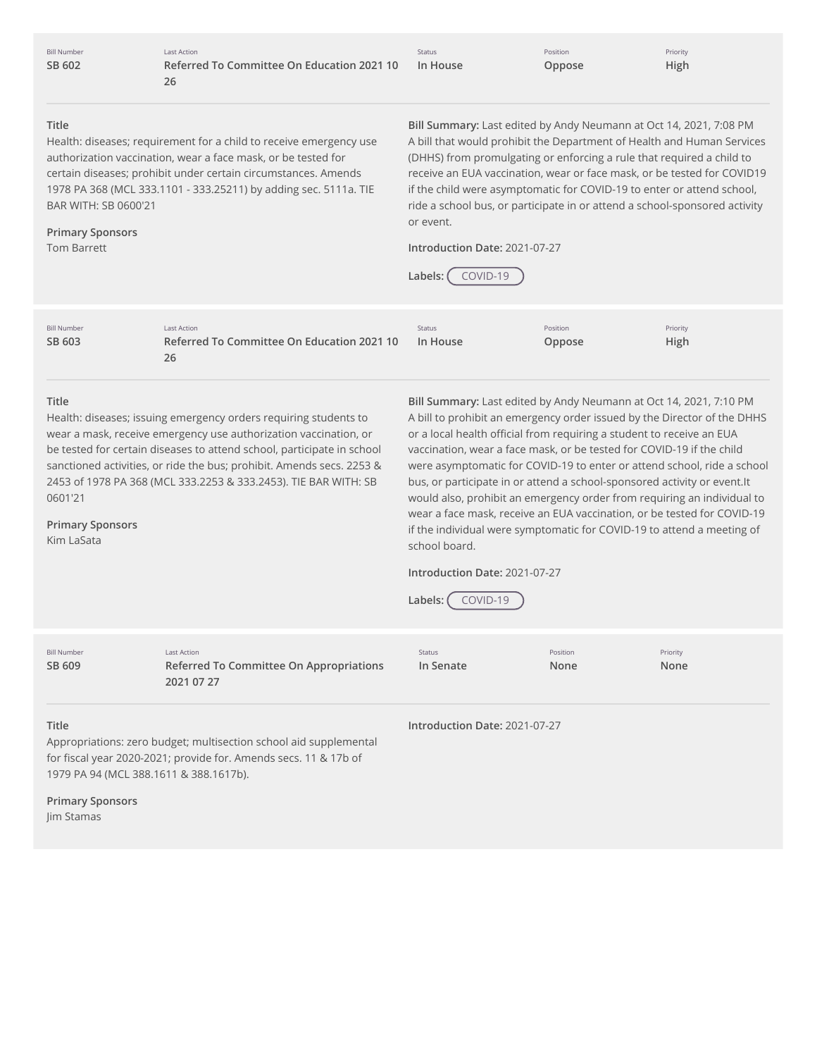|        | <b>Bill Number</b> |
|--------|--------------------|
| SB 602 |                    |

Last Action **Referred To Committee On Education 2021 10 26**

Status **In House**

Position **Oppose**

Priority **High**

## **Title**

Health: diseases; requirement for a child to receive emergency use authorization vaccination, wear a face mask, or be tested for certain diseases; prohibit under certain circumstances. Amends 1978 PA 368 (MCL 333.1101 - 333.25211) by adding sec. 5111a. TIE BAR WITH: SB 0600'21

## **Primary Sponsors** Tom Barrett

**Bill Summary:** Last edited by Andy Neumann at Oct 14, 2021, 7:08 PM A bill that would prohibit the Department of Health and Human Services (DHHS) from promulgating or enforcing a rule that required a child to receive an EUA vaccination, wear or face mask, or be tested for COVID19 if the child were asymptomatic for COVID-19 to enter or attend school, ride a school bus, or participate in or attend a school-sponsored activity or event.

**Introduction Date:** 2021-07-27



| <b>Bill Number</b> | Last Action                                | <b>Status</b> | Position | Priority |
|--------------------|--------------------------------------------|---------------|----------|----------|
| SB 603             | Referred To Committee On Education 2021 10 | In House      | Oppose   | High     |
|                    | 26                                         |               |          |          |

#### **Title**

Health: diseases; issuing emergency orders requiring students to wear a mask, receive emergency use authorization vaccination, or be tested for certain diseases to attend school, participate in school sanctioned activities, or ride the bus; prohibit. Amends secs. 2253 & 2453 of 1978 PA 368 (MCL 333.2253 & 333.2453). TIE BAR WITH: SB 0601'21

### **Primary Sponsors**

Kim LaSata

**Bill Summary:** Last edited by Andy Neumann at Oct 14, 2021, 7:10 PM A bill to prohibit an emergency order issued by the Director of the DHHS or a local health official from requiring a student to receive an EUA vaccination, wear a face mask, or be tested for COVID-19 if the child were asymptomatic for COVID-19 to enter or attend school, ride a school bus, or participate in or attend a school-sponsored activity or event.It would also, prohibit an emergency order from requiring an individual to wear a face mask, receive an EUA vaccination, or be tested for COVID-19 if the individual were symptomatic for COVID-19 to attend a meeting of school board.

# **Introduction Date:** 2021-07-27



**Title Introduction Date:** 2021-07-27 Bill Number **SB [609](http://app.fiscalnote.com/share/bill?url=e729235c1a5be35e0c1f6c9539301c37)** Last Action **Referred To Committee On Appropriations 2021 07 27** Status **In Senate** Position **None** Priority **None**

Appropriations: zero budget; multisection school aid supplemental for fiscal year 2020-2021; provide for. Amends secs. 11 & 17b of 1979 PA 94 (MCL 388.1611 & 388.1617b).

**Primary Sponsors**

Jim Stamas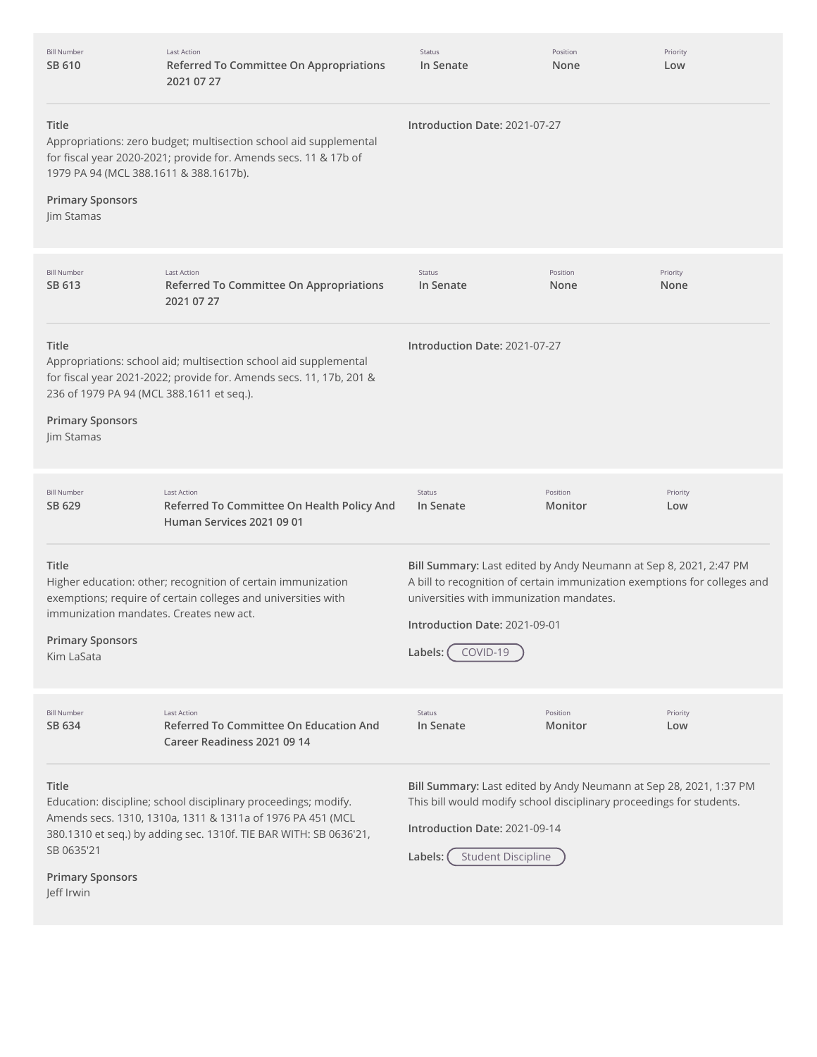| <b>Bill Number</b><br>SB 610                                                                | <b>Last Action</b><br>Referred To Committee On Appropriations<br>2021 07 27                                                                                                                        | Status<br>In Senate                                                                                                                                                                                                                                  | Position<br>None    | Priority<br>Low  |
|---------------------------------------------------------------------------------------------|----------------------------------------------------------------------------------------------------------------------------------------------------------------------------------------------------|------------------------------------------------------------------------------------------------------------------------------------------------------------------------------------------------------------------------------------------------------|---------------------|------------------|
| Title<br>1979 PA 94 (MCL 388.1611 & 388.1617b).<br><b>Primary Sponsors</b><br>Jim Stamas    | Appropriations: zero budget; multisection school aid supplemental<br>for fiscal year 2020-2021; provide for. Amends secs. 11 & 17b of                                                              | Introduction Date: 2021-07-27                                                                                                                                                                                                                        |                     |                  |
| <b>Bill Number</b><br>SB 613                                                                | <b>Last Action</b><br>Referred To Committee On Appropriations<br>2021 07 27                                                                                                                        | Status<br>In Senate                                                                                                                                                                                                                                  | Position<br>None    | Priority<br>None |
| Title<br>236 of 1979 PA 94 (MCL 388.1611 et seq.).<br><b>Primary Sponsors</b><br>Jim Stamas | Appropriations: school aid; multisection school aid supplemental<br>for fiscal year 2021-2022; provide for. Amends secs. 11, 17b, 201 &                                                            | Introduction Date: 2021-07-27                                                                                                                                                                                                                        |                     |                  |
| <b>Bill Number</b><br>SB 629                                                                | <b>Last Action</b><br>Referred To Committee On Health Policy And<br>Human Services 2021 09 01                                                                                                      | Status<br>In Senate                                                                                                                                                                                                                                  | Position<br>Monitor | Priority<br>Low  |
| Title<br>immunization mandates. Creates new act.<br><b>Primary Sponsors</b><br>Kim LaSata   | Higher education: other; recognition of certain immunization<br>exemptions; require of certain colleges and universities with                                                                      | Bill Summary: Last edited by Andy Neumann at Sep 8, 2021, 2:47 PM<br>A bill to recognition of certain immunization exemptions for colleges and<br>universities with immunization mandates.<br>Introduction Date: 2021-09-01<br>Labels: (<br>COVID-19 |                     |                  |
| <b>Bill Number</b><br>SB 634                                                                | <b>Last Action</b><br>Referred To Committee On Education And<br>Career Readiness 2021 09 14                                                                                                        | Status<br>In Senate                                                                                                                                                                                                                                  | Position<br>Monitor | Priority<br>Low  |
| Title<br>SB 0635'21<br><b>Primary Sponsors</b><br>Jeff Irwin                                | Education: discipline; school disciplinary proceedings; modify.<br>Amends secs. 1310, 1310a, 1311 & 1311a of 1976 PA 451 (MCL<br>380.1310 et seq.) by adding sec. 1310f. TIE BAR WITH: SB 0636'21, | Bill Summary: Last edited by Andy Neumann at Sep 28, 2021, 1:37 PM<br>This bill would modify school disciplinary proceedings for students.<br>Introduction Date: 2021-09-14<br><b>Student Discipline</b><br>Labels:                                  |                     |                  |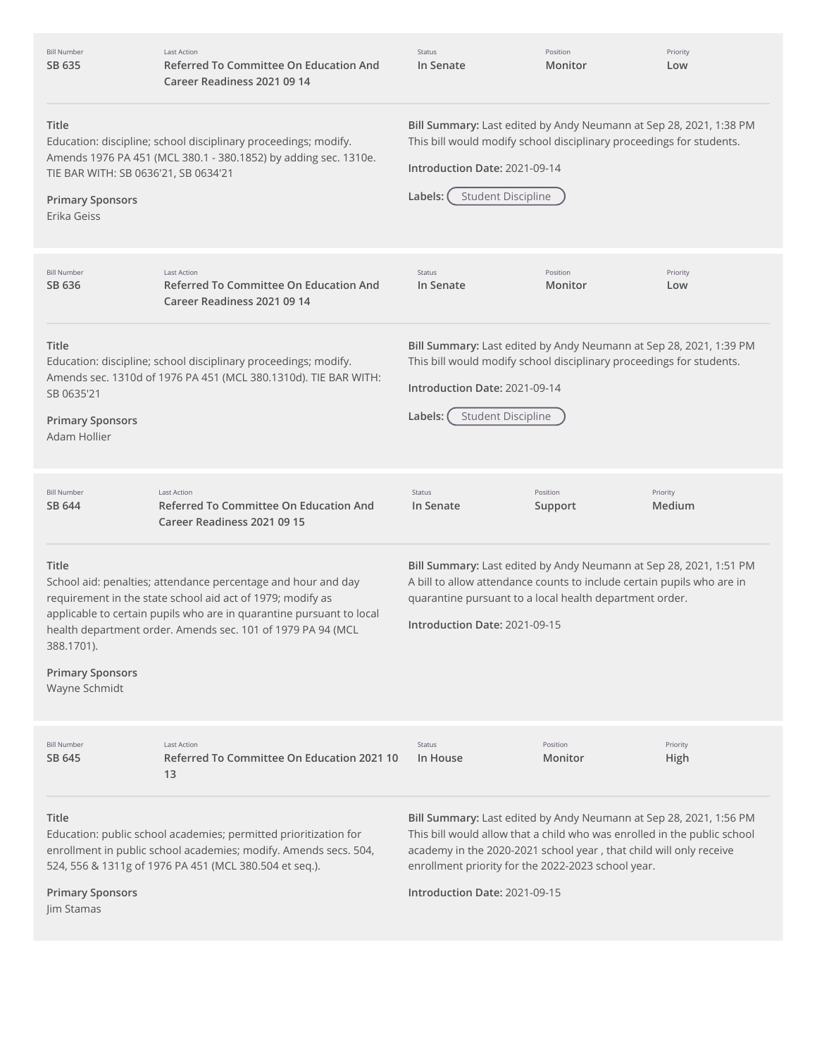| <b>Bill Number</b><br>SB 635                                                            | <b>Last Action</b><br>Referred To Committee On Education And<br>Career Readiness 2021 09 14                                                                                                                                                                        | Status<br>In Senate                                                                                                                                                                                                                                                                                         | Position<br>Monitor | Priority<br>Low    |
|-----------------------------------------------------------------------------------------|--------------------------------------------------------------------------------------------------------------------------------------------------------------------------------------------------------------------------------------------------------------------|-------------------------------------------------------------------------------------------------------------------------------------------------------------------------------------------------------------------------------------------------------------------------------------------------------------|---------------------|--------------------|
| Title<br>TIE BAR WITH: SB 0636'21, SB 0634'21<br><b>Primary Sponsors</b><br>Erika Geiss | Education: discipline; school disciplinary proceedings; modify.<br>Amends 1976 PA 451 (MCL 380.1 - 380.1852) by adding sec. 1310e.                                                                                                                                 | Bill Summary: Last edited by Andy Neumann at Sep 28, 2021, 1:38 PM<br>This bill would modify school disciplinary proceedings for students.<br>Introduction Date: 2021-09-14<br><b>Student Discipline</b><br>Labels:                                                                                         |                     |                    |
| <b>Bill Number</b><br>SB 636                                                            | <b>Last Action</b><br><b>Referred To Committee On Education And</b><br>Career Readiness 2021 09 14                                                                                                                                                                 | Status<br>In Senate                                                                                                                                                                                                                                                                                         | Position<br>Monitor | Priority<br>Low    |
| Title<br>SB 0635'21<br><b>Primary Sponsors</b><br>Adam Hollier                          | Education: discipline; school disciplinary proceedings; modify.<br>Amends sec. 1310d of 1976 PA 451 (MCL 380.1310d). TIE BAR WITH:                                                                                                                                 | Bill Summary: Last edited by Andy Neumann at Sep 28, 2021, 1:39 PM<br>This bill would modify school disciplinary proceedings for students.<br>Introduction Date: 2021-09-14<br><b>Student Discipline</b><br>Labels:                                                                                         |                     |                    |
| <b>Bill Number</b><br>SB 644                                                            | <b>Last Action</b><br>Referred To Committee On Education And<br>Career Readiness 2021 09 15                                                                                                                                                                        | Status<br>In Senate                                                                                                                                                                                                                                                                                         | Position<br>Support | Priority<br>Medium |
| Title<br>388.1701).<br><b>Primary Sponsors</b><br>Wayne Schmidt                         | School aid: penalties; attendance percentage and hour and day<br>requirement in the state school aid act of 1979; modify as<br>applicable to certain pupils who are in quarantine pursuant to local<br>health department order. Amends sec. 101 of 1979 PA 94 (MCL | Bill Summary: Last edited by Andy Neumann at Sep 28, 2021, 1:51 PM<br>A bill to allow attendance counts to include certain pupils who are in<br>quarantine pursuant to a local health department order.<br>Introduction Date: 2021-09-15                                                                    |                     |                    |
| <b>Bill Number</b><br>SB 645                                                            | <b>Last Action</b><br>Referred To Committee On Education 2021 10<br>13                                                                                                                                                                                             | Status<br>In House                                                                                                                                                                                                                                                                                          | Position<br>Monitor | Priority<br>High   |
| Title<br><b>Primary Sponsors</b><br>Jim Stamas                                          | Education: public school academies; permitted prioritization for<br>enrollment in public school academies; modify. Amends secs. 504,<br>524, 556 & 1311g of 1976 PA 451 (MCL 380.504 et seq.).                                                                     | Bill Summary: Last edited by Andy Neumann at Sep 28, 2021, 1:56 PM<br>This bill would allow that a child who was enrolled in the public school<br>academy in the 2020-2021 school year, that child will only receive<br>enrollment priority for the 2022-2023 school year.<br>Introduction Date: 2021-09-15 |                     |                    |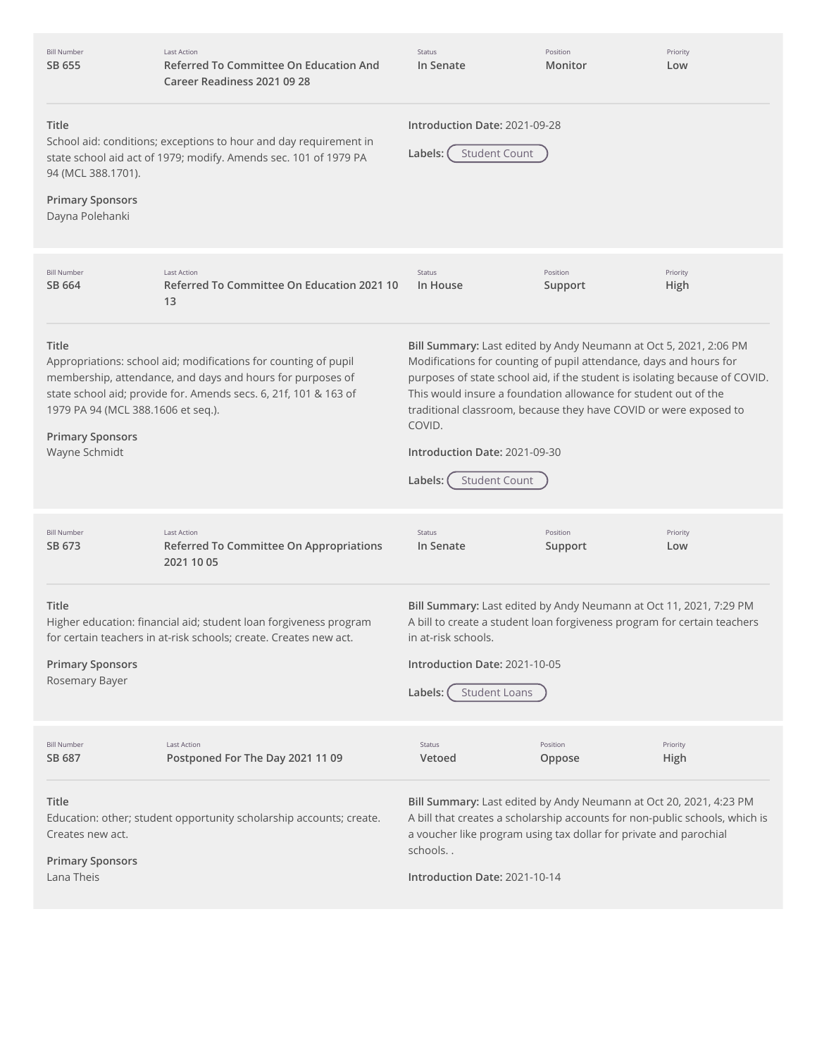| <b>Bill Number</b><br>SB 655                                                            | <b>Last Action</b><br>Referred To Committee On Education And<br>Career Readiness 2021 09 28                                                                                                       | Status<br>In Senate                                                                                                                                                                                                                                                                                                                                                                                                                          | Position<br>Monitor | Priority<br>Low  |
|-----------------------------------------------------------------------------------------|---------------------------------------------------------------------------------------------------------------------------------------------------------------------------------------------------|----------------------------------------------------------------------------------------------------------------------------------------------------------------------------------------------------------------------------------------------------------------------------------------------------------------------------------------------------------------------------------------------------------------------------------------------|---------------------|------------------|
| Title<br>94 (MCL 388.1701).                                                             | School aid: conditions; exceptions to hour and day requirement in<br>state school aid act of 1979; modify. Amends sec. 101 of 1979 PA                                                             | Introduction Date: 2021-09-28<br><b>Student Count</b><br>Labels: (                                                                                                                                                                                                                                                                                                                                                                           |                     |                  |
| <b>Primary Sponsors</b><br>Dayna Polehanki                                              |                                                                                                                                                                                                   |                                                                                                                                                                                                                                                                                                                                                                                                                                              |                     |                  |
| <b>Bill Number</b><br>SB 664                                                            | <b>Last Action</b><br>Referred To Committee On Education 2021 10<br>13                                                                                                                            | Status<br>In House                                                                                                                                                                                                                                                                                                                                                                                                                           | Position<br>Support | Priority<br>High |
| Title<br>1979 PA 94 (MCL 388.1606 et seq.).<br><b>Primary Sponsors</b><br>Wayne Schmidt | Appropriations: school aid; modifications for counting of pupil<br>membership, attendance, and days and hours for purposes of<br>state school aid; provide for. Amends secs. 6, 21f, 101 & 163 of | Bill Summary: Last edited by Andy Neumann at Oct 5, 2021, 2:06 PM<br>Modifications for counting of pupil attendance, days and hours for<br>purposes of state school aid, if the student is isolating because of COVID.<br>This would insure a foundation allowance for student out of the<br>traditional classroom, because they have COVID or were exposed to<br>COVID.<br>Introduction Date: 2021-09-30<br><b>Student Count</b><br>Labels: |                     |                  |
| <b>Bill Number</b><br>SB 673                                                            | <b>Last Action</b><br>Referred To Committee On Appropriations<br>2021 10 05                                                                                                                       | Status<br>In Senate                                                                                                                                                                                                                                                                                                                                                                                                                          | Position<br>Support | Priority<br>Low  |
| <b>Title</b><br><b>Primary Sponsors</b><br>Rosemary Bayer                               | Higher education: financial aid; student loan forgiveness program<br>for certain teachers in at-risk schools; create. Creates new act.                                                            | Bill Summary: Last edited by Andy Neumann at Oct 11, 2021, 7:29 PM<br>A bill to create a student loan forgiveness program for certain teachers<br>in at-risk schools.<br>Introduction Date: 2021-10-05<br><b>Student Loans</b><br>Labels:                                                                                                                                                                                                    |                     |                  |
| <b>Bill Number</b><br>SB 687                                                            | Last Action<br>Postponed For The Day 2021 11 09                                                                                                                                                   | Status<br>Vetoed                                                                                                                                                                                                                                                                                                                                                                                                                             | Position<br>Oppose  | Priority<br>High |
| Title<br>Creates new act.<br><b>Primary Sponsors</b><br>Lana Theis                      | Education: other; student opportunity scholarship accounts; create.                                                                                                                               | Bill Summary: Last edited by Andy Neumann at Oct 20, 2021, 4:23 PM<br>A bill that creates a scholarship accounts for non-public schools, which is<br>a voucher like program using tax dollar for private and parochial<br>schools<br>Introduction Date: 2021-10-14                                                                                                                                                                           |                     |                  |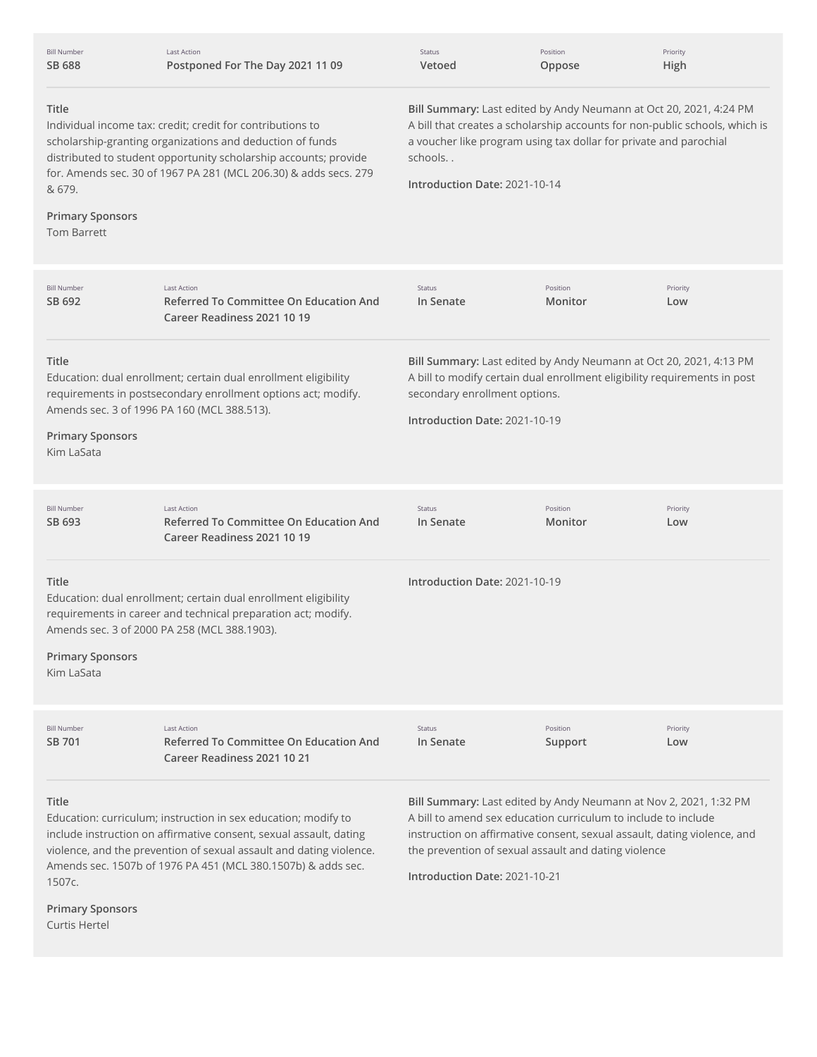| <b>Bill Number</b><br>SB 688                                       | Last Action<br>Postponed For The Day 2021 11 09                                                                                                                                                                                                                             | Status<br>Vetoed                                                                                                                                                                                                                                                   | Position<br>Oppose                                                                                                     | Priority<br>High                                                                                                                              |
|--------------------------------------------------------------------|-----------------------------------------------------------------------------------------------------------------------------------------------------------------------------------------------------------------------------------------------------------------------------|--------------------------------------------------------------------------------------------------------------------------------------------------------------------------------------------------------------------------------------------------------------------|------------------------------------------------------------------------------------------------------------------------|-----------------------------------------------------------------------------------------------------------------------------------------------|
| Title<br>& 679.<br><b>Primary Sponsors</b><br><b>Tom Barrett</b>   | Individual income tax: credit; credit for contributions to<br>scholarship-granting organizations and deduction of funds<br>distributed to student opportunity scholarship accounts; provide<br>for. Amends sec. 30 of 1967 PA 281 (MCL 206.30) & adds secs. 279             | Bill Summary: Last edited by Andy Neumann at Oct 20, 2021, 4:24 PM<br>A bill that creates a scholarship accounts for non-public schools, which is<br>a voucher like program using tax dollar for private and parochial<br>schools<br>Introduction Date: 2021-10-14 |                                                                                                                        |                                                                                                                                               |
| <b>Bill Number</b><br>SB 692                                       | <b>Last Action</b><br>Referred To Committee On Education And<br>Career Readiness 2021 10 19                                                                                                                                                                                 | Status<br>In Senate                                                                                                                                                                                                                                                | Position<br>Monitor                                                                                                    | Priority<br>Low                                                                                                                               |
| <b>Title</b><br><b>Primary Sponsors</b><br>Kim LaSata              | Education: dual enrollment; certain dual enrollment eligibility<br>requirements in postsecondary enrollment options act; modify.<br>Amends sec. 3 of 1996 PA 160 (MCL 388.513).                                                                                             | Bill Summary: Last edited by Andy Neumann at Oct 20, 2021, 4:13 PM<br>A bill to modify certain dual enrollment eligibility requirements in post<br>secondary enrollment options.<br>Introduction Date: 2021-10-19                                                  |                                                                                                                        |                                                                                                                                               |
| <b>Bill Number</b><br>SB 693                                       | <b>Last Action</b><br><b>Referred To Committee On Education And</b><br>Career Readiness 2021 10 19                                                                                                                                                                          | Status<br>In Senate                                                                                                                                                                                                                                                | Position<br>Monitor                                                                                                    | Priority<br>Low                                                                                                                               |
| Title<br><b>Primary Sponsors</b><br>Kim LaSata                     | Education: dual enrollment; certain dual enrollment eligibility<br>requirements in career and technical preparation act; modify.<br>Amends sec. 3 of 2000 PA 258 (MCL 388.1903).                                                                                            | Introduction Date: 2021-10-19                                                                                                                                                                                                                                      |                                                                                                                        |                                                                                                                                               |
| <b>Bill Number</b><br>SB 701                                       | <b>Last Action</b><br><b>Referred To Committee On Education And</b><br>Career Readiness 2021 10 21                                                                                                                                                                          | Status<br>In Senate                                                                                                                                                                                                                                                | Position<br>Support                                                                                                    | Priority<br>Low                                                                                                                               |
| <b>Title</b><br>1507c.<br><b>Primary Sponsors</b><br>Curtis Hertel | Education: curriculum; instruction in sex education; modify to<br>include instruction on affirmative consent, sexual assault, dating<br>violence, and the prevention of sexual assault and dating violence.<br>Amends sec. 1507b of 1976 PA 451 (MCL 380.1507b) & adds sec. | Introduction Date: 2021-10-21                                                                                                                                                                                                                                      | A bill to amend sex education curriculum to include to include<br>the prevention of sexual assault and dating violence | Bill Summary: Last edited by Andy Neumann at Nov 2, 2021, 1:32 PM<br>instruction on affirmative consent, sexual assault, dating violence, and |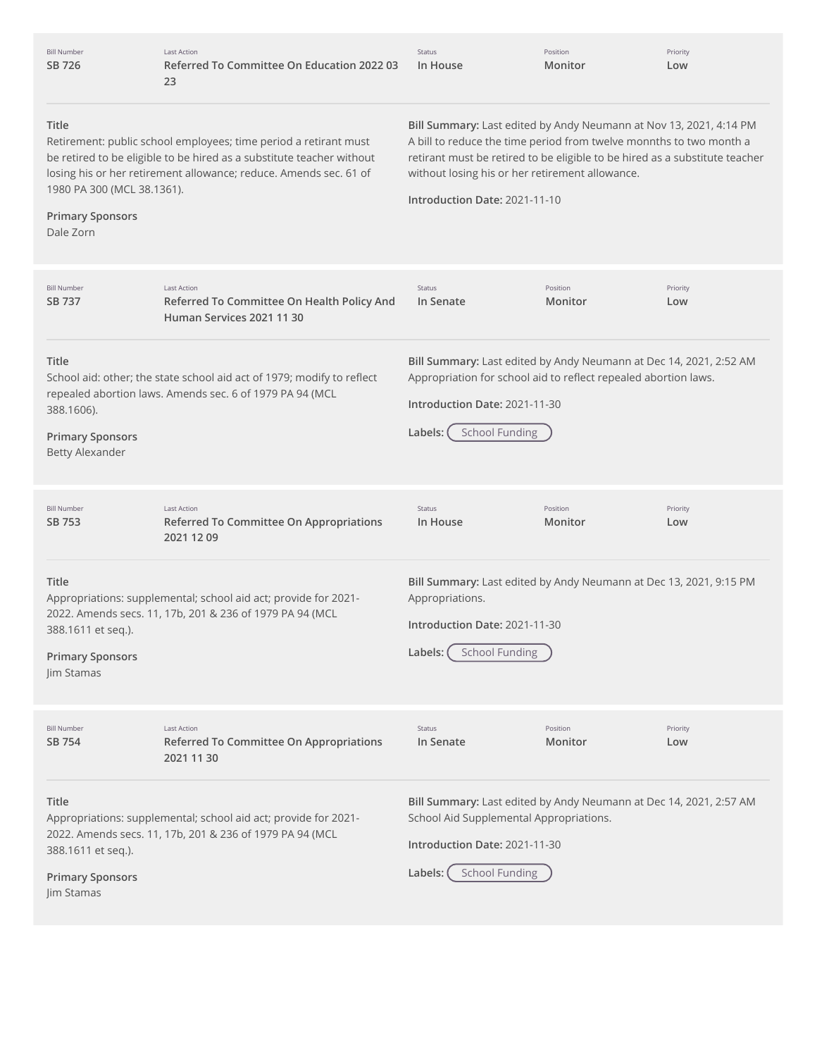| <b>Bill Number</b><br>SB 726                                                | <b>Last Action</b><br>Referred To Committee On Education 2022 03<br>23                                                                                                                                         | Status<br>In House                                                                                                                                                                                                                                                                                           | Position<br>Monitor | Priority<br>Low |
|-----------------------------------------------------------------------------|----------------------------------------------------------------------------------------------------------------------------------------------------------------------------------------------------------------|--------------------------------------------------------------------------------------------------------------------------------------------------------------------------------------------------------------------------------------------------------------------------------------------------------------|---------------------|-----------------|
| Title<br>1980 PA 300 (MCL 38.1361).<br><b>Primary Sponsors</b><br>Dale Zorn | Retirement: public school employees; time period a retirant must<br>be retired to be eligible to be hired as a substitute teacher without<br>losing his or her retirement allowance; reduce. Amends sec. 61 of | Bill Summary: Last edited by Andy Neumann at Nov 13, 2021, 4:14 PM<br>A bill to reduce the time period from twelve monnths to two month a<br>retirant must be retired to be eligible to be hired as a substitute teacher<br>without losing his or her retirement allowance.<br>Introduction Date: 2021-11-10 |                     |                 |
| <b>Bill Number</b><br>SB 737                                                | <b>Last Action</b><br>Referred To Committee On Health Policy And<br>Human Services 2021 11 30                                                                                                                  | Status<br>In Senate                                                                                                                                                                                                                                                                                          | Position<br>Monitor | Priority<br>Low |
| Title<br>388.1606).<br><b>Primary Sponsors</b><br><b>Betty Alexander</b>    | School aid: other; the state school aid act of 1979; modify to reflect<br>repealed abortion laws. Amends sec. 6 of 1979 PA 94 (MCL                                                                             | Bill Summary: Last edited by Andy Neumann at Dec 14, 2021, 2:52 AM<br>Appropriation for school aid to reflect repealed abortion laws.<br>Introduction Date: 2021-11-30<br><b>School Funding</b><br>Labels:                                                                                                   |                     |                 |
| <b>Bill Number</b><br>SB 753                                                | <b>Last Action</b><br>Referred To Committee On Appropriations<br>2021 12 09                                                                                                                                    | Status<br>In House                                                                                                                                                                                                                                                                                           | Position<br>Monitor | Priority<br>Low |
| Title<br>388.1611 et seq.).<br><b>Primary Sponsors</b><br>Jim Stamas        | Appropriations: supplemental; school aid act; provide for 2021-<br>2022. Amends secs. 11, 17b, 201 & 236 of 1979 PA 94 (MCL                                                                                    | Bill Summary: Last edited by Andy Neumann at Dec 13, 2021, 9:15 PM<br>Appropriations.<br>Introduction Date: 2021-11-30<br><b>School Funding</b><br>Labels:                                                                                                                                                   |                     |                 |
| <b>Bill Number</b><br>SB 754                                                | <b>Last Action</b><br>Referred To Committee On Appropriations<br>2021 11 30                                                                                                                                    | Status<br>In Senate                                                                                                                                                                                                                                                                                          | Position<br>Monitor | Priority<br>Low |
| Title<br>388.1611 et seq.).<br><b>Primary Sponsors</b><br>Jim Stamas        | Appropriations: supplemental; school aid act; provide for 2021-<br>2022. Amends secs. 11, 17b, 201 & 236 of 1979 PA 94 (MCL                                                                                    | Bill Summary: Last edited by Andy Neumann at Dec 14, 2021, 2:57 AM<br>School Aid Supplemental Appropriations.<br>Introduction Date: 2021-11-30<br><b>School Funding</b><br>Labels:                                                                                                                           |                     |                 |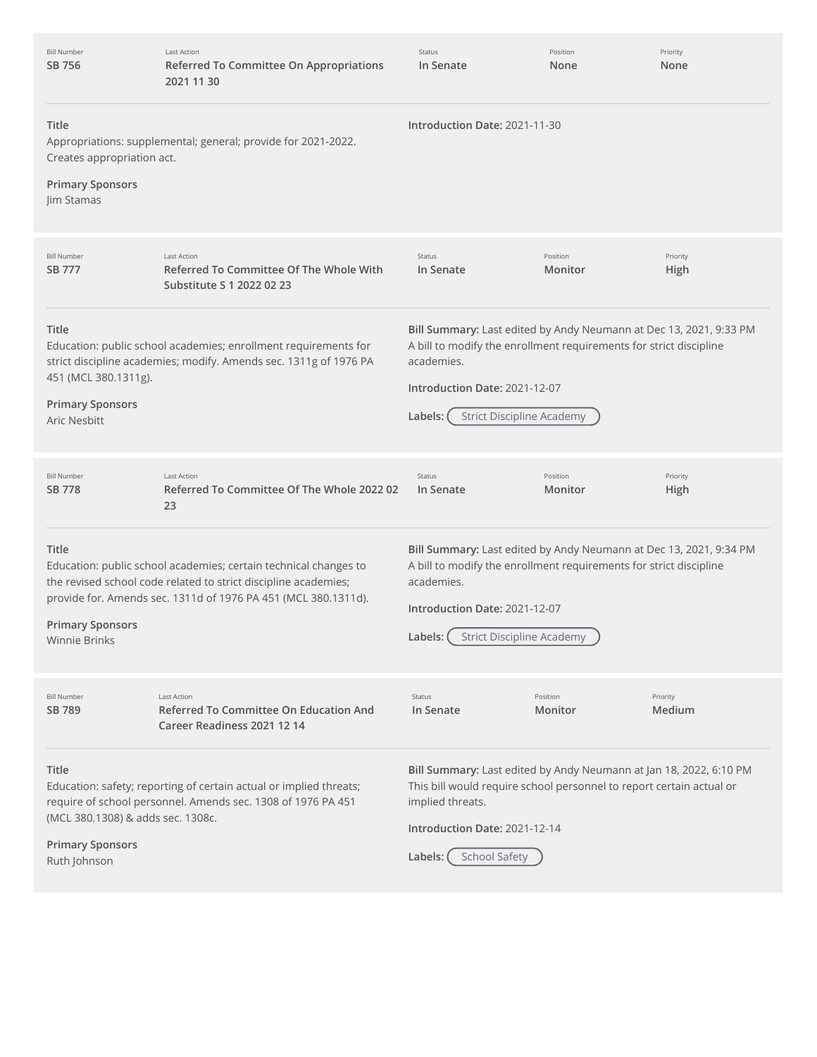| <b>Bill Number</b><br>SB 756                                                                 | <b>Last Action</b><br><b>Referred To Committee On Appropriations</b><br>2021 11 30                                                                                                                    | Status<br>In Senate                                                                                                                                                                                                                    | Position<br>None    | Priority<br>None   |
|----------------------------------------------------------------------------------------------|-------------------------------------------------------------------------------------------------------------------------------------------------------------------------------------------------------|----------------------------------------------------------------------------------------------------------------------------------------------------------------------------------------------------------------------------------------|---------------------|--------------------|
| Title<br>Creates appropriation act.<br><b>Primary Sponsors</b><br>Jim Stamas                 | Appropriations: supplemental; general; provide for 2021-2022.                                                                                                                                         | Introduction Date: 2021-11-30                                                                                                                                                                                                          |                     |                    |
| <b>Bill Number</b><br>SB 777                                                                 | <b>Last Action</b><br>Referred To Committee Of The Whole With<br>Substitute S 1 2022 02 23                                                                                                            | Status<br>In Senate                                                                                                                                                                                                                    | Position<br>Monitor | Priority<br>High   |
| Title<br>451 (MCL 380.1311g).<br><b>Primary Sponsors</b><br><b>Aric Nesbitt</b>              | Education: public school academies; enrollment requirements for<br>strict discipline academies; modify. Amends sec. 1311g of 1976 PA                                                                  | Bill Summary: Last edited by Andy Neumann at Dec 13, 2021, 9:33 PM<br>A bill to modify the enrollment requirements for strict discipline<br>academies.<br>Introduction Date: 2021-12-07<br><b>Strict Discipline Academy</b><br>Labels: |                     |                    |
| <b>Bill Number</b><br>SB 778                                                                 | <b>Last Action</b><br>Referred To Committee Of The Whole 2022 02<br>23                                                                                                                                | Status<br>In Senate                                                                                                                                                                                                                    | Position<br>Monitor | Priority<br>High   |
| Title<br><b>Primary Sponsors</b><br><b>Winnie Brinks</b>                                     | Education: public school academies; certain technical changes to<br>the revised school code related to strict discipline academies;<br>provide for. Amends sec. 1311d of 1976 PA 451 (MCL 380.1311d). | Bill Summary: Last edited by Andy Neumann at Dec 13, 2021, 9:34 PM<br>A bill to modify the enrollment requirements for strict discipline<br>academies.<br>Introduction Date: 2021-12-07<br>Labels: ( Strict Discipline Academy )       |                     |                    |
| <b>Bill Number</b><br>SB 789                                                                 | <b>Last Action</b><br><b>Referred To Committee On Education And</b><br>Career Readiness 2021 12 14                                                                                                    | Status<br>In Senate                                                                                                                                                                                                                    | Position<br>Monitor | Priority<br>Medium |
| <b>Title</b><br>(MCL 380.1308) & adds sec. 1308c.<br><b>Primary Sponsors</b><br>Ruth Johnson | Education: safety; reporting of certain actual or implied threats;<br>require of school personnel. Amends sec. 1308 of 1976 PA 451                                                                    | Bill Summary: Last edited by Andy Neumann at Jan 18, 2022, 6:10 PM<br>This bill would require school personnel to report certain actual or<br>implied threats.<br>Introduction Date: 2021-12-14<br>School Safety<br>Labels:            |                     |                    |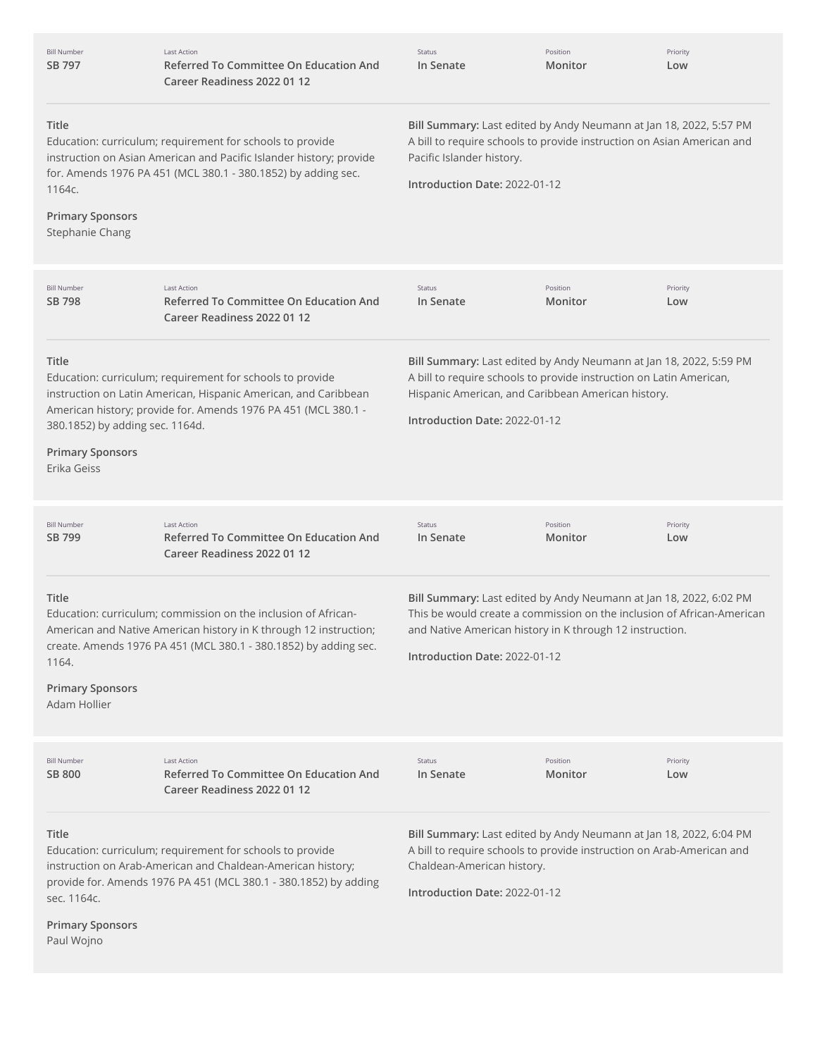| <b>Bill Number</b><br>SB 797                                                       | <b>Last Action</b><br><b>Referred To Committee On Education And</b><br>Career Readiness 2022 01 12                                                                                                      | Status<br>In Senate                                                                                                                                                                                                                       | Position<br>Monitor | Priority<br>Low |
|------------------------------------------------------------------------------------|---------------------------------------------------------------------------------------------------------------------------------------------------------------------------------------------------------|-------------------------------------------------------------------------------------------------------------------------------------------------------------------------------------------------------------------------------------------|---------------------|-----------------|
| Title<br>1164с.<br><b>Primary Sponsors</b><br>Stephanie Chang                      | Education: curriculum; requirement for schools to provide<br>instruction on Asian American and Pacific Islander history; provide<br>for. Amends 1976 PA 451 (MCL 380.1 - 380.1852) by adding sec.       | Bill Summary: Last edited by Andy Neumann at Jan 18, 2022, 5:57 PM<br>A bill to require schools to provide instruction on Asian American and<br>Pacific Islander history.<br>Introduction Date: 2022-01-12                                |                     |                 |
| <b>Bill Number</b><br>SB 798                                                       | <b>Last Action</b><br><b>Referred To Committee On Education And</b><br>Career Readiness 2022 01 12                                                                                                      | Status<br>In Senate                                                                                                                                                                                                                       | Position<br>Monitor | Priority<br>Low |
| Title<br>380.1852) by adding sec. 1164d.<br><b>Primary Sponsors</b><br>Erika Geiss | Education: curriculum; requirement for schools to provide<br>instruction on Latin American, Hispanic American, and Caribbean<br>American history; provide for. Amends 1976 PA 451 (MCL 380.1 -          | Bill Summary: Last edited by Andy Neumann at Jan 18, 2022, 5:59 PM<br>A bill to require schools to provide instruction on Latin American,<br>Hispanic American, and Caribbean American history.<br>Introduction Date: 2022-01-12          |                     |                 |
| <b>Bill Number</b><br>SB 799                                                       | <b>Last Action</b><br><b>Referred To Committee On Education And</b><br>Career Readiness 2022 01 12                                                                                                      | Status<br>In Senate                                                                                                                                                                                                                       | Position<br>Monitor | Priority<br>Low |
| Title<br>1164.<br><b>Primary Sponsors</b><br>Adam Hollier                          | Education: curriculum; commission on the inclusion of African-<br>American and Native American history in K through 12 instruction;<br>create. Amends 1976 PA 451 (MCL 380.1 - 380.1852) by adding sec. | Bill Summary: Last edited by Andy Neumann at Jan 18, 2022, 6:02 PM<br>This be would create a commission on the inclusion of African-American<br>and Native American history in K through 12 instruction.<br>Introduction Date: 2022-01-12 |                     |                 |
| <b>Bill Number</b><br><b>SB 800</b>                                                | <b>Last Action</b><br><b>Referred To Committee On Education And</b><br>Career Readiness 2022 01 12                                                                                                      | Status<br>In Senate                                                                                                                                                                                                                       | Position<br>Monitor | Priority<br>Low |
| Title<br>sec. 1164c.<br><b>Primary Sponsors</b><br>Paul Wojno                      | Education: curriculum; requirement for schools to provide<br>instruction on Arab-American and Chaldean-American history;<br>provide for. Amends 1976 PA 451 (MCL 380.1 - 380.1852) by adding            | Bill Summary: Last edited by Andy Neumann at Jan 18, 2022, 6:04 PM<br>A bill to require schools to provide instruction on Arab-American and<br>Chaldean-American history.<br>Introduction Date: 2022-01-12                                |                     |                 |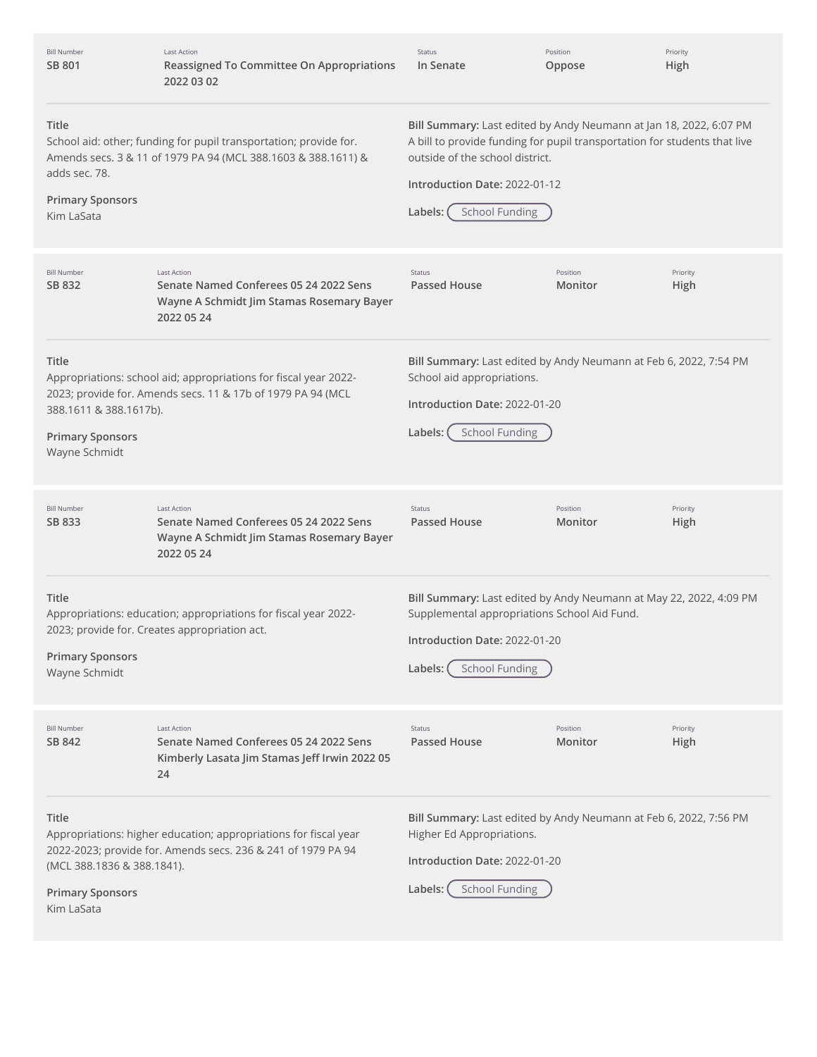| <b>Bill Number</b><br>SB 801                                                 | <b>Last Action</b><br>Reassigned To Committee On Appropriations<br>2022 03 02                                                      | Status<br>In Senate                                                                                                                                                                                                                                     | Position<br>Oppose  | Priority<br>High |
|------------------------------------------------------------------------------|------------------------------------------------------------------------------------------------------------------------------------|---------------------------------------------------------------------------------------------------------------------------------------------------------------------------------------------------------------------------------------------------------|---------------------|------------------|
| Title<br>adds sec. 78.<br><b>Primary Sponsors</b><br>Kim LaSata              | School aid: other; funding for pupil transportation; provide for.<br>Amends secs. 3 & 11 of 1979 PA 94 (MCL 388.1603 & 388.1611) & | Bill Summary: Last edited by Andy Neumann at Jan 18, 2022, 6:07 PM<br>A bill to provide funding for pupil transportation for students that live<br>outside of the school district.<br>Introduction Date: 2022-01-12<br><b>School Funding</b><br>Labels: |                     |                  |
| <b>Bill Number</b><br>SB 832                                                 | <b>Last Action</b><br>Senate Named Conferees 05 24 2022 Sens<br>Wayne A Schmidt Jim Stamas Rosemary Bayer<br>2022 05 24            | <b>Status</b><br><b>Passed House</b>                                                                                                                                                                                                                    | Position<br>Monitor | Priority<br>High |
| Title<br>388.1611 & 388.1617b).<br><b>Primary Sponsors</b><br>Wayne Schmidt  | Appropriations: school aid; appropriations for fiscal year 2022-<br>2023; provide for. Amends secs. 11 & 17b of 1979 PA 94 (MCL    | Bill Summary: Last edited by Andy Neumann at Feb 6, 2022, 7:54 PM<br>School aid appropriations.<br>Introduction Date: 2022-01-20<br><b>School Funding</b><br>Labels:                                                                                    |                     |                  |
| <b>Bill Number</b><br>SB 833                                                 | <b>Last Action</b><br>Senate Named Conferees 05 24 2022 Sens<br>Wayne A Schmidt Jim Stamas Rosemary Bayer<br>2022 05 24            | <b>Status</b><br>Passed House                                                                                                                                                                                                                           | Position<br>Monitor | Priority<br>High |
| Title<br><b>Primary Sponsors</b><br>Wayne Schmidt                            | Appropriations: education; appropriations for fiscal year 2022-<br>2023; provide for. Creates appropriation act.                   | Bill Summary: Last edited by Andy Neumann at May 22, 2022, 4:09 PM<br>Supplemental appropriations School Aid Fund.<br>Introduction Date: 2022-01-20<br><b>School Funding</b><br>Labels:                                                                 |                     |                  |
| <b>Bill Number</b><br>SB 842                                                 | <b>Last Action</b><br>Senate Named Conferees 05 24 2022 Sens<br>Kimberly Lasata Jim Stamas Jeff Irwin 2022 05<br>24                | <b>Status</b><br><b>Passed House</b>                                                                                                                                                                                                                    | Position<br>Monitor | Priority<br>High |
| Title<br>(MCL 388.1836 & 388.1841).<br><b>Primary Sponsors</b><br>Kim LaSata | Appropriations: higher education; appropriations for fiscal year<br>2022-2023; provide for. Amends secs. 236 & 241 of 1979 PA 94   | Bill Summary: Last edited by Andy Neumann at Feb 6, 2022, 7:56 PM<br>Higher Ed Appropriations.<br>Introduction Date: 2022-01-20<br><b>School Funding</b><br>Labels:                                                                                     |                     |                  |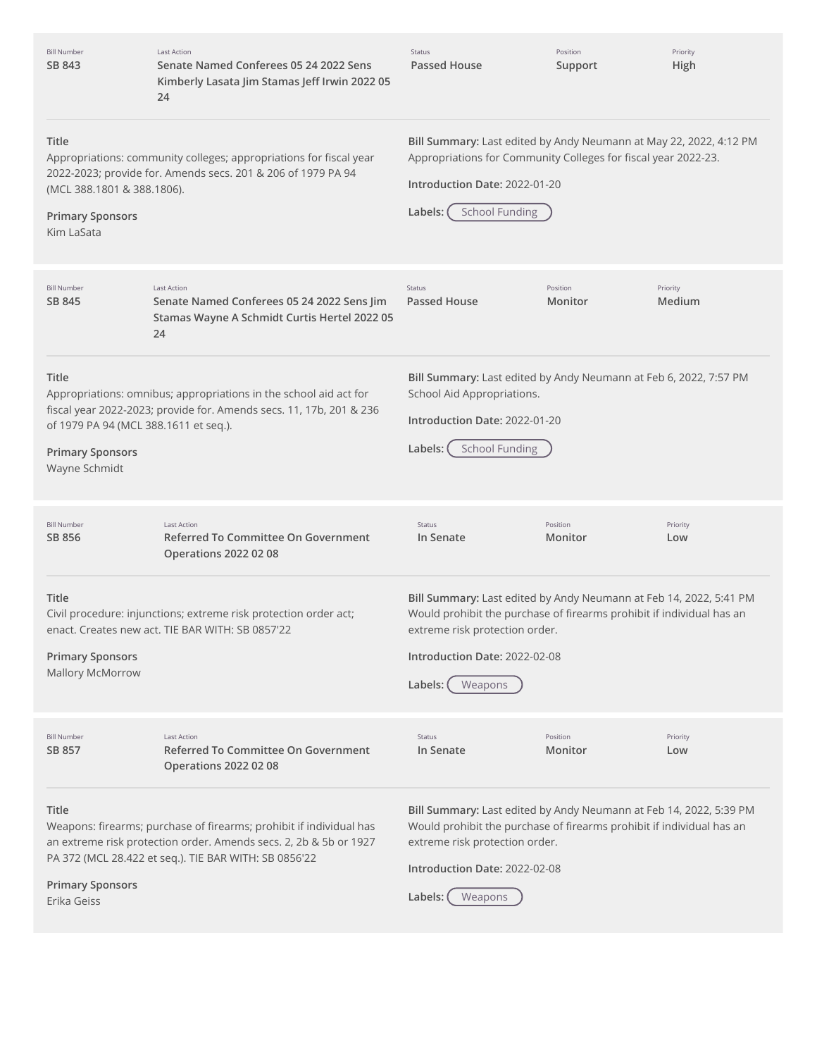| <b>Bill Number</b><br>SB 843                                                                      | Last Action<br>Senate Named Conferees 05 24 2022 Sens<br>Kimberly Lasata Jim Stamas Jeff Irwin 2022 05<br>24                                                                                      | <b>Status</b><br><b>Passed House</b>                                                                                                                                                                                                 | Position<br>Support | Priority<br>High   |
|---------------------------------------------------------------------------------------------------|---------------------------------------------------------------------------------------------------------------------------------------------------------------------------------------------------|--------------------------------------------------------------------------------------------------------------------------------------------------------------------------------------------------------------------------------------|---------------------|--------------------|
| Title<br>(MCL 388.1801 & 388.1806).<br><b>Primary Sponsors</b><br>Kim LaSata                      | Appropriations: community colleges; appropriations for fiscal year<br>2022-2023; provide for. Amends secs. 201 & 206 of 1979 PA 94                                                                | Bill Summary: Last edited by Andy Neumann at May 22, 2022, 4:12 PM<br>Appropriations for Community Colleges for fiscal year 2022-23.<br>Introduction Date: 2022-01-20<br><b>School Funding</b><br>Labels:                            |                     |                    |
| <b>Bill Number</b><br>SB 845                                                                      | <b>Last Action</b><br>Senate Named Conferees 05 24 2022 Sens Jim<br>Stamas Wayne A Schmidt Curtis Hertel 2022 05<br>24                                                                            | Status<br>Passed House                                                                                                                                                                                                               | Position<br>Monitor | Priority<br>Medium |
| <b>Title</b><br>of 1979 PA 94 (MCL 388.1611 et seq.).<br><b>Primary Sponsors</b><br>Wayne Schmidt | Appropriations: omnibus; appropriations in the school aid act for<br>fiscal year 2022-2023; provide for. Amends secs. 11, 17b, 201 & 236                                                          | Bill Summary: Last edited by Andy Neumann at Feb 6, 2022, 7:57 PM<br>School Aid Appropriations.<br>Introduction Date: 2022-01-20<br><b>School Funding</b><br>Labels:                                                                 |                     |                    |
| <b>Bill Number</b><br>SB 856                                                                      | <b>Last Action</b><br>Referred To Committee On Government<br><b>Operations 2022 02 08</b>                                                                                                         | Status<br>In Senate                                                                                                                                                                                                                  | Position<br>Monitor | Priority<br>Low    |
| Title<br><b>Primary Sponsors</b><br>Mallory McMorrow                                              | Civil procedure: injunctions; extreme risk protection order act;<br>enact. Creates new act. TIE BAR WITH: SB 0857'22                                                                              | Bill Summary: Last edited by Andy Neumann at Feb 14, 2022, 5:41 PM<br>Would prohibit the purchase of firearms prohibit if individual has an<br>extreme risk protection order.<br>Introduction Date: 2022-02-08<br>Labels:<br>Weapons |                     |                    |
| <b>Bill Number</b><br>SB 857                                                                      | <b>Last Action</b><br>Referred To Committee On Government<br><b>Operations 2022 02 08</b>                                                                                                         | Status<br>In Senate                                                                                                                                                                                                                  | Position<br>Monitor | Priority<br>Low    |
| Title<br><b>Primary Sponsors</b><br>Erika Geiss                                                   | Weapons: firearms; purchase of firearms; prohibit if individual has<br>an extreme risk protection order. Amends secs. 2, 2b & 5b or 1927<br>PA 372 (MCL 28.422 et seq.). TIE BAR WITH: SB 0856'22 | Bill Summary: Last edited by Andy Neumann at Feb 14, 2022, 5:39 PM<br>Would prohibit the purchase of firearms prohibit if individual has an<br>extreme risk protection order.<br>Introduction Date: 2022-02-08<br>Labels:<br>Weapons |                     |                    |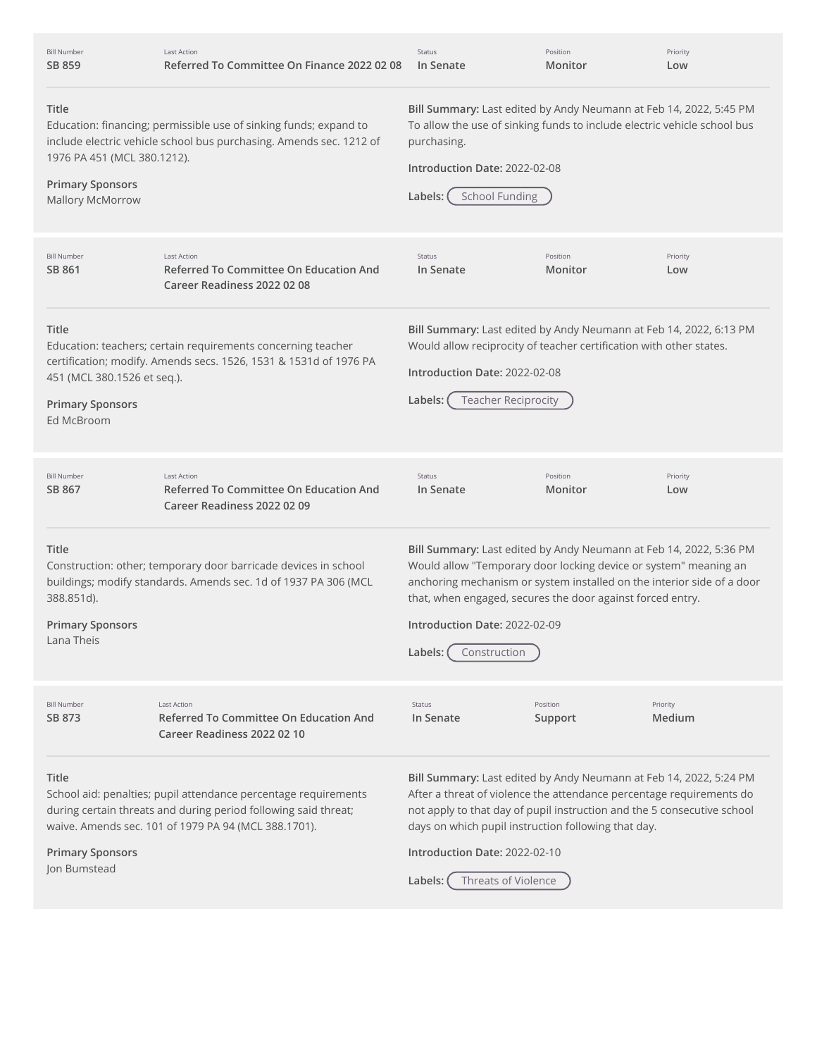| <b>Bill Number</b><br>SB 859                                                         | <b>Last Action</b><br>Referred To Committee On Finance 2022 02 08                                                                                                                          | Status<br>In Senate                                                                                                                                                                                                                                                                                                                             | Position<br>Monitor | Priority<br>Low    |
|--------------------------------------------------------------------------------------|--------------------------------------------------------------------------------------------------------------------------------------------------------------------------------------------|-------------------------------------------------------------------------------------------------------------------------------------------------------------------------------------------------------------------------------------------------------------------------------------------------------------------------------------------------|---------------------|--------------------|
| Title<br>1976 PA 451 (MCL 380.1212).<br><b>Primary Sponsors</b><br>Mallory McMorrow  | Education: financing; permissible use of sinking funds; expand to<br>include electric vehicle school bus purchasing. Amends sec. 1212 of                                                   | Bill Summary: Last edited by Andy Neumann at Feb 14, 2022, 5:45 PM<br>To allow the use of sinking funds to include electric vehicle school bus<br>purchasing.<br>Introduction Date: 2022-02-08<br><b>School Funding</b><br>Labels:                                                                                                              |                     |                    |
| <b>Bill Number</b><br>SB 861                                                         | <b>Last Action</b><br>Referred To Committee On Education And<br>Career Readiness 2022 02 08                                                                                                | Status<br>In Senate                                                                                                                                                                                                                                                                                                                             | Position<br>Monitor | Priority<br>Low    |
| <b>Title</b><br>451 (MCL 380.1526 et seq.).<br><b>Primary Sponsors</b><br>Ed McBroom | Education: teachers; certain requirements concerning teacher<br>certification; modify. Amends secs. 1526, 1531 & 1531d of 1976 PA                                                          | Bill Summary: Last edited by Andy Neumann at Feb 14, 2022, 6:13 PM<br>Would allow reciprocity of teacher certification with other states.<br>Introduction Date: 2022-02-08<br><b>Teacher Reciprocity</b><br>Labels:                                                                                                                             |                     |                    |
| <b>Bill Number</b><br>SB 867                                                         | <b>Last Action</b><br><b>Referred To Committee On Education And</b><br>Career Readiness 2022 02 09                                                                                         | Status<br>In Senate                                                                                                                                                                                                                                                                                                                             | Position<br>Monitor | Priority<br>Low    |
| Title<br>388.851d).<br><b>Primary Sponsors</b><br>Lana Theis                         | Construction: other; temporary door barricade devices in school<br>buildings; modify standards. Amends sec. 1d of 1937 PA 306 (MCL                                                         | Bill Summary: Last edited by Andy Neumann at Feb 14, 2022, 5:36 PM<br>Would allow "Temporary door locking device or system" meaning an<br>anchoring mechanism or system installed on the interior side of a door<br>that, when engaged, secures the door against forced entry.<br>Introduction Date: 2022-02-09<br>Labels:<br>Construction      |                     |                    |
| <b>Bill Number</b><br>SB 873                                                         | <b>Last Action</b><br>Referred To Committee On Education And<br>Career Readiness 2022 02 10                                                                                                | Status<br>In Senate                                                                                                                                                                                                                                                                                                                             | Position<br>Support | Priority<br>Medium |
| Title<br><b>Primary Sponsors</b><br>Jon Bumstead                                     | School aid: penalties; pupil attendance percentage requirements<br>during certain threats and during period following said threat;<br>waive. Amends sec. 101 of 1979 PA 94 (MCL 388.1701). | Bill Summary: Last edited by Andy Neumann at Feb 14, 2022, 5:24 PM<br>After a threat of violence the attendance percentage requirements do<br>not apply to that day of pupil instruction and the 5 consecutive school<br>days on which pupil instruction following that day.<br>Introduction Date: 2022-02-10<br>Threats of Violence<br>Labels: |                     |                    |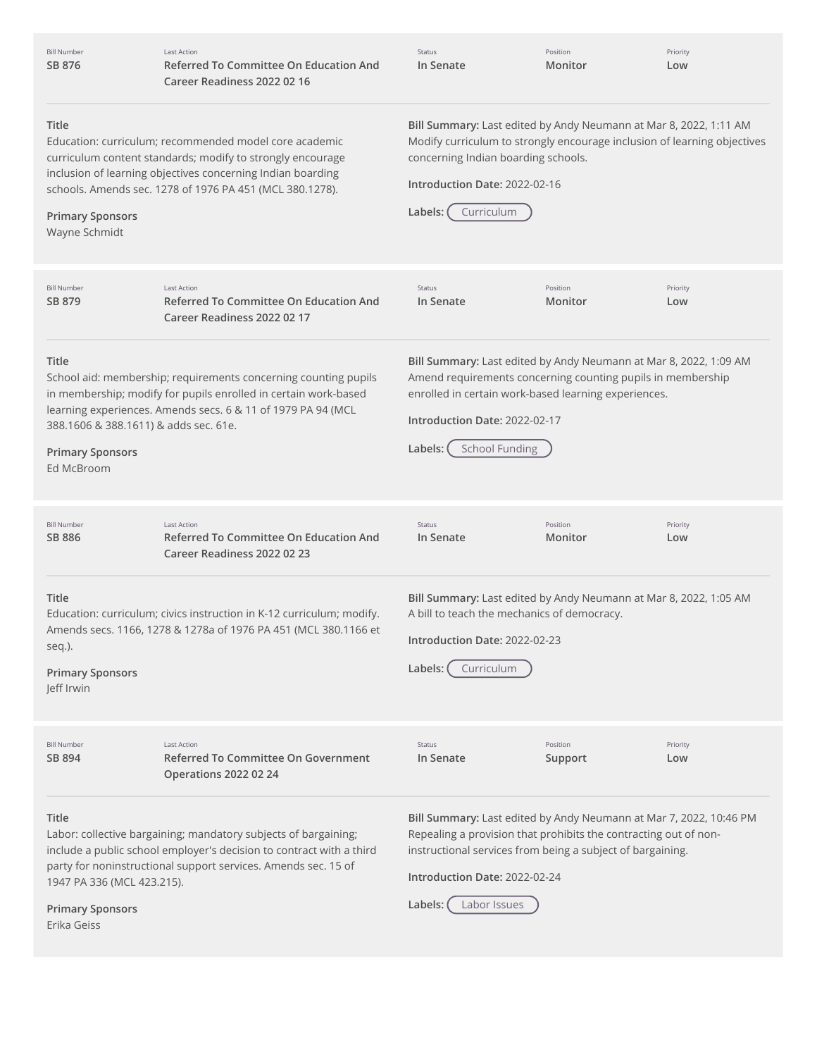| umber | Last |
|-------|------|
| 876   | Re   |
|       | rh   |

Action **Referred To Committee On Education And Career Readiness 2022 02 16**

Status **In Senate** Position **Monitor**

Priority **Low**

#### **Title**

**Primary Sponsors** Wayne Schmidt

Education: curriculum; recommended model core academic curriculum content standards; modify to strongly encourage inclusion of learning objectives concerning Indian boarding schools. Amends sec. 1278 of 1976 PA 451 (MCL 380.1278).

## **Bill Summary:** Last edited by Andy Neumann at Mar 8, 2022, 1:11 AM Modify curriculum to strongly encourage inclusion of learning objectives concerning Indian boarding schools.

#### **Introduction Date:** 2022-02-16



**Title** School aid: membership; requirements concerning counting pupils in membership; modify for pupils enrolled in certain work-based learning experiences. Amends secs. 6 & 11 of 1979 PA 94 (MCL 388.1606 & 388.1611) & adds sec. 61e. **Primary Sponsors** Ed McBroom **Bill Summary:** Last edited by Andy Neumann at Mar 8, 2022, 1:09 AM Amend requirements concerning counting pupils in membership enrolled in certain work-based learning experiences. **Introduction Date:** 2022-02-17 Labels: (School Funding **Title** Education: curriculum; civics instruction in K-12 curriculum; modify. Amends secs. 1166, 1278 & 1278a of 1976 PA 451 (MCL 380.1166 et seq.). **Primary Sponsors** Jeff Irwin **Bill Summary:** Last edited by Andy Neumann at Mar 8, 2022, 1:05 AM A bill to teach the mechanics of democracy. **Introduction Date:** 2022-02-23 **Labels:** Curriculum **Title** Labor: collective bargaining; mandatory subjects of bargaining; include a public school employer's decision to contract with a third party for noninstructional support services. Amends sec. 15 of 1947 PA 336 (MCL 423.215). **Primary Sponsors** Erika Geiss **Bill Summary:** Last edited by Andy Neumann at Mar 7, 2022, 10:46 PM Repealing a provision that prohibits the contracting out of noninstructional services from being a subject of bargaining. **Introduction Date:** 2022-02-24 **Labels:** Labor Issues Bill Number **SB [879](http://app.fiscalnote.com/share/bill?url=a740d3b8ccbfa0fc90336157f853c3fe)** Last Action **Referred To Committee On Education And Career Readiness 2022 02 17** Status **In Senate** Position **Monitor** Priority **Low** Bill Number **SB [886](http://app.fiscalnote.com/share/bill?url=f4ddd981f1499a79f795e6cd32d332a2)** Last Action **Referred To Committee On Education And Career Readiness 2022 02 23** Status **In Senate** Position **Monitor** Priority **Low** Bill Number **SB [894](http://app.fiscalnote.com/share/bill?url=4a9a3d0e722d3cf21159a88a30d84564)** Last Action **Referred To Committee On Government Operations 2022 02 24** Status **In Senate** Position **Support** Priority **Low**

Bill N **SB [876](http://app.fiscalnote.com/share/bill?url=42f7970f873a79cf98f8b7ffd3869e2f)**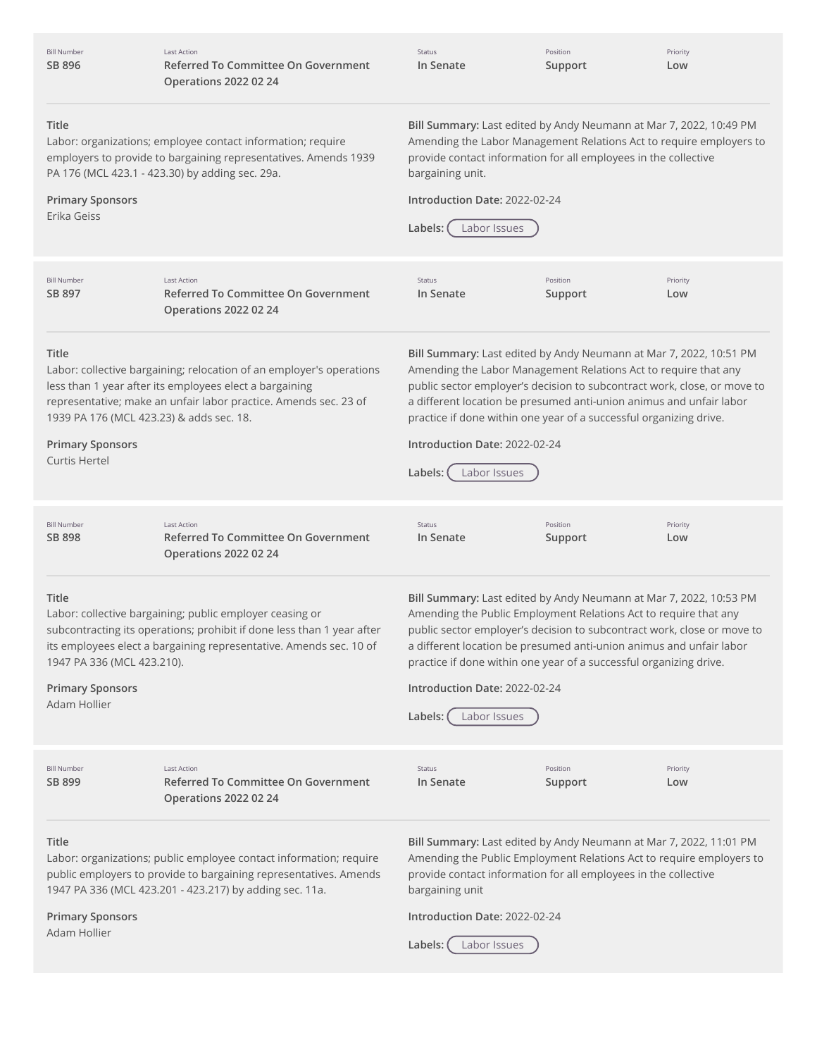| <b>Bill Number</b><br>SB 896                                                                         | <b>Last Action</b><br>Referred To Committee On Government<br><b>Operations 2022 02 24</b>                                                                                                                | Status<br>In Senate                                                                                                                                                                                                                                                                                                                                                                                                          | Position<br>Support | Priority<br>Low |
|------------------------------------------------------------------------------------------------------|----------------------------------------------------------------------------------------------------------------------------------------------------------------------------------------------------------|------------------------------------------------------------------------------------------------------------------------------------------------------------------------------------------------------------------------------------------------------------------------------------------------------------------------------------------------------------------------------------------------------------------------------|---------------------|-----------------|
| <b>Title</b><br><b>Primary Sponsors</b><br>Erika Geiss                                               | Labor: organizations; employee contact information; require<br>employers to provide to bargaining representatives. Amends 1939<br>PA 176 (MCL 423.1 - 423.30) by adding sec. 29a.                        | Bill Summary: Last edited by Andy Neumann at Mar 7, 2022, 10:49 PM<br>Amending the Labor Management Relations Act to require employers to<br>provide contact information for all employees in the collective<br>bargaining unit.<br>Introduction Date: 2022-02-24<br>Labor Issues<br>Labels:                                                                                                                                 |                     |                 |
| <b>Bill Number</b><br>SB 897                                                                         | <b>Last Action</b><br>Referred To Committee On Government<br><b>Operations 2022 02 24</b>                                                                                                                | Status<br>In Senate                                                                                                                                                                                                                                                                                                                                                                                                          | Position<br>Support | Priority<br>Low |
| Title<br>1939 PA 176 (MCL 423.23) & adds sec. 18.<br><b>Primary Sponsors</b><br><b>Curtis Hertel</b> | Labor: collective bargaining; relocation of an employer's operations<br>less than 1 year after its employees elect a bargaining<br>representative; make an unfair labor practice. Amends sec. 23 of      | Bill Summary: Last edited by Andy Neumann at Mar 7, 2022, 10:51 PM<br>Amending the Labor Management Relations Act to require that any<br>public sector employer's decision to subcontract work, close, or move to<br>a different location be presumed anti-union animus and unfair labor<br>practice if done within one year of a successful organizing drive.<br>Introduction Date: 2022-02-24<br>Labels:<br>Labor Issues   |                     |                 |
| <b>Bill Number</b><br>SB 898                                                                         | <b>Last Action</b><br>Referred To Committee On Government<br><b>Operations 2022 02 24</b>                                                                                                                | Status<br>In Senate                                                                                                                                                                                                                                                                                                                                                                                                          | Position<br>Support | Priority<br>Low |
| <b>Title</b><br>1947 PA 336 (MCL 423.210).<br><b>Primary Sponsors</b><br>Adam Hollier                | Labor: collective bargaining; public employer ceasing or<br>subcontracting its operations; prohibit if done less than 1 year after<br>its employees elect a bargaining representative. Amends sec. 10 of | Bill Summary: Last edited by Andy Neumann at Mar 7, 2022, 10:53 PM<br>Amending the Public Employment Relations Act to require that any<br>public sector employer's decision to subcontract work, close or move to<br>a different location be presumed anti-union animus and unfair labor<br>practice if done within one year of a successful organizing drive.<br>Introduction Date: 2022-02-24<br>Labor Issues<br>Labels: ( |                     |                 |
| <b>Bill Number</b><br>SB 899                                                                         | <b>Last Action</b><br>Referred To Committee On Government<br><b>Operations 2022 02 24</b>                                                                                                                | Status<br>In Senate                                                                                                                                                                                                                                                                                                                                                                                                          | Position<br>Support | Priority<br>Low |
| Title<br><b>Primary Sponsors</b><br>Adam Hollier                                                     | Labor: organizations; public employee contact information; require<br>public employers to provide to bargaining representatives. Amends<br>1947 PA 336 (MCL 423.201 - 423.217) by adding sec. 11a.       | Bill Summary: Last edited by Andy Neumann at Mar 7, 2022, 11:01 PM<br>Amending the Public Employment Relations Act to require employers to<br>provide contact information for all employees in the collective<br>bargaining unit<br>Introduction Date: 2022-02-24<br>Labels:<br>Labor Issues                                                                                                                                 |                     |                 |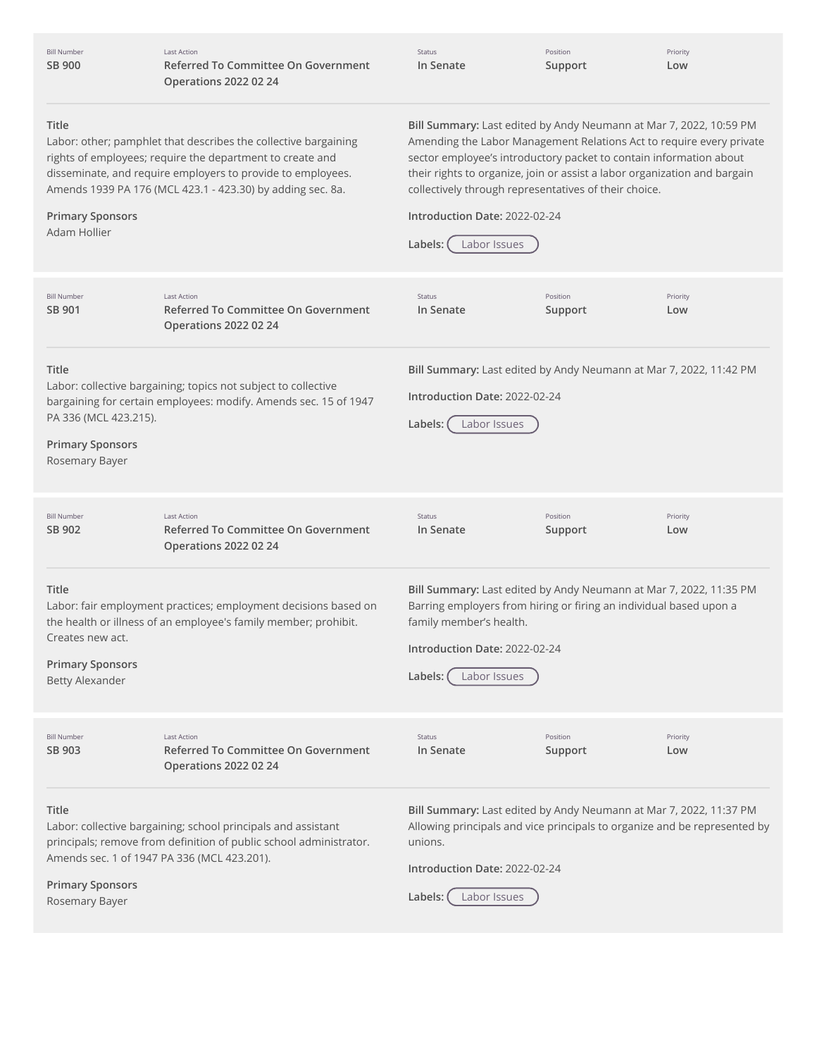| <b>Bill Number</b><br><b>SB 900</b>                                                               | <b>Last Action</b><br>Referred To Committee On Government<br><b>Operations 2022 02 24</b>                                                                                                                                                                 | Status<br>In Senate                                                                                                                                                                                                                                                                                                                                                                                                | Position<br>Support | Priority<br>Low |
|---------------------------------------------------------------------------------------------------|-----------------------------------------------------------------------------------------------------------------------------------------------------------------------------------------------------------------------------------------------------------|--------------------------------------------------------------------------------------------------------------------------------------------------------------------------------------------------------------------------------------------------------------------------------------------------------------------------------------------------------------------------------------------------------------------|---------------------|-----------------|
| Title<br><b>Primary Sponsors</b><br>Adam Hollier                                                  | Labor: other; pamphlet that describes the collective bargaining<br>rights of employees; require the department to create and<br>disseminate, and require employers to provide to employees.<br>Amends 1939 PA 176 (MCL 423.1 - 423.30) by adding sec. 8a. | Bill Summary: Last edited by Andy Neumann at Mar 7, 2022, 10:59 PM<br>Amending the Labor Management Relations Act to require every private<br>sector employee's introductory packet to contain information about<br>their rights to organize, join or assist a labor organization and bargain<br>collectively through representatives of their choice.<br>Introduction Date: 2022-02-24<br>Labor Issues<br>Labels: |                     |                 |
| <b>Bill Number</b><br>SB 901                                                                      | <b>Last Action</b><br>Referred To Committee On Government<br><b>Operations 2022 02 24</b>                                                                                                                                                                 | Status<br>In Senate                                                                                                                                                                                                                                                                                                                                                                                                | Position<br>Support | Priority<br>Low |
| Title<br>PA 336 (MCL 423.215).<br><b>Primary Sponsors</b><br>Rosemary Bayer                       | Labor: collective bargaining; topics not subject to collective<br>bargaining for certain employees: modify. Amends sec. 15 of 1947                                                                                                                        | Bill Summary: Last edited by Andy Neumann at Mar 7, 2022, 11:42 PM<br>Introduction Date: 2022-02-24<br>Labor Issues<br>Labels:                                                                                                                                                                                                                                                                                     |                     |                 |
| <b>Bill Number</b><br>SB 902                                                                      | <b>Last Action</b><br>Referred To Committee On Government<br><b>Operations 2022 02 24</b>                                                                                                                                                                 | Status<br>In Senate                                                                                                                                                                                                                                                                                                                                                                                                | Position<br>Support | Priority<br>Low |
| Title<br>Creates new act.<br><b>Primary Sponsors</b><br><b>Betty Alexander</b>                    | Labor: fair employment practices; employment decisions based on<br>the health or illness of an employee's family member; prohibit.                                                                                                                        | Bill Summary: Last edited by Andy Neumann at Mar 7, 2022, 11:35 PM<br>Barring employers from hiring or firing an individual based upon a<br>family member's health.<br>Introduction Date: 2022-02-24<br>Labels:<br>Labor Issues                                                                                                                                                                                    |                     |                 |
| <b>Bill Number</b><br>SB 903                                                                      | <b>Last Action</b><br>Referred To Committee On Government<br><b>Operations 2022 02 24</b>                                                                                                                                                                 | Status<br>In Senate                                                                                                                                                                                                                                                                                                                                                                                                | Position<br>Support | Priority<br>Low |
| Title<br>Amends sec. 1 of 1947 PA 336 (MCL 423.201).<br><b>Primary Sponsors</b><br>Rosemary Bayer | Labor: collective bargaining; school principals and assistant<br>principals; remove from definition of public school administrator.                                                                                                                       | Bill Summary: Last edited by Andy Neumann at Mar 7, 2022, 11:37 PM<br>Allowing principals and vice principals to organize and be represented by<br>unions.<br>Introduction Date: 2022-02-24<br>Labor Issues<br>Labels:                                                                                                                                                                                             |                     |                 |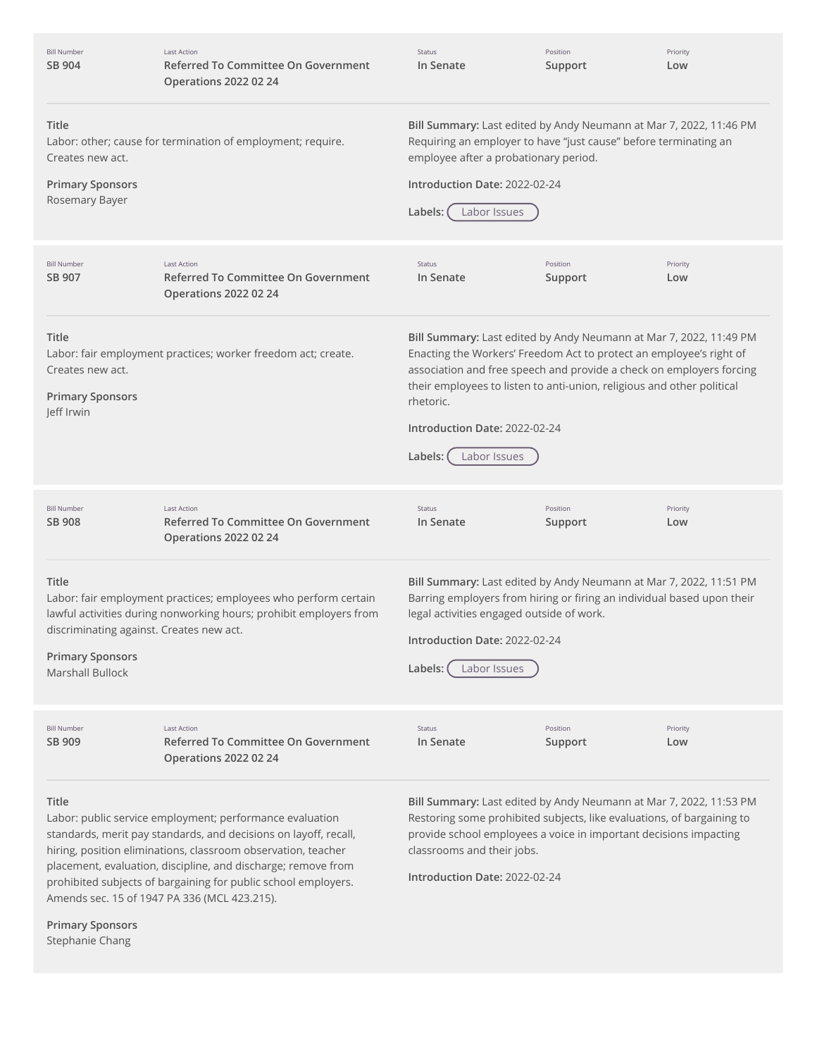| <b>Bill Number</b><br>SB 904                                                                                   | <b>Last Action</b><br>Referred To Committee On Government<br><b>Operations 2022 02 24</b>                                                                                                                                                                                                                                                                                        | Status<br>In Senate                                                                                                                                                                                                                                                                                                                                                  | Position<br>Support | Priority<br>Low |
|----------------------------------------------------------------------------------------------------------------|----------------------------------------------------------------------------------------------------------------------------------------------------------------------------------------------------------------------------------------------------------------------------------------------------------------------------------------------------------------------------------|----------------------------------------------------------------------------------------------------------------------------------------------------------------------------------------------------------------------------------------------------------------------------------------------------------------------------------------------------------------------|---------------------|-----------------|
| <b>Title</b><br>Creates new act.<br><b>Primary Sponsors</b><br>Rosemary Bayer                                  | Labor: other; cause for termination of employment; require.                                                                                                                                                                                                                                                                                                                      | Bill Summary: Last edited by Andy Neumann at Mar 7, 2022, 11:46 PM<br>Requiring an employer to have "just cause" before terminating an<br>employee after a probationary period.<br>Introduction Date: 2022-02-24<br>Labels:<br>Labor Issues                                                                                                                          |                     |                 |
| <b>Bill Number</b><br>SB 907                                                                                   | <b>Last Action</b><br>Referred To Committee On Government<br><b>Operations 2022 02 24</b>                                                                                                                                                                                                                                                                                        | Status<br>In Senate                                                                                                                                                                                                                                                                                                                                                  | Position<br>Support | Priority<br>Low |
| Title<br>Creates new act.<br><b>Primary Sponsors</b><br>Jeff Irwin                                             | Labor: fair employment practices; worker freedom act; create.                                                                                                                                                                                                                                                                                                                    | Bill Summary: Last edited by Andy Neumann at Mar 7, 2022, 11:49 PM<br>Enacting the Workers' Freedom Act to protect an employee's right of<br>association and free speech and provide a check on employers forcing<br>their employees to listen to anti-union, religious and other political<br>rhetoric.<br>Introduction Date: 2022-02-24<br>Labels:<br>Labor Issues |                     |                 |
| <b>Bill Number</b><br>SB 908                                                                                   | <b>Last Action</b><br>Referred To Committee On Government<br><b>Operations 2022 02 24</b>                                                                                                                                                                                                                                                                                        | Status<br>In Senate                                                                                                                                                                                                                                                                                                                                                  | Position<br>Support | Priority<br>Low |
| <b>Title</b><br>discriminating against. Creates new act.<br><b>Primary Sponsors</b><br><b>Marshall Bullock</b> | Labor: fair employment practices; employees who perform certain<br>lawful activities during nonworking hours; prohibit employers from                                                                                                                                                                                                                                            | Bill Summary: Last edited by Andy Neumann at Mar 7, 2022, 11:51 PM<br>Barring employers from hiring or firing an individual based upon their<br>legal activities engaged outside of work.<br>Introduction Date: 2022-02-24<br>Labels:<br>Labor Issues                                                                                                                |                     |                 |
| <b>Bill Number</b><br>SB 909                                                                                   | <b>Last Action</b><br>Referred To Committee On Government<br><b>Operations 2022 02 24</b>                                                                                                                                                                                                                                                                                        | Status<br>In Senate                                                                                                                                                                                                                                                                                                                                                  | Position<br>Support | Priority<br>Low |
| Title                                                                                                          | Labor: public service employment; performance evaluation<br>standards, merit pay standards, and decisions on layoff, recall,<br>hiring, position eliminations, classroom observation, teacher<br>placement, evaluation, discipline, and discharge; remove from<br>prohibited subjects of bargaining for public school employers.<br>Amends sec. 15 of 1947 PA 336 (MCL 423.215). | Bill Summary: Last edited by Andy Neumann at Mar 7, 2022, 11:53 PM<br>Restoring some prohibited subjects, like evaluations, of bargaining to<br>provide school employees a voice in important decisions impacting<br>classrooms and their jobs.<br>Introduction Date: 2022-02-24                                                                                     |                     |                 |

**Primary Sponsors** Stephanie Chang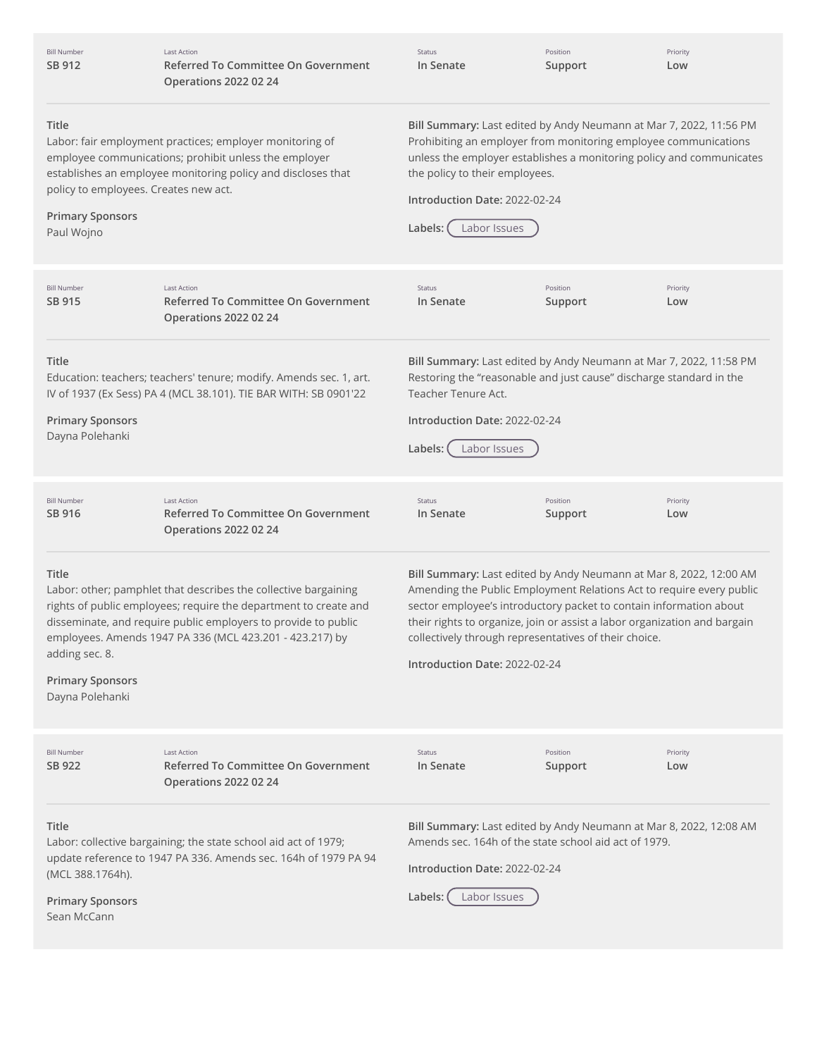| Bill Number |
|-------------|
| SB 912      |

Last Action **Referred To Committee On Government Operations 2022 02 24**

Status **In Senate**

Position **Support**

Priority **Low**

### **Title**

**Primary Sponsors** Paul Wojno

Labor: fair employment practices; employer monitoring of employee communications; prohibit unless the employer establishes an employee monitoring policy and discloses that policy to employees. Creates new act.

**Bill Summary:** Last edited by Andy Neumann at Mar 7, 2022, 11:56 PM Prohibiting an employer from monitoring employee communications unless the employer establishes a monitoring policy and communicates the policy to their employees.

**Introduction Date:** 2022-02-24



| <b>Bill Number</b><br>SB 915                                                 | <b>Last Action</b><br><b>Referred To Committee On Government</b><br><b>Operations 2022 02 24</b>                                                                                                                                                                  | <b>Status</b><br>In Senate                                                                                                                                                                                                                                                                                                                                                              | Position<br>Support | Priority<br>Low |
|------------------------------------------------------------------------------|-------------------------------------------------------------------------------------------------------------------------------------------------------------------------------------------------------------------------------------------------------------------|-----------------------------------------------------------------------------------------------------------------------------------------------------------------------------------------------------------------------------------------------------------------------------------------------------------------------------------------------------------------------------------------|---------------------|-----------------|
| <b>Title</b><br><b>Primary Sponsors</b><br>Dayna Polehanki                   | Education: teachers; teachers' tenure; modify. Amends sec. 1, art.<br>IV of 1937 (Ex Sess) PA 4 (MCL 38.101). TIE BAR WITH: SB 0901'22                                                                                                                            | Bill Summary: Last edited by Andy Neumann at Mar 7, 2022, 11:58 PM<br>Restoring the "reasonable and just cause" discharge standard in the<br>Teacher Tenure Act.<br>Introduction Date: 2022-02-24<br>Labels:<br>Labor Issues                                                                                                                                                            |                     |                 |
| <b>Bill Number</b><br>SB 916                                                 | <b>Last Action</b><br>Referred To Committee On Government<br><b>Operations 2022 02 24</b>                                                                                                                                                                         | Status<br>In Senate                                                                                                                                                                                                                                                                                                                                                                     | Position<br>Support | Priority<br>Low |
| <b>Title</b><br>adding sec. 8.<br><b>Primary Sponsors</b><br>Dayna Polehanki | Labor: other; pamphlet that describes the collective bargaining<br>rights of public employees; require the department to create and<br>disseminate, and require public employers to provide to public<br>employees. Amends 1947 PA 336 (MCL 423.201 - 423.217) by | Bill Summary: Last edited by Andy Neumann at Mar 8, 2022, 12:00 AM<br>Amending the Public Employment Relations Act to require every public<br>sector employee's introductory packet to contain information about<br>their rights to organize, join or assist a labor organization and bargain<br>collectively through representatives of their choice.<br>Introduction Date: 2022-02-24 |                     |                 |
| <b>Bill Number</b><br>SB 922                                                 | <b>Last Action</b><br>Referred To Committee On Government<br><b>Operations 2022 02 24</b>                                                                                                                                                                         | Status<br>In Senate                                                                                                                                                                                                                                                                                                                                                                     | Position<br>Support | Priority<br>Low |
| Title<br>(MCL 388.1764h).<br><b>Primary Sponsors</b><br>Sean McCann          | Labor: collective bargaining; the state school aid act of 1979;<br>update reference to 1947 PA 336. Amends sec. 164h of 1979 PA 94                                                                                                                                | Bill Summary: Last edited by Andy Neumann at Mar 8, 2022, 12:08 AM<br>Amends sec. 164h of the state school aid act of 1979.<br>Introduction Date: 2022-02-24<br>Labels:<br>Labor Issues                                                                                                                                                                                                 |                     |                 |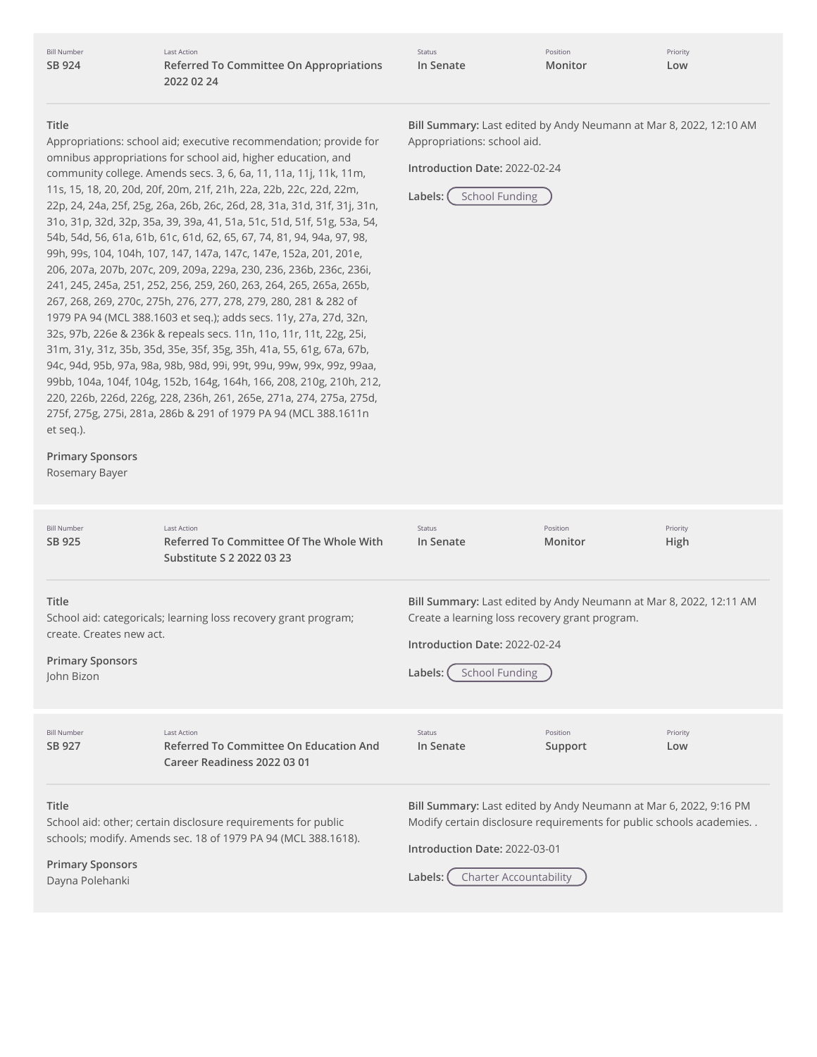Bill Number **SB [924](http://app.fiscalnote.com/share/bill?url=900e096357a5d01827af2c3f22060d22)**

Last Action **Referred To Committee On Appropriations 2022 02 24**

| Status    | Position |
|-----------|----------|
| In Senate | Monitor  |

**Title**

Appropriations: school aid; executive recommendation; provide for omnibus appropriations for school aid, higher education, and community college. Amends secs. 3, 6, 6a, 11, 11a, 11j, 11k, 11m, 11s, 15, 18, 20, 20d, 20f, 20m, 21f, 21h, 22a, 22b, 22c, 22d, 22m, 22p, 24, 24a, 25f, 25g, 26a, 26b, 26c, 26d, 28, 31a, 31d, 31f, 31j, 31n, 31o, 31p, 32d, 32p, 35a, 39, 39a, 41, 51a, 51c, 51d, 51f, 51g, 53a, 54, 54b, 54d, 56, 61a, 61b, 61c, 61d, 62, 65, 67, 74, 81, 94, 94a, 97, 98, 99h, 99s, 104, 104h, 107, 147, 147a, 147c, 147e, 152a, 201, 201e, 206, 207a, 207b, 207c, 209, 209a, 229a, 230, 236, 236b, 236c, 236i, 241, 245, 245a, 251, 252, 256, 259, 260, 263, 264, 265, 265a, 265b, 267, 268, 269, 270c, 275h, 276, 277, 278, 279, 280, 281 & 282 of 1979 PA 94 (MCL 388.1603 et seq.); adds secs. 11y, 27a, 27d, 32n, 32s, 97b, 226e & 236k & repeals secs. 11n, 11o, 11r, 11t, 22g, 25i, 31m, 31y, 31z, 35b, 35d, 35e, 35f, 35g, 35h, 41a, 55, 61g, 67a, 67b, 94c, 94d, 95b, 97a, 98a, 98b, 98d, 99i, 99t, 99u, 99w, 99x, 99z, 99aa, 99bb, 104a, 104f, 104g, 152b, 164g, 164h, 166, 208, 210g, 210h, 212, 220, 226b, 226d, 226g, 228, 236h, 261, 265e, 271a, 274, 275a, 275d, 275f, 275g, 275i, 281a, 286b & 291 of 1979 PA 94 (MCL 388.1611n et seq.).

**Primary Sponsors**

Rosemary Bayer

**Bill Summary:** Last edited by Andy Neumann at Mar 8, 2022, 12:10 AM Appropriations: school aid.

**Introduction Date:** 2022-02-24

Labels: (School Funding

**Title** School aid: categoricals; learning loss recovery grant program; create. Creates new act. **Primary Sponsors** John Bizon **Bill Summary:** Last edited by Andy Neumann at Mar 8, 2022, 12:11 AM Create a learning loss recovery grant program. **Introduction Date:** 2022-02-24 Labels: (School Funding **Title** School aid: other; certain disclosure requirements for public schools; modify. Amends sec. 18 of 1979 PA 94 (MCL 388.1618). **Primary Sponsors** Dayna Polehanki **Bill Summary:** Last edited by Andy Neumann at Mar 6, 2022, 9:16 PM Modify certain disclosure requirements for public schools academies. . **Introduction Date:** 2022-03-01 **Labels:** Charter Accountability Bill Number **SB [925](http://app.fiscalnote.com/share/bill?url=a0f86d6a3f2c00d0c70b31320388ee7d)** Last Action **Referred To Committee Of The Whole With Substitute S 2 2022 03 23** Status **In Senate** Position **Monitor** Priority **High** Bill Number **SB [927](http://app.fiscalnote.com/share/bill?url=7649c0c6066045a87809d409e6fa5f90)** Last Action **Referred To Committee On Education And Career Readiness 2022 03 01** Status **In Senate** Position **Support** Priority **Low**

Priority **Low**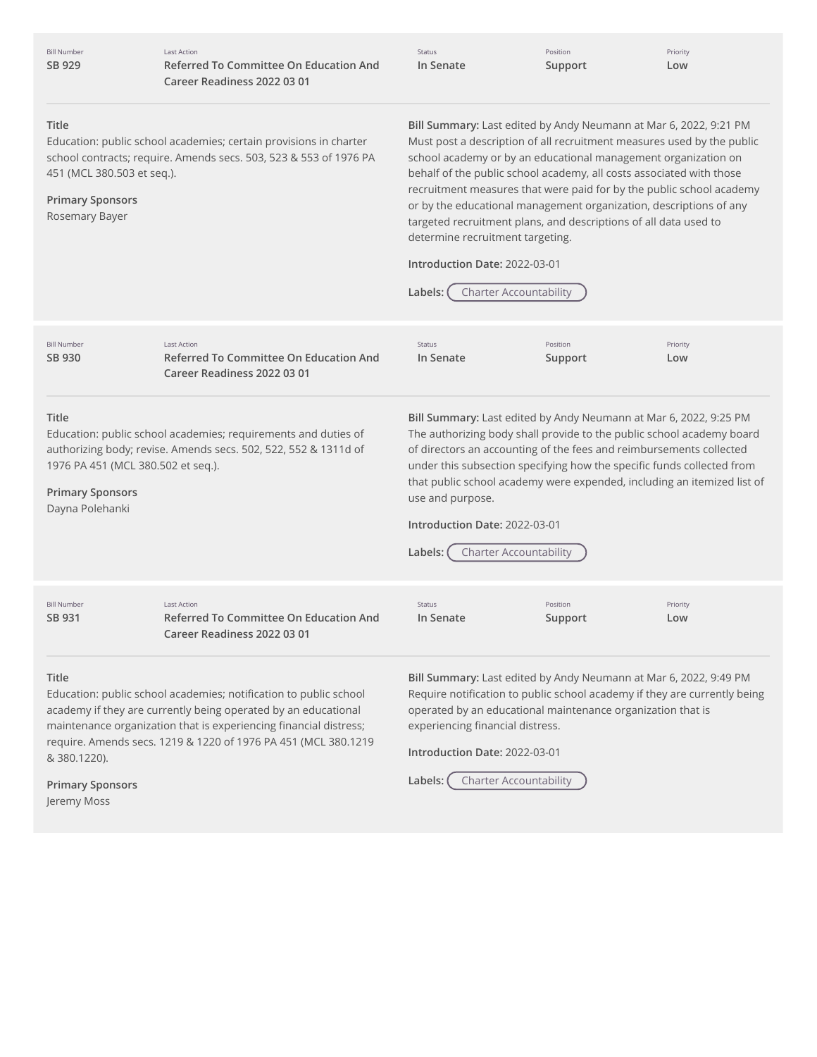| <b>Bill Number</b><br>SB 929                                                            | <b>Last Action</b><br><b>Referred To Committee On Education And</b><br>Career Readiness 2022 03 01                                                                                                                                                                                                                                                                                                                                                                                                                                                                                                                                                                                                                                                                 | Status<br>In Senate                                                            | Position<br>Support                                                                   | Priority<br>Low                                                                                                                                                                                                                                                                                                                                                        |
|-----------------------------------------------------------------------------------------|--------------------------------------------------------------------------------------------------------------------------------------------------------------------------------------------------------------------------------------------------------------------------------------------------------------------------------------------------------------------------------------------------------------------------------------------------------------------------------------------------------------------------------------------------------------------------------------------------------------------------------------------------------------------------------------------------------------------------------------------------------------------|--------------------------------------------------------------------------------|---------------------------------------------------------------------------------------|------------------------------------------------------------------------------------------------------------------------------------------------------------------------------------------------------------------------------------------------------------------------------------------------------------------------------------------------------------------------|
| <b>Title</b><br>451 (MCL 380.503 et seq.).<br><b>Primary Sponsors</b><br>Rosemary Bayer | Bill Summary: Last edited by Andy Neumann at Mar 6, 2022, 9:21 PM<br>Education: public school academies; certain provisions in charter<br>Must post a description of all recruitment measures used by the public<br>school contracts; require. Amends secs. 503, 523 & 553 of 1976 PA<br>school academy or by an educational management organization on<br>behalf of the public school academy, all costs associated with those<br>recruitment measures that were paid for by the public school academy<br>or by the educational management organization, descriptions of any<br>targeted recruitment plans, and descriptions of all data used to<br>determine recruitment targeting.<br>Introduction Date: 2022-03-01<br><b>Charter Accountability</b><br>Labels: |                                                                                |                                                                                       |                                                                                                                                                                                                                                                                                                                                                                        |
| <b>Bill Number</b><br>SB 930                                                            | <b>Last Action</b><br>Referred To Committee On Education And<br>Career Readiness 2022 03 01                                                                                                                                                                                                                                                                                                                                                                                                                                                                                                                                                                                                                                                                        | Status<br>In Senate                                                            | Position<br>Support                                                                   | Priority<br>Low                                                                                                                                                                                                                                                                                                                                                        |
| Title<br>1976 PA 451 (MCL 380.502 et seq.).<br><b>Primary Sponsors</b>                  | Education: public school academies; requirements and duties of<br>authorizing body; revise. Amends secs. 502, 522, 552 & 1311d of                                                                                                                                                                                                                                                                                                                                                                                                                                                                                                                                                                                                                                  | use and purpose.                                                               |                                                                                       | Bill Summary: Last edited by Andy Neumann at Mar 6, 2022, 9:25 PM<br>The authorizing body shall provide to the public school academy board<br>of directors an accounting of the fees and reimbursements collected<br>under this subsection specifying how the specific funds collected from<br>that public school academy were expended, including an itemized list of |
| Dayna Polehanki                                                                         |                                                                                                                                                                                                                                                                                                                                                                                                                                                                                                                                                                                                                                                                                                                                                                    | Introduction Date: 2022-03-01                                                  |                                                                                       |                                                                                                                                                                                                                                                                                                                                                                        |
|                                                                                         |                                                                                                                                                                                                                                                                                                                                                                                                                                                                                                                                                                                                                                                                                                                                                                    | Labels:                                                                        | <b>Charter Accountability</b>                                                         |                                                                                                                                                                                                                                                                                                                                                                        |
| <b>Bill Number</b><br>SB 931                                                            | <b>Last Action</b><br><b>Referred To Committee On Education And</b><br>Career Readiness 2022 03 01                                                                                                                                                                                                                                                                                                                                                                                                                                                                                                                                                                                                                                                                 | Status<br>In Senate                                                            | Position<br>Support                                                                   | Priority<br>Low                                                                                                                                                                                                                                                                                                                                                        |
| Title<br>& 380.1220).                                                                   | Education: public school academies; notification to public school<br>academy if they are currently being operated by an educational<br>maintenance organization that is experiencing financial distress;<br>require. Amends secs. 1219 & 1220 of 1976 PA 451 (MCL 380.1219                                                                                                                                                                                                                                                                                                                                                                                                                                                                                         | experiencing financial distress.<br>Introduction Date: 2022-03-01<br>Labels: ( | operated by an educational maintenance organization that is<br>Charter Accountability | Bill Summary: Last edited by Andy Neumann at Mar 6, 2022, 9:49 PM<br>Require notification to public school academy if they are currently being                                                                                                                                                                                                                         |
| <b>Primary Sponsors</b>                                                                 |                                                                                                                                                                                                                                                                                                                                                                                                                                                                                                                                                                                                                                                                                                                                                                    |                                                                                |                                                                                       |                                                                                                                                                                                                                                                                                                                                                                        |

Jeremy Moss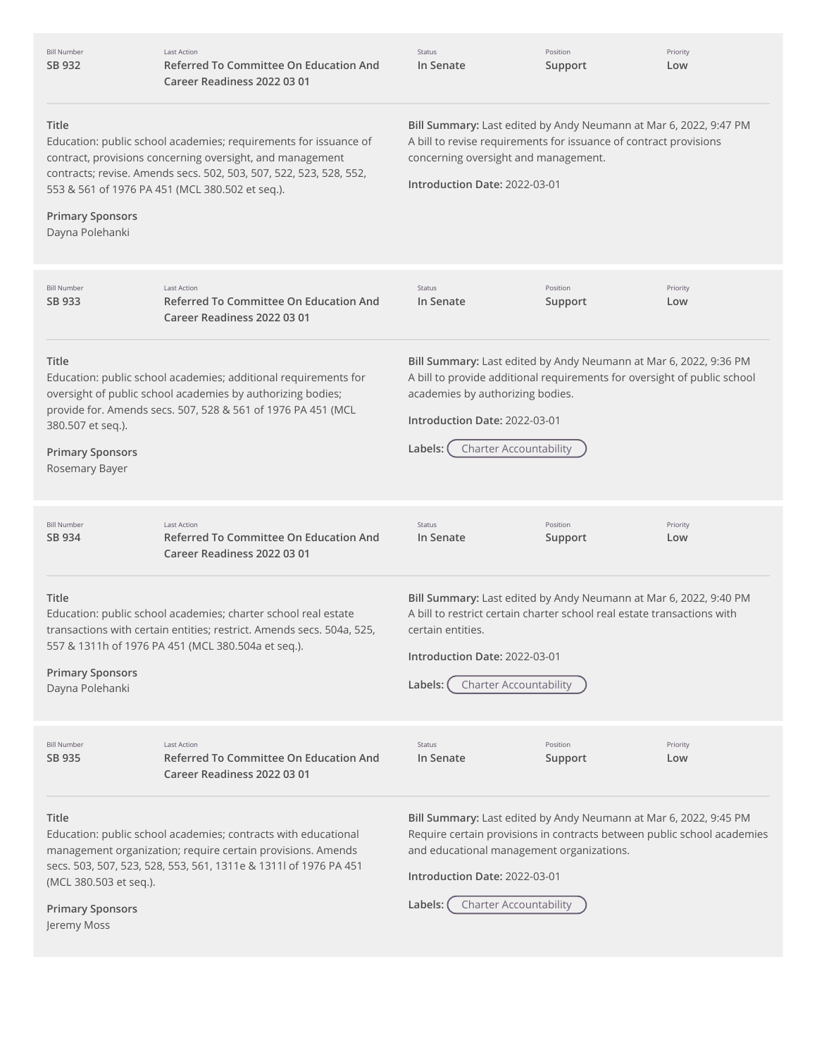| <b>Bill Number</b><br>SB 932                                              | <b>Last Action</b><br>Referred To Committee On Education And<br>Career Readiness 2022 03 01                                                                                                                                                            | Status<br>In Senate                                                                                                                                                                                                                                                    | Position<br>Support | Priority<br>Low |
|---------------------------------------------------------------------------|--------------------------------------------------------------------------------------------------------------------------------------------------------------------------------------------------------------------------------------------------------|------------------------------------------------------------------------------------------------------------------------------------------------------------------------------------------------------------------------------------------------------------------------|---------------------|-----------------|
| Title<br><b>Primary Sponsors</b><br>Dayna Polehanki                       | Education: public school academies; requirements for issuance of<br>contract, provisions concerning oversight, and management<br>contracts; revise. Amends secs. 502, 503, 507, 522, 523, 528, 552,<br>553 & 561 of 1976 PA 451 (MCL 380.502 et seq.). | Bill Summary: Last edited by Andy Neumann at Mar 6, 2022, 9:47 PM<br>A bill to revise requirements for issuance of contract provisions<br>concerning oversight and management.<br>Introduction Date: 2022-03-01                                                        |                     |                 |
| <b>Bill Number</b><br>SB 933                                              | <b>Last Action</b><br>Referred To Committee On Education And<br>Career Readiness 2022 03 01                                                                                                                                                            | Status<br>In Senate                                                                                                                                                                                                                                                    | Position<br>Support | Priority<br>Low |
| Title<br>380.507 et seq.).<br><b>Primary Sponsors</b><br>Rosemary Bayer   | Education: public school academies; additional requirements for<br>oversight of public school academies by authorizing bodies;<br>provide for. Amends secs. 507, 528 & 561 of 1976 PA 451 (MCL                                                         | Bill Summary: Last edited by Andy Neumann at Mar 6, 2022, 9:36 PM<br>A bill to provide additional requirements for oversight of public school<br>academies by authorizing bodies.<br>Introduction Date: 2022-03-01<br><b>Charter Accountability</b><br>Labels:         |                     |                 |
| <b>Bill Number</b><br>SB 934                                              | <b>Last Action</b><br>Referred To Committee On Education And<br>Career Readiness 2022 03 01                                                                                                                                                            | Status<br>In Senate                                                                                                                                                                                                                                                    | Position<br>Support | Priority<br>Low |
| Title<br><b>Primary Sponsors</b><br>Dayna Polehanki                       | Education: public school academies; charter school real estate<br>transactions with certain entities; restrict. Amends secs. 504a, 525,<br>557 & 1311h of 1976 PA 451 (MCL 380.504a et seq.).                                                          | Bill Summary: Last edited by Andy Neumann at Mar 6, 2022, 9:40 PM<br>A bill to restrict certain charter school real estate transactions with<br>certain entities.<br>Introduction Date: 2022-03-01<br><b>Charter Accountability</b><br>Labels:                         |                     |                 |
| <b>Bill Number</b><br>SB 935                                              | <b>Last Action</b><br><b>Referred To Committee On Education And</b><br>Career Readiness 2022 03 01                                                                                                                                                     | Status<br>In Senate                                                                                                                                                                                                                                                    | Position<br>Support | Priority<br>Low |
| Title<br>(MCL 380.503 et seq.).<br><b>Primary Sponsors</b><br>Jeremy Moss | Education: public school academies; contracts with educational<br>management organization; require certain provisions. Amends<br>secs. 503, 507, 523, 528, 553, 561, 1311e & 1311l of 1976 PA 451                                                      | Bill Summary: Last edited by Andy Neumann at Mar 6, 2022, 9:45 PM<br>Require certain provisions in contracts between public school academies<br>and educational management organizations.<br>Introduction Date: 2022-03-01<br><b>Charter Accountability</b><br>Labels: |                     |                 |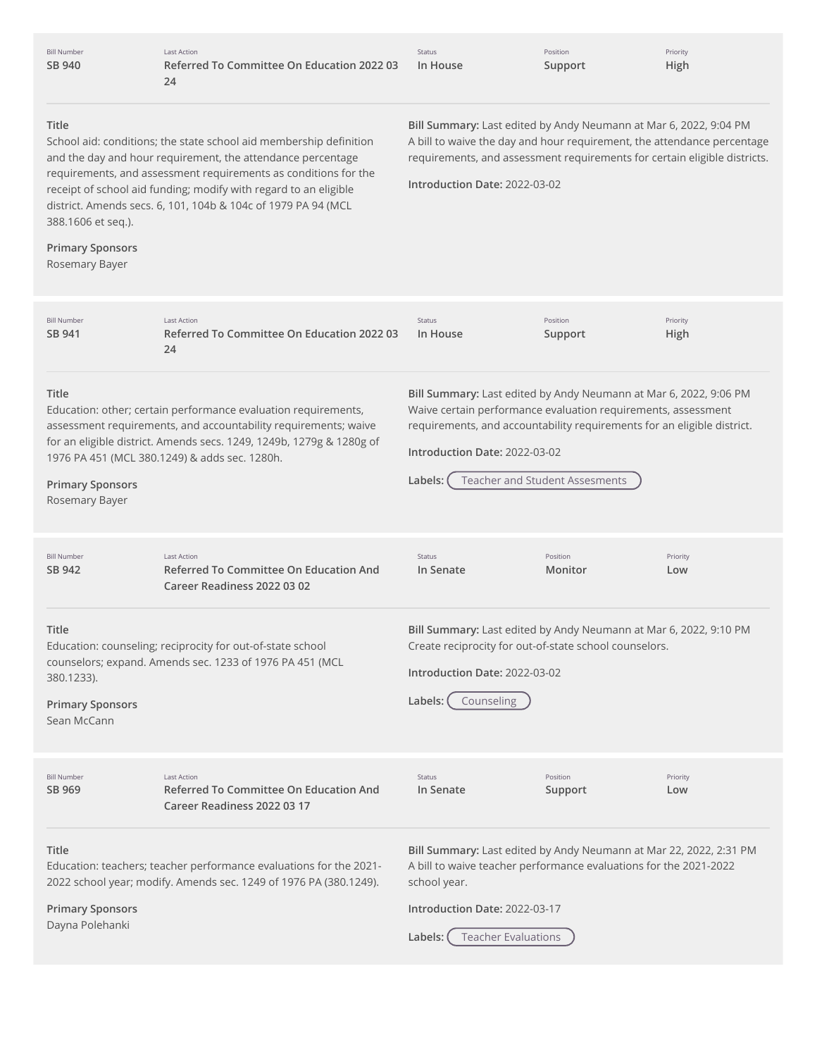| <b>Bill Number</b><br>SB 940                                             | <b>Last Action</b><br>Referred To Committee On Education 2022 03<br>24                                                                                                                                                                                                                                                                    | Status<br>In House                                                                                                                                                                                                                                         | Position<br>Support            | Priority<br>High |
|--------------------------------------------------------------------------|-------------------------------------------------------------------------------------------------------------------------------------------------------------------------------------------------------------------------------------------------------------------------------------------------------------------------------------------|------------------------------------------------------------------------------------------------------------------------------------------------------------------------------------------------------------------------------------------------------------|--------------------------------|------------------|
| Title<br>388.1606 et seq.).<br><b>Primary Sponsors</b><br>Rosemary Bayer | School aid: conditions; the state school aid membership definition<br>and the day and hour requirement, the attendance percentage<br>requirements, and assessment requirements as conditions for the<br>receipt of school aid funding; modify with regard to an eligible<br>district. Amends secs. 6, 101, 104b & 104c of 1979 PA 94 (MCL | Bill Summary: Last edited by Andy Neumann at Mar 6, 2022, 9:04 PM<br>A bill to waive the day and hour requirement, the attendance percentage<br>requirements, and assessment requirements for certain eligible districts.<br>Introduction Date: 2022-03-02 |                                |                  |
| <b>Bill Number</b><br>SB 941                                             | <b>Last Action</b><br>Referred To Committee On Education 2022 03<br>24                                                                                                                                                                                                                                                                    | Status<br>In House                                                                                                                                                                                                                                         | Position<br>Support            | Priority<br>High |
| Title<br><b>Primary Sponsors</b><br>Rosemary Bayer                       | Education: other; certain performance evaluation requirements,<br>assessment requirements, and accountability requirements; waive<br>for an eligible district. Amends secs. 1249, 1249b, 1279g & 1280g of<br>1976 PA 451 (MCL 380.1249) & adds sec. 1280h.                                                                                | Bill Summary: Last edited by Andy Neumann at Mar 6, 2022, 9:06 PM<br>Waive certain performance evaluation requirements, assessment<br>requirements, and accountability requirements for an eligible district.<br>Introduction Date: 2022-03-02<br>Labels:  | Teacher and Student Assesments |                  |
| <b>Bill Number</b><br>SB 942                                             | <b>Last Action</b><br><b>Referred To Committee On Education And</b><br>Career Readiness 2022 03 02                                                                                                                                                                                                                                        | Status<br>In Senate                                                                                                                                                                                                                                        | Position<br>Monitor            | Priority<br>Low  |
| Title<br>380.1233).<br><b>Primary Sponsors</b><br>Sean McCann            | Education: counseling; reciprocity for out-of-state school<br>counselors; expand. Amends sec. 1233 of 1976 PA 451 (MCL                                                                                                                                                                                                                    | Bill Summary: Last edited by Andy Neumann at Mar 6, 2022, 9:10 PM<br>Create reciprocity for out-of-state school counselors.<br>Introduction Date: 2022-03-02<br>Labels: (<br>Counseling                                                                    |                                |                  |
| <b>Bill Number</b><br>SB 969                                             | <b>Last Action</b><br>Referred To Committee On Education And<br>Career Readiness 2022 03 17                                                                                                                                                                                                                                               | Status<br>In Senate                                                                                                                                                                                                                                        | Position<br>Support            | Priority<br>Low  |
| <b>Title</b>                                                             | Education: teachers; teacher performance evaluations for the 2021-<br>2022 school year; modify. Amends sec. 1249 of 1976 PA (380.1249).                                                                                                                                                                                                   | Bill Summary: Last edited by Andy Neumann at Mar 22, 2022, 2:31 PM<br>A bill to waive teacher performance evaluations for the 2021-2022<br>school year.                                                                                                    |                                |                  |
| <b>Primary Sponsors</b><br>Dayna Polehanki                               |                                                                                                                                                                                                                                                                                                                                           | Introduction Date: 2022-03-17<br><b>Teacher Evaluations</b><br>Labels: (                                                                                                                                                                                   |                                |                  |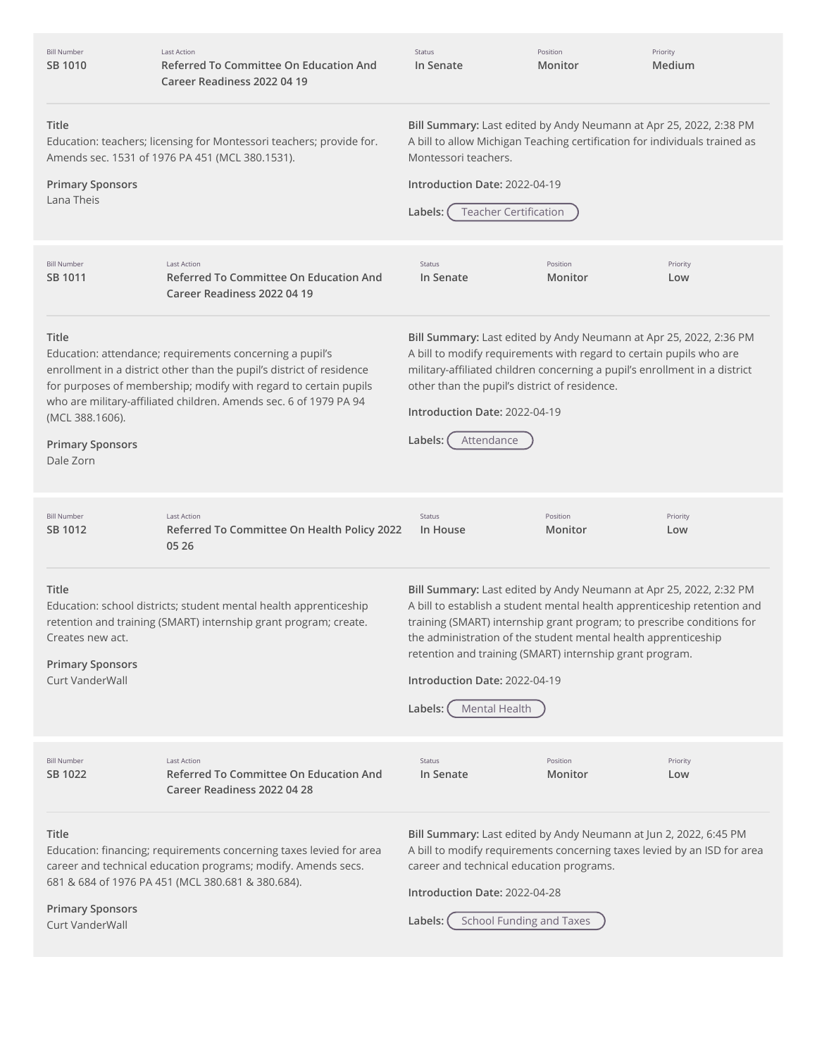| <b>Bill Number</b><br>SB 1010                                           | <b>Last Action</b><br>Referred To Committee On Education And<br>Career Readiness 2022 04 19                                                                                                                                                                                | Status<br>In Senate                                                                                                                                                                                                                                                                                                                                                                                                 | Position<br>Monitor | Priority<br>Medium |
|-------------------------------------------------------------------------|----------------------------------------------------------------------------------------------------------------------------------------------------------------------------------------------------------------------------------------------------------------------------|---------------------------------------------------------------------------------------------------------------------------------------------------------------------------------------------------------------------------------------------------------------------------------------------------------------------------------------------------------------------------------------------------------------------|---------------------|--------------------|
| <b>Title</b><br><b>Primary Sponsors</b><br>Lana Theis                   | Education: teachers; licensing for Montessori teachers; provide for.<br>Amends sec. 1531 of 1976 PA 451 (MCL 380.1531).                                                                                                                                                    | Bill Summary: Last edited by Andy Neumann at Apr 25, 2022, 2:38 PM<br>A bill to allow Michigan Teaching certification for individuals trained as<br>Montessori teachers.<br>Introduction Date: 2022-04-19<br><b>Teacher Certification</b><br>Labels: (                                                                                                                                                              |                     |                    |
| <b>Bill Number</b><br>SB 1011                                           | <b>Last Action</b><br><b>Referred To Committee On Education And</b><br>Career Readiness 2022 04 19                                                                                                                                                                         | Status<br>In Senate                                                                                                                                                                                                                                                                                                                                                                                                 | Position<br>Monitor | Priority<br>Low    |
| Title<br>(MCL 388.1606).<br><b>Primary Sponsors</b><br>Dale Zorn        | Education: attendance; requirements concerning a pupil's<br>enrollment in a district other than the pupil's district of residence<br>for purposes of membership; modify with regard to certain pupils<br>who are military-affiliated children. Amends sec. 6 of 1979 PA 94 | Bill Summary: Last edited by Andy Neumann at Apr 25, 2022, 2:36 PM<br>A bill to modify requirements with regard to certain pupils who are<br>military-affiliated children concerning a pupil's enrollment in a district<br>other than the pupil's district of residence.<br>Introduction Date: 2022-04-19<br>Attendance<br>Labels:                                                                                  |                     |                    |
| <b>Bill Number</b><br>SB 1012                                           | <b>Last Action</b><br>Referred To Committee On Health Policy 2022<br>05 26                                                                                                                                                                                                 | Status<br>In House                                                                                                                                                                                                                                                                                                                                                                                                  | Position<br>Monitor | Priority<br>Low    |
|                                                                         |                                                                                                                                                                                                                                                                            |                                                                                                                                                                                                                                                                                                                                                                                                                     |                     |                    |
| Title<br>Creates new act.<br><b>Primary Sponsors</b><br>Curt VanderWall | Education: school districts; student mental health apprenticeship<br>retention and training (SMART) internship grant program; create.                                                                                                                                      | Bill Summary: Last edited by Andy Neumann at Apr 25, 2022, 2:32 PM<br>A bill to establish a student mental health apprenticeship retention and<br>training (SMART) internship grant program; to prescribe conditions for<br>the administration of the student mental health apprenticeship<br>retention and training (SMART) internship grant program.<br>Introduction Date: 2022-04-19<br>Labels:<br>Mental Health |                     |                    |
| <b>Bill Number</b><br>SB 1022                                           | <b>Last Action</b><br><b>Referred To Committee On Education And</b><br>Career Readiness 2022 04 28                                                                                                                                                                         | Status<br>In Senate                                                                                                                                                                                                                                                                                                                                                                                                 | Position<br>Monitor | Priority<br>Low    |